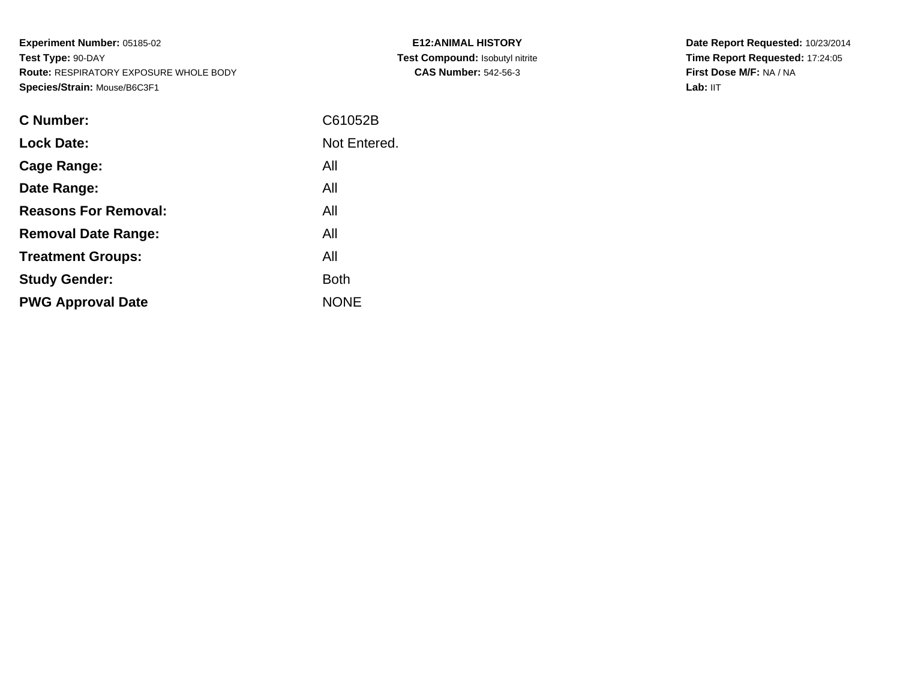**Experiment Number:** 05185-02**Test Type:** 90-DAY **Route:** RESPIRATORY EXPOSURE WHOLE BODY**Species/Strain:** Mouse/B6C3F1

| <b>E12:ANIMAL HISTORY</b>              |
|----------------------------------------|
| <b>Test Compound: Isobutyl nitrite</b> |
| <b>CAS Number: 542-56-3</b>            |

| <b>C</b> Number:            | C61052B      |
|-----------------------------|--------------|
| <b>Lock Date:</b>           | Not Entered. |
| Cage Range:                 | All          |
| Date Range:                 | All          |
| <b>Reasons For Removal:</b> | All          |
| <b>Removal Date Range:</b>  | All          |
| <b>Treatment Groups:</b>    | All          |
| <b>Study Gender:</b>        | <b>Both</b>  |
| <b>PWG Approval Date</b>    | <b>NONE</b>  |
|                             |              |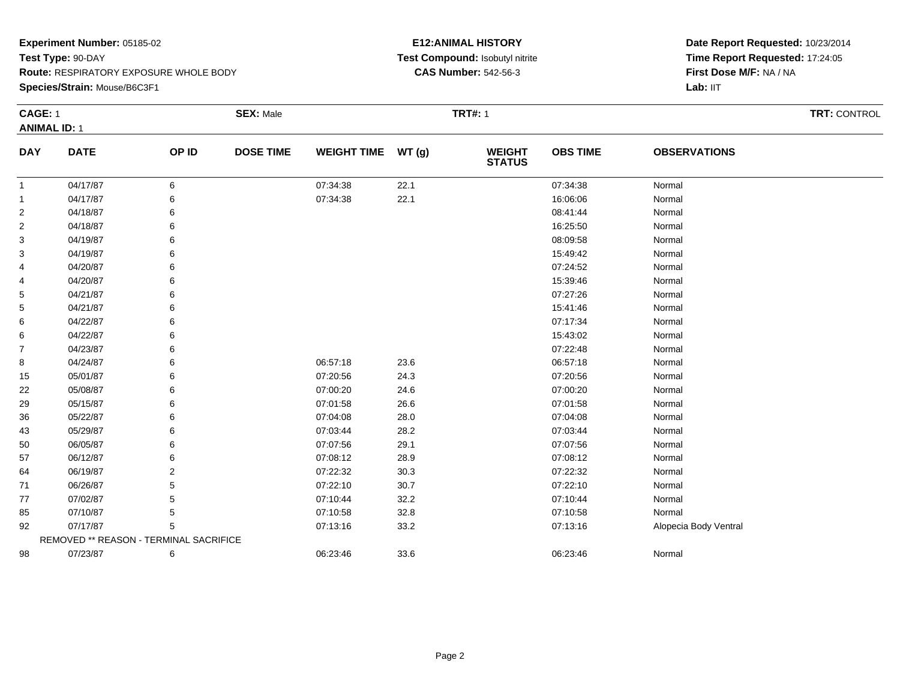#### **Species/Strain:** Mouse/B6C3F1

#### **E12:ANIMAL HISTORY Test Compound:** Isobutyl nitrite**CAS Number:** 542-56-3

| CAGE: 1             |                                        |       | <b>SEX: Male</b> |                    |       | <b>TRT#: 1</b>           | <b>TRT: CONTROL</b> |                       |  |  |
|---------------------|----------------------------------------|-------|------------------|--------------------|-------|--------------------------|---------------------|-----------------------|--|--|
| <b>ANIMAL ID: 1</b> |                                        |       |                  |                    |       |                          |                     |                       |  |  |
| <b>DAY</b>          | <b>DATE</b>                            | OP ID | <b>DOSE TIME</b> | <b>WEIGHT TIME</b> | WT(g) | <b>WEIGHT<br/>STATUS</b> | <b>OBS TIME</b>     | <b>OBSERVATIONS</b>   |  |  |
| -1                  | 04/17/87                               | 6     |                  | 07:34:38           | 22.1  |                          | 07:34:38            | Normal                |  |  |
| $\mathbf 1$         | 04/17/87                               | 6     |                  | 07:34:38           | 22.1  |                          | 16:06:06            | Normal                |  |  |
| $\overline{c}$      | 04/18/87                               |       |                  |                    |       |                          | 08:41:44            | Normal                |  |  |
| $\overline{2}$      | 04/18/87                               |       |                  |                    |       |                          | 16:25:50            | Normal                |  |  |
| 3                   | 04/19/87                               |       |                  |                    |       |                          | 08:09:58            | Normal                |  |  |
| 3                   | 04/19/87                               |       |                  |                    |       |                          | 15:49:42            | Normal                |  |  |
| 4                   | 04/20/87                               |       |                  |                    |       |                          | 07:24:52            | Normal                |  |  |
| 4                   | 04/20/87                               |       |                  |                    |       |                          | 15:39:46            | Normal                |  |  |
| 5                   | 04/21/87                               |       |                  |                    |       |                          | 07:27:26            | Normal                |  |  |
| 5                   | 04/21/87                               |       |                  |                    |       |                          | 15:41:46            | Normal                |  |  |
| 6                   | 04/22/87                               |       |                  |                    |       |                          | 07:17:34            | Normal                |  |  |
| 6                   | 04/22/87                               |       |                  |                    |       |                          | 15:43:02            | Normal                |  |  |
| $\overline{7}$      | 04/23/87                               |       |                  |                    |       |                          | 07:22:48            | Normal                |  |  |
| 8                   | 04/24/87                               |       |                  | 06:57:18           | 23.6  |                          | 06:57:18            | Normal                |  |  |
| 15                  | 05/01/87                               |       |                  | 07:20:56           | 24.3  |                          | 07:20:56            | Normal                |  |  |
| 22                  | 05/08/87                               |       |                  | 07:00:20           | 24.6  |                          | 07:00:20            | Normal                |  |  |
| 29                  | 05/15/87                               |       |                  | 07:01:58           | 26.6  |                          | 07:01:58            | Normal                |  |  |
| 36                  | 05/22/87                               |       |                  | 07:04:08           | 28.0  |                          | 07:04:08            | Normal                |  |  |
| 43                  | 05/29/87                               |       |                  | 07:03:44           | 28.2  |                          | 07:03:44            | Normal                |  |  |
| 50                  | 06/05/87                               |       |                  | 07:07:56           | 29.1  |                          | 07:07:56            | Normal                |  |  |
| 57                  | 06/12/87                               |       |                  | 07:08:12           | 28.9  |                          | 07:08:12            | Normal                |  |  |
| 64                  | 06/19/87                               |       |                  | 07:22:32           | 30.3  |                          | 07:22:32            | Normal                |  |  |
| 71                  | 06/26/87                               |       |                  | 07:22:10           | 30.7  |                          | 07:22:10            | Normal                |  |  |
| 77                  | 07/02/87                               |       |                  | 07:10:44           | 32.2  |                          | 07:10:44            | Normal                |  |  |
| 85                  | 07/10/87                               |       |                  | 07:10:58           | 32.8  |                          | 07:10:58            | Normal                |  |  |
| 92                  | 07/17/87                               | 5     |                  | 07:13:16           | 33.2  |                          | 07:13:16            | Alopecia Body Ventral |  |  |
|                     | REMOVED ** REASON - TERMINAL SACRIFICE |       |                  |                    |       |                          |                     |                       |  |  |
| 98                  | 07/23/87                               | 6     |                  | 06:23:46           | 33.6  |                          | 06:23:46            | Normal                |  |  |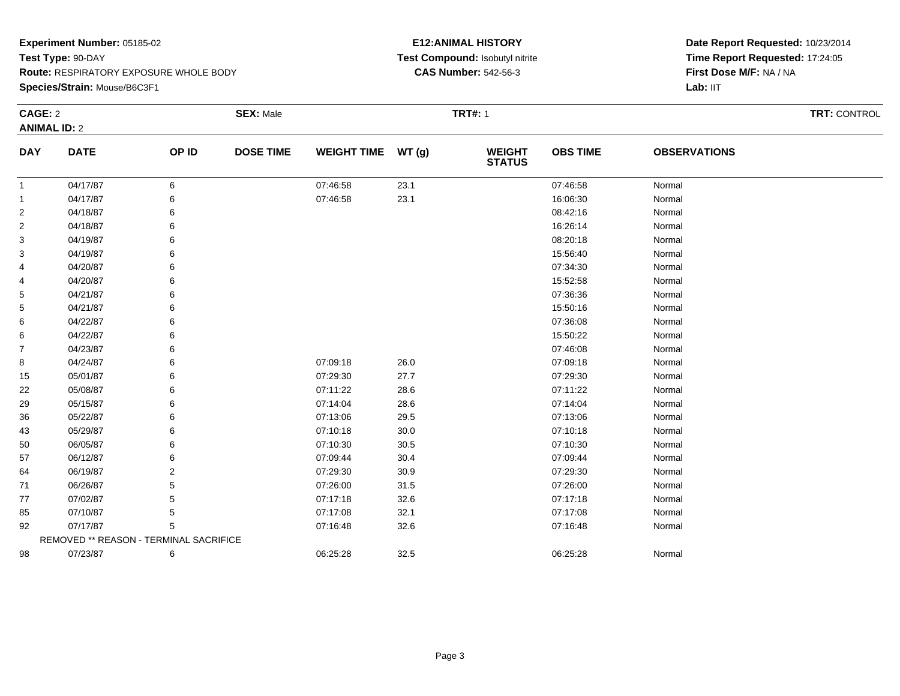**Species/Strain:** Mouse/B6C3F1

#### **E12:ANIMAL HISTORY Test Compound:** Isobutyl nitrite**CAS Number:** 542-56-3

| CAGE: 2             |                                        |       | <b>SEX: Male</b> |                    |               | <b>TRT#: 1</b>                 |                 | TRT: CONTROL        |  |
|---------------------|----------------------------------------|-------|------------------|--------------------|---------------|--------------------------------|-----------------|---------------------|--|
| <b>ANIMAL ID: 2</b> |                                        |       |                  |                    |               |                                |                 |                     |  |
| <b>DAY</b>          | <b>DATE</b>                            | OP ID | <b>DOSE TIME</b> | <b>WEIGHT TIME</b> | <b>WT (g)</b> | <b>WEIGHT</b><br><b>STATUS</b> | <b>OBS TIME</b> | <b>OBSERVATIONS</b> |  |
| $\mathbf{1}$        | 04/17/87                               | 6     |                  | 07:46:58           | 23.1          |                                | 07:46:58        | Normal              |  |
| -1                  | 04/17/87                               | 6     |                  | 07:46:58           | 23.1          |                                | 16:06:30        | Normal              |  |
| $\overline{2}$      | 04/18/87                               | 6     |                  |                    |               |                                | 08:42:16        | Normal              |  |
| 2                   | 04/18/87                               | 6     |                  |                    |               |                                | 16:26:14        | Normal              |  |
| 3                   | 04/19/87                               |       |                  |                    |               |                                | 08:20:18        | Normal              |  |
| 3                   | 04/19/87                               |       |                  |                    |               |                                | 15:56:40        | Normal              |  |
| 4                   | 04/20/87                               |       |                  |                    |               |                                | 07:34:30        | Normal              |  |
| 4                   | 04/20/87                               |       |                  |                    |               |                                | 15:52:58        | Normal              |  |
| 5                   | 04/21/87                               |       |                  |                    |               |                                | 07:36:36        | Normal              |  |
| 5                   | 04/21/87                               |       |                  |                    |               |                                | 15:50:16        | Normal              |  |
| 6                   | 04/22/87                               |       |                  |                    |               |                                | 07:36:08        | Normal              |  |
| 6                   | 04/22/87                               |       |                  |                    |               |                                | 15:50:22        | Normal              |  |
| $\overline{7}$      | 04/23/87                               | 6     |                  |                    |               |                                | 07:46:08        | Normal              |  |
| 8                   | 04/24/87                               |       |                  | 07:09:18           | 26.0          |                                | 07:09:18        | Normal              |  |
| 15                  | 05/01/87                               | 6     |                  | 07:29:30           | 27.7          |                                | 07:29:30        | Normal              |  |
| 22                  | 05/08/87                               |       |                  | 07:11:22           | 28.6          |                                | 07:11:22        | Normal              |  |
| 29                  | 05/15/87                               |       |                  | 07:14:04           | 28.6          |                                | 07:14:04        | Normal              |  |
| 36                  | 05/22/87                               |       |                  | 07:13:06           | 29.5          |                                | 07:13:06        | Normal              |  |
| 43                  | 05/29/87                               | 6     |                  | 07:10:18           | 30.0          |                                | 07:10:18        | Normal              |  |
| 50                  | 06/05/87                               | 6     |                  | 07:10:30           | 30.5          |                                | 07:10:30        | Normal              |  |
| 57                  | 06/12/87                               | 6     |                  | 07:09:44           | 30.4          |                                | 07:09:44        | Normal              |  |
| 64                  | 06/19/87                               | 2     |                  | 07:29:30           | 30.9          |                                | 07:29:30        | Normal              |  |
| 71                  | 06/26/87                               | 5     |                  | 07:26:00           | 31.5          |                                | 07:26:00        | Normal              |  |
| 77                  | 07/02/87                               |       |                  | 07:17:18           | 32.6          |                                | 07:17:18        | Normal              |  |
| 85                  | 07/10/87                               | 5     |                  | 07:17:08           | 32.1          |                                | 07:17:08        | Normal              |  |
| 92                  | 07/17/87                               | 5     |                  | 07:16:48           | 32.6          |                                | 07:16:48        | Normal              |  |
|                     | REMOVED ** REASON - TERMINAL SACRIFICE |       |                  |                    |               |                                |                 |                     |  |
| 98                  | 07/23/87                               | 6     |                  | 06:25:28           | 32.5          |                                | 06:25:28        | Normal              |  |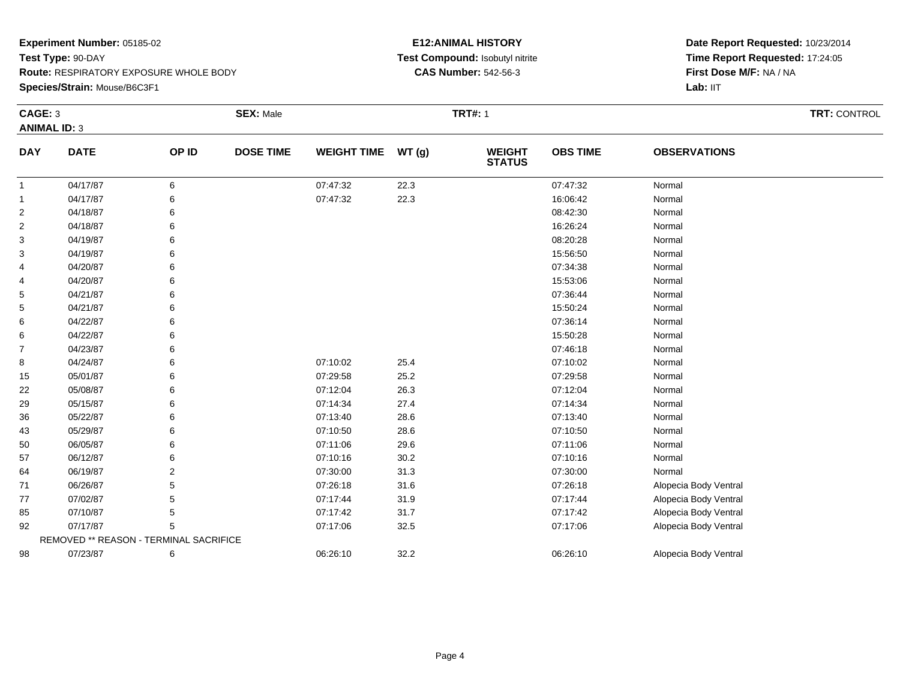#### **Species/Strain:** Mouse/B6C3F1

#### **E12:ANIMAL HISTORY Test Compound:** Isobutyl nitrite**CAS Number:** 542-56-3

| CAGE: 3             |                                        |                | <b>SEX: Male</b> |                    |       | <b>TRT#: 1</b>                 | TRT: CONTROL    |                       |  |
|---------------------|----------------------------------------|----------------|------------------|--------------------|-------|--------------------------------|-----------------|-----------------------|--|
| <b>ANIMAL ID: 3</b> |                                        |                |                  |                    |       |                                |                 |                       |  |
| <b>DAY</b>          | <b>DATE</b>                            | OP ID          | <b>DOSE TIME</b> | <b>WEIGHT TIME</b> | WT(g) | <b>WEIGHT</b><br><b>STATUS</b> | <b>OBS TIME</b> | <b>OBSERVATIONS</b>   |  |
| -1                  | 04/17/87                               | 6              |                  | 07:47:32           | 22.3  |                                | 07:47:32        | Normal                |  |
| $\mathbf{1}$        | 04/17/87                               | 6              |                  | 07:47:32           | 22.3  |                                | 16:06:42        | Normal                |  |
| $\overline{c}$      | 04/18/87                               | 6              |                  |                    |       |                                | 08:42:30        | Normal                |  |
| $\overline{2}$      | 04/18/87                               | 6              |                  |                    |       |                                | 16:26:24        | Normal                |  |
| 3                   | 04/19/87                               | 6              |                  |                    |       |                                | 08:20:28        | Normal                |  |
| 3                   | 04/19/87                               | 6              |                  |                    |       |                                | 15:56:50        | Normal                |  |
| 4                   | 04/20/87                               | 6              |                  |                    |       |                                | 07:34:38        | Normal                |  |
| 4                   | 04/20/87                               | 6              |                  |                    |       |                                | 15:53:06        | Normal                |  |
| 5                   | 04/21/87                               | 6              |                  |                    |       |                                | 07:36:44        | Normal                |  |
| 5                   | 04/21/87                               | 6              |                  |                    |       |                                | 15:50:24        | Normal                |  |
| 6                   | 04/22/87                               | 6              |                  |                    |       |                                | 07:36:14        | Normal                |  |
| 6                   | 04/22/87                               | 6              |                  |                    |       |                                | 15:50:28        | Normal                |  |
| $\overline{7}$      | 04/23/87                               | 6              |                  |                    |       |                                | 07:46:18        | Normal                |  |
| 8                   | 04/24/87                               | 6              |                  | 07:10:02           | 25.4  |                                | 07:10:02        | Normal                |  |
| 15                  | 05/01/87                               | 6              |                  | 07:29:58           | 25.2  |                                | 07:29:58        | Normal                |  |
| 22                  | 05/08/87                               | 6              |                  | 07:12:04           | 26.3  |                                | 07:12:04        | Normal                |  |
| 29                  | 05/15/87                               | 6              |                  | 07:14:34           | 27.4  |                                | 07:14:34        | Normal                |  |
| 36                  | 05/22/87                               | 6              |                  | 07:13:40           | 28.6  |                                | 07:13:40        | Normal                |  |
| 43                  | 05/29/87                               | 6              |                  | 07:10:50           | 28.6  |                                | 07:10:50        | Normal                |  |
| 50                  | 06/05/87                               | 6              |                  | 07:11:06           | 29.6  |                                | 07:11:06        | Normal                |  |
| 57                  | 06/12/87                               | 6              |                  | 07:10:16           | 30.2  |                                | 07:10:16        | Normal                |  |
| 64                  | 06/19/87                               | $\overline{2}$ |                  | 07:30:00           | 31.3  |                                | 07:30:00        | Normal                |  |
| 71                  | 06/26/87                               | 5              |                  | 07:26:18           | 31.6  |                                | 07:26:18        | Alopecia Body Ventral |  |
| 77                  | 07/02/87                               | 5              |                  | 07:17:44           | 31.9  |                                | 07:17:44        | Alopecia Body Ventral |  |
| 85                  | 07/10/87                               |                |                  | 07:17:42           | 31.7  |                                | 07:17:42        | Alopecia Body Ventral |  |
| 92                  | 07/17/87                               | 5              |                  | 07:17:06           | 32.5  |                                | 07:17:06        | Alopecia Body Ventral |  |
|                     | REMOVED ** REASON - TERMINAL SACRIFICE |                |                  |                    |       |                                |                 |                       |  |
| 98                  | 07/23/87                               | 6              |                  | 06:26:10           | 32.2  |                                | 06:26:10        | Alopecia Body Ventral |  |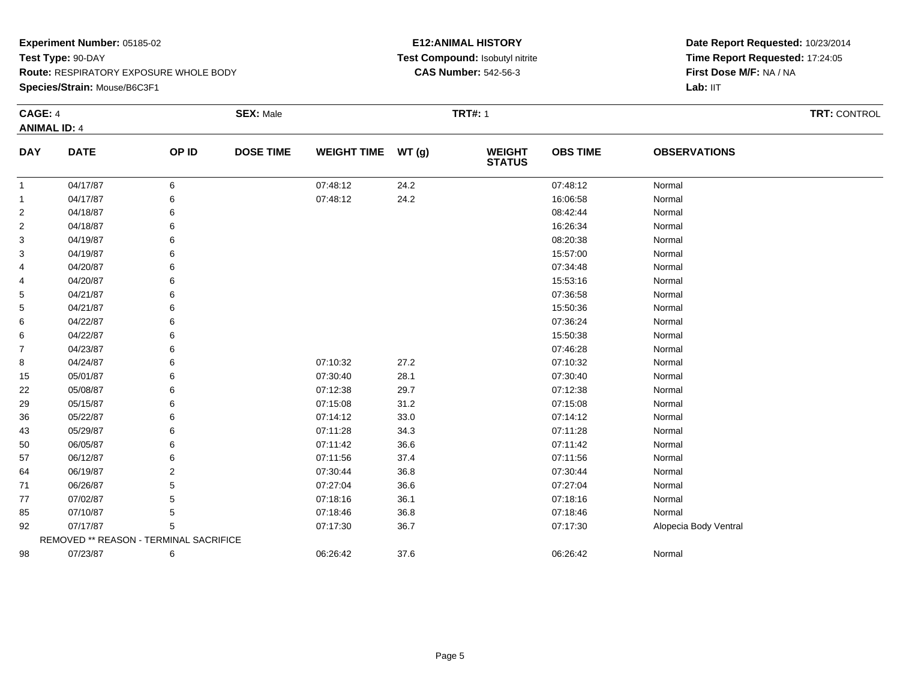**Species/Strain:** Mouse/B6C3F1

#### **E12:ANIMAL HISTORY Test Compound:** Isobutyl nitrite**CAS Number:** 542-56-3

| <b>CAGE: 4</b>      |                                        |       | <b>SEX: Male</b> |                    |       |                                | <b>TRT#: 1</b>  |                       |  |  |  |
|---------------------|----------------------------------------|-------|------------------|--------------------|-------|--------------------------------|-----------------|-----------------------|--|--|--|
| <b>ANIMAL ID: 4</b> |                                        |       |                  |                    |       |                                |                 |                       |  |  |  |
| <b>DAY</b>          | <b>DATE</b>                            | OP ID | <b>DOSE TIME</b> | <b>WEIGHT TIME</b> | WT(g) | <b>WEIGHT</b><br><b>STATUS</b> | <b>OBS TIME</b> | <b>OBSERVATIONS</b>   |  |  |  |
| $\mathbf{1}$        | 04/17/87                               | 6     |                  | 07:48:12           | 24.2  |                                | 07:48:12        | Normal                |  |  |  |
| $\mathbf{1}$        | 04/17/87                               | 6     |                  | 07:48:12           | 24.2  |                                | 16:06:58        | Normal                |  |  |  |
| $\overline{2}$      | 04/18/87                               | 6     |                  |                    |       |                                | 08:42:44        | Normal                |  |  |  |
| $\overline{2}$      | 04/18/87                               | 6     |                  |                    |       |                                | 16:26:34        | Normal                |  |  |  |
| 3                   | 04/19/87                               |       |                  |                    |       |                                | 08:20:38        | Normal                |  |  |  |
| 3                   | 04/19/87                               |       |                  |                    |       |                                | 15:57:00        | Normal                |  |  |  |
| 4                   | 04/20/87                               |       |                  |                    |       |                                | 07:34:48        | Normal                |  |  |  |
| 4                   | 04/20/87                               |       |                  |                    |       |                                | 15:53:16        | Normal                |  |  |  |
| 5                   | 04/21/87                               |       |                  |                    |       |                                | 07:36:58        | Normal                |  |  |  |
| 5                   | 04/21/87                               |       |                  |                    |       |                                | 15:50:36        | Normal                |  |  |  |
| 6                   | 04/22/87                               |       |                  |                    |       |                                | 07:36:24        | Normal                |  |  |  |
| 6                   | 04/22/87                               |       |                  |                    |       |                                | 15:50:38        | Normal                |  |  |  |
| $\overline{7}$      | 04/23/87                               |       |                  |                    |       |                                | 07:46:28        | Normal                |  |  |  |
| 8                   | 04/24/87                               |       |                  | 07:10:32           | 27.2  |                                | 07:10:32        | Normal                |  |  |  |
| 15                  | 05/01/87                               |       |                  | 07:30:40           | 28.1  |                                | 07:30:40        | Normal                |  |  |  |
| 22                  | 05/08/87                               |       |                  | 07:12:38           | 29.7  |                                | 07:12:38        | Normal                |  |  |  |
| 29                  | 05/15/87                               |       |                  | 07:15:08           | 31.2  |                                | 07:15:08        | Normal                |  |  |  |
| 36                  | 05/22/87                               |       |                  | 07:14:12           | 33.0  |                                | 07:14:12        | Normal                |  |  |  |
| 43                  | 05/29/87                               |       |                  | 07:11:28           | 34.3  |                                | 07:11:28        | Normal                |  |  |  |
| 50                  | 06/05/87                               |       |                  | 07:11:42           | 36.6  |                                | 07:11:42        | Normal                |  |  |  |
| 57                  | 06/12/87                               |       |                  | 07:11:56           | 37.4  |                                | 07:11:56        | Normal                |  |  |  |
| 64                  | 06/19/87                               | 2     |                  | 07:30:44           | 36.8  |                                | 07:30:44        | Normal                |  |  |  |
| 71                  | 06/26/87                               | 5     |                  | 07:27:04           | 36.6  |                                | 07:27:04        | Normal                |  |  |  |
| 77                  | 07/02/87                               |       |                  | 07:18:16           | 36.1  |                                | 07:18:16        | Normal                |  |  |  |
| 85                  | 07/10/87                               | 5     |                  | 07:18:46           | 36.8  |                                | 07:18:46        | Normal                |  |  |  |
| 92                  | 07/17/87                               |       |                  | 07:17:30           | 36.7  |                                | 07:17:30        | Alopecia Body Ventral |  |  |  |
|                     | REMOVED ** REASON - TERMINAL SACRIFICE |       |                  |                    |       |                                |                 |                       |  |  |  |
| 98                  | 07/23/87                               | 6     |                  | 06:26:42           | 37.6  |                                | 06:26:42        | Normal                |  |  |  |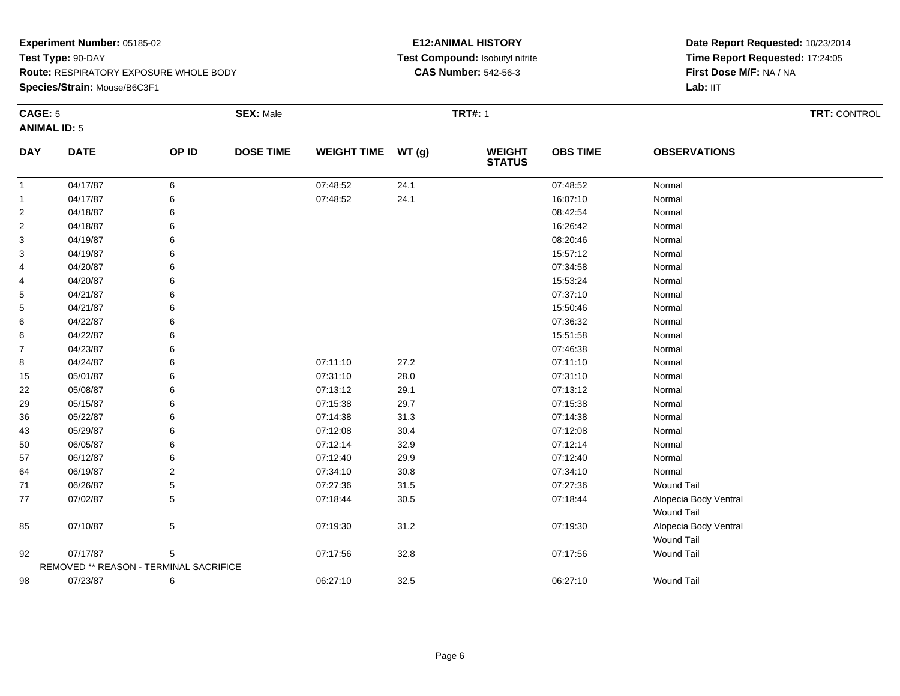**Species/Strain:** Mouse/B6C3F1

#### **E12:ANIMAL HISTORY Test Compound:** Isobutyl nitrite**CAS Number:** 542-56-3

|                | CAGE: 5                                |                 | <b>SEX: Male</b> |                    |          | <b>TRT#: 1</b>                 |                 | <b>TRT: CONTROL</b>   |  |
|----------------|----------------------------------------|-----------------|------------------|--------------------|----------|--------------------------------|-----------------|-----------------------|--|
|                | <b>ANIMAL ID: 5</b>                    |                 |                  |                    |          |                                |                 |                       |  |
| <b>DAY</b>     | <b>DATE</b>                            | OP ID           | <b>DOSE TIME</b> | <b>WEIGHT TIME</b> | WT(g)    | <b>WEIGHT</b><br><b>STATUS</b> | <b>OBS TIME</b> | <b>OBSERVATIONS</b>   |  |
| $\mathbf{1}$   | 04/17/87                               | 6               |                  | 07:48:52           | 24.1     |                                | 07:48:52        | Normal                |  |
| $\mathbf{1}$   | 04/17/87                               | 6               |                  | 07:48:52           | 24.1     |                                | 16:07:10        | Normal                |  |
| 2              | 04/18/87                               | 6               |                  |                    |          |                                | 08:42:54        | Normal                |  |
| $\overline{c}$ | 04/18/87                               | 6               |                  |                    |          |                                | 16:26:42        | Normal                |  |
| 3              | 04/19/87                               | 6               |                  |                    |          |                                | 08:20:46        | Normal                |  |
| 3              | 04/19/87                               | 6               |                  |                    |          |                                | 15:57:12        | Normal                |  |
| 4              | 04/20/87                               | 6               |                  |                    |          |                                | 07:34:58        | Normal                |  |
| 4              | 04/20/87                               | 6               |                  |                    |          |                                | 15:53:24        | Normal                |  |
| 5              | 04/21/87                               | 6               |                  |                    |          |                                | 07:37:10        | Normal                |  |
| 5              | 04/21/87                               | 6               |                  |                    |          |                                | 15:50:46        | Normal                |  |
| 6              | 04/22/87                               | 6               |                  |                    |          |                                | 07:36:32        | Normal                |  |
| 6              | 04/22/87                               | 6               |                  |                    |          |                                | 15:51:58        | Normal                |  |
| $\overline{7}$ | 04/23/87                               | 6               |                  |                    |          |                                | 07:46:38        | Normal                |  |
| 8              | 04/24/87                               | 6               |                  | 07:11:10           | 27.2     |                                | 07:11:10        | Normal                |  |
| 15             | 05/01/87                               | 6               |                  | 07:31:10           | 28.0     |                                | 07:31:10        | Normal                |  |
| 22             | 05/08/87                               | 6               |                  | 07:13:12           | 29.1     |                                | 07:13:12        | Normal                |  |
| 29             | 05/15/87                               | 6               |                  | 07:15:38           | 29.7     |                                | 07:15:38        | Normal                |  |
| 36             | 05/22/87                               | 6               |                  | 07:14:38           | 31.3     |                                | 07:14:38        | Normal                |  |
| 43             | 05/29/87                               | 6               |                  | 07:12:08           | 30.4     |                                | 07:12:08        | Normal                |  |
| 50             | 06/05/87                               | 6               |                  | 07:12:14           | 32.9     |                                | 07:12:14        | Normal                |  |
| 57             | 06/12/87                               | 6               |                  | 07:12:40           | 29.9     |                                | 07:12:40        | Normal                |  |
| 64             | 06/19/87                               | 2               |                  | 07:34:10           | 30.8     |                                | 07:34:10        | Normal                |  |
| 71             | 06/26/87                               | 5               |                  | 07:27:36           | 31.5     |                                | 07:27:36        | <b>Wound Tail</b>     |  |
| 77             | 07/02/87                               | 5               |                  | 07:18:44           | $30.5\,$ |                                | 07:18:44        | Alopecia Body Ventral |  |
|                |                                        |                 |                  |                    |          |                                |                 | <b>Wound Tail</b>     |  |
| 85             | 07/10/87                               | $5\phantom{.0}$ |                  | 07:19:30           | 31.2     |                                | 07:19:30        | Alopecia Body Ventral |  |
|                |                                        |                 |                  |                    |          |                                |                 | <b>Wound Tail</b>     |  |
| 92             | 07/17/87                               | 5               |                  | 07:17:56           | 32.8     |                                | 07:17:56        | <b>Wound Tail</b>     |  |
|                | REMOVED ** REASON - TERMINAL SACRIFICE |                 |                  |                    |          |                                |                 |                       |  |
| 98             | 07/23/87                               | 6               |                  | 06:27:10           | 32.5     |                                | 06:27:10        | <b>Wound Tail</b>     |  |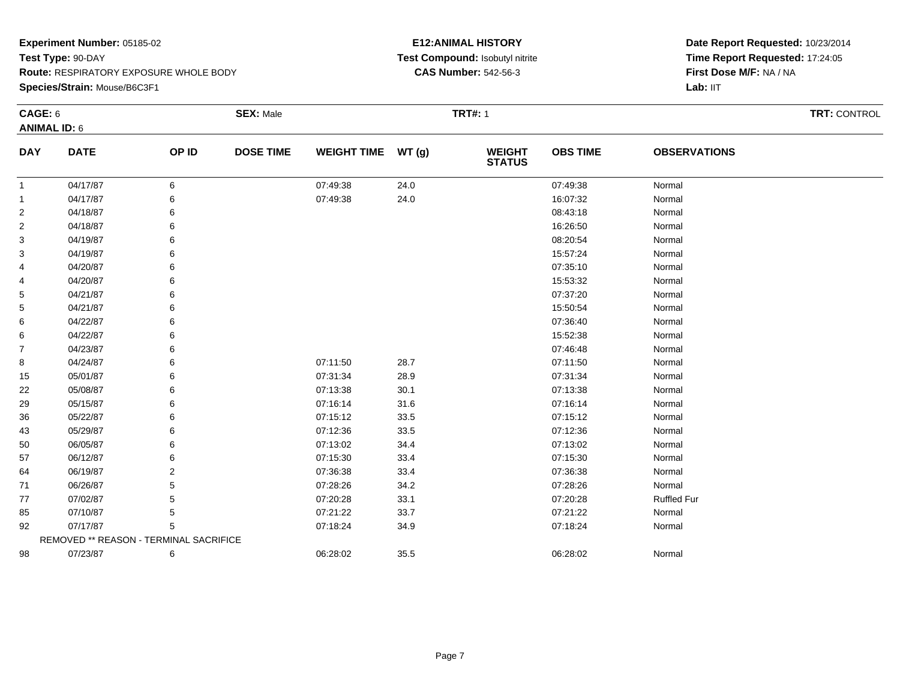**Species/Strain:** Mouse/B6C3F1

#### **E12:ANIMAL HISTORY Test Compound:** Isobutyl nitrite**CAS Number:** 542-56-3

| <b>CAGE: 6</b><br><b>ANIMAL ID: 6</b> |                                        |       | <b>SEX: Male</b> |                    |       | <b>TRT#: 1</b> | TRT: CONTROL    |                     |  |
|---------------------------------------|----------------------------------------|-------|------------------|--------------------|-------|----------------|-----------------|---------------------|--|
| <b>DAY</b>                            | <b>DATE</b>                            | OP ID | <b>DOSE TIME</b> | <b>WEIGHT TIME</b> | WT(g) | <b>WEIGHT</b>  | <b>OBS TIME</b> | <b>OBSERVATIONS</b> |  |
|                                       |                                        |       |                  |                    |       | <b>STATUS</b>  |                 |                     |  |
| $\overline{1}$                        | 04/17/87                               | 6     |                  | 07:49:38           | 24.0  |                | 07:49:38        | Normal              |  |
| 1                                     | 04/17/87                               | 6     |                  | 07:49:38           | 24.0  |                | 16:07:32        | Normal              |  |
| 2                                     | 04/18/87                               | 6     |                  |                    |       |                | 08:43:18        | Normal              |  |
| $\overline{c}$                        | 04/18/87                               | 6     |                  |                    |       |                | 16:26:50        | Normal              |  |
| 3                                     | 04/19/87                               | 6     |                  |                    |       |                | 08:20:54        | Normal              |  |
| 3                                     | 04/19/87                               | 6     |                  |                    |       |                | 15:57:24        | Normal              |  |
| 4                                     | 04/20/87                               | 6     |                  |                    |       |                | 07:35:10        | Normal              |  |
| 4                                     | 04/20/87                               |       |                  |                    |       |                | 15:53:32        | Normal              |  |
| 5                                     | 04/21/87                               |       |                  |                    |       |                | 07:37:20        | Normal              |  |
| 5                                     | 04/21/87                               | 6     |                  |                    |       |                | 15:50:54        | Normal              |  |
| 6                                     | 04/22/87                               | 6     |                  |                    |       |                | 07:36:40        | Normal              |  |
| 6                                     | 04/22/87                               | 6     |                  |                    |       |                | 15:52:38        | Normal              |  |
| 7                                     | 04/23/87                               | 6     |                  |                    |       |                | 07:46:48        | Normal              |  |
| 8                                     | 04/24/87                               | 6     |                  | 07:11:50           | 28.7  |                | 07:11:50        | Normal              |  |
| 15                                    | 05/01/87                               | 6     |                  | 07:31:34           | 28.9  |                | 07:31:34        | Normal              |  |
| 22                                    | 05/08/87                               | 6     |                  | 07:13:38           | 30.1  |                | 07:13:38        | Normal              |  |
| 29                                    | 05/15/87                               | 6     |                  | 07:16:14           | 31.6  |                | 07:16:14        | Normal              |  |
| 36                                    | 05/22/87                               | 6     |                  | 07:15:12           | 33.5  |                | 07:15:12        | Normal              |  |
| 43                                    | 05/29/87                               | 6     |                  | 07:12:36           | 33.5  |                | 07:12:36        | Normal              |  |
| 50                                    | 06/05/87                               | 6     |                  | 07:13:02           | 34.4  |                | 07:13:02        | Normal              |  |
| 57                                    | 06/12/87                               | 6     |                  | 07:15:30           | 33.4  |                | 07:15:30        | Normal              |  |
| 64                                    | 06/19/87                               | 2     |                  | 07:36:38           | 33.4  |                | 07:36:38        | Normal              |  |
| 71                                    | 06/26/87                               | 5     |                  | 07:28:26           | 34.2  |                | 07:28:26        | Normal              |  |
| 77                                    | 07/02/87                               | 5     |                  | 07:20:28           | 33.1  |                | 07:20:28        | <b>Ruffled Fur</b>  |  |
| 85                                    | 07/10/87                               | 5     |                  | 07:21:22           | 33.7  |                | 07:21:22        | Normal              |  |
| 92                                    | 07/17/87                               | 5     |                  | 07:18:24           | 34.9  |                | 07:18:24        | Normal              |  |
|                                       | REMOVED ** REASON - TERMINAL SACRIFICE |       |                  |                    |       |                |                 |                     |  |
| 98                                    | 07/23/87                               | 6     |                  | 06:28:02           | 35.5  |                | 06:28:02        | Normal              |  |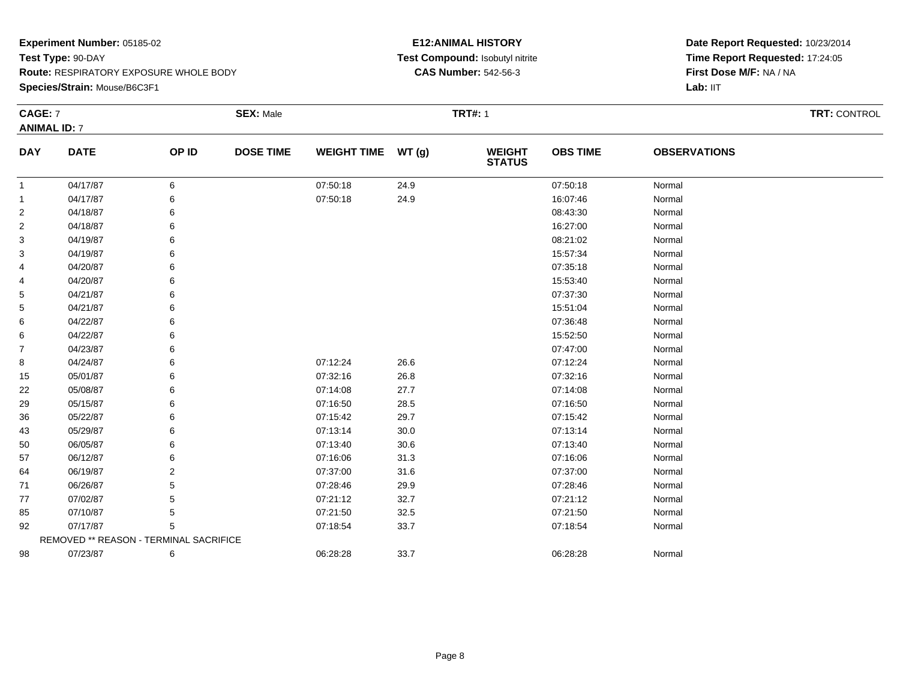#### **Species/Strain:** Mouse/B6C3F1

#### **E12:ANIMAL HISTORY Test Compound:** Isobutyl nitrite**CAS Number:** 542-56-3

| CAGE: 7             |                                        |                | <b>SEX: Male</b> |                    |          | <b>TRT#: 1</b>                 | <b>TRT: CONTROL</b> |                     |  |
|---------------------|----------------------------------------|----------------|------------------|--------------------|----------|--------------------------------|---------------------|---------------------|--|
| <b>ANIMAL ID: 7</b> |                                        |                |                  |                    |          |                                |                     |                     |  |
| <b>DAY</b>          | <b>DATE</b>                            | OP ID          | <b>DOSE TIME</b> | <b>WEIGHT TIME</b> | WT(g)    | <b>WEIGHT</b><br><b>STATUS</b> | <b>OBS TIME</b>     | <b>OBSERVATIONS</b> |  |
| -1                  | 04/17/87                               | 6              |                  | 07:50:18           | 24.9     |                                | 07:50:18            | Normal              |  |
| 1                   | 04/17/87                               | 6              |                  | 07:50:18           | 24.9     |                                | 16:07:46            | Normal              |  |
| 2                   | 04/18/87                               | 6              |                  |                    |          |                                | 08:43:30            | Normal              |  |
| $\overline{c}$      | 04/18/87                               | 6              |                  |                    |          |                                | 16:27:00            | Normal              |  |
| 3                   | 04/19/87                               | 6              |                  |                    |          |                                | 08:21:02            | Normal              |  |
| 3                   | 04/19/87                               | 6              |                  |                    |          |                                | 15:57:34            | Normal              |  |
| 4                   | 04/20/87                               | 6              |                  |                    |          |                                | 07:35:18            | Normal              |  |
| 4                   | 04/20/87                               | 6              |                  |                    |          |                                | 15:53:40            | Normal              |  |
| 5                   | 04/21/87                               |                |                  |                    |          |                                | 07:37:30            | Normal              |  |
| 5                   | 04/21/87                               |                |                  |                    |          |                                | 15:51:04            | Normal              |  |
| 6                   | 04/22/87                               |                |                  |                    |          |                                | 07:36:48            | Normal              |  |
| 6                   | 04/22/87                               |                |                  |                    |          |                                | 15:52:50            | Normal              |  |
| 7                   | 04/23/87                               | 6              |                  |                    |          |                                | 07:47:00            | Normal              |  |
| 8                   | 04/24/87                               | 6              |                  | 07:12:24           | 26.6     |                                | 07:12:24            | Normal              |  |
| 15                  | 05/01/87                               | 6              |                  | 07:32:16           | 26.8     |                                | 07:32:16            | Normal              |  |
| 22                  | 05/08/87                               | 6              |                  | 07:14:08           | 27.7     |                                | 07:14:08            | Normal              |  |
| 29                  | 05/15/87                               | 6              |                  | 07:16:50           | 28.5     |                                | 07:16:50            | Normal              |  |
| 36                  | 05/22/87                               |                |                  | 07:15:42           | 29.7     |                                | 07:15:42            | Normal              |  |
| 43                  | 05/29/87                               | 6              |                  | 07:13:14           | $30.0\,$ |                                | 07:13:14            | Normal              |  |
| 50                  | 06/05/87                               | 6              |                  | 07:13:40           | 30.6     |                                | 07:13:40            | Normal              |  |
| 57                  | 06/12/87                               |                |                  | 07:16:06           | 31.3     |                                | 07:16:06            | Normal              |  |
| 64                  | 06/19/87                               | $\overline{2}$ |                  | 07:37:00           | 31.6     |                                | 07:37:00            | Normal              |  |
| 71                  | 06/26/87                               | 5              |                  | 07:28:46           | 29.9     |                                | 07:28:46            | Normal              |  |
| 77                  | 07/02/87                               | 5              |                  | 07:21:12           | 32.7     |                                | 07:21:12            | Normal              |  |
| 85                  | 07/10/87                               | 5              |                  | 07:21:50           | 32.5     |                                | 07:21:50            | Normal              |  |
| 92                  | 07/17/87                               | 5              |                  | 07:18:54           | 33.7     |                                | 07:18:54            | Normal              |  |
|                     | REMOVED ** REASON - TERMINAL SACRIFICE |                |                  |                    |          |                                |                     |                     |  |
| 98                  | 07/23/87                               | 6              |                  | 06:28:28           | 33.7     |                                | 06:28:28            | Normal              |  |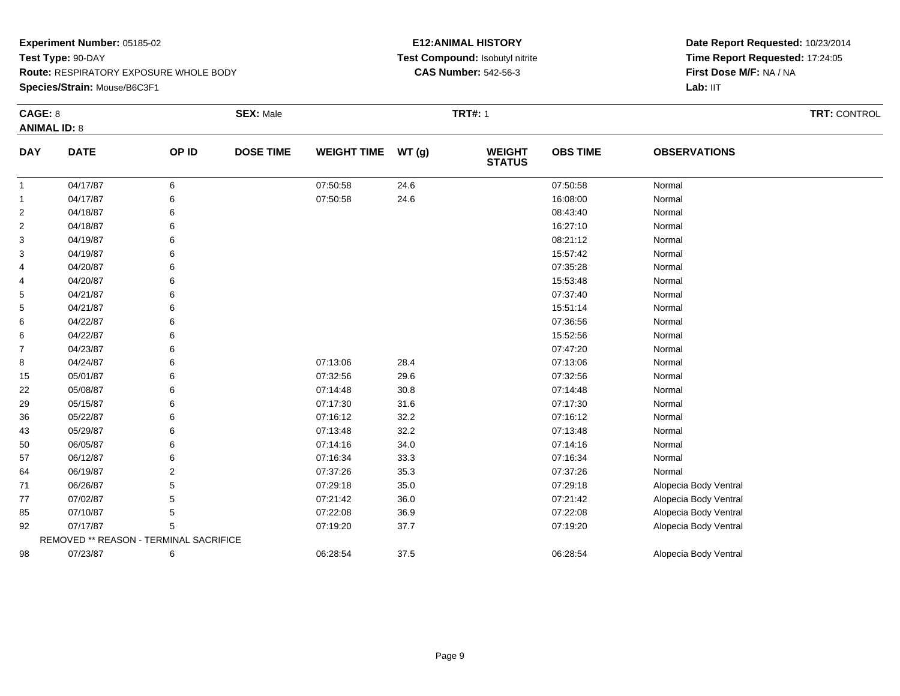### **Species/Strain:** Mouse/B6C3F1

#### **E12:ANIMAL HISTORY Test Compound:** Isobutyl nitrite**CAS Number:** 542-56-3

| CAGE: 8        |                                        |                | <b>SEX: Male</b> | <b>TRT#: 1</b>     |      |                                |                 |                       |  |  |  |
|----------------|----------------------------------------|----------------|------------------|--------------------|------|--------------------------------|-----------------|-----------------------|--|--|--|
|                | <b>ANIMAL ID: 8</b>                    |                |                  |                    |      |                                |                 |                       |  |  |  |
| <b>DAY</b>     | <b>DATE</b>                            | OP ID          | <b>DOSE TIME</b> | WEIGHT TIME WT (g) |      | <b>WEIGHT</b><br><b>STATUS</b> | <b>OBS TIME</b> | <b>OBSERVATIONS</b>   |  |  |  |
| -1             | 04/17/87                               | 6              |                  | 07:50:58           | 24.6 |                                | 07:50:58        | Normal                |  |  |  |
| -1             | 04/17/87                               | 6              |                  | 07:50:58           | 24.6 |                                | 16:08:00        | Normal                |  |  |  |
| 2              | 04/18/87                               | 6              |                  |                    |      |                                | 08:43:40        | Normal                |  |  |  |
| $\overline{c}$ | 04/18/87                               | 6              |                  |                    |      |                                | 16:27:10        | Normal                |  |  |  |
| 3              | 04/19/87                               | 6              |                  |                    |      |                                | 08:21:12        | Normal                |  |  |  |
| 3              | 04/19/87                               | 6              |                  |                    |      |                                | 15:57:42        | Normal                |  |  |  |
| 4              | 04/20/87                               | 6              |                  |                    |      |                                | 07:35:28        | Normal                |  |  |  |
| 4              | 04/20/87                               | 6              |                  |                    |      |                                | 15:53:48        | Normal                |  |  |  |
| 5              | 04/21/87                               | 6              |                  |                    |      |                                | 07:37:40        | Normal                |  |  |  |
| 5              | 04/21/87                               | 6              |                  |                    |      |                                | 15:51:14        | Normal                |  |  |  |
| 6              | 04/22/87                               | 6              |                  |                    |      |                                | 07:36:56        | Normal                |  |  |  |
| 6              | 04/22/87                               | 6              |                  |                    |      |                                | 15:52:56        | Normal                |  |  |  |
| $\overline{7}$ | 04/23/87                               | 6              |                  |                    |      |                                | 07:47:20        | Normal                |  |  |  |
| 8              | 04/24/87                               | 6              |                  | 07:13:06           | 28.4 |                                | 07:13:06        | Normal                |  |  |  |
| 15             | 05/01/87                               | 6              |                  | 07:32:56           | 29.6 |                                | 07:32:56        | Normal                |  |  |  |
| 22             | 05/08/87                               | 6              |                  | 07:14:48           | 30.8 |                                | 07:14:48        | Normal                |  |  |  |
| 29             | 05/15/87                               | 6              |                  | 07:17:30           | 31.6 |                                | 07:17:30        | Normal                |  |  |  |
| 36             | 05/22/87                               | 6              |                  | 07:16:12           | 32.2 |                                | 07:16:12        | Normal                |  |  |  |
| 43             | 05/29/87                               | 6              |                  | 07:13:48           | 32.2 |                                | 07:13:48        | Normal                |  |  |  |
| 50             | 06/05/87                               | 6              |                  | 07:14:16           | 34.0 |                                | 07:14:16        | Normal                |  |  |  |
| 57             | 06/12/87                               | 6              |                  | 07:16:34           | 33.3 |                                | 07:16:34        | Normal                |  |  |  |
| 64             | 06/19/87                               | $\overline{2}$ |                  | 07:37:26           | 35.3 |                                | 07:37:26        | Normal                |  |  |  |
| 71             | 06/26/87                               | 5              |                  | 07:29:18           | 35.0 |                                | 07:29:18        | Alopecia Body Ventral |  |  |  |
| 77             | 07/02/87                               | 5              |                  | 07:21:42           | 36.0 |                                | 07:21:42        | Alopecia Body Ventral |  |  |  |
| 85             | 07/10/87                               | 5              |                  | 07:22:08           | 36.9 |                                | 07:22:08        | Alopecia Body Ventral |  |  |  |
| 92             | 07/17/87                               | 5              |                  | 07:19:20           | 37.7 |                                | 07:19:20        | Alopecia Body Ventral |  |  |  |
|                | REMOVED ** REASON - TERMINAL SACRIFICE |                |                  |                    |      |                                |                 |                       |  |  |  |
| 98             | 07/23/87                               | 6              |                  | 06:28:54           | 37.5 |                                | 06:28:54        | Alopecia Body Ventral |  |  |  |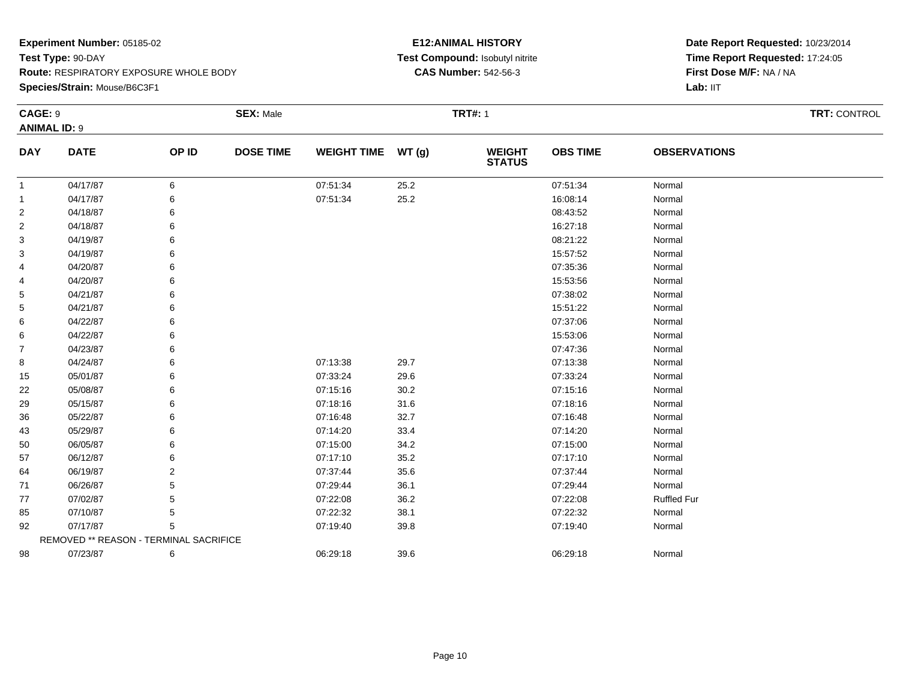**Species/Strain:** Mouse/B6C3F1

#### **E12:ANIMAL HISTORY Test Compound:** Isobutyl nitrite**CAS Number:** 542-56-3

| CAGE: 9             |                                        |       | <b>SEX: Male</b> |                    |      | <b>TRT#: 1</b>                 |                 |                     | TRT: CONTROL |
|---------------------|----------------------------------------|-------|------------------|--------------------|------|--------------------------------|-----------------|---------------------|--------------|
| <b>ANIMAL ID: 9</b> |                                        |       |                  |                    |      |                                |                 |                     |              |
| <b>DAY</b>          | <b>DATE</b>                            | OP ID | <b>DOSE TIME</b> | WEIGHT TIME WT (g) |      | <b>WEIGHT</b><br><b>STATUS</b> | <b>OBS TIME</b> | <b>OBSERVATIONS</b> |              |
| $\overline{1}$      | 04/17/87                               | 6     |                  | 07:51:34           | 25.2 |                                | 07:51:34        | Normal              |              |
| $\mathbf{1}$        | 04/17/87                               | 6     |                  | 07:51:34           | 25.2 |                                | 16:08:14        | Normal              |              |
| 2                   | 04/18/87                               | 6     |                  |                    |      |                                | 08:43:52        | Normal              |              |
| 2                   | 04/18/87                               | 6     |                  |                    |      |                                | 16:27:18        | Normal              |              |
| 3                   | 04/19/87                               | 6     |                  |                    |      |                                | 08:21:22        | Normal              |              |
| 3                   | 04/19/87                               | 6     |                  |                    |      |                                | 15:57:52        | Normal              |              |
| 4                   | 04/20/87                               | 6     |                  |                    |      |                                | 07:35:36        | Normal              |              |
| 4                   | 04/20/87                               |       |                  |                    |      |                                | 15:53:56        | Normal              |              |
| 5                   | 04/21/87                               | 6     |                  |                    |      |                                | 07:38:02        | Normal              |              |
| 5                   | 04/21/87                               | 6     |                  |                    |      |                                | 15:51:22        | Normal              |              |
| 6                   | 04/22/87                               | 6     |                  |                    |      |                                | 07:37:06        | Normal              |              |
| 6                   | 04/22/87                               | 6     |                  |                    |      |                                | 15:53:06        | Normal              |              |
| 7                   | 04/23/87                               | 6     |                  |                    |      |                                | 07:47:36        | Normal              |              |
| 8                   | 04/24/87                               | 6     |                  | 07:13:38           | 29.7 |                                | 07:13:38        | Normal              |              |
| 15                  | 05/01/87                               | 6     |                  | 07:33:24           | 29.6 |                                | 07:33:24        | Normal              |              |
| 22                  | 05/08/87                               | 6     |                  | 07:15:16           | 30.2 |                                | 07:15:16        | Normal              |              |
| 29                  | 05/15/87                               | 6     |                  | 07:18:16           | 31.6 |                                | 07:18:16        | Normal              |              |
| 36                  | 05/22/87                               | 6     |                  | 07:16:48           | 32.7 |                                | 07:16:48        | Normal              |              |
| 43                  | 05/29/87                               | 6     |                  | 07:14:20           | 33.4 |                                | 07:14:20        | Normal              |              |
| 50                  | 06/05/87                               | 6     |                  | 07:15:00           | 34.2 |                                | 07:15:00        | Normal              |              |
| 57                  | 06/12/87                               | 6     |                  | 07:17:10           | 35.2 |                                | 07:17:10        | Normal              |              |
| 64                  | 06/19/87                               | 2     |                  | 07:37:44           | 35.6 |                                | 07:37:44        | Normal              |              |
| 71                  | 06/26/87                               | 5     |                  | 07:29:44           | 36.1 |                                | 07:29:44        | Normal              |              |
| 77                  | 07/02/87                               | 5     |                  | 07:22:08           | 36.2 |                                | 07:22:08        | <b>Ruffled Fur</b>  |              |
| 85                  | 07/10/87                               | 5     |                  | 07:22:32           | 38.1 |                                | 07:22:32        | Normal              |              |
| 92                  | 07/17/87                               | 5     |                  | 07:19:40           | 39.8 |                                | 07:19:40        | Normal              |              |
|                     | REMOVED ** REASON - TERMINAL SACRIFICE |       |                  |                    |      |                                |                 |                     |              |
| 98                  | 07/23/87                               | 6     |                  | 06:29:18           | 39.6 |                                | 06:29:18        | Normal              |              |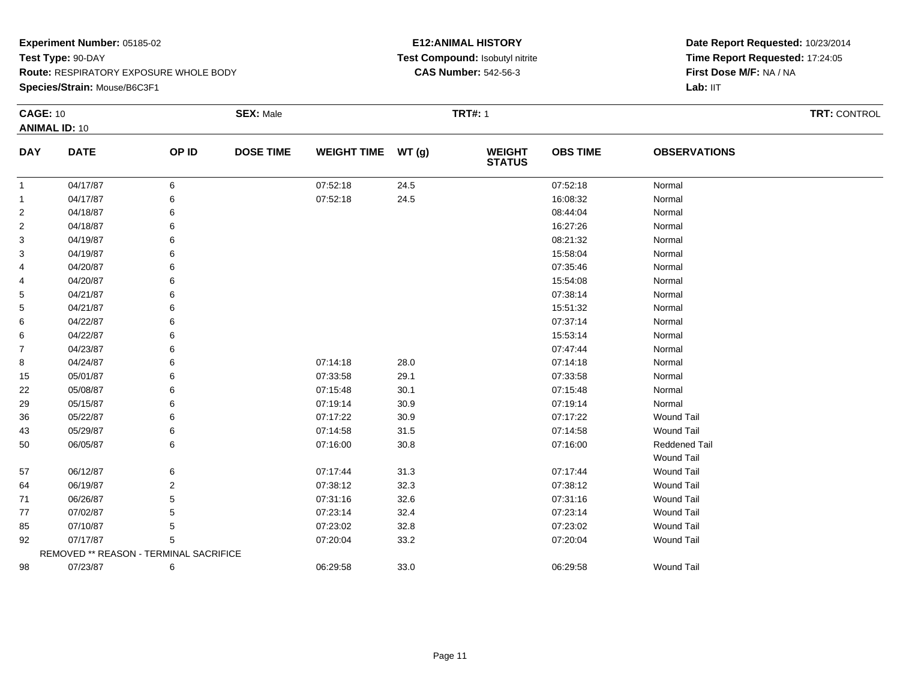**Species/Strain:** Mouse/B6C3F1

#### **E12:ANIMAL HISTORY Test Compound:** Isobutyl nitrite**CAS Number:** 542-56-3

|                | <b>CAGE: 10</b>                        |       | <b>SEX: Male</b> |                    |       | <b>TRT#: 1</b>                 |                 | TRT: CONTROL        |  |
|----------------|----------------------------------------|-------|------------------|--------------------|-------|--------------------------------|-----------------|---------------------|--|
|                | <b>ANIMAL ID: 10</b>                   |       |                  |                    |       |                                |                 |                     |  |
| <b>DAY</b>     | <b>DATE</b>                            | OP ID | <b>DOSE TIME</b> | <b>WEIGHT TIME</b> | WT(g) | <b>WEIGHT</b><br><b>STATUS</b> | <b>OBS TIME</b> | <b>OBSERVATIONS</b> |  |
| $\mathbf{1}$   | 04/17/87                               | 6     |                  | 07:52:18           | 24.5  |                                | 07:52:18        | Normal              |  |
| $\mathbf{1}$   | 04/17/87                               | 6     |                  | 07:52:18           | 24.5  |                                | 16:08:32        | Normal              |  |
| $\overline{2}$ | 04/18/87                               |       |                  |                    |       |                                | 08:44:04        | Normal              |  |
| $\overline{2}$ | 04/18/87                               |       |                  |                    |       |                                | 16:27:26        | Normal              |  |
| 3              | 04/19/87                               |       |                  |                    |       |                                | 08:21:32        | Normal              |  |
| 3              | 04/19/87                               | 6     |                  |                    |       |                                | 15:58:04        | Normal              |  |
| 4              | 04/20/87                               |       |                  |                    |       |                                | 07:35:46        | Normal              |  |
| 4              | 04/20/87                               |       |                  |                    |       |                                | 15:54:08        | Normal              |  |
| 5              | 04/21/87                               | 6     |                  |                    |       |                                | 07:38:14        | Normal              |  |
| 5              | 04/21/87                               |       |                  |                    |       |                                | 15:51:32        | Normal              |  |
| 6              | 04/22/87                               |       |                  |                    |       |                                | 07:37:14        | Normal              |  |
| 6              | 04/22/87                               | 6     |                  |                    |       |                                | 15:53:14        | Normal              |  |
| $\overline{7}$ | 04/23/87                               |       |                  |                    |       |                                | 07:47:44        | Normal              |  |
| 8              | 04/24/87                               | 6     |                  | 07:14:18           | 28.0  |                                | 07:14:18        | Normal              |  |
| 15             | 05/01/87                               |       |                  | 07:33:58           | 29.1  |                                | 07:33:58        | Normal              |  |
| 22             | 05/08/87                               |       |                  | 07:15:48           | 30.1  |                                | 07:15:48        | Normal              |  |
| 29             | 05/15/87                               | 6     |                  | 07:19:14           | 30.9  |                                | 07:19:14        | Normal              |  |
| 36             | 05/22/87                               | 6     |                  | 07:17:22           | 30.9  |                                | 07:17:22        | <b>Wound Tail</b>   |  |
| 43             | 05/29/87                               | 6     |                  | 07:14:58           | 31.5  |                                | 07:14:58        | <b>Wound Tail</b>   |  |
| 50             | 06/05/87                               | 6     |                  | 07:16:00           | 30.8  |                                | 07:16:00        | Reddened Tail       |  |
|                |                                        |       |                  |                    |       |                                |                 | <b>Wound Tail</b>   |  |
| 57             | 06/12/87                               | 6     |                  | 07:17:44           | 31.3  |                                | 07:17:44        | <b>Wound Tail</b>   |  |
| 64             | 06/19/87                               | 2     |                  | 07:38:12           | 32.3  |                                | 07:38:12        | <b>Wound Tail</b>   |  |
| 71             | 06/26/87                               | 5     |                  | 07:31:16           | 32.6  |                                | 07:31:16        | <b>Wound Tail</b>   |  |
| 77             | 07/02/87                               |       |                  | 07:23:14           | 32.4  |                                | 07:23:14        | <b>Wound Tail</b>   |  |
| 85             | 07/10/87                               | 5     |                  | 07:23:02           | 32.8  |                                | 07:23:02        | Wound Tail          |  |
| 92             | 07/17/87                               | 5     |                  | 07:20:04           | 33.2  |                                | 07:20:04        | <b>Wound Tail</b>   |  |
|                | REMOVED ** REASON - TERMINAL SACRIFICE |       |                  |                    |       |                                |                 |                     |  |
| 98             | 07/23/87                               | 6     |                  | 06:29:58           | 33.0  |                                | 06:29:58        | <b>Wound Tail</b>   |  |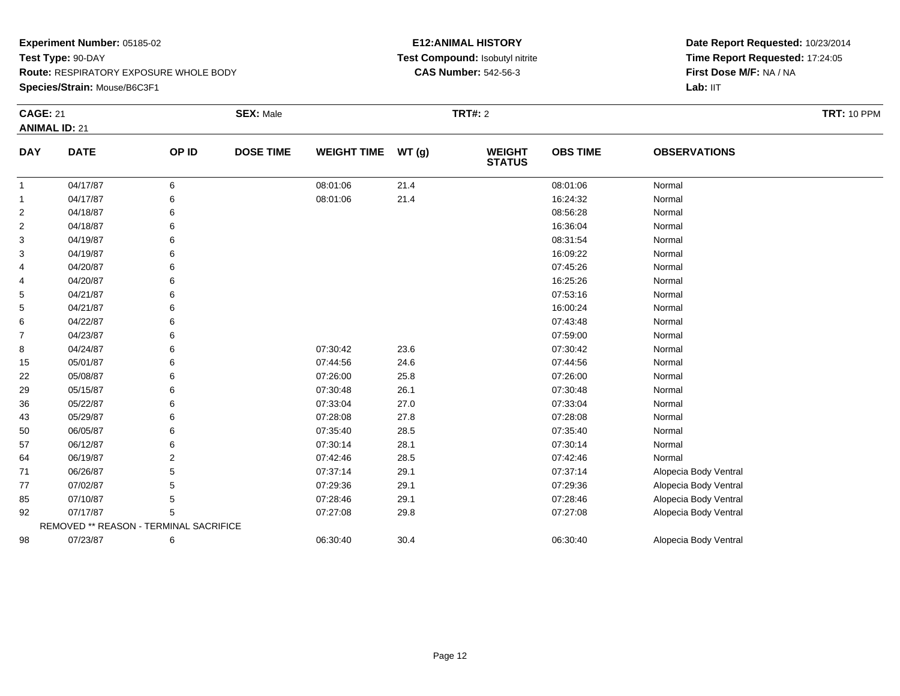**Species/Strain:** Mouse/B6C3F1

#### **E12:ANIMAL HISTORY Test Compound:** Isobutyl nitrite**CAS Number:** 542-56-3

| <b>CAGE: 21</b> | <b>ANIMAL ID: 21</b>                   |       | <b>SEX: Male</b> |                    |       | <b>TRT#: 2</b>                 |                 |                       | <b>TRT: 10 PPM</b> |
|-----------------|----------------------------------------|-------|------------------|--------------------|-------|--------------------------------|-----------------|-----------------------|--------------------|
|                 |                                        |       |                  |                    |       |                                |                 |                       |                    |
| <b>DAY</b>      | <b>DATE</b>                            | OP ID | <b>DOSE TIME</b> | <b>WEIGHT TIME</b> | WT(g) | <b>WEIGHT</b><br><b>STATUS</b> | <b>OBS TIME</b> | <b>OBSERVATIONS</b>   |                    |
| 1               | 04/17/87                               | 6     |                  | 08:01:06           | 21.4  |                                | 08:01:06        | Normal                |                    |
| 1               | 04/17/87                               | 6     |                  | 08:01:06           | 21.4  |                                | 16:24:32        | Normal                |                    |
| 2               | 04/18/87                               | 6     |                  |                    |       |                                | 08:56:28        | Normal                |                    |
| $\overline{2}$  | 04/18/87                               | 6     |                  |                    |       |                                | 16:36:04        | Normal                |                    |
| 3               | 04/19/87                               |       |                  |                    |       |                                | 08:31:54        | Normal                |                    |
| 3               | 04/19/87                               |       |                  |                    |       |                                | 16:09:22        | Normal                |                    |
| 4               | 04/20/87                               | 6     |                  |                    |       |                                | 07:45:26        | Normal                |                    |
| 4               | 04/20/87                               |       |                  |                    |       |                                | 16:25:26        | Normal                |                    |
| 5               | 04/21/87                               |       |                  |                    |       |                                | 07:53:16        | Normal                |                    |
| 5               | 04/21/87                               | 6     |                  |                    |       |                                | 16:00:24        | Normal                |                    |
| 6               | 04/22/87                               | 6     |                  |                    |       |                                | 07:43:48        | Normal                |                    |
| $\overline{7}$  | 04/23/87                               |       |                  |                    |       |                                | 07:59:00        | Normal                |                    |
| 8               | 04/24/87                               | 6     |                  | 07:30:42           | 23.6  |                                | 07:30:42        | Normal                |                    |
| 15              | 05/01/87                               | 6     |                  | 07:44:56           | 24.6  |                                | 07:44:56        | Normal                |                    |
| 22              | 05/08/87                               |       |                  | 07:26:00           | 25.8  |                                | 07:26:00        | Normal                |                    |
| 29              | 05/15/87                               | 6     |                  | 07:30:48           | 26.1  |                                | 07:30:48        | Normal                |                    |
| 36              | 05/22/87                               | 6     |                  | 07:33:04           | 27.0  |                                | 07:33:04        | Normal                |                    |
| 43              | 05/29/87                               | 6     |                  | 07:28:08           | 27.8  |                                | 07:28:08        | Normal                |                    |
| 50              | 06/05/87                               |       |                  | 07:35:40           | 28.5  |                                | 07:35:40        | Normal                |                    |
| 57              | 06/12/87                               | 6     |                  | 07:30:14           | 28.1  |                                | 07:30:14        | Normal                |                    |
| 64              | 06/19/87                               | 2     |                  | 07:42:46           | 28.5  |                                | 07:42:46        | Normal                |                    |
| 71              | 06/26/87                               | 5     |                  | 07:37:14           | 29.1  |                                | 07:37:14        | Alopecia Body Ventral |                    |
| 77              | 07/02/87                               | 5     |                  | 07:29:36           | 29.1  |                                | 07:29:36        | Alopecia Body Ventral |                    |
| 85              | 07/10/87                               | 5     |                  | 07:28:46           | 29.1  |                                | 07:28:46        | Alopecia Body Ventral |                    |
| 92              | 07/17/87                               | 5     |                  | 07:27:08           | 29.8  |                                | 07:27:08        | Alopecia Body Ventral |                    |
|                 | REMOVED ** REASON - TERMINAL SACRIFICE |       |                  |                    |       |                                |                 |                       |                    |
| 98              | 07/23/87                               | 6     |                  | 06:30:40           | 30.4  |                                | 06:30:40        | Alopecia Body Ventral |                    |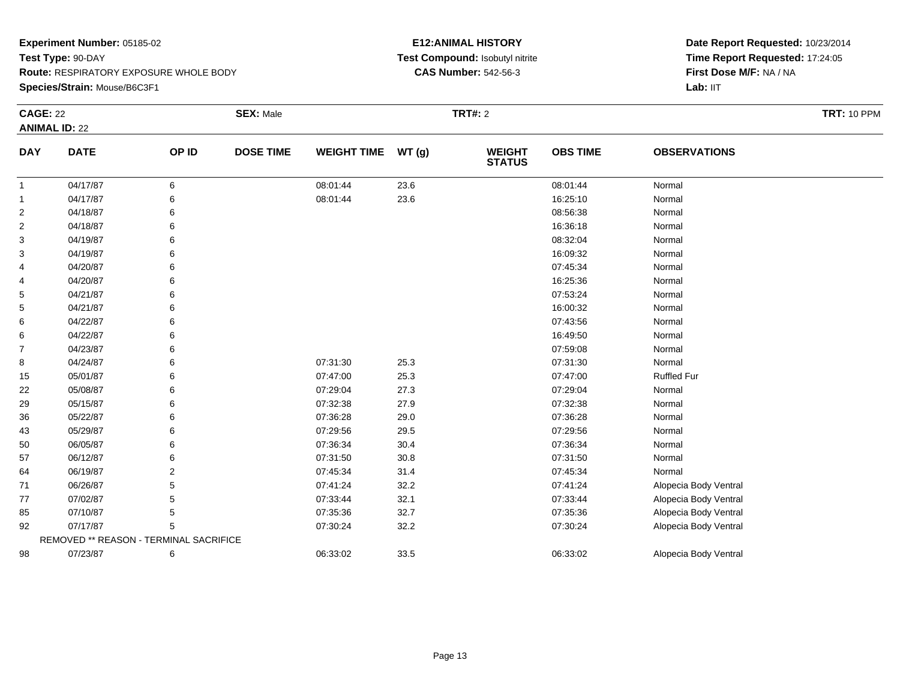**Species/Strain:** Mouse/B6C3F1

#### **E12:ANIMAL HISTORY Test Compound:** Isobutyl nitrite**CAS Number:** 542-56-3

| <b>CAGE: 22</b> |                                        |       | <b>SEX: Male</b> |                    |       | <b>TRT#: 2</b>                 |                 |                       | <b>TRT: 10 PPM</b> |
|-----------------|----------------------------------------|-------|------------------|--------------------|-------|--------------------------------|-----------------|-----------------------|--------------------|
|                 | <b>ANIMAL ID: 22</b>                   |       |                  |                    |       |                                |                 |                       |                    |
| <b>DAY</b>      | <b>DATE</b>                            | OP ID | <b>DOSE TIME</b> | <b>WEIGHT TIME</b> | WT(g) | <b>WEIGHT</b><br><b>STATUS</b> | <b>OBS TIME</b> | <b>OBSERVATIONS</b>   |                    |
| $\mathbf{1}$    | 04/17/87                               | 6     |                  | 08:01:44           | 23.6  |                                | 08:01:44        | Normal                |                    |
| $\mathbf{1}$    | 04/17/87                               | 6     |                  | 08:01:44           | 23.6  |                                | 16:25:10        | Normal                |                    |
| $\overline{2}$  | 04/18/87                               |       |                  |                    |       |                                | 08:56:38        | Normal                |                    |
| $\overline{2}$  | 04/18/87                               |       |                  |                    |       |                                | 16:36:18        | Normal                |                    |
| 3               | 04/19/87                               | 6     |                  |                    |       |                                | 08:32:04        | Normal                |                    |
| 3               | 04/19/87                               |       |                  |                    |       |                                | 16:09:32        | Normal                |                    |
| 4               | 04/20/87                               |       |                  |                    |       |                                | 07:45:34        | Normal                |                    |
| 4               | 04/20/87                               |       |                  |                    |       |                                | 16:25:36        | Normal                |                    |
| 5               | 04/21/87                               |       |                  |                    |       |                                | 07:53:24        | Normal                |                    |
| 5               | 04/21/87                               |       |                  |                    |       |                                | 16:00:32        | Normal                |                    |
| 6               | 04/22/87                               | 6     |                  |                    |       |                                | 07:43:56        | Normal                |                    |
| 6               | 04/22/87                               |       |                  |                    |       |                                | 16:49:50        | Normal                |                    |
| $\overline{7}$  | 04/23/87                               |       |                  |                    |       |                                | 07:59:08        | Normal                |                    |
| 8               | 04/24/87                               |       |                  | 07:31:30           | 25.3  |                                | 07:31:30        | Normal                |                    |
| 15              | 05/01/87                               |       |                  | 07:47:00           | 25.3  |                                | 07:47:00        | <b>Ruffled Fur</b>    |                    |
| 22              | 05/08/87                               |       |                  | 07:29:04           | 27.3  |                                | 07:29:04        | Normal                |                    |
| 29              | 05/15/87                               |       |                  | 07:32:38           | 27.9  |                                | 07:32:38        | Normal                |                    |
| 36              | 05/22/87                               |       |                  | 07:36:28           | 29.0  |                                | 07:36:28        | Normal                |                    |
| 43              | 05/29/87                               |       |                  | 07:29:56           | 29.5  |                                | 07:29:56        | Normal                |                    |
| 50              | 06/05/87                               |       |                  | 07:36:34           | 30.4  |                                | 07:36:34        | Normal                |                    |
| 57              | 06/12/87                               |       |                  | 07:31:50           | 30.8  |                                | 07:31:50        | Normal                |                    |
| 64              | 06/19/87                               | 2     |                  | 07:45:34           | 31.4  |                                | 07:45:34        | Normal                |                    |
| 71              | 06/26/87                               | 5     |                  | 07:41:24           | 32.2  |                                | 07:41:24        | Alopecia Body Ventral |                    |
| 77              | 07/02/87                               |       |                  | 07:33:44           | 32.1  |                                | 07:33:44        | Alopecia Body Ventral |                    |
| 85              | 07/10/87                               | 5     |                  | 07:35:36           | 32.7  |                                | 07:35:36        | Alopecia Body Ventral |                    |
| 92              | 07/17/87                               |       |                  | 07:30:24           | 32.2  |                                | 07:30:24        | Alopecia Body Ventral |                    |
|                 | REMOVED ** REASON - TERMINAL SACRIFICE |       |                  |                    |       |                                |                 |                       |                    |
| 98              | 07/23/87                               | 6     |                  | 06:33:02           | 33.5  |                                | 06:33:02        | Alopecia Body Ventral |                    |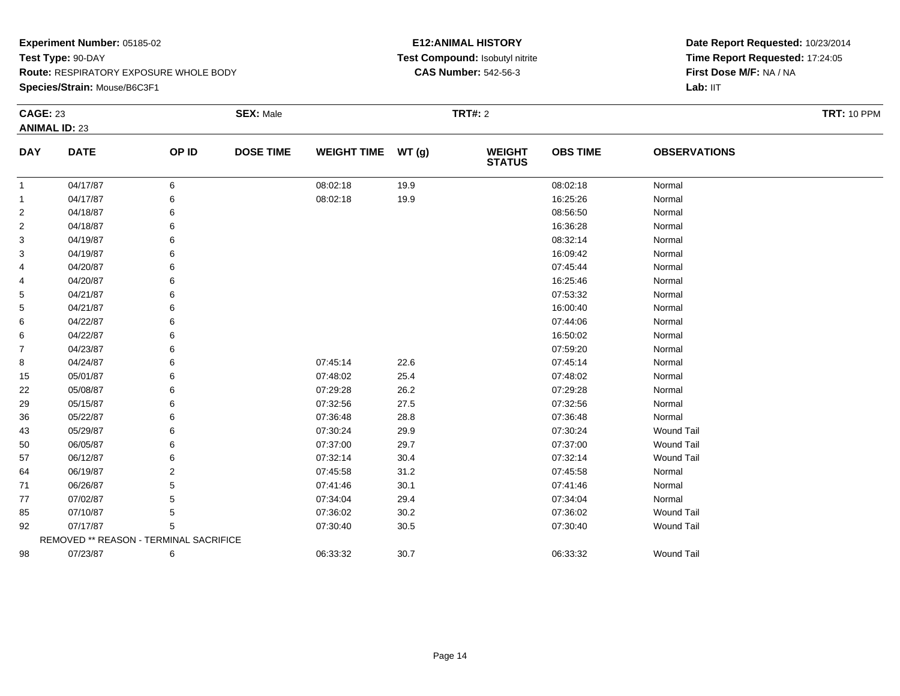**Species/Strain:** Mouse/B6C3F1

#### **E12:ANIMAL HISTORY Test Compound:** Isobutyl nitrite**CAS Number:** 542-56-3

| <b>CAGE: 23</b> |                                        |       | <b>SEX: Male</b> |                    |       | <b>TRT#: 2</b>                 |                 |                     | <b>TRT: 10 PPM</b> |
|-----------------|----------------------------------------|-------|------------------|--------------------|-------|--------------------------------|-----------------|---------------------|--------------------|
|                 | <b>ANIMAL ID: 23</b>                   |       |                  |                    |       |                                |                 |                     |                    |
| <b>DAY</b>      | <b>DATE</b>                            | OP ID | <b>DOSE TIME</b> | <b>WEIGHT TIME</b> | WT(g) | <b>WEIGHT</b><br><b>STATUS</b> | <b>OBS TIME</b> | <b>OBSERVATIONS</b> |                    |
| -1              | 04/17/87                               | 6     |                  | 08:02:18           | 19.9  |                                | 08:02:18        | Normal              |                    |
| $\mathbf{1}$    | 04/17/87                               | 6     |                  | 08:02:18           | 19.9  |                                | 16:25:26        | Normal              |                    |
| $\overline{2}$  | 04/18/87                               | 6     |                  |                    |       |                                | 08:56:50        | Normal              |                    |
| $\overline{c}$  | 04/18/87                               | 6     |                  |                    |       |                                | 16:36:28        | Normal              |                    |
| 3               | 04/19/87                               |       |                  |                    |       |                                | 08:32:14        | Normal              |                    |
| 3               | 04/19/87                               |       |                  |                    |       |                                | 16:09:42        | Normal              |                    |
| 4               | 04/20/87                               |       |                  |                    |       |                                | 07:45:44        | Normal              |                    |
| 4               | 04/20/87                               |       |                  |                    |       |                                | 16:25:46        | Normal              |                    |
| 5               | 04/21/87                               |       |                  |                    |       |                                | 07:53:32        | Normal              |                    |
| 5               | 04/21/87                               |       |                  |                    |       |                                | 16:00:40        | Normal              |                    |
| 6               | 04/22/87                               |       |                  |                    |       |                                | 07:44:06        | Normal              |                    |
| 6               | 04/22/87                               |       |                  |                    |       |                                | 16:50:02        | Normal              |                    |
| 7               | 04/23/87                               |       |                  |                    |       |                                | 07:59:20        | Normal              |                    |
| 8               | 04/24/87                               |       |                  | 07:45:14           | 22.6  |                                | 07:45:14        | Normal              |                    |
| 15              | 05/01/87                               | 6     |                  | 07:48:02           | 25.4  |                                | 07:48:02        | Normal              |                    |
| 22              | 05/08/87                               |       |                  | 07:29:28           | 26.2  |                                | 07:29:28        | Normal              |                    |
| 29              | 05/15/87                               |       |                  | 07:32:56           | 27.5  |                                | 07:32:56        | Normal              |                    |
| 36              | 05/22/87                               |       |                  | 07:36:48           | 28.8  |                                | 07:36:48        | Normal              |                    |
| 43              | 05/29/87                               | 6     |                  | 07:30:24           | 29.9  |                                | 07:30:24        | <b>Wound Tail</b>   |                    |
| 50              | 06/05/87                               | 6     |                  | 07:37:00           | 29.7  |                                | 07:37:00        | <b>Wound Tail</b>   |                    |
| 57              | 06/12/87                               |       |                  | 07:32:14           | 30.4  |                                | 07:32:14        | <b>Wound Tail</b>   |                    |
| 64              | 06/19/87                               | 2     |                  | 07:45:58           | 31.2  |                                | 07:45:58        | Normal              |                    |
| 71              | 06/26/87                               | 5     |                  | 07:41:46           | 30.1  |                                | 07:41:46        | Normal              |                    |
| 77              | 07/02/87                               | 5     |                  | 07:34:04           | 29.4  |                                | 07:34:04        | Normal              |                    |
| 85              | 07/10/87                               | 5     |                  | 07:36:02           | 30.2  |                                | 07:36:02        | <b>Wound Tail</b>   |                    |
| 92              | 07/17/87                               | 5     |                  | 07:30:40           | 30.5  |                                | 07:30:40        | <b>Wound Tail</b>   |                    |
|                 | REMOVED ** REASON - TERMINAL SACRIFICE |       |                  |                    |       |                                |                 |                     |                    |
| 98              | 07/23/87                               | 6     |                  | 06:33:32           | 30.7  |                                | 06:33:32        | <b>Wound Tail</b>   |                    |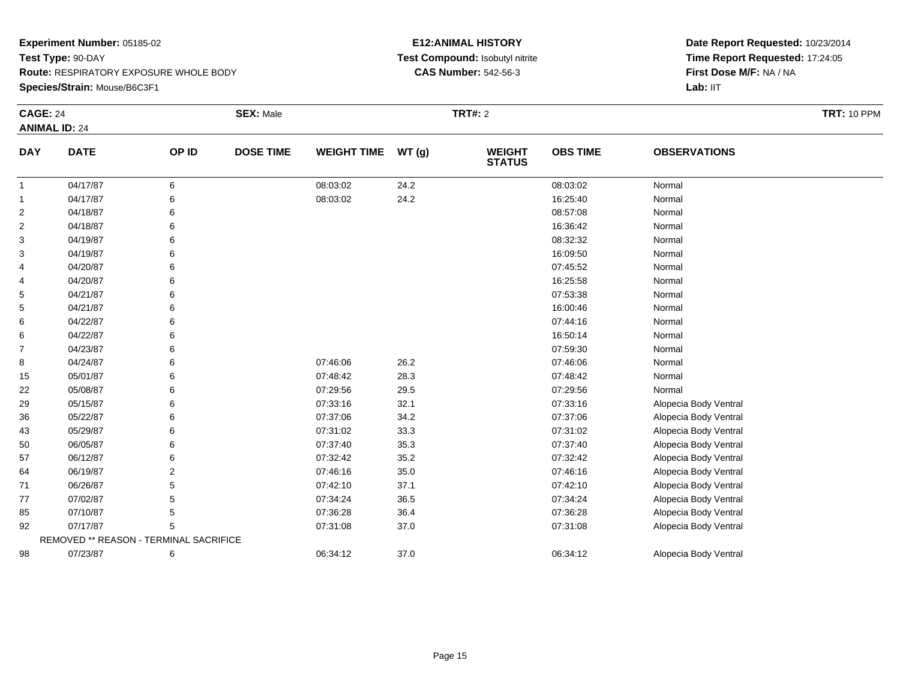**Species/Strain:** Mouse/B6C3F1

#### **E12:ANIMAL HISTORY Test Compound:** Isobutyl nitrite**CAS Number:** 542-56-3

| <b>CAGE: 24</b> |                                        |                | <b>SEX: Male</b> |                    |       | <b>TRT#: 2</b>                 |                 |                       | <b>TRT: 10 PPM</b> |
|-----------------|----------------------------------------|----------------|------------------|--------------------|-------|--------------------------------|-----------------|-----------------------|--------------------|
|                 | <b>ANIMAL ID: 24</b>                   |                |                  |                    |       |                                |                 |                       |                    |
| <b>DAY</b>      | <b>DATE</b>                            | OP ID          | <b>DOSE TIME</b> | <b>WEIGHT TIME</b> | WT(g) | <b>WEIGHT</b><br><b>STATUS</b> | <b>OBS TIME</b> | <b>OBSERVATIONS</b>   |                    |
| $\mathbf{1}$    | 04/17/87                               | 6              |                  | 08:03:02           | 24.2  |                                | 08:03:02        | Normal                |                    |
| $\mathbf{1}$    | 04/17/87                               | 6              |                  | 08:03:02           | 24.2  |                                | 16:25:40        | Normal                |                    |
| $\overline{c}$  | 04/18/87                               | 6              |                  |                    |       |                                | 08:57:08        | Normal                |                    |
| $\overline{c}$  | 04/18/87                               |                |                  |                    |       |                                | 16:36:42        | Normal                |                    |
| 3               | 04/19/87                               |                |                  |                    |       |                                | 08:32:32        | Normal                |                    |
| 3               | 04/19/87                               |                |                  |                    |       |                                | 16:09:50        | Normal                |                    |
| 4               | 04/20/87                               |                |                  |                    |       |                                | 07:45:52        | Normal                |                    |
| 4               | 04/20/87                               |                |                  |                    |       |                                | 16:25:58        | Normal                |                    |
| 5               | 04/21/87                               |                |                  |                    |       |                                | 07:53:38        | Normal                |                    |
| 5               | 04/21/87                               |                |                  |                    |       |                                | 16:00:46        | Normal                |                    |
| 6               | 04/22/87                               |                |                  |                    |       |                                | 07:44:16        | Normal                |                    |
| 6               | 04/22/87                               |                |                  |                    |       |                                | 16:50:14        | Normal                |                    |
| $\overline{7}$  | 04/23/87                               | 6              |                  |                    |       |                                | 07:59:30        | Normal                |                    |
| 8               | 04/24/87                               | 6              |                  | 07:46:06           | 26.2  |                                | 07:46:06        | Normal                |                    |
| 15              | 05/01/87                               |                |                  | 07:48:42           | 28.3  |                                | 07:48:42        | Normal                |                    |
| 22              | 05/08/87                               |                |                  | 07:29:56           | 29.5  |                                | 07:29:56        | Normal                |                    |
| 29              | 05/15/87                               |                |                  | 07:33:16           | 32.1  |                                | 07:33:16        | Alopecia Body Ventral |                    |
| 36              | 05/22/87                               |                |                  | 07:37:06           | 34.2  |                                | 07:37:06        | Alopecia Body Ventral |                    |
| 43              | 05/29/87                               | 6              |                  | 07:31:02           | 33.3  |                                | 07:31:02        | Alopecia Body Ventral |                    |
| 50              | 06/05/87                               |                |                  | 07:37:40           | 35.3  |                                | 07:37:40        | Alopecia Body Ventral |                    |
| 57              | 06/12/87                               |                |                  | 07:32:42           | 35.2  |                                | 07:32:42        | Alopecia Body Ventral |                    |
| 64              | 06/19/87                               | $\overline{2}$ |                  | 07:46:16           | 35.0  |                                | 07:46:16        | Alopecia Body Ventral |                    |
| 71              | 06/26/87                               | 5              |                  | 07:42:10           | 37.1  |                                | 07:42:10        | Alopecia Body Ventral |                    |
| 77              | 07/02/87                               | 5              |                  | 07:34:24           | 36.5  |                                | 07:34:24        | Alopecia Body Ventral |                    |
| 85              | 07/10/87                               | 5              |                  | 07:36:28           | 36.4  |                                | 07:36:28        | Alopecia Body Ventral |                    |
| 92              | 07/17/87                               | 5              |                  | 07:31:08           | 37.0  |                                | 07:31:08        | Alopecia Body Ventral |                    |
|                 | REMOVED ** REASON - TERMINAL SACRIFICE |                |                  |                    |       |                                |                 |                       |                    |
| 98              | 07/23/87                               | 6              |                  | 06:34:12           | 37.0  |                                | 06:34:12        | Alopecia Body Ventral |                    |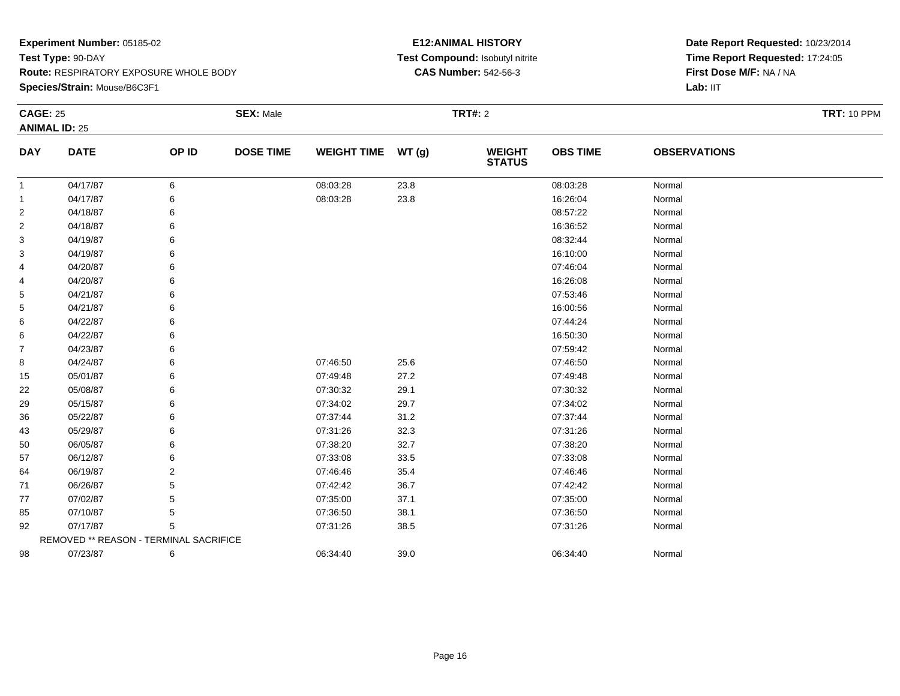**Species/Strain:** Mouse/B6C3F1

#### **E12:ANIMAL HISTORY Test Compound:** Isobutyl nitrite**CAS Number:** 542-56-3

| <b>CAGE: 25</b> |                                        |       | <b>SEX: Male</b> |                    |      | <b>TRT#: 2</b>                 |                 |                     | <b>TRT: 10 PPM</b> |
|-----------------|----------------------------------------|-------|------------------|--------------------|------|--------------------------------|-----------------|---------------------|--------------------|
|                 | <b>ANIMAL ID: 25</b>                   |       |                  |                    |      |                                |                 |                     |                    |
| <b>DAY</b>      | <b>DATE</b>                            | OP ID | <b>DOSE TIME</b> | WEIGHT TIME WT (g) |      | <b>WEIGHT</b><br><b>STATUS</b> | <b>OBS TIME</b> | <b>OBSERVATIONS</b> |                    |
| -1              | 04/17/87                               | 6     |                  | 08:03:28           | 23.8 |                                | 08:03:28        | Normal              |                    |
| -1              | 04/17/87                               | 6     |                  | 08:03:28           | 23.8 |                                | 16:26:04        | Normal              |                    |
| $\overline{2}$  | 04/18/87                               | 6     |                  |                    |      |                                | 08:57:22        | Normal              |                    |
| 2               | 04/18/87                               |       |                  |                    |      |                                | 16:36:52        | Normal              |                    |
| 3               | 04/19/87                               |       |                  |                    |      |                                | 08:32:44        | Normal              |                    |
| 3               | 04/19/87                               |       |                  |                    |      |                                | 16:10:00        | Normal              |                    |
| 4               | 04/20/87                               |       |                  |                    |      |                                | 07:46:04        | Normal              |                    |
| 4               | 04/20/87                               |       |                  |                    |      |                                | 16:26:08        | Normal              |                    |
| 5               | 04/21/87                               |       |                  |                    |      |                                | 07:53:46        | Normal              |                    |
| 5               | 04/21/87                               |       |                  |                    |      |                                | 16:00:56        | Normal              |                    |
| 6               | 04/22/87                               |       |                  |                    |      |                                | 07:44:24        | Normal              |                    |
| 6               | 04/22/87                               |       |                  |                    |      |                                | 16:50:30        | Normal              |                    |
| $\overline{7}$  | 04/23/87                               | 6     |                  |                    |      |                                | 07:59:42        | Normal              |                    |
| 8               | 04/24/87                               |       |                  | 07:46:50           | 25.6 |                                | 07:46:50        | Normal              |                    |
| 15              | 05/01/87                               | 6     |                  | 07:49:48           | 27.2 |                                | 07:49:48        | Normal              |                    |
| 22              | 05/08/87                               |       |                  | 07:30:32           | 29.1 |                                | 07:30:32        | Normal              |                    |
| 29              | 05/15/87                               |       |                  | 07:34:02           | 29.7 |                                | 07:34:02        | Normal              |                    |
| 36              | 05/22/87                               |       |                  | 07:37:44           | 31.2 |                                | 07:37:44        | Normal              |                    |
| 43              | 05/29/87                               | 6     |                  | 07:31:26           | 32.3 |                                | 07:31:26        | Normal              |                    |
| 50              | 06/05/87                               |       |                  | 07:38:20           | 32.7 |                                | 07:38:20        | Normal              |                    |
| 57              | 06/12/87                               |       |                  | 07:33:08           | 33.5 |                                | 07:33:08        | Normal              |                    |
| 64              | 06/19/87                               | 2     |                  | 07:46:46           | 35.4 |                                | 07:46:46        | Normal              |                    |
| 71              | 06/26/87                               |       |                  | 07:42:42           | 36.7 |                                | 07:42:42        | Normal              |                    |
| 77              | 07/02/87                               |       |                  | 07:35:00           | 37.1 |                                | 07:35:00        | Normal              |                    |
| 85              | 07/10/87                               | 5     |                  | 07:36:50           | 38.1 |                                | 07:36:50        | Normal              |                    |
| 92              | 07/17/87                               | 5     |                  | 07:31:26           | 38.5 |                                | 07:31:26        | Normal              |                    |
|                 | REMOVED ** REASON - TERMINAL SACRIFICE |       |                  |                    |      |                                |                 |                     |                    |
| 98              | 07/23/87                               | 6     |                  | 06:34:40           | 39.0 |                                | 06:34:40        | Normal              |                    |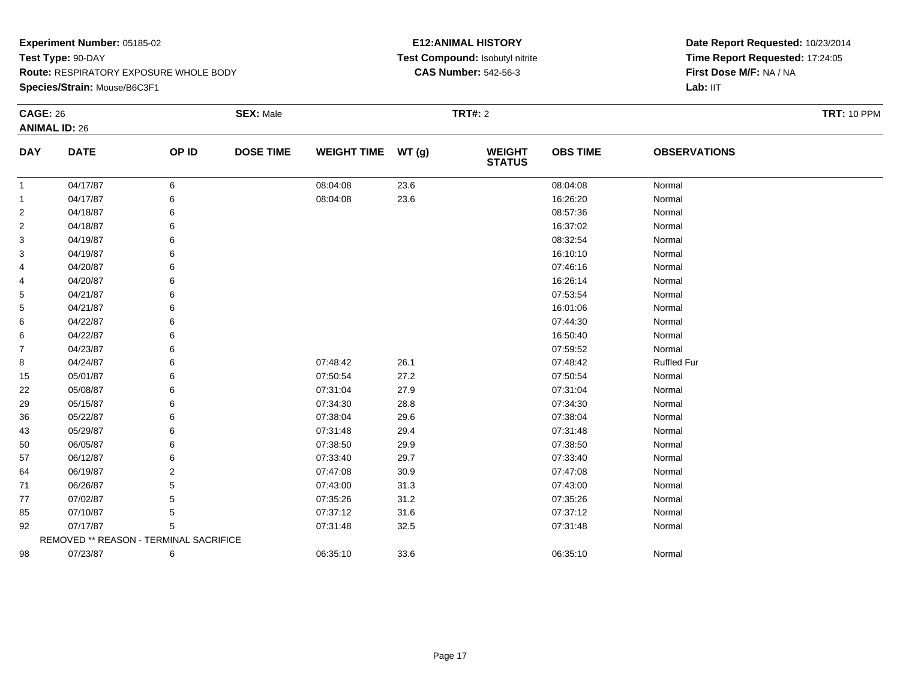**Species/Strain:** Mouse/B6C3F1

#### **E12:ANIMAL HISTORY Test Compound:** Isobutyl nitrite**CAS Number:** 542-56-3

| <b>CAGE: 26</b> |                                        |       | <b>SEX: Male</b> |                    |       | <b>TRT#: 2</b>                 |                 |                     | <b>TRT: 10 PPM</b> |
|-----------------|----------------------------------------|-------|------------------|--------------------|-------|--------------------------------|-----------------|---------------------|--------------------|
|                 | <b>ANIMAL ID: 26</b>                   |       |                  |                    |       |                                |                 |                     |                    |
| <b>DAY</b>      | <b>DATE</b>                            | OP ID | <b>DOSE TIME</b> | <b>WEIGHT TIME</b> | WT(g) | <b>WEIGHT</b><br><b>STATUS</b> | <b>OBS TIME</b> | <b>OBSERVATIONS</b> |                    |
| $\mathbf{1}$    | 04/17/87                               | 6     |                  | 08:04:08           | 23.6  |                                | 08:04:08        | Normal              |                    |
| $\mathbf{1}$    | 04/17/87                               | 6     |                  | 08:04:08           | 23.6  |                                | 16:26:20        | Normal              |                    |
| $\overline{2}$  | 04/18/87                               | 6     |                  |                    |       |                                | 08:57:36        | Normal              |                    |
| $\overline{2}$  | 04/18/87                               |       |                  |                    |       |                                | 16:37:02        | Normal              |                    |
| 3               | 04/19/87                               |       |                  |                    |       |                                | 08:32:54        | Normal              |                    |
| 3               | 04/19/87                               |       |                  |                    |       |                                | 16:10:10        | Normal              |                    |
| 4               | 04/20/87                               |       |                  |                    |       |                                | 07:46:16        | Normal              |                    |
| 4               | 04/20/87                               |       |                  |                    |       |                                | 16:26:14        | Normal              |                    |
| 5               | 04/21/87                               |       |                  |                    |       |                                | 07:53:54        | Normal              |                    |
| 5               | 04/21/87                               |       |                  |                    |       |                                | 16:01:06        | Normal              |                    |
| 6               | 04/22/87                               |       |                  |                    |       |                                | 07:44:30        | Normal              |                    |
| 6               | 04/22/87                               |       |                  |                    |       |                                | 16:50:40        | Normal              |                    |
| 7               | 04/23/87                               |       |                  |                    |       |                                | 07:59:52        | Normal              |                    |
| 8               | 04/24/87                               |       |                  | 07:48:42           | 26.1  |                                | 07:48:42        | <b>Ruffled Fur</b>  |                    |
| 15              | 05/01/87                               | 6     |                  | 07:50:54           | 27.2  |                                | 07:50:54        | Normal              |                    |
| 22              | 05/08/87                               |       |                  | 07:31:04           | 27.9  |                                | 07:31:04        | Normal              |                    |
| 29              | 05/15/87                               |       |                  | 07:34:30           | 28.8  |                                | 07:34:30        | Normal              |                    |
| 36              | 05/22/87                               |       |                  | 07:38:04           | 29.6  |                                | 07:38:04        | Normal              |                    |
| 43              | 05/29/87                               |       |                  | 07:31:48           | 29.4  |                                | 07:31:48        | Normal              |                    |
| 50              | 06/05/87                               |       |                  | 07:38:50           | 29.9  |                                | 07:38:50        | Normal              |                    |
| 57              | 06/12/87                               |       |                  | 07:33:40           | 29.7  |                                | 07:33:40        | Normal              |                    |
| 64              | 06/19/87                               | 2     |                  | 07:47:08           | 30.9  |                                | 07:47:08        | Normal              |                    |
| 71              | 06/26/87                               |       |                  | 07:43:00           | 31.3  |                                | 07:43:00        | Normal              |                    |
| 77              | 07/02/87                               |       |                  | 07:35:26           | 31.2  |                                | 07:35:26        | Normal              |                    |
| 85              | 07/10/87                               | 5     |                  | 07:37:12           | 31.6  |                                | 07:37:12        | Normal              |                    |
| 92              | 07/17/87                               | 5     |                  | 07:31:48           | 32.5  |                                | 07:31:48        | Normal              |                    |
|                 | REMOVED ** REASON - TERMINAL SACRIFICE |       |                  |                    |       |                                |                 |                     |                    |
| 98              | 07/23/87                               | 6     |                  | 06:35:10           | 33.6  |                                | 06:35:10        | Normal              |                    |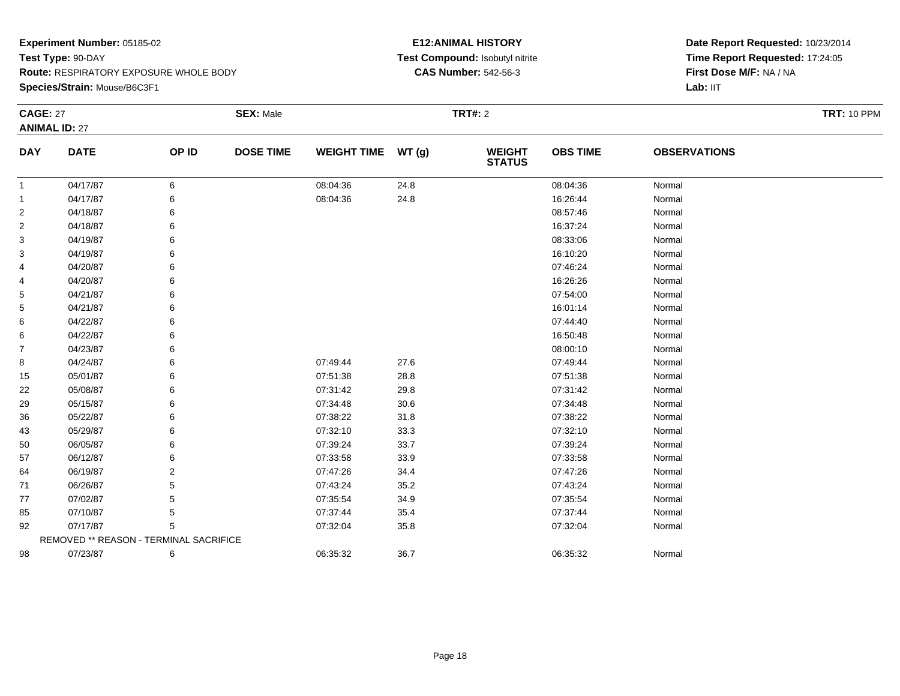**Species/Strain:** Mouse/B6C3F1

#### **E12:ANIMAL HISTORY Test Compound:** Isobutyl nitrite**CAS Number:** 542-56-3

| <b>CAGE: 27</b>      |                                        |       | <b>SEX: Male</b> |                    |        | <b>TRT#: 2</b>                 |                 |                     | <b>TRT: 10 PPM</b> |
|----------------------|----------------------------------------|-------|------------------|--------------------|--------|--------------------------------|-----------------|---------------------|--------------------|
| <b>ANIMAL ID: 27</b> |                                        |       |                  |                    |        |                                |                 |                     |                    |
| <b>DAY</b>           | <b>DATE</b>                            | OP ID | <b>DOSE TIME</b> | <b>WEIGHT TIME</b> | WT (g) | <b>WEIGHT</b><br><b>STATUS</b> | <b>OBS TIME</b> | <b>OBSERVATIONS</b> |                    |
| -1                   | 04/17/87                               | 6     |                  | 08:04:36           | 24.8   |                                | 08:04:36        | Normal              |                    |
| $\mathbf{1}$         | 04/17/87                               | 6     |                  | 08:04:36           | 24.8   |                                | 16:26:44        | Normal              |                    |
| 2                    | 04/18/87                               | 6     |                  |                    |        |                                | 08:57:46        | Normal              |                    |
| $\overline{2}$       | 04/18/87                               | 6     |                  |                    |        |                                | 16:37:24        | Normal              |                    |
| 3                    | 04/19/87                               |       |                  |                    |        |                                | 08:33:06        | Normal              |                    |
| 3                    | 04/19/87                               |       |                  |                    |        |                                | 16:10:20        | Normal              |                    |
| 4                    | 04/20/87                               |       |                  |                    |        |                                | 07:46:24        | Normal              |                    |
| 4                    | 04/20/87                               |       |                  |                    |        |                                | 16:26:26        | Normal              |                    |
| 5                    | 04/21/87                               |       |                  |                    |        |                                | 07:54:00        | Normal              |                    |
| 5                    | 04/21/87                               |       |                  |                    |        |                                | 16:01:14        | Normal              |                    |
| 6                    | 04/22/87                               |       |                  |                    |        |                                | 07:44:40        | Normal              |                    |
| 6                    | 04/22/87                               |       |                  |                    |        |                                | 16:50:48        | Normal              |                    |
| 7                    | 04/23/87                               |       |                  |                    |        |                                | 08:00:10        | Normal              |                    |
| 8                    | 04/24/87                               | 6     |                  | 07:49:44           | 27.6   |                                | 07:49:44        | Normal              |                    |
| 15                   | 05/01/87                               | 6     |                  | 07:51:38           | 28.8   |                                | 07:51:38        | Normal              |                    |
| 22                   | 05/08/87                               |       |                  | 07:31:42           | 29.8   |                                | 07:31:42        | Normal              |                    |
| 29                   | 05/15/87                               |       |                  | 07:34:48           | 30.6   |                                | 07:34:48        | Normal              |                    |
| 36                   | 05/22/87                               |       |                  | 07:38:22           | 31.8   |                                | 07:38:22        | Normal              |                    |
| 43                   | 05/29/87                               | 6     |                  | 07:32:10           | 33.3   |                                | 07:32:10        | Normal              |                    |
| 50                   | 06/05/87                               |       |                  | 07:39:24           | 33.7   |                                | 07:39:24        | Normal              |                    |
| 57                   | 06/12/87                               |       |                  | 07:33:58           | 33.9   |                                | 07:33:58        | Normal              |                    |
| 64                   | 06/19/87                               | 2     |                  | 07:47:26           | 34.4   |                                | 07:47:26        | Normal              |                    |
| 71                   | 06/26/87                               |       |                  | 07:43:24           | 35.2   |                                | 07:43:24        | Normal              |                    |
| 77                   | 07/02/87                               | 5     |                  | 07:35:54           | 34.9   |                                | 07:35:54        | Normal              |                    |
| 85                   | 07/10/87                               | 5     |                  | 07:37:44           | 35.4   |                                | 07:37:44        | Normal              |                    |
| 92                   | 07/17/87                               | 5     |                  | 07:32:04           | 35.8   |                                | 07:32:04        | Normal              |                    |
|                      | REMOVED ** REASON - TERMINAL SACRIFICE |       |                  |                    |        |                                |                 |                     |                    |
| 98                   | 07/23/87                               | 6     |                  | 06:35:32           | 36.7   |                                | 06:35:32        | Normal              |                    |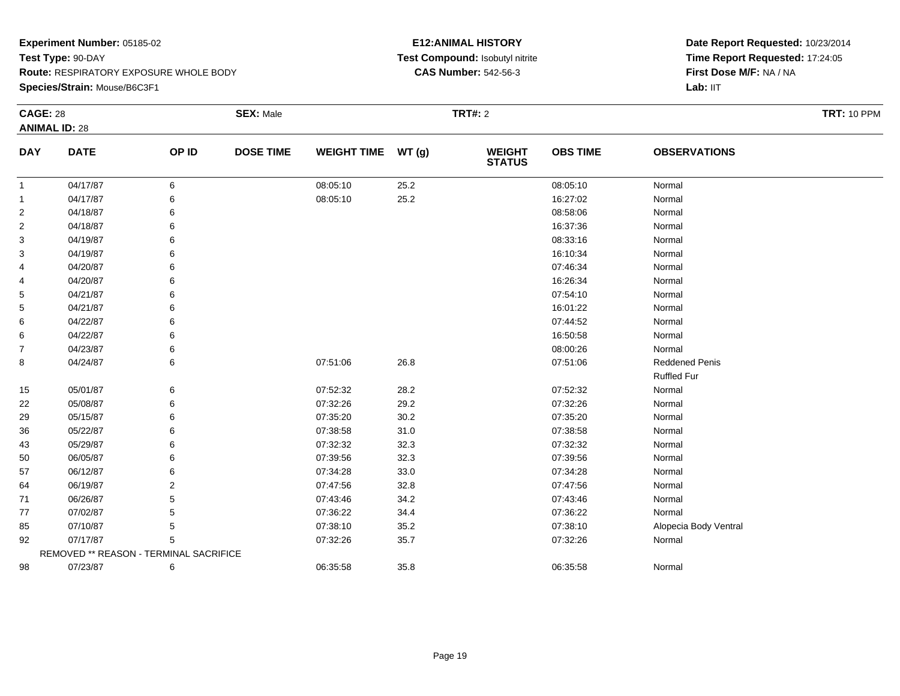#### **Species/Strain:** Mouse/B6C3F1

#### **E12:ANIMAL HISTORY Test Compound:** Isobutyl nitrite**CAS Number:** 542-56-3

| <b>CAGE: 28</b> |                                        |       | <b>SEX: Male</b> |                    |       | <b>TRT#: 2</b>                 |                 |                       | <b>TRT: 10 PPM</b> |
|-----------------|----------------------------------------|-------|------------------|--------------------|-------|--------------------------------|-----------------|-----------------------|--------------------|
|                 | <b>ANIMAL ID: 28</b>                   |       |                  |                    |       |                                |                 |                       |                    |
| <b>DAY</b>      | <b>DATE</b>                            | OP ID | <b>DOSE TIME</b> | <b>WEIGHT TIME</b> | WT(g) | <b>WEIGHT</b><br><b>STATUS</b> | <b>OBS TIME</b> | <b>OBSERVATIONS</b>   |                    |
| -1              | 04/17/87                               | 6     |                  | 08:05:10           | 25.2  |                                | 08:05:10        | Normal                |                    |
| 1               | 04/17/87                               | 6     |                  | 08:05:10           | 25.2  |                                | 16:27:02        | Normal                |                    |
| 2               | 04/18/87                               | 6     |                  |                    |       |                                | 08:58:06        | Normal                |                    |
| 2               | 04/18/87                               | 6     |                  |                    |       |                                | 16:37:36        | Normal                |                    |
| 3               | 04/19/87                               | 6     |                  |                    |       |                                | 08:33:16        | Normal                |                    |
| 3               | 04/19/87                               | 6     |                  |                    |       |                                | 16:10:34        | Normal                |                    |
| 4               | 04/20/87                               | 6     |                  |                    |       |                                | 07:46:34        | Normal                |                    |
| 4               | 04/20/87                               | 6     |                  |                    |       |                                | 16:26:34        | Normal                |                    |
| 5               | 04/21/87                               | 6     |                  |                    |       |                                | 07:54:10        | Normal                |                    |
| 5               | 04/21/87                               | 6     |                  |                    |       |                                | 16:01:22        | Normal                |                    |
| 6               | 04/22/87                               | 6     |                  |                    |       |                                | 07:44:52        | Normal                |                    |
| 6               | 04/22/87                               | 6     |                  |                    |       |                                | 16:50:58        | Normal                |                    |
| $\overline{7}$  | 04/23/87                               | 6     |                  |                    |       |                                | 08:00:26        | Normal                |                    |
| 8               | 04/24/87                               | 6     |                  | 07:51:06           | 26.8  |                                | 07:51:06        | Reddened Penis        |                    |
|                 |                                        |       |                  |                    |       |                                |                 | <b>Ruffled Fur</b>    |                    |
| 15              | 05/01/87                               | 6     |                  | 07:52:32           | 28.2  |                                | 07:52:32        | Normal                |                    |
| 22              | 05/08/87                               | 6     |                  | 07:32:26           | 29.2  |                                | 07:32:26        | Normal                |                    |
| 29              | 05/15/87                               | 6     |                  | 07:35:20           | 30.2  |                                | 07:35:20        | Normal                |                    |
| 36              | 05/22/87                               | 6     |                  | 07:38:58           | 31.0  |                                | 07:38:58        | Normal                |                    |
| 43              | 05/29/87                               | 6     |                  | 07:32:32           | 32.3  |                                | 07:32:32        | Normal                |                    |
| 50              | 06/05/87                               | 6     |                  | 07:39:56           | 32.3  |                                | 07:39:56        | Normal                |                    |
| 57              | 06/12/87                               | 6     |                  | 07:34:28           | 33.0  |                                | 07:34:28        | Normal                |                    |
| 64              | 06/19/87                               | 2     |                  | 07:47:56           | 32.8  |                                | 07:47:56        | Normal                |                    |
| 71              | 06/26/87                               | 5     |                  | 07:43:46           | 34.2  |                                | 07:43:46        | Normal                |                    |
| 77              | 07/02/87                               | 5     |                  | 07:36:22           | 34.4  |                                | 07:36:22        | Normal                |                    |
| 85              | 07/10/87                               | 5     |                  | 07:38:10           | 35.2  |                                | 07:38:10        | Alopecia Body Ventral |                    |
| 92              | 07/17/87                               | 5     |                  | 07:32:26           | 35.7  |                                | 07:32:26        | Normal                |                    |
|                 | REMOVED ** REASON - TERMINAL SACRIFICE |       |                  |                    |       |                                |                 |                       |                    |
| 98              | 07/23/87                               | 6     |                  | 06:35:58           | 35.8  |                                | 06:35:58        | Normal                |                    |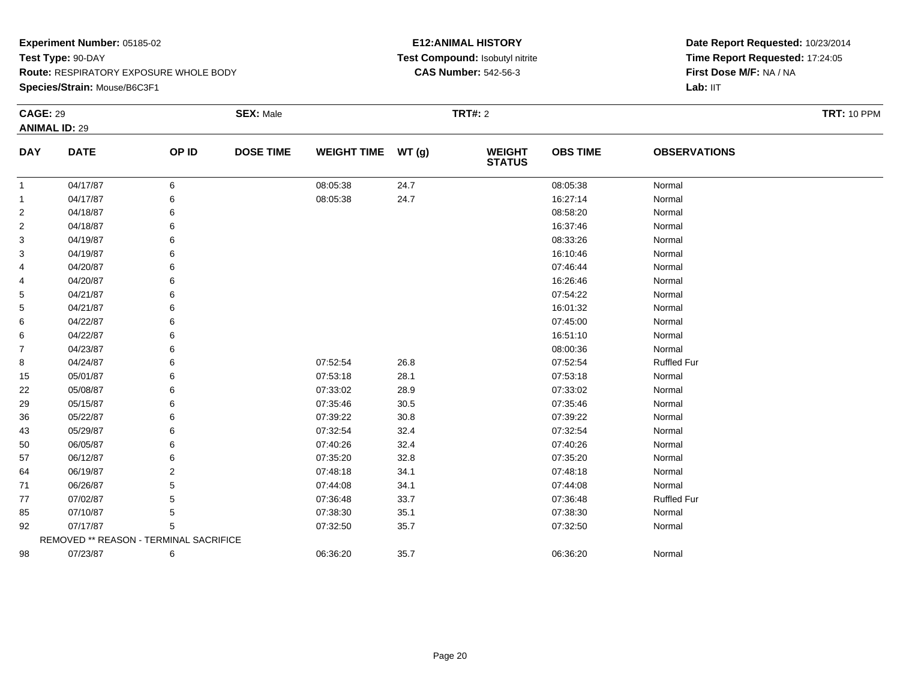**Species/Strain:** Mouse/B6C3F1

#### **E12:ANIMAL HISTORY Test Compound:** Isobutyl nitrite**CAS Number:** 542-56-3

| <b>CAGE: 29</b> |                                        |       | <b>SEX: Male</b> |                    |          | <b>TRT#: 2</b>           |                 |                     | <b>TRT: 10 PPM</b> |
|-----------------|----------------------------------------|-------|------------------|--------------------|----------|--------------------------|-----------------|---------------------|--------------------|
|                 | <b>ANIMAL ID: 29</b>                   |       |                  |                    |          |                          |                 |                     |                    |
| <b>DAY</b>      | <b>DATE</b>                            | OP ID | <b>DOSE TIME</b> | <b>WEIGHT TIME</b> | WT(g)    | <b>WEIGHT<br/>STATUS</b> | <b>OBS TIME</b> | <b>OBSERVATIONS</b> |                    |
| $\mathbf{1}$    | 04/17/87                               | 6     |                  | 08:05:38           | 24.7     |                          | 08:05:38        | Normal              |                    |
| $\mathbf{1}$    | 04/17/87                               | 6     |                  | 08:05:38           | 24.7     |                          | 16:27:14        | Normal              |                    |
| $\overline{2}$  | 04/18/87                               |       |                  |                    |          |                          | 08:58:20        | Normal              |                    |
| $\overline{2}$  | 04/18/87                               |       |                  |                    |          |                          | 16:37:46        | Normal              |                    |
| 3               | 04/19/87                               |       |                  |                    |          |                          | 08:33:26        | Normal              |                    |
| 3               | 04/19/87                               |       |                  |                    |          |                          | 16:10:46        | Normal              |                    |
| 4               | 04/20/87                               |       |                  |                    |          |                          | 07:46:44        | Normal              |                    |
| 4               | 04/20/87                               |       |                  |                    |          |                          | 16:26:46        | Normal              |                    |
| 5               | 04/21/87                               |       |                  |                    |          |                          | 07:54:22        | Normal              |                    |
| 5               | 04/21/87                               |       |                  |                    |          |                          | 16:01:32        | Normal              |                    |
| 6               | 04/22/87                               |       |                  |                    |          |                          | 07:45:00        | Normal              |                    |
| 6               | 04/22/87                               |       |                  |                    |          |                          | 16:51:10        | Normal              |                    |
| $\overline{7}$  | 04/23/87                               |       |                  |                    |          |                          | 08:00:36        | Normal              |                    |
| 8               | 04/24/87                               |       |                  | 07:52:54           | 26.8     |                          | 07:52:54        | <b>Ruffled Fur</b>  |                    |
| 15              | 05/01/87                               |       |                  | 07:53:18           | 28.1     |                          | 07:53:18        | Normal              |                    |
| 22              | 05/08/87                               |       |                  | 07:33:02           | 28.9     |                          | 07:33:02        | Normal              |                    |
| 29              | 05/15/87                               |       |                  | 07:35:46           | $30.5\,$ |                          | 07:35:46        | Normal              |                    |
| 36              | 05/22/87                               |       |                  | 07:39:22           | 30.8     |                          | 07:39:22        | Normal              |                    |
| 43              | 05/29/87                               |       |                  | 07:32:54           | 32.4     |                          | 07:32:54        | Normal              |                    |
| 50              | 06/05/87                               |       |                  | 07:40:26           | 32.4     |                          | 07:40:26        | Normal              |                    |
| 57              | 06/12/87                               |       |                  | 07:35:20           | 32.8     |                          | 07:35:20        | Normal              |                    |
| 64              | 06/19/87                               | 2     |                  | 07:48:18           | 34.1     |                          | 07:48:18        | Normal              |                    |
| 71              | 06/26/87                               |       |                  | 07:44:08           | 34.1     |                          | 07:44:08        | Normal              |                    |
| 77              | 07/02/87                               |       |                  | 07:36:48           | 33.7     |                          | 07:36:48        | <b>Ruffled Fur</b>  |                    |
| 85              | 07/10/87                               | 5     |                  | 07:38:30           | 35.1     |                          | 07:38:30        | Normal              |                    |
| 92              | 07/17/87                               |       |                  | 07:32:50           | 35.7     |                          | 07:32:50        | Normal              |                    |
|                 | REMOVED ** REASON - TERMINAL SACRIFICE |       |                  |                    |          |                          |                 |                     |                    |
| 98              | 07/23/87                               | 6     |                  | 06:36:20           | 35.7     |                          | 06:36:20        | Normal              |                    |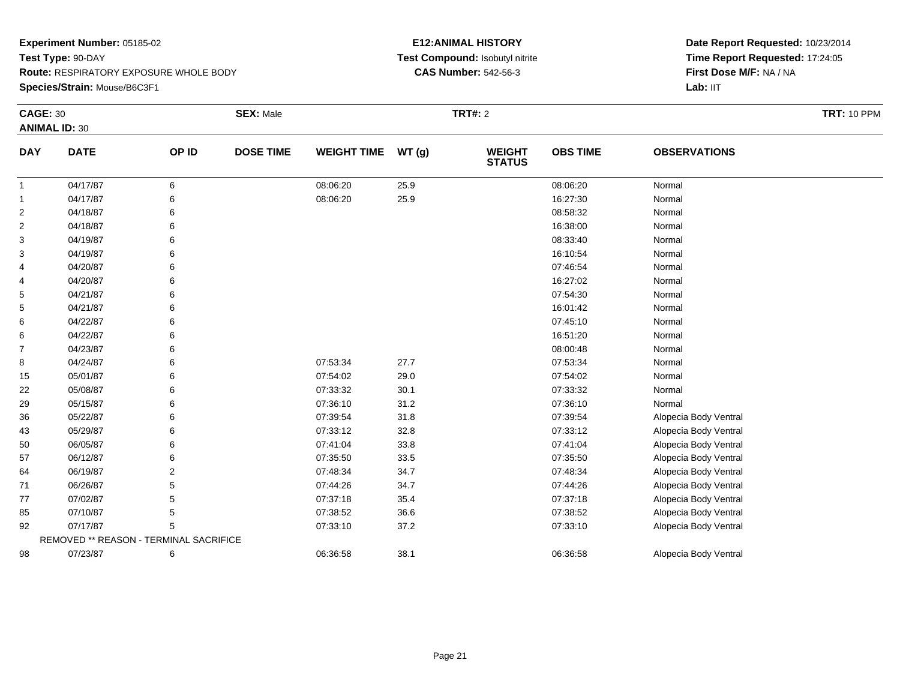**Species/Strain:** Mouse/B6C3F1

#### **E12:ANIMAL HISTORY Test Compound:** Isobutyl nitrite**CAS Number:** 542-56-3

| <b>CAGE: 30</b> |                                        |       | <b>SEX: Male</b> |                    |       | <b>TRT#: 2</b>                 |                 |                       | <b>TRT: 10 PPM</b> |
|-----------------|----------------------------------------|-------|------------------|--------------------|-------|--------------------------------|-----------------|-----------------------|--------------------|
|                 | <b>ANIMAL ID: 30</b>                   |       |                  |                    |       |                                |                 |                       |                    |
| <b>DAY</b>      | <b>DATE</b>                            | OP ID | <b>DOSE TIME</b> | <b>WEIGHT TIME</b> | WT(g) | <b>WEIGHT</b><br><b>STATUS</b> | <b>OBS TIME</b> | <b>OBSERVATIONS</b>   |                    |
| -1              | 04/17/87                               | 6     |                  | 08:06:20           | 25.9  |                                | 08:06:20        | Normal                |                    |
| $\mathbf{1}$    | 04/17/87                               | 6     |                  | 08:06:20           | 25.9  |                                | 16:27:30        | Normal                |                    |
| $\overline{2}$  | 04/18/87                               | 6     |                  |                    |       |                                | 08:58:32        | Normal                |                    |
| 2               | 04/18/87                               | 6     |                  |                    |       |                                | 16:38:00        | Normal                |                    |
| 3               | 04/19/87                               |       |                  |                    |       |                                | 08:33:40        | Normal                |                    |
| 3               | 04/19/87                               |       |                  |                    |       |                                | 16:10:54        | Normal                |                    |
| 4               | 04/20/87                               |       |                  |                    |       |                                | 07:46:54        | Normal                |                    |
| 4               | 04/20/87                               | 6     |                  |                    |       |                                | 16:27:02        | Normal                |                    |
| 5               | 04/21/87                               |       |                  |                    |       |                                | 07:54:30        | Normal                |                    |
| 5               | 04/21/87                               |       |                  |                    |       |                                | 16:01:42        | Normal                |                    |
| 6               | 04/22/87                               |       |                  |                    |       |                                | 07:45:10        | Normal                |                    |
| 6               | 04/22/87                               | 6     |                  |                    |       |                                | 16:51:20        | Normal                |                    |
| 7               | 04/23/87                               |       |                  |                    |       |                                | 08:00:48        | Normal                |                    |
| 8               | 04/24/87                               | 6     |                  | 07:53:34           | 27.7  |                                | 07:53:34        | Normal                |                    |
| 15              | 05/01/87                               | 6     |                  | 07:54:02           | 29.0  |                                | 07:54:02        | Normal                |                    |
| 22              | 05/08/87                               | 6     |                  | 07:33:32           | 30.1  |                                | 07:33:32        | Normal                |                    |
| 29              | 05/15/87                               |       |                  | 07:36:10           | 31.2  |                                | 07:36:10        | Normal                |                    |
| 36              | 05/22/87                               | 6     |                  | 07:39:54           | 31.8  |                                | 07:39:54        | Alopecia Body Ventral |                    |
| 43              | 05/29/87                               | 6     |                  | 07:33:12           | 32.8  |                                | 07:33:12        | Alopecia Body Ventral |                    |
| 50              | 06/05/87                               | 6     |                  | 07:41:04           | 33.8  |                                | 07:41:04        | Alopecia Body Ventral |                    |
| 57              | 06/12/87                               |       |                  | 07:35:50           | 33.5  |                                | 07:35:50        | Alopecia Body Ventral |                    |
| 64              | 06/19/87                               | 2     |                  | 07:48:34           | 34.7  |                                | 07:48:34        | Alopecia Body Ventral |                    |
| 71              | 06/26/87                               | 5     |                  | 07:44:26           | 34.7  |                                | 07:44:26        | Alopecia Body Ventral |                    |
| 77              | 07/02/87                               | 5     |                  | 07:37:18           | 35.4  |                                | 07:37:18        | Alopecia Body Ventral |                    |
| 85              | 07/10/87                               | 5     |                  | 07:38:52           | 36.6  |                                | 07:38:52        | Alopecia Body Ventral |                    |
| 92              | 07/17/87                               | 5     |                  | 07:33:10           | 37.2  |                                | 07:33:10        | Alopecia Body Ventral |                    |
|                 | REMOVED ** REASON - TERMINAL SACRIFICE |       |                  |                    |       |                                |                 |                       |                    |
| 98              | 07/23/87                               | 6     |                  | 06:36:58           | 38.1  |                                | 06:36:58        | Alopecia Body Ventral |                    |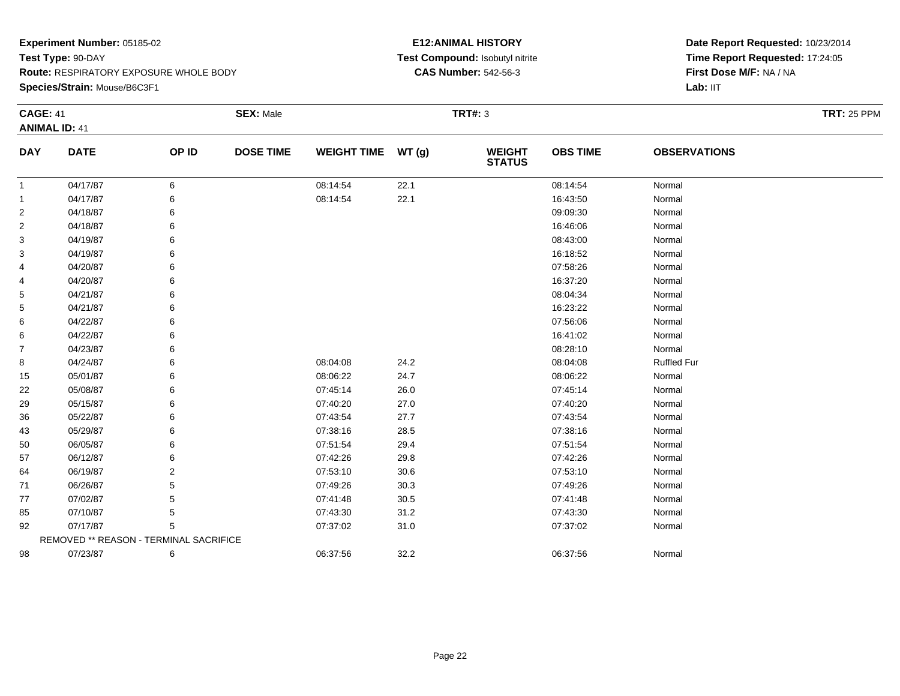#### **Species/Strain:** Mouse/B6C3F1

#### **E12:ANIMAL HISTORY Test Compound:** Isobutyl nitrite**CAS Number:** 542-56-3

| <b>CAGE: 41</b> |                                        |                | <b>SEX: Male</b> |                    |          | <b>TRT#: 3</b>           |                 |                     | <b>TRT: 25 PPM</b> |
|-----------------|----------------------------------------|----------------|------------------|--------------------|----------|--------------------------|-----------------|---------------------|--------------------|
|                 | <b>ANIMAL ID: 41</b>                   |                |                  |                    |          |                          |                 |                     |                    |
| <b>DAY</b>      | <b>DATE</b>                            | OP ID          | <b>DOSE TIME</b> | WEIGHT TIME WT (g) |          | <b>WEIGHT<br/>STATUS</b> | <b>OBS TIME</b> | <b>OBSERVATIONS</b> |                    |
| 1               | 04/17/87                               | 6              |                  | 08:14:54           | 22.1     |                          | 08:14:54        | Normal              |                    |
| -1              | 04/17/87                               | 6              |                  | 08:14:54           | 22.1     |                          | 16:43:50        | Normal              |                    |
| $\overline{2}$  | 04/18/87                               | 6              |                  |                    |          |                          | 09:09:30        | Normal              |                    |
| 2               | 04/18/87                               |                |                  |                    |          |                          | 16:46:06        | Normal              |                    |
| 3               | 04/19/87                               |                |                  |                    |          |                          | 08:43:00        | Normal              |                    |
| 3               | 04/19/87                               | 6              |                  |                    |          |                          | 16:18:52        | Normal              |                    |
| 4               | 04/20/87                               | 6              |                  |                    |          |                          | 07:58:26        | Normal              |                    |
| 4               | 04/20/87                               | 6              |                  |                    |          |                          | 16:37:20        | Normal              |                    |
| 5               | 04/21/87                               |                |                  |                    |          |                          | 08:04:34        | Normal              |                    |
| 5               | 04/21/87                               |                |                  |                    |          |                          | 16:23:22        | Normal              |                    |
| 6               | 04/22/87                               |                |                  |                    |          |                          | 07:56:06        | Normal              |                    |
| 6               | 04/22/87                               | 6              |                  |                    |          |                          | 16:41:02        | Normal              |                    |
| 7               | 04/23/87                               |                |                  |                    |          |                          | 08:28:10        | Normal              |                    |
| 8               | 04/24/87                               | 6              |                  | 08:04:08           | 24.2     |                          | 08:04:08        | <b>Ruffled Fur</b>  |                    |
| 15              | 05/01/87                               | 6              |                  | 08:06:22           | 24.7     |                          | 08:06:22        | Normal              |                    |
| 22              | 05/08/87                               | 6              |                  | 07:45:14           | 26.0     |                          | 07:45:14        | Normal              |                    |
| 29              | 05/15/87                               |                |                  | 07:40:20           | 27.0     |                          | 07:40:20        | Normal              |                    |
| 36              | 05/22/87                               |                |                  | 07:43:54           | 27.7     |                          | 07:43:54        | Normal              |                    |
| 43              | 05/29/87                               | 6              |                  | 07:38:16           | 28.5     |                          | 07:38:16        | Normal              |                    |
| 50              | 06/05/87                               | 6              |                  | 07:51:54           | 29.4     |                          | 07:51:54        | Normal              |                    |
| 57              | 06/12/87                               | 6              |                  | 07:42:26           | 29.8     |                          | 07:42:26        | Normal              |                    |
| 64              | 06/19/87                               | $\overline{2}$ |                  | 07:53:10           | $30.6\,$ |                          | 07:53:10        | Normal              |                    |
| 71              | 06/26/87                               | 5              |                  | 07:49:26           | 30.3     |                          | 07:49:26        | Normal              |                    |
| 77              | 07/02/87                               | 5              |                  | 07:41:48           | 30.5     |                          | 07:41:48        | Normal              |                    |
| 85              | 07/10/87                               | 5              |                  | 07:43:30           | 31.2     |                          | 07:43:30        | Normal              |                    |
| 92              | 07/17/87                               | 5              |                  | 07:37:02           | 31.0     |                          | 07:37:02        | Normal              |                    |
|                 | REMOVED ** REASON - TERMINAL SACRIFICE |                |                  |                    |          |                          |                 |                     |                    |
| 98              | 07/23/87                               | 6              |                  | 06:37:56           | 32.2     |                          | 06:37:56        | Normal              |                    |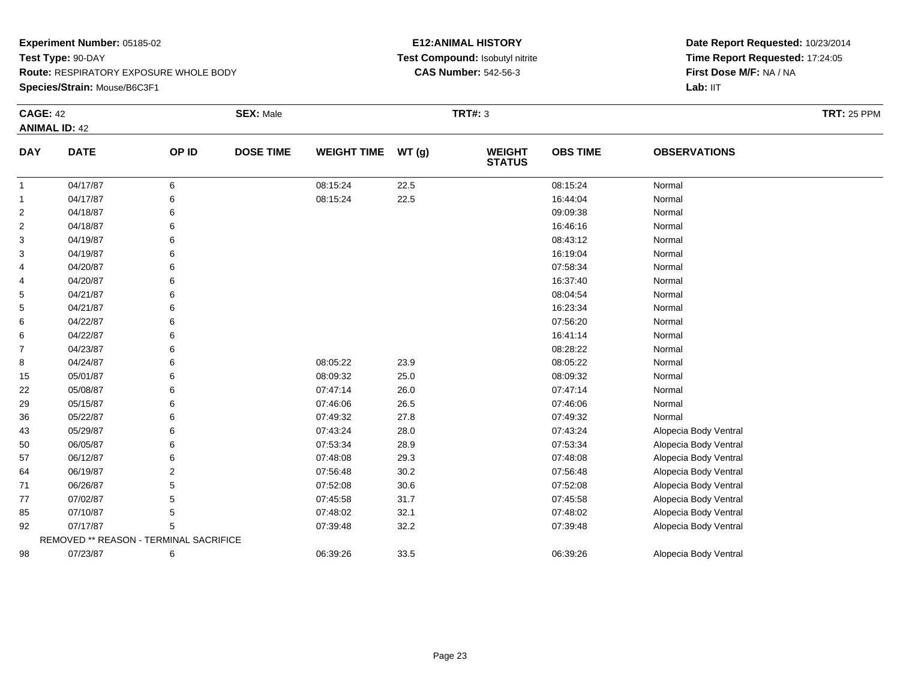#### **Species/Strain:** Mouse/B6C3F1

#### **E12:ANIMAL HISTORY Test Compound:** Isobutyl nitrite**CAS Number:** 542-56-3

| <b>CAGE: 42</b> |                                        |       | <b>SEX: Male</b> |                    |       | <b>TRT#: 3</b>                 |                 |                       | <b>TRT: 25 PPM</b> |
|-----------------|----------------------------------------|-------|------------------|--------------------|-------|--------------------------------|-----------------|-----------------------|--------------------|
|                 | <b>ANIMAL ID: 42</b>                   |       |                  |                    |       |                                |                 |                       |                    |
| <b>DAY</b>      | <b>DATE</b>                            | OP ID | <b>DOSE TIME</b> | <b>WEIGHT TIME</b> | WT(g) | <b>WEIGHT</b><br><b>STATUS</b> | <b>OBS TIME</b> | <b>OBSERVATIONS</b>   |                    |
| -1              | 04/17/87                               | 6     |                  | 08:15:24           | 22.5  |                                | 08:15:24        | Normal                |                    |
| $\mathbf{1}$    | 04/17/87                               | 6     |                  | 08:15:24           | 22.5  |                                | 16:44:04        | Normal                |                    |
| $\overline{2}$  | 04/18/87                               |       |                  |                    |       |                                | 09:09:38        | Normal                |                    |
| $\overline{2}$  | 04/18/87                               |       |                  |                    |       |                                | 16:46:16        | Normal                |                    |
| 3               | 04/19/87                               |       |                  |                    |       |                                | 08:43:12        | Normal                |                    |
| 3               | 04/19/87                               |       |                  |                    |       |                                | 16:19:04        | Normal                |                    |
| 4               | 04/20/87                               |       |                  |                    |       |                                | 07:58:34        | Normal                |                    |
| 4               | 04/20/87                               |       |                  |                    |       |                                | 16:37:40        | Normal                |                    |
| 5               | 04/21/87                               |       |                  |                    |       |                                | 08:04:54        | Normal                |                    |
| 5               | 04/21/87                               |       |                  |                    |       |                                | 16:23:34        | Normal                |                    |
| 6               | 04/22/87                               |       |                  |                    |       |                                | 07:56:20        | Normal                |                    |
| 6               | 04/22/87                               |       |                  |                    |       |                                | 16:41:14        | Normal                |                    |
| $\overline{7}$  | 04/23/87                               |       |                  |                    |       |                                | 08:28:22        | Normal                |                    |
| 8               | 04/24/87                               |       |                  | 08:05:22           | 23.9  |                                | 08:05:22        | Normal                |                    |
| 15              | 05/01/87                               |       |                  | 08:09:32           | 25.0  |                                | 08:09:32        | Normal                |                    |
| 22              | 05/08/87                               |       |                  | 07:47:14           | 26.0  |                                | 07:47:14        | Normal                |                    |
| 29              | 05/15/87                               |       |                  | 07:46:06           | 26.5  |                                | 07:46:06        | Normal                |                    |
| 36              | 05/22/87                               |       |                  | 07:49:32           | 27.8  |                                | 07:49:32        | Normal                |                    |
| 43              | 05/29/87                               |       |                  | 07:43:24           | 28.0  |                                | 07:43:24        | Alopecia Body Ventral |                    |
| 50              | 06/05/87                               |       |                  | 07:53:34           | 28.9  |                                | 07:53:34        | Alopecia Body Ventral |                    |
| 57              | 06/12/87                               |       |                  | 07:48:08           | 29.3  |                                | 07:48:08        | Alopecia Body Ventral |                    |
| 64              | 06/19/87                               | 2     |                  | 07:56:48           | 30.2  |                                | 07:56:48        | Alopecia Body Ventral |                    |
| 71              | 06/26/87                               | 5     |                  | 07:52:08           | 30.6  |                                | 07:52:08        | Alopecia Body Ventral |                    |
| 77              | 07/02/87                               | 5     |                  | 07:45:58           | 31.7  |                                | 07:45:58        | Alopecia Body Ventral |                    |
| 85              | 07/10/87                               | 5     |                  | 07:48:02           | 32.1  |                                | 07:48:02        | Alopecia Body Ventral |                    |
| 92              | 07/17/87                               | 5     |                  | 07:39:48           | 32.2  |                                | 07:39:48        | Alopecia Body Ventral |                    |
|                 | REMOVED ** REASON - TERMINAL SACRIFICE |       |                  |                    |       |                                |                 |                       |                    |
| 98              | 07/23/87                               | 6     |                  | 06:39:26           | 33.5  |                                | 06:39:26        | Alopecia Body Ventral |                    |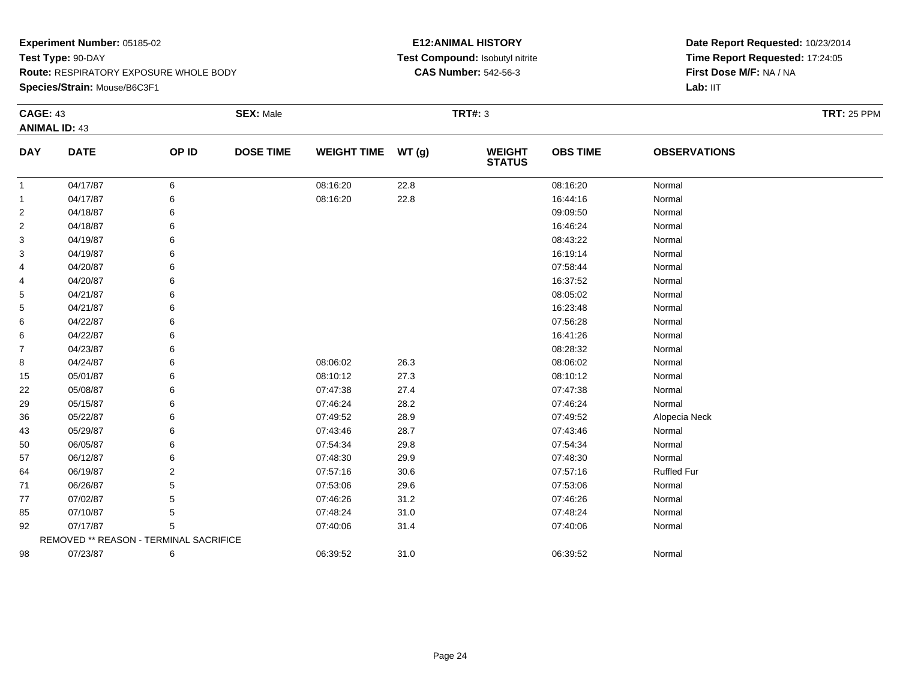#### **Species/Strain:** Mouse/B6C3F1

#### **E12:ANIMAL HISTORY Test Compound:** Isobutyl nitrite**CAS Number:** 542-56-3

| <b>CAGE: 43</b> |                                        |       | <b>SEX: Male</b> |                    |          | <b>TRT#: 3</b>                 |                 |                     | <b>TRT: 25 PPM</b> |
|-----------------|----------------------------------------|-------|------------------|--------------------|----------|--------------------------------|-----------------|---------------------|--------------------|
|                 | <b>ANIMAL ID: 43</b>                   |       |                  |                    |          |                                |                 |                     |                    |
| <b>DAY</b>      | <b>DATE</b>                            | OP ID | <b>DOSE TIME</b> | WEIGHT TIME WT (g) |          | <b>WEIGHT</b><br><b>STATUS</b> | <b>OBS TIME</b> | <b>OBSERVATIONS</b> |                    |
| $\mathbf{1}$    | 04/17/87                               | 6     |                  | 08:16:20           | 22.8     |                                | 08:16:20        | Normal              |                    |
| 1               | 04/17/87                               | 6     |                  | 08:16:20           | 22.8     |                                | 16:44:16        | Normal              |                    |
| 2               | 04/18/87                               | 6     |                  |                    |          |                                | 09:09:50        | Normal              |                    |
| 2               | 04/18/87                               | 6     |                  |                    |          |                                | 16:46:24        | Normal              |                    |
| 3               | 04/19/87                               | 6     |                  |                    |          |                                | 08:43:22        | Normal              |                    |
| 3               | 04/19/87                               | 6     |                  |                    |          |                                | 16:19:14        | Normal              |                    |
| 4               | 04/20/87                               | 6     |                  |                    |          |                                | 07:58:44        | Normal              |                    |
| 4               | 04/20/87                               |       |                  |                    |          |                                | 16:37:52        | Normal              |                    |
| 5               | 04/21/87                               |       |                  |                    |          |                                | 08:05:02        | Normal              |                    |
| 5               | 04/21/87                               |       |                  |                    |          |                                | 16:23:48        | Normal              |                    |
| 6               | 04/22/87                               | 6     |                  |                    |          |                                | 07:56:28        | Normal              |                    |
| 6               | 04/22/87                               | 6     |                  |                    |          |                                | 16:41:26        | Normal              |                    |
| $\overline{7}$  | 04/23/87                               | 6     |                  |                    |          |                                | 08:28:32        | Normal              |                    |
| 8               | 04/24/87                               | 6     |                  | 08:06:02           | 26.3     |                                | 08:06:02        | Normal              |                    |
| 15              | 05/01/87                               | 6     |                  | 08:10:12           | 27.3     |                                | 08:10:12        | Normal              |                    |
| 22              | 05/08/87                               | 6     |                  | 07:47:38           | 27.4     |                                | 07:47:38        | Normal              |                    |
| 29              | 05/15/87                               | 6     |                  | 07:46:24           | 28.2     |                                | 07:46:24        | Normal              |                    |
| 36              | 05/22/87                               | 6     |                  | 07:49:52           | 28.9     |                                | 07:49:52        | Alopecia Neck       |                    |
| 43              | 05/29/87                               | 6     |                  | 07:43:46           | 28.7     |                                | 07:43:46        | Normal              |                    |
| 50              | 06/05/87                               | 6     |                  | 07:54:34           | 29.8     |                                | 07:54:34        | Normal              |                    |
| 57              | 06/12/87                               | 6     |                  | 07:48:30           | 29.9     |                                | 07:48:30        | Normal              |                    |
| 64              | 06/19/87                               | 2     |                  | 07:57:16           | $30.6\,$ |                                | 07:57:16        | <b>Ruffled Fur</b>  |                    |
| 71              | 06/26/87                               | 5     |                  | 07:53:06           | 29.6     |                                | 07:53:06        | Normal              |                    |
| 77              | 07/02/87                               | 5     |                  | 07:46:26           | 31.2     |                                | 07:46:26        | Normal              |                    |
| 85              | 07/10/87                               | 5     |                  | 07:48:24           | 31.0     |                                | 07:48:24        | Normal              |                    |
| 92              | 07/17/87                               | 5     |                  | 07:40:06           | 31.4     |                                | 07:40:06        | Normal              |                    |
|                 | REMOVED ** REASON - TERMINAL SACRIFICE |       |                  |                    |          |                                |                 |                     |                    |
| 98              | 07/23/87                               | 6     |                  | 06:39:52           | 31.0     |                                | 06:39:52        | Normal              |                    |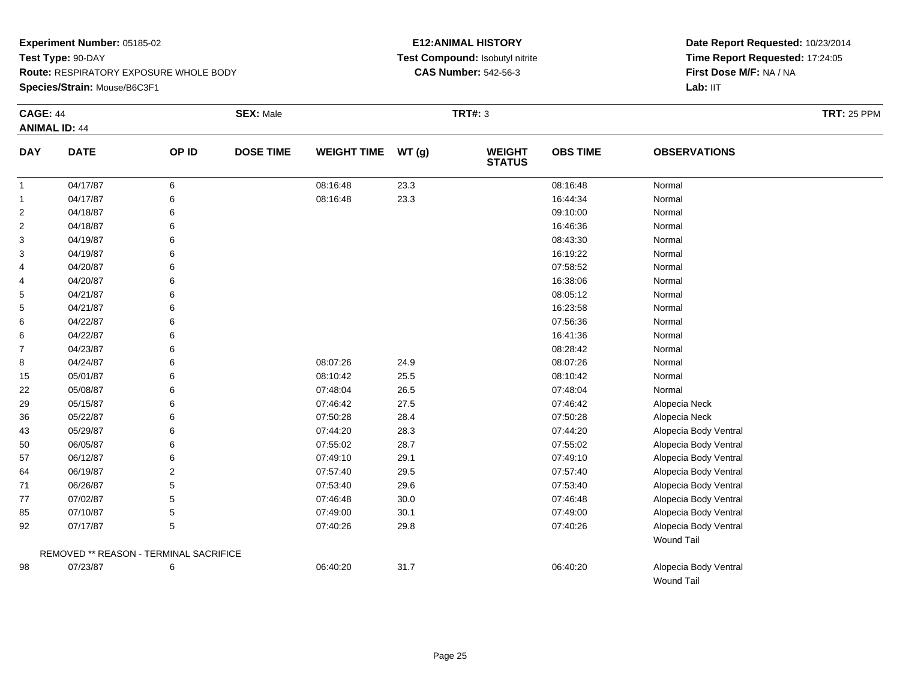#### **Species/Strain:** Mouse/B6C3F1

#### **E12:ANIMAL HISTORY Test Compound:** Isobutyl nitrite**CAS Number:** 542-56-3

| <b>CAGE: 44</b> | <b>ANIMAL ID: 44</b>                   |       | <b>SEX: Male</b> |                    |       | <b>TRT#: 3</b>                 |                 |                       | <b>TRT: 25 PPM</b> |
|-----------------|----------------------------------------|-------|------------------|--------------------|-------|--------------------------------|-----------------|-----------------------|--------------------|
| <b>DAY</b>      | <b>DATE</b>                            | OP ID | <b>DOSE TIME</b> | <b>WEIGHT TIME</b> | WT(g) | <b>WEIGHT</b><br><b>STATUS</b> | <b>OBS TIME</b> | <b>OBSERVATIONS</b>   |                    |
| $\mathbf{1}$    | 04/17/87                               | 6     |                  | 08:16:48           | 23.3  |                                | 08:16:48        | Normal                |                    |
| $\mathbf{1}$    | 04/17/87                               | 6     |                  | 08:16:48           | 23.3  |                                | 16:44:34        | Normal                |                    |
| $\overline{2}$  | 04/18/87                               | 6     |                  |                    |       |                                | 09:10:00        | Normal                |                    |
| $\overline{c}$  | 04/18/87                               | 6     |                  |                    |       |                                | 16:46:36        | Normal                |                    |
| 3               | 04/19/87                               |       |                  |                    |       |                                | 08:43:30        | Normal                |                    |
| 3               | 04/19/87                               | 6     |                  |                    |       |                                | 16:19:22        | Normal                |                    |
| 4               | 04/20/87                               |       |                  |                    |       |                                | 07:58:52        | Normal                |                    |
| 4               | 04/20/87                               | 6     |                  |                    |       |                                | 16:38:06        | Normal                |                    |
| 5               | 04/21/87                               | 6     |                  |                    |       |                                | 08:05:12        | Normal                |                    |
| 5               | 04/21/87                               | 6     |                  |                    |       |                                | 16:23:58        | Normal                |                    |
| 6               | 04/22/87                               |       |                  |                    |       |                                | 07:56:36        | Normal                |                    |
| 6               | 04/22/87                               |       |                  |                    |       |                                | 16:41:36        | Normal                |                    |
| 7               | 04/23/87                               | 6     |                  |                    |       |                                | 08:28:42        | Normal                |                    |
| 8               | 04/24/87                               | 6     |                  | 08:07:26           | 24.9  |                                | 08:07:26        | Normal                |                    |
| 15              | 05/01/87                               | 6     |                  | 08:10:42           | 25.5  |                                | 08:10:42        | Normal                |                    |
| 22              | 05/08/87                               | 6     |                  | 07:48:04           | 26.5  |                                | 07:48:04        | Normal                |                    |
| 29              | 05/15/87                               | 6     |                  | 07:46:42           | 27.5  |                                | 07:46:42        | Alopecia Neck         |                    |
| 36              | 05/22/87                               | 6     |                  | 07:50:28           | 28.4  |                                | 07:50:28        | Alopecia Neck         |                    |
| 43              | 05/29/87                               | 6     |                  | 07:44:20           | 28.3  |                                | 07:44:20        | Alopecia Body Ventral |                    |
| 50              | 06/05/87                               | 6     |                  | 07:55:02           | 28.7  |                                | 07:55:02        | Alopecia Body Ventral |                    |
| 57              | 06/12/87                               | 6     |                  | 07:49:10           | 29.1  |                                | 07:49:10        | Alopecia Body Ventral |                    |
| 64              | 06/19/87                               | 2     |                  | 07:57:40           | 29.5  |                                | 07:57:40        | Alopecia Body Ventral |                    |
| 71              | 06/26/87                               | 5     |                  | 07:53:40           | 29.6  |                                | 07:53:40        | Alopecia Body Ventral |                    |
| 77              | 07/02/87                               | 5     |                  | 07:46:48           | 30.0  |                                | 07:46:48        | Alopecia Body Ventral |                    |
| 85              | 07/10/87                               | 5     |                  | 07:49:00           | 30.1  |                                | 07:49:00        | Alopecia Body Ventral |                    |
| 92              | 07/17/87                               | 5     |                  | 07:40:26           | 29.8  |                                | 07:40:26        | Alopecia Body Ventral |                    |
|                 |                                        |       |                  |                    |       |                                |                 | <b>Wound Tail</b>     |                    |
|                 | REMOVED ** REASON - TERMINAL SACRIFICE |       |                  |                    |       |                                |                 |                       |                    |
| 98              | 07/23/87                               | 6     |                  | 06:40:20           | 31.7  |                                | 06:40:20        | Alopecia Body Ventral |                    |
|                 |                                        |       |                  |                    |       |                                |                 | Wound Tail            |                    |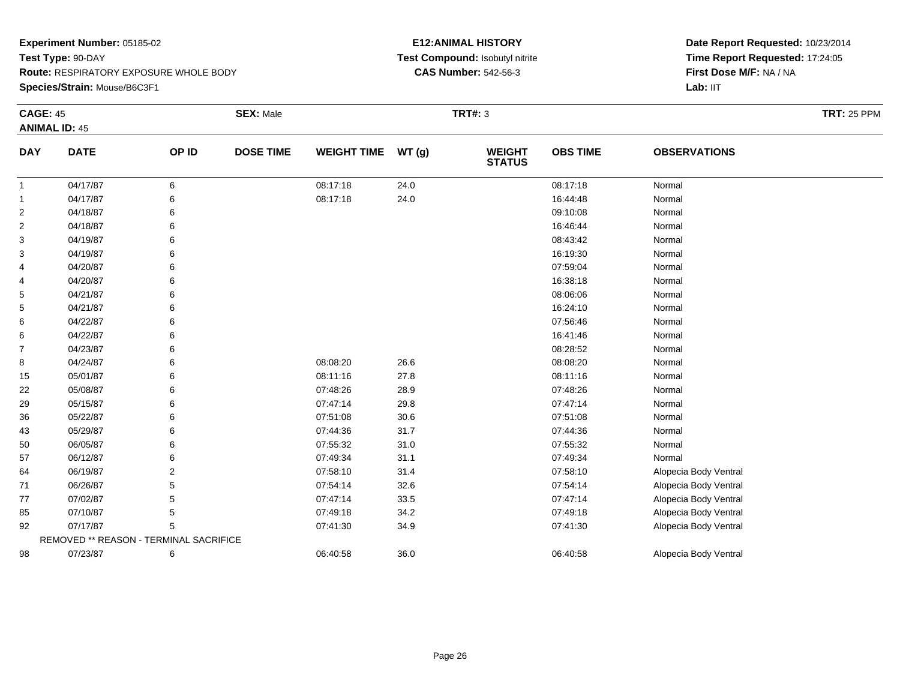#### **Species/Strain:** Mouse/B6C3F1

#### **E12:ANIMAL HISTORY Test Compound:** Isobutyl nitrite**CAS Number:** 542-56-3

| <b>CAGE: 45</b> | <b>ANIMAL ID: 45</b>                   |                | <b>SEX: Male</b> |                    |       | <b>TRT#: 3</b> |                 |                       | <b>TRT: 25 PPM</b> |
|-----------------|----------------------------------------|----------------|------------------|--------------------|-------|----------------|-----------------|-----------------------|--------------------|
| <b>DAY</b>      | <b>DATE</b>                            | OP ID          | <b>DOSE TIME</b> | <b>WEIGHT TIME</b> | WT(g) | <b>WEIGHT</b>  | <b>OBS TIME</b> | <b>OBSERVATIONS</b>   |                    |
|                 |                                        |                |                  |                    |       | <b>STATUS</b>  |                 |                       |                    |
| $\mathbf{1}$    | 04/17/87                               | 6              |                  | 08:17:18           | 24.0  |                | 08:17:18        | Normal                |                    |
| $\mathbf{1}$    | 04/17/87                               | 6              |                  | 08:17:18           | 24.0  |                | 16:44:48        | Normal                |                    |
| $\overline{2}$  | 04/18/87                               |                |                  |                    |       |                | 09:10:08        | Normal                |                    |
| 2               | 04/18/87                               |                |                  |                    |       |                | 16:46:44        | Normal                |                    |
| 3               | 04/19/87                               |                |                  |                    |       |                | 08:43:42        | Normal                |                    |
| 3               | 04/19/87                               |                |                  |                    |       |                | 16:19:30        | Normal                |                    |
| 4               | 04/20/87                               |                |                  |                    |       |                | 07:59:04        | Normal                |                    |
| 4               | 04/20/87                               |                |                  |                    |       |                | 16:38:18        | Normal                |                    |
| 5               | 04/21/87                               |                |                  |                    |       |                | 08:06:06        | Normal                |                    |
| 5               | 04/21/87                               |                |                  |                    |       |                | 16:24:10        | Normal                |                    |
| 6               | 04/22/87                               |                |                  |                    |       |                | 07:56:46        | Normal                |                    |
| 6               | 04/22/87                               |                |                  |                    |       |                | 16:41:46        | Normal                |                    |
| 7               | 04/23/87                               |                |                  |                    |       |                | 08:28:52        | Normal                |                    |
| 8               | 04/24/87                               |                |                  | 08:08:20           | 26.6  |                | 08:08:20        | Normal                |                    |
| 15              | 05/01/87                               |                |                  | 08:11:16           | 27.8  |                | 08:11:16        | Normal                |                    |
| 22              | 05/08/87                               |                |                  | 07:48:26           | 28.9  |                | 07:48:26        | Normal                |                    |
| 29              | 05/15/87                               |                |                  | 07:47:14           | 29.8  |                | 07:47:14        | Normal                |                    |
| 36              | 05/22/87                               |                |                  | 07:51:08           | 30.6  |                | 07:51:08        | Normal                |                    |
| 43              | 05/29/87                               |                |                  | 07:44:36           | 31.7  |                | 07:44:36        | Normal                |                    |
| 50              | 06/05/87                               |                |                  | 07:55:32           | 31.0  |                | 07:55:32        | Normal                |                    |
| 57              | 06/12/87                               |                |                  | 07:49:34           | 31.1  |                | 07:49:34        | Normal                |                    |
| 64              | 06/19/87                               | $\overline{2}$ |                  | 07:58:10           | 31.4  |                | 07:58:10        | Alopecia Body Ventral |                    |
| 71              | 06/26/87                               | 5              |                  | 07:54:14           | 32.6  |                | 07:54:14        | Alopecia Body Ventral |                    |
| 77              | 07/02/87                               | 5              |                  | 07:47:14           | 33.5  |                | 07:47:14        | Alopecia Body Ventral |                    |
| 85              | 07/10/87                               | 5              |                  | 07:49:18           | 34.2  |                | 07:49:18        | Alopecia Body Ventral |                    |
| 92              | 07/17/87                               | 5              |                  | 07:41:30           | 34.9  |                | 07:41:30        | Alopecia Body Ventral |                    |
|                 | REMOVED ** REASON - TERMINAL SACRIFICE |                |                  |                    |       |                |                 |                       |                    |
| 98              | 07/23/87                               | 6              |                  | 06:40:58           | 36.0  |                | 06:40:58        | Alopecia Body Ventral |                    |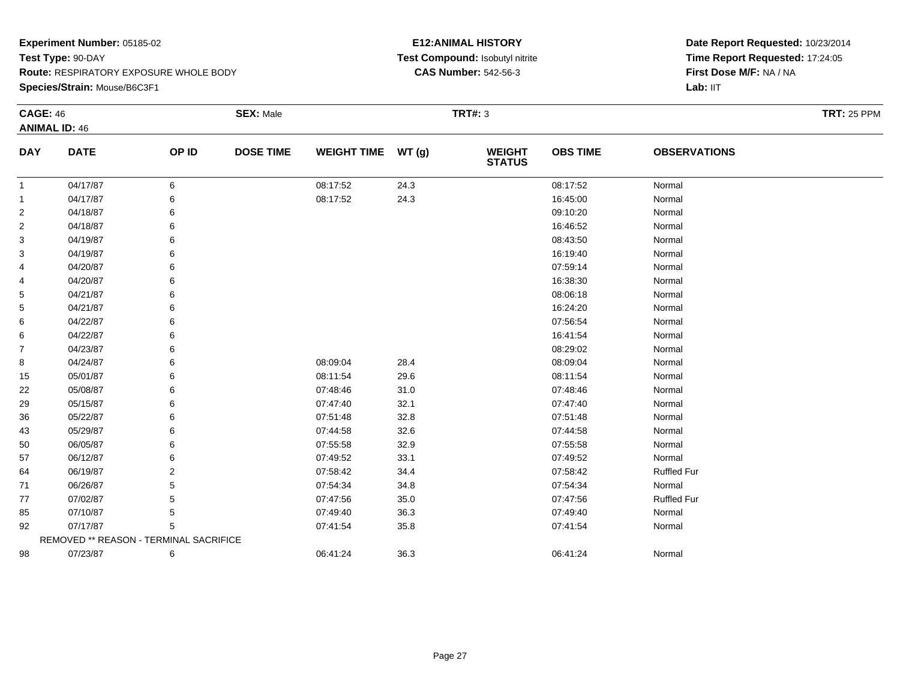**Species/Strain:** Mouse/B6C3F1

#### **E12:ANIMAL HISTORY Test Compound:** Isobutyl nitrite**CAS Number:** 542-56-3

| <b>CAGE: 46</b> |                                        |       | <b>SEX: Male</b> |                    |       | <b>TRT#: 3</b>                 |                 |                     | <b>TRT: 25 PPM</b> |
|-----------------|----------------------------------------|-------|------------------|--------------------|-------|--------------------------------|-----------------|---------------------|--------------------|
|                 | <b>ANIMAL ID: 46</b>                   |       |                  |                    |       |                                |                 |                     |                    |
| <b>DAY</b>      | <b>DATE</b>                            | OP ID | <b>DOSE TIME</b> | <b>WEIGHT TIME</b> | WT(g) | <b>WEIGHT</b><br><b>STATUS</b> | <b>OBS TIME</b> | <b>OBSERVATIONS</b> |                    |
| $\mathbf{1}$    | 04/17/87                               | 6     |                  | 08:17:52           | 24.3  |                                | 08:17:52        | Normal              |                    |
| $\mathbf{1}$    | 04/17/87                               | 6     |                  | 08:17:52           | 24.3  |                                | 16:45:00        | Normal              |                    |
| $\overline{2}$  | 04/18/87                               | 6     |                  |                    |       |                                | 09:10:20        | Normal              |                    |
| $\overline{2}$  | 04/18/87                               |       |                  |                    |       |                                | 16:46:52        | Normal              |                    |
| 3               | 04/19/87                               |       |                  |                    |       |                                | 08:43:50        | Normal              |                    |
| 3               | 04/19/87                               |       |                  |                    |       |                                | 16:19:40        | Normal              |                    |
| 4               | 04/20/87                               |       |                  |                    |       |                                | 07:59:14        | Normal              |                    |
| 4               | 04/20/87                               |       |                  |                    |       |                                | 16:38:30        | Normal              |                    |
| 5               | 04/21/87                               |       |                  |                    |       |                                | 08:06:18        | Normal              |                    |
| 5               | 04/21/87                               |       |                  |                    |       |                                | 16:24:20        | Normal              |                    |
| 6               | 04/22/87                               |       |                  |                    |       |                                | 07:56:54        | Normal              |                    |
| 6               | 04/22/87                               |       |                  |                    |       |                                | 16:41:54        | Normal              |                    |
| $\overline{7}$  | 04/23/87                               |       |                  |                    |       |                                | 08:29:02        | Normal              |                    |
| 8               | 04/24/87                               |       |                  | 08:09:04           | 28.4  |                                | 08:09:04        | Normal              |                    |
| 15              | 05/01/87                               | 6     |                  | 08:11:54           | 29.6  |                                | 08:11:54        | Normal              |                    |
| 22              | 05/08/87                               |       |                  | 07:48:46           | 31.0  |                                | 07:48:46        | Normal              |                    |
| 29              | 05/15/87                               |       |                  | 07:47:40           | 32.1  |                                | 07:47:40        | Normal              |                    |
| 36              | 05/22/87                               |       |                  | 07:51:48           | 32.8  |                                | 07:51:48        | Normal              |                    |
| 43              | 05/29/87                               |       |                  | 07:44:58           | 32.6  |                                | 07:44:58        | Normal              |                    |
| 50              | 06/05/87                               | 6     |                  | 07:55:58           | 32.9  |                                | 07:55:58        | Normal              |                    |
| 57              | 06/12/87                               |       |                  | 07:49:52           | 33.1  |                                | 07:49:52        | Normal              |                    |
| 64              | 06/19/87                               | 2     |                  | 07:58:42           | 34.4  |                                | 07:58:42        | <b>Ruffled Fur</b>  |                    |
| 71              | 06/26/87                               |       |                  | 07:54:34           | 34.8  |                                | 07:54:34        | Normal              |                    |
| 77              | 07/02/87                               |       |                  | 07:47:56           | 35.0  |                                | 07:47:56        | <b>Ruffled Fur</b>  |                    |
| 85              | 07/10/87                               | 5     |                  | 07:49:40           | 36.3  |                                | 07:49:40        | Normal              |                    |
| 92              | 07/17/87                               | 5     |                  | 07:41:54           | 35.8  |                                | 07:41:54        | Normal              |                    |
|                 | REMOVED ** REASON - TERMINAL SACRIFICE |       |                  |                    |       |                                |                 |                     |                    |
| 98              | 07/23/87                               | 6     |                  | 06:41:24           | 36.3  |                                | 06:41:24        | Normal              |                    |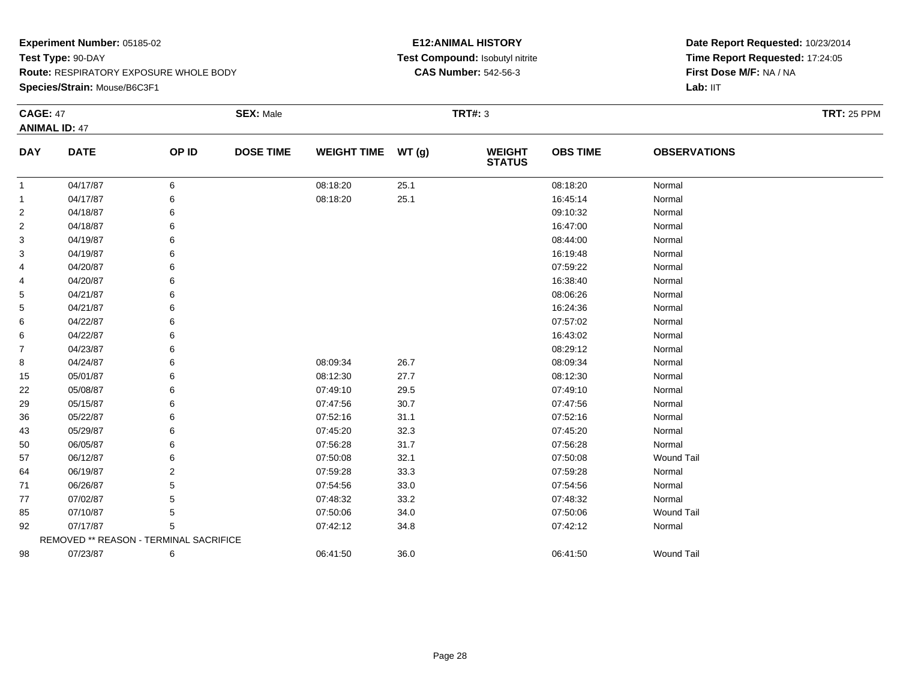#### **Species/Strain:** Mouse/B6C3F1

#### **E12:ANIMAL HISTORY Test Compound:** Isobutyl nitrite**CAS Number:** 542-56-3

| <b>CAGE: 47</b> |                                        |       | <b>SEX: Male</b> |                    |      | <b>TRT#: 3</b>                 |                 |                     | <b>TRT: 25 PPM</b> |
|-----------------|----------------------------------------|-------|------------------|--------------------|------|--------------------------------|-----------------|---------------------|--------------------|
|                 | <b>ANIMAL ID: 47</b>                   |       |                  |                    |      |                                |                 |                     |                    |
| <b>DAY</b>      | <b>DATE</b>                            | OP ID | <b>DOSE TIME</b> | WEIGHT TIME WT (g) |      | <b>WEIGHT</b><br><b>STATUS</b> | <b>OBS TIME</b> | <b>OBSERVATIONS</b> |                    |
| -1              | 04/17/87                               | 6     |                  | 08:18:20           | 25.1 |                                | 08:18:20        | Normal              |                    |
| -1              | 04/17/87                               | 6     |                  | 08:18:20           | 25.1 |                                | 16:45:14        | Normal              |                    |
| 2               | 04/18/87                               | 6     |                  |                    |      |                                | 09:10:32        | Normal              |                    |
| 2               | 04/18/87                               |       |                  |                    |      |                                | 16:47:00        | Normal              |                    |
| 3               | 04/19/87                               |       |                  |                    |      |                                | 08:44:00        | Normal              |                    |
| 3               | 04/19/87                               |       |                  |                    |      |                                | 16:19:48        | Normal              |                    |
| 4               | 04/20/87                               | 6     |                  |                    |      |                                | 07:59:22        | Normal              |                    |
| 4               | 04/20/87                               |       |                  |                    |      |                                | 16:38:40        | Normal              |                    |
| 5               | 04/21/87                               |       |                  |                    |      |                                | 08:06:26        | Normal              |                    |
| 5               | 04/21/87                               |       |                  |                    |      |                                | 16:24:36        | Normal              |                    |
| 6               | 04/22/87                               |       |                  |                    |      |                                | 07:57:02        | Normal              |                    |
| 6               | 04/22/87                               |       |                  |                    |      |                                | 16:43:02        | Normal              |                    |
| 7               | 04/23/87                               |       |                  |                    |      |                                | 08:29:12        | Normal              |                    |
| 8               | 04/24/87                               |       |                  | 08:09:34           | 26.7 |                                | 08:09:34        | Normal              |                    |
| 15              | 05/01/87                               |       |                  | 08:12:30           | 27.7 |                                | 08:12:30        | Normal              |                    |
| 22              | 05/08/87                               | 6     |                  | 07:49:10           | 29.5 |                                | 07:49:10        | Normal              |                    |
| 29              | 05/15/87                               |       |                  | 07:47:56           | 30.7 |                                | 07:47:56        | Normal              |                    |
| 36              | 05/22/87                               |       |                  | 07:52:16           | 31.1 |                                | 07:52:16        | Normal              |                    |
| 43              | 05/29/87                               |       |                  | 07:45:20           | 32.3 |                                | 07:45:20        | Normal              |                    |
| 50              | 06/05/87                               |       |                  | 07:56:28           | 31.7 |                                | 07:56:28        | Normal              |                    |
| 57              | 06/12/87                               |       |                  | 07:50:08           | 32.1 |                                | 07:50:08        | <b>Wound Tail</b>   |                    |
| 64              | 06/19/87                               | 2     |                  | 07:59:28           | 33.3 |                                | 07:59:28        | Normal              |                    |
| 71              | 06/26/87                               | 5     |                  | 07:54:56           | 33.0 |                                | 07:54:56        | Normal              |                    |
| 77              | 07/02/87                               | 5     |                  | 07:48:32           | 33.2 |                                | 07:48:32        | Normal              |                    |
| 85              | 07/10/87                               |       |                  | 07:50:06           | 34.0 |                                | 07:50:06        | <b>Wound Tail</b>   |                    |
| 92              | 07/17/87                               | 5     |                  | 07:42:12           | 34.8 |                                | 07:42:12        | Normal              |                    |
|                 | REMOVED ** REASON - TERMINAL SACRIFICE |       |                  |                    |      |                                |                 |                     |                    |
| 98              | 07/23/87                               | 6     |                  | 06:41:50           | 36.0 |                                | 06:41:50        | <b>Wound Tail</b>   |                    |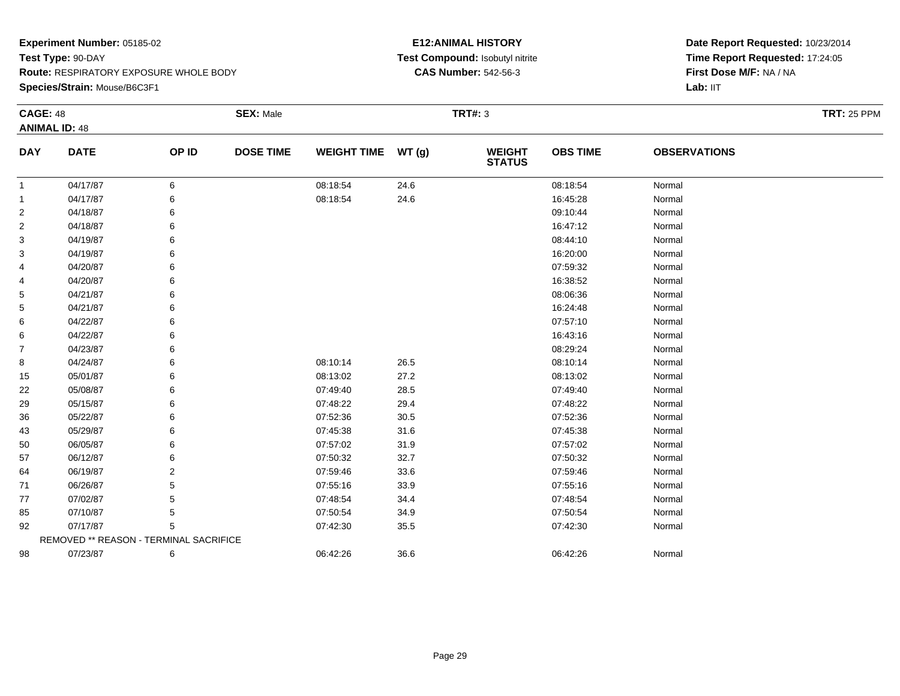#### **Species/Strain:** Mouse/B6C3F1

#### **E12:ANIMAL HISTORY Test Compound:** Isobutyl nitrite**CAS Number:** 542-56-3

| <b>CAGE: 48</b> |                                        |       | <b>SEX: Male</b> |                    |       | <b>TRT#: 3</b>                 |                 |                     | <b>TRT: 25 PPM</b> |
|-----------------|----------------------------------------|-------|------------------|--------------------|-------|--------------------------------|-----------------|---------------------|--------------------|
|                 | <b>ANIMAL ID: 48</b>                   |       |                  |                    |       |                                |                 |                     |                    |
| <b>DAY</b>      | <b>DATE</b>                            | OP ID | <b>DOSE TIME</b> | <b>WEIGHT TIME</b> | WT(g) | <b>WEIGHT</b><br><b>STATUS</b> | <b>OBS TIME</b> | <b>OBSERVATIONS</b> |                    |
| -1              | 04/17/87                               | 6     |                  | 08:18:54           | 24.6  |                                | 08:18:54        | Normal              |                    |
| -1              | 04/17/87                               | 6     |                  | 08:18:54           | 24.6  |                                | 16:45:28        | Normal              |                    |
| 2               | 04/18/87                               | 6     |                  |                    |       |                                | 09:10:44        | Normal              |                    |
| 2               | 04/18/87                               | 6     |                  |                    |       |                                | 16:47:12        | Normal              |                    |
| 3               | 04/19/87                               |       |                  |                    |       |                                | 08:44:10        | Normal              |                    |
| 3               | 04/19/87                               | 6     |                  |                    |       |                                | 16:20:00        | Normal              |                    |
| 4               | 04/20/87                               | 6     |                  |                    |       |                                | 07:59:32        | Normal              |                    |
| 4               | 04/20/87                               | 6     |                  |                    |       |                                | 16:38:52        | Normal              |                    |
| 5               | 04/21/87                               |       |                  |                    |       |                                | 08:06:36        | Normal              |                    |
| 5               | 04/21/87                               | 6     |                  |                    |       |                                | 16:24:48        | Normal              |                    |
| 6               | 04/22/87                               | 6     |                  |                    |       |                                | 07:57:10        | Normal              |                    |
| 6               | 04/22/87                               | 6     |                  |                    |       |                                | 16:43:16        | Normal              |                    |
| 7               | 04/23/87                               |       |                  |                    |       |                                | 08:29:24        | Normal              |                    |
| 8               | 04/24/87                               | 6     |                  | 08:10:14           | 26.5  |                                | 08:10:14        | Normal              |                    |
| 15              | 05/01/87                               | 6     |                  | 08:13:02           | 27.2  |                                | 08:13:02        | Normal              |                    |
| 22              | 05/08/87                               | 6     |                  | 07:49:40           | 28.5  |                                | 07:49:40        | Normal              |                    |
| 29              | 05/15/87                               |       |                  | 07:48:22           | 29.4  |                                | 07:48:22        | Normal              |                    |
| 36              | 05/22/87                               | 6     |                  | 07:52:36           | 30.5  |                                | 07:52:36        | Normal              |                    |
| 43              | 05/29/87                               | 6     |                  | 07:45:38           | 31.6  |                                | 07:45:38        | Normal              |                    |
| 50              | 06/05/87                               | 6     |                  | 07:57:02           | 31.9  |                                | 07:57:02        | Normal              |                    |
| 57              | 06/12/87                               | 6     |                  | 07:50:32           | 32.7  |                                | 07:50:32        | Normal              |                    |
| 64              | 06/19/87                               | 2     |                  | 07:59:46           | 33.6  |                                | 07:59:46        | Normal              |                    |
| 71              | 06/26/87                               |       |                  | 07:55:16           | 33.9  |                                | 07:55:16        | Normal              |                    |
| 77              | 07/02/87                               | 5     |                  | 07:48:54           | 34.4  |                                | 07:48:54        | Normal              |                    |
| 85              | 07/10/87                               | 5     |                  | 07:50:54           | 34.9  |                                | 07:50:54        | Normal              |                    |
| 92              | 07/17/87                               | 5     |                  | 07:42:30           | 35.5  |                                | 07:42:30        | Normal              |                    |
|                 | REMOVED ** REASON - TERMINAL SACRIFICE |       |                  |                    |       |                                |                 |                     |                    |
| 98              | 07/23/87                               | 6     |                  | 06:42:26           | 36.6  |                                | 06:42:26        | Normal              |                    |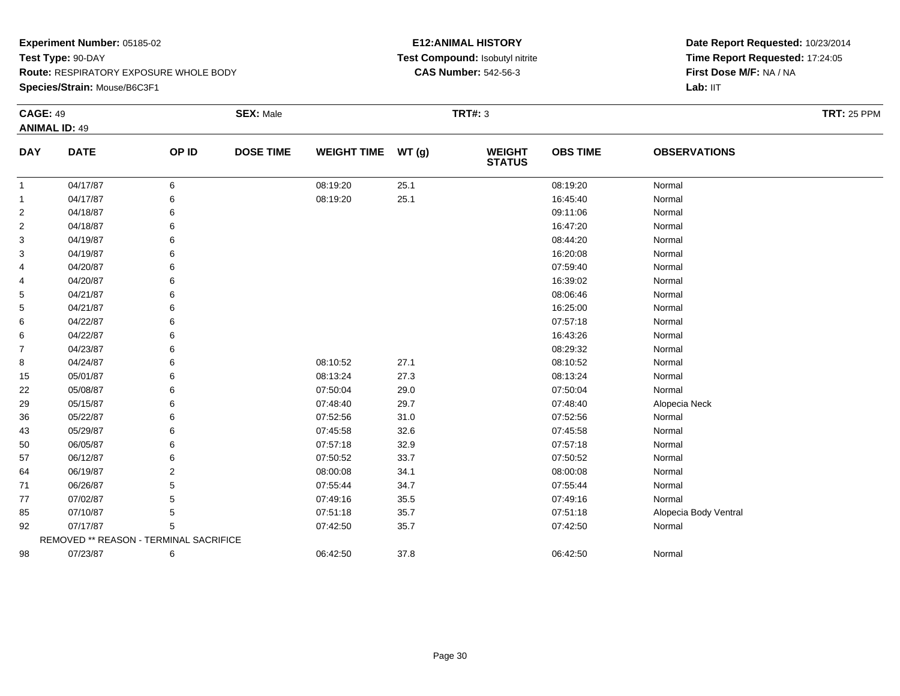#### **Species/Strain:** Mouse/B6C3F1

#### **E12:ANIMAL HISTORY Test Compound:** Isobutyl nitrite**CAS Number:** 542-56-3

| <b>CAGE: 49</b> | <b>ANIMAL ID: 49</b>                   |       | <b>SEX: Male</b> |                    |        | <b>TRT#: 3</b>                 |                 |                       | <b>TRT: 25 PPM</b> |
|-----------------|----------------------------------------|-------|------------------|--------------------|--------|--------------------------------|-----------------|-----------------------|--------------------|
| <b>DAY</b>      | <b>DATE</b>                            | OP ID | <b>DOSE TIME</b> | <b>WEIGHT TIME</b> | WT (g) | <b>WEIGHT</b><br><b>STATUS</b> | <b>OBS TIME</b> | <b>OBSERVATIONS</b>   |                    |
| $\mathbf{1}$    | 04/17/87                               | 6     |                  | 08:19:20           | 25.1   |                                | 08:19:20        | Normal                |                    |
| $\mathbf{1}$    | 04/17/87                               | 6     |                  | 08:19:20           | 25.1   |                                | 16:45:40        | Normal                |                    |
| $\overline{2}$  | 04/18/87                               | 6     |                  |                    |        |                                | 09:11:06        | Normal                |                    |
| 2               | 04/18/87                               | 6     |                  |                    |        |                                | 16:47:20        | Normal                |                    |
| 3               | 04/19/87                               | 6     |                  |                    |        |                                | 08:44:20        | Normal                |                    |
| 3               | 04/19/87                               | 6     |                  |                    |        |                                | 16:20:08        | Normal                |                    |
| 4               | 04/20/87                               | 6     |                  |                    |        |                                | 07:59:40        | Normal                |                    |
| 4               | 04/20/87                               | 6     |                  |                    |        |                                | 16:39:02        | Normal                |                    |
| 5               | 04/21/87                               |       |                  |                    |        |                                | 08:06:46        | Normal                |                    |
| 5               | 04/21/87                               |       |                  |                    |        |                                | 16:25:00        | Normal                |                    |
| 6               | 04/22/87                               | 6     |                  |                    |        |                                | 07:57:18        | Normal                |                    |
| 6               | 04/22/87                               | 6     |                  |                    |        |                                | 16:43:26        | Normal                |                    |
| 7               | 04/23/87                               | 6     |                  |                    |        |                                | 08:29:32        | Normal                |                    |
| 8               | 04/24/87                               | 6     |                  | 08:10:52           | 27.1   |                                | 08:10:52        | Normal                |                    |
| 15              | 05/01/87                               | 6     |                  | 08:13:24           | 27.3   |                                | 08:13:24        | Normal                |                    |
| 22              | 05/08/87                               | 6     |                  | 07:50:04           | 29.0   |                                | 07:50:04        | Normal                |                    |
| 29              | 05/15/87                               | 6     |                  | 07:48:40           | 29.7   |                                | 07:48:40        | Alopecia Neck         |                    |
| 36              | 05/22/87                               | 6     |                  | 07:52:56           | 31.0   |                                | 07:52:56        | Normal                |                    |
| 43              | 05/29/87                               | 6     |                  | 07:45:58           | 32.6   |                                | 07:45:58        | Normal                |                    |
| 50              | 06/05/87                               | 6     |                  | 07:57:18           | 32.9   |                                | 07:57:18        | Normal                |                    |
| 57              | 06/12/87                               | 6     |                  | 07:50:52           | 33.7   |                                | 07:50:52        | Normal                |                    |
| 64              | 06/19/87                               | 2     |                  | 08:00:08           | 34.1   |                                | 08:00:08        | Normal                |                    |
| 71              | 06/26/87                               | 5     |                  | 07:55:44           | 34.7   |                                | 07:55:44        | Normal                |                    |
| 77              | 07/02/87                               | 5     |                  | 07:49:16           | 35.5   |                                | 07:49:16        | Normal                |                    |
| 85              | 07/10/87                               | 5     |                  | 07:51:18           | 35.7   |                                | 07:51:18        | Alopecia Body Ventral |                    |
| 92              | 07/17/87                               | 5     |                  | 07:42:50           | 35.7   |                                | 07:42:50        | Normal                |                    |
|                 | REMOVED ** REASON - TERMINAL SACRIFICE |       |                  |                    |        |                                |                 |                       |                    |
| 98              | 07/23/87                               | 6     |                  | 06:42:50           | 37.8   |                                | 06:42:50        | Normal                |                    |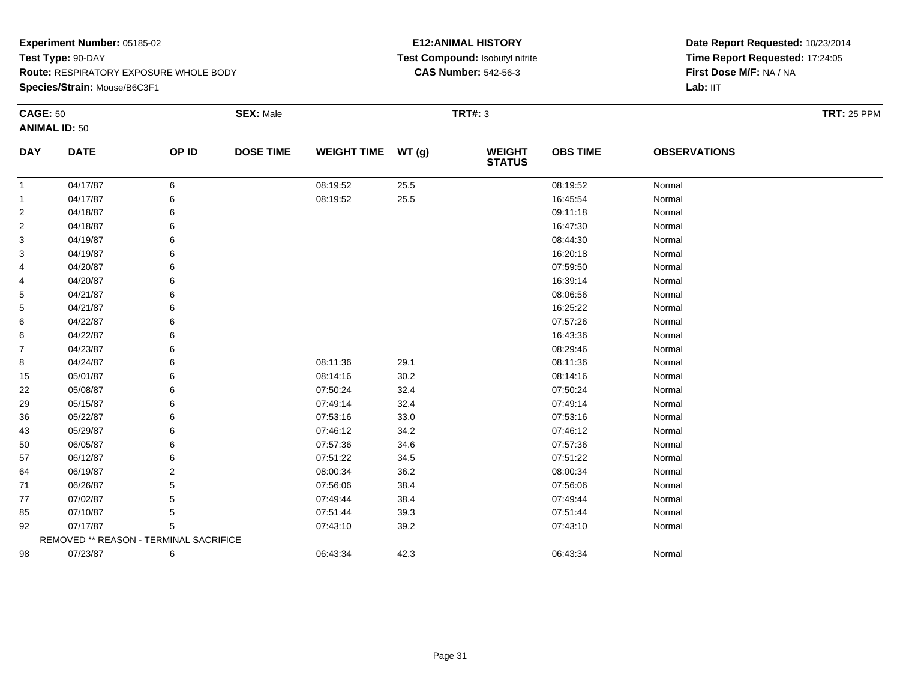**Species/Strain:** Mouse/B6C3F1

#### **E12:ANIMAL HISTORY Test Compound:** Isobutyl nitrite**CAS Number:** 542-56-3

| <b>CAGE: 50</b> |                                        |       | <b>SEX: Male</b> |                    |      | <b>TRT#: 3</b>                 |                 |                     | <b>TRT: 25 PPM</b> |
|-----------------|----------------------------------------|-------|------------------|--------------------|------|--------------------------------|-----------------|---------------------|--------------------|
|                 | <b>ANIMAL ID: 50</b>                   |       |                  |                    |      |                                |                 |                     |                    |
| <b>DAY</b>      | <b>DATE</b>                            | OP ID | <b>DOSE TIME</b> | WEIGHT TIME WT (g) |      | <b>WEIGHT</b><br><b>STATUS</b> | <b>OBS TIME</b> | <b>OBSERVATIONS</b> |                    |
| $\mathbf{1}$    | 04/17/87                               | 6     |                  | 08:19:52           | 25.5 |                                | 08:19:52        | Normal              |                    |
| $\mathbf{1}$    | 04/17/87                               | 6     |                  | 08:19:52           | 25.5 |                                | 16:45:54        | Normal              |                    |
| 2               | 04/18/87                               |       |                  |                    |      |                                | 09:11:18        | Normal              |                    |
| $\overline{2}$  | 04/18/87                               |       |                  |                    |      |                                | 16:47:30        | Normal              |                    |
| 3               | 04/19/87                               |       |                  |                    |      |                                | 08:44:30        | Normal              |                    |
| 3               | 04/19/87                               |       |                  |                    |      |                                | 16:20:18        | Normal              |                    |
| 4               | 04/20/87                               |       |                  |                    |      |                                | 07:59:50        | Normal              |                    |
| 4               | 04/20/87                               |       |                  |                    |      |                                | 16:39:14        | Normal              |                    |
| 5               | 04/21/87                               |       |                  |                    |      |                                | 08:06:56        | Normal              |                    |
| 5               | 04/21/87                               |       |                  |                    |      |                                | 16:25:22        | Normal              |                    |
| 6               | 04/22/87                               |       |                  |                    |      |                                | 07:57:26        | Normal              |                    |
| 6               | 04/22/87                               |       |                  |                    |      |                                | 16:43:36        | Normal              |                    |
| $\overline{7}$  | 04/23/87                               |       |                  |                    |      |                                | 08:29:46        | Normal              |                    |
| 8               | 04/24/87                               |       |                  | 08:11:36           | 29.1 |                                | 08:11:36        | Normal              |                    |
| 15              | 05/01/87                               |       |                  | 08:14:16           | 30.2 |                                | 08:14:16        | Normal              |                    |
| 22              | 05/08/87                               |       |                  | 07:50:24           | 32.4 |                                | 07:50:24        | Normal              |                    |
| 29              | 05/15/87                               |       |                  | 07:49:14           | 32.4 |                                | 07:49:14        | Normal              |                    |
| 36              | 05/22/87                               |       |                  | 07:53:16           | 33.0 |                                | 07:53:16        | Normal              |                    |
| 43              | 05/29/87                               |       |                  | 07:46:12           | 34.2 |                                | 07:46:12        | Normal              |                    |
| 50              | 06/05/87                               |       |                  | 07:57:36           | 34.6 |                                | 07:57:36        | Normal              |                    |
| 57              | 06/12/87                               |       |                  | 07:51:22           | 34.5 |                                | 07:51:22        | Normal              |                    |
| 64              | 06/19/87                               | 2     |                  | 08:00:34           | 36.2 |                                | 08:00:34        | Normal              |                    |
| 71              | 06/26/87                               |       |                  | 07:56:06           | 38.4 |                                | 07:56:06        | Normal              |                    |
| 77              | 07/02/87                               |       |                  | 07:49:44           | 38.4 |                                | 07:49:44        | Normal              |                    |
| 85              | 07/10/87                               | 5     |                  | 07:51:44           | 39.3 |                                | 07:51:44        | Normal              |                    |
| 92              | 07/17/87                               | 5     |                  | 07:43:10           | 39.2 |                                | 07:43:10        | Normal              |                    |
|                 | REMOVED ** REASON - TERMINAL SACRIFICE |       |                  |                    |      |                                |                 |                     |                    |
| 98              | 07/23/87                               | 6     |                  | 06:43:34           | 42.3 |                                | 06:43:34        | Normal              |                    |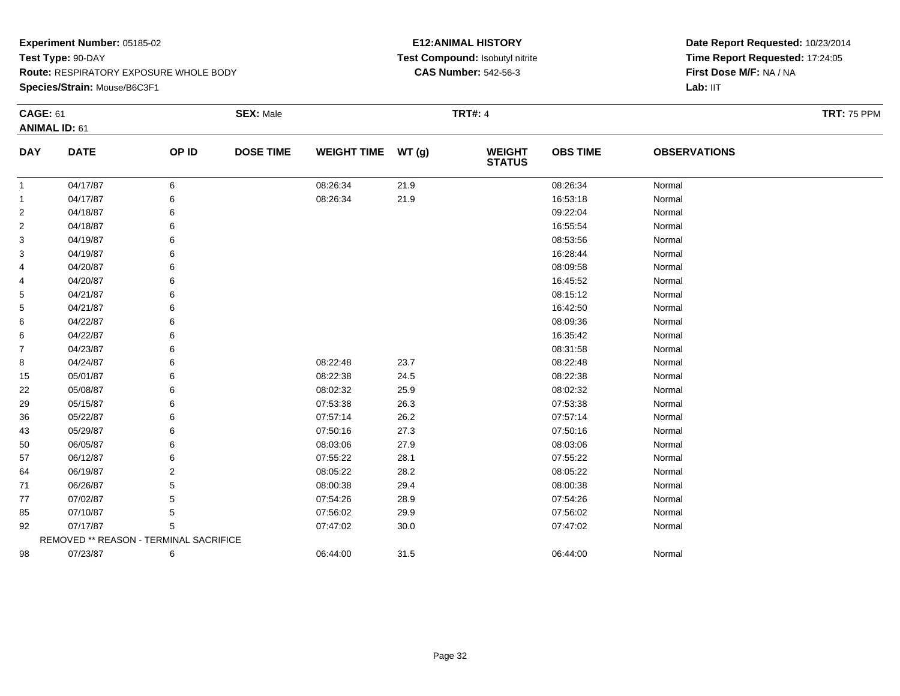**Species/Strain:** Mouse/B6C3F1

#### **E12:ANIMAL HISTORY Test Compound:** Isobutyl nitrite**CAS Number:** 542-56-3

| <b>CAGE: 61</b> |                                        |       | <b>SEX: Male</b> |                    |      | <b>TRT#: 4</b>                 |                 |                     | <b>TRT: 75 PPM</b> |
|-----------------|----------------------------------------|-------|------------------|--------------------|------|--------------------------------|-----------------|---------------------|--------------------|
|                 | <b>ANIMAL ID: 61</b>                   |       |                  |                    |      |                                |                 |                     |                    |
| <b>DAY</b>      | <b>DATE</b>                            | OP ID | <b>DOSE TIME</b> | WEIGHT TIME WT (g) |      | <b>WEIGHT</b><br><b>STATUS</b> | <b>OBS TIME</b> | <b>OBSERVATIONS</b> |                    |
| $\overline{1}$  | 04/17/87                               | 6     |                  | 08:26:34           | 21.9 |                                | 08:26:34        | Normal              |                    |
| $\mathbf{1}$    | 04/17/87                               | 6     |                  | 08:26:34           | 21.9 |                                | 16:53:18        | Normal              |                    |
| 2               | 04/18/87                               | 6     |                  |                    |      |                                | 09:22:04        | Normal              |                    |
| $\overline{c}$  | 04/18/87                               | 6     |                  |                    |      |                                | 16:55:54        | Normal              |                    |
| 3               | 04/19/87                               | 6     |                  |                    |      |                                | 08:53:56        | Normal              |                    |
| 3               | 04/19/87                               | 6     |                  |                    |      |                                | 16:28:44        | Normal              |                    |
| 4               | 04/20/87                               | 6     |                  |                    |      |                                | 08:09:58        | Normal              |                    |
| 4               | 04/20/87                               | 6     |                  |                    |      |                                | 16:45:52        | Normal              |                    |
| 5               | 04/21/87                               | 6     |                  |                    |      |                                | 08:15:12        | Normal              |                    |
| 5               | 04/21/87                               | 6     |                  |                    |      |                                | 16:42:50        | Normal              |                    |
| 6               | 04/22/87                               | 6     |                  |                    |      |                                | 08:09:36        | Normal              |                    |
| 6               | 04/22/87                               | 6     |                  |                    |      |                                | 16:35:42        | Normal              |                    |
| 7               | 04/23/87                               | 6     |                  |                    |      |                                | 08:31:58        | Normal              |                    |
| 8               | 04/24/87                               | 6     |                  | 08:22:48           | 23.7 |                                | 08:22:48        | Normal              |                    |
| 15              | 05/01/87                               | 6     |                  | 08:22:38           | 24.5 |                                | 08:22:38        | Normal              |                    |
| 22              | 05/08/87                               | 6     |                  | 08:02:32           | 25.9 |                                | 08:02:32        | Normal              |                    |
| 29              | 05/15/87                               | 6     |                  | 07:53:38           | 26.3 |                                | 07:53:38        | Normal              |                    |
| 36              | 05/22/87                               | 6     |                  | 07:57:14           | 26.2 |                                | 07:57:14        | Normal              |                    |
| 43              | 05/29/87                               | 6     |                  | 07:50:16           | 27.3 |                                | 07:50:16        | Normal              |                    |
| 50              | 06/05/87                               | 6     |                  | 08:03:06           | 27.9 |                                | 08:03:06        | Normal              |                    |
| 57              | 06/12/87                               | 6     |                  | 07:55:22           | 28.1 |                                | 07:55:22        | Normal              |                    |
| 64              | 06/19/87                               | 2     |                  | 08:05:22           | 28.2 |                                | 08:05:22        | Normal              |                    |
| 71              | 06/26/87                               | 5     |                  | 08:00:38           | 29.4 |                                | 08:00:38        | Normal              |                    |
| 77              | 07/02/87                               | 5     |                  | 07:54:26           | 28.9 |                                | 07:54:26        | Normal              |                    |
| 85              | 07/10/87                               | 5     |                  | 07:56:02           | 29.9 |                                | 07:56:02        | Normal              |                    |
| 92              | 07/17/87                               | 5     |                  | 07:47:02           | 30.0 |                                | 07:47:02        | Normal              |                    |
|                 | REMOVED ** REASON - TERMINAL SACRIFICE |       |                  |                    |      |                                |                 |                     |                    |
| 98              | 07/23/87                               | 6     |                  | 06:44:00           | 31.5 |                                | 06:44:00        | Normal              |                    |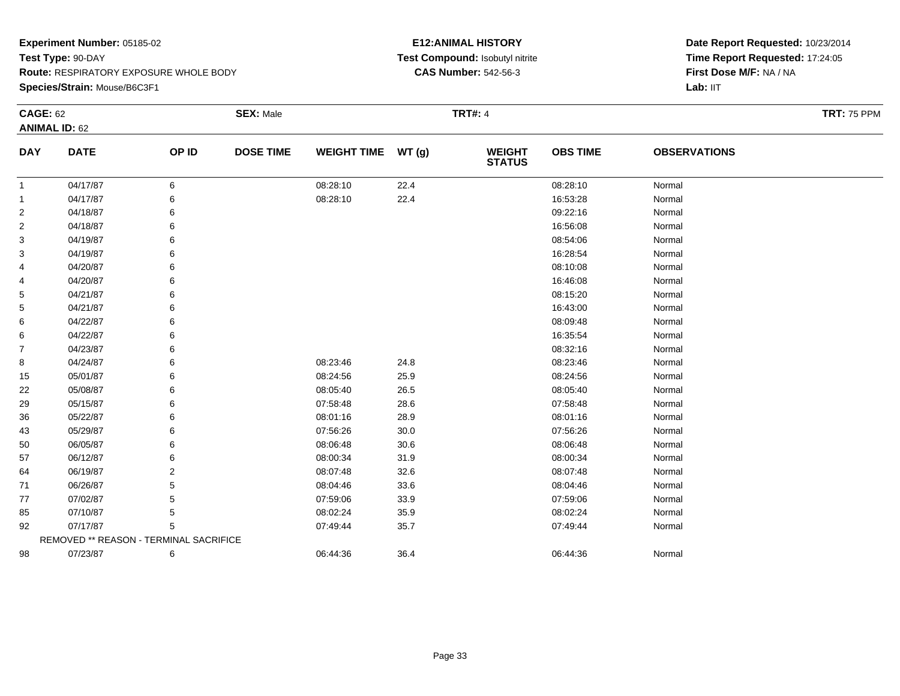**Species/Strain:** Mouse/B6C3F1

#### **E12:ANIMAL HISTORY Test Compound:** Isobutyl nitrite**CAS Number:** 542-56-3

| <b>CAGE: 62</b> |                                        |       | <b>SEX: Male</b> |                    |      | <b>TRT#: 4</b>                 |                 |                     | <b>TRT: 75 PPM</b> |
|-----------------|----------------------------------------|-------|------------------|--------------------|------|--------------------------------|-----------------|---------------------|--------------------|
|                 | <b>ANIMAL ID: 62</b>                   |       |                  |                    |      |                                |                 |                     |                    |
| <b>DAY</b>      | <b>DATE</b>                            | OP ID | <b>DOSE TIME</b> | WEIGHT TIME WT (g) |      | <b>WEIGHT</b><br><b>STATUS</b> | <b>OBS TIME</b> | <b>OBSERVATIONS</b> |                    |
| $\mathbf{1}$    | 04/17/87                               | 6     |                  | 08:28:10           | 22.4 |                                | 08:28:10        | Normal              |                    |
| $\mathbf{1}$    | 04/17/87                               | 6     |                  | 08:28:10           | 22.4 |                                | 16:53:28        | Normal              |                    |
| 2               | 04/18/87                               |       |                  |                    |      |                                | 09:22:16        | Normal              |                    |
| $\overline{2}$  | 04/18/87                               |       |                  |                    |      |                                | 16:56:08        | Normal              |                    |
| 3               | 04/19/87                               |       |                  |                    |      |                                | 08:54:06        | Normal              |                    |
| 3               | 04/19/87                               |       |                  |                    |      |                                | 16:28:54        | Normal              |                    |
| 4               | 04/20/87                               |       |                  |                    |      |                                | 08:10:08        | Normal              |                    |
| 4               | 04/20/87                               |       |                  |                    |      |                                | 16:46:08        | Normal              |                    |
| 5               | 04/21/87                               |       |                  |                    |      |                                | 08:15:20        | Normal              |                    |
| 5               | 04/21/87                               |       |                  |                    |      |                                | 16:43:00        | Normal              |                    |
| 6               | 04/22/87                               |       |                  |                    |      |                                | 08:09:48        | Normal              |                    |
| 6               | 04/22/87                               |       |                  |                    |      |                                | 16:35:54        | Normal              |                    |
| $\overline{7}$  | 04/23/87                               |       |                  |                    |      |                                | 08:32:16        | Normal              |                    |
| 8               | 04/24/87                               |       |                  | 08:23:46           | 24.8 |                                | 08:23:46        | Normal              |                    |
| 15              | 05/01/87                               |       |                  | 08:24:56           | 25.9 |                                | 08:24:56        | Normal              |                    |
| 22              | 05/08/87                               |       |                  | 08:05:40           | 26.5 |                                | 08:05:40        | Normal              |                    |
| 29              | 05/15/87                               |       |                  | 07:58:48           | 28.6 |                                | 07:58:48        | Normal              |                    |
| 36              | 05/22/87                               |       |                  | 08:01:16           | 28.9 |                                | 08:01:16        | Normal              |                    |
| 43              | 05/29/87                               |       |                  | 07:56:26           | 30.0 |                                | 07:56:26        | Normal              |                    |
| 50              | 06/05/87                               |       |                  | 08:06:48           | 30.6 |                                | 08:06:48        | Normal              |                    |
| 57              | 06/12/87                               |       |                  | 08:00:34           | 31.9 |                                | 08:00:34        | Normal              |                    |
| 64              | 06/19/87                               | 2     |                  | 08:07:48           | 32.6 |                                | 08:07:48        | Normal              |                    |
| 71              | 06/26/87                               |       |                  | 08:04:46           | 33.6 |                                | 08:04:46        | Normal              |                    |
| 77              | 07/02/87                               |       |                  | 07:59:06           | 33.9 |                                | 07:59:06        | Normal              |                    |
| 85              | 07/10/87                               | 5     |                  | 08:02:24           | 35.9 |                                | 08:02:24        | Normal              |                    |
| 92              | 07/17/87                               | 5     |                  | 07:49:44           | 35.7 |                                | 07:49:44        | Normal              |                    |
|                 | REMOVED ** REASON - TERMINAL SACRIFICE |       |                  |                    |      |                                |                 |                     |                    |
| 98              | 07/23/87                               | 6     |                  | 06:44:36           | 36.4 |                                | 06:44:36        | Normal              |                    |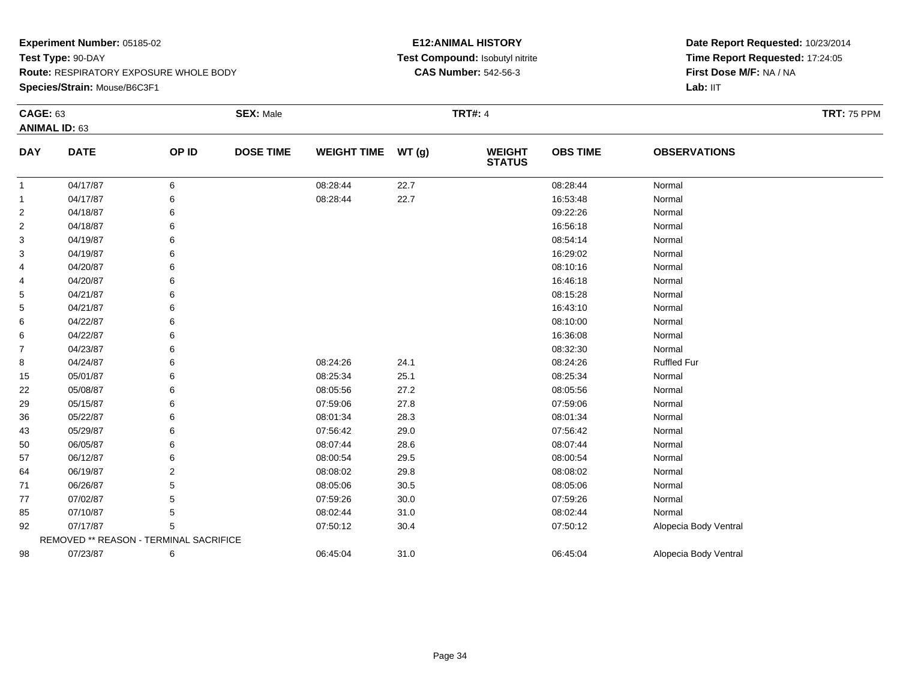**Species/Strain:** Mouse/B6C3F1

#### **E12:ANIMAL HISTORY Test Compound:** Isobutyl nitrite**CAS Number:** 542-56-3

| <b>CAGE: 63</b>  |                                        |       | <b>SEX: Male</b> |                    |          | <b>TRT#: 4</b>                 |                 |                       | <b>TRT: 75 PPM</b> |
|------------------|----------------------------------------|-------|------------------|--------------------|----------|--------------------------------|-----------------|-----------------------|--------------------|
|                  | <b>ANIMAL ID: 63</b>                   |       |                  |                    |          |                                |                 |                       |                    |
| <b>DAY</b>       | <b>DATE</b>                            | OP ID | <b>DOSE TIME</b> | <b>WEIGHT TIME</b> | WT(g)    | <b>WEIGHT</b><br><b>STATUS</b> | <b>OBS TIME</b> | <b>OBSERVATIONS</b>   |                    |
| -1               | 04/17/87                               | 6     |                  | 08:28:44           | 22.7     |                                | 08:28:44        | Normal                |                    |
| 1                | 04/17/87                               | 6     |                  | 08:28:44           | 22.7     |                                | 16:53:48        | Normal                |                    |
| $\overline{c}$   | 04/18/87                               | 6     |                  |                    |          |                                | 09:22:26        | Normal                |                    |
| $\boldsymbol{2}$ | 04/18/87                               | 6     |                  |                    |          |                                | 16:56:18        | Normal                |                    |
| 3                | 04/19/87                               | 6     |                  |                    |          |                                | 08:54:14        | Normal                |                    |
| 3                | 04/19/87                               | 6     |                  |                    |          |                                | 16:29:02        | Normal                |                    |
| 4                | 04/20/87                               | 6     |                  |                    |          |                                | 08:10:16        | Normal                |                    |
| 4                | 04/20/87                               |       |                  |                    |          |                                | 16:46:18        | Normal                |                    |
| 5                | 04/21/87                               |       |                  |                    |          |                                | 08:15:28        | Normal                |                    |
| 5                | 04/21/87                               | 6     |                  |                    |          |                                | 16:43:10        | Normal                |                    |
| 6                | 04/22/87                               | 6     |                  |                    |          |                                | 08:10:00        | Normal                |                    |
| 6                | 04/22/87                               |       |                  |                    |          |                                | 16:36:08        | Normal                |                    |
| 7                | 04/23/87                               | 6     |                  |                    |          |                                | 08:32:30        | Normal                |                    |
| 8                | 04/24/87                               | 6     |                  | 08:24:26           | 24.1     |                                | 08:24:26        | <b>Ruffled Fur</b>    |                    |
| 15               | 05/01/87                               | 6     |                  | 08:25:34           | 25.1     |                                | 08:25:34        | Normal                |                    |
| 22               | 05/08/87                               | 6     |                  | 08:05:56           | 27.2     |                                | 08:05:56        | Normal                |                    |
| 29               | 05/15/87                               | 6     |                  | 07:59:06           | 27.8     |                                | 07:59:06        | Normal                |                    |
| 36               | 05/22/87                               | 6     |                  | 08:01:34           | 28.3     |                                | 08:01:34        | Normal                |                    |
| 43               | 05/29/87                               | 6     |                  | 07:56:42           | 29.0     |                                | 07:56:42        | Normal                |                    |
| 50               | 06/05/87                               | 6     |                  | 08:07:44           | 28.6     |                                | 08:07:44        | Normal                |                    |
| 57               | 06/12/87                               | 6     |                  | 08:00:54           | 29.5     |                                | 08:00:54        | Normal                |                    |
| 64               | 06/19/87                               | 2     |                  | 08:08:02           | 29.8     |                                | 08:08:02        | Normal                |                    |
| 71               | 06/26/87                               | 5     |                  | 08:05:06           | $30.5\,$ |                                | 08:05:06        | Normal                |                    |
| 77               | 07/02/87                               | 5     |                  | 07:59:26           | 30.0     |                                | 07:59:26        | Normal                |                    |
| 85               | 07/10/87                               | 5     |                  | 08:02:44           | 31.0     |                                | 08:02:44        | Normal                |                    |
| 92               | 07/17/87                               | 5     |                  | 07:50:12           | 30.4     |                                | 07:50:12        | Alopecia Body Ventral |                    |
|                  | REMOVED ** REASON - TERMINAL SACRIFICE |       |                  |                    |          |                                |                 |                       |                    |
| 98               | 07/23/87                               | 6     |                  | 06:45:04           | 31.0     |                                | 06:45:04        | Alopecia Body Ventral |                    |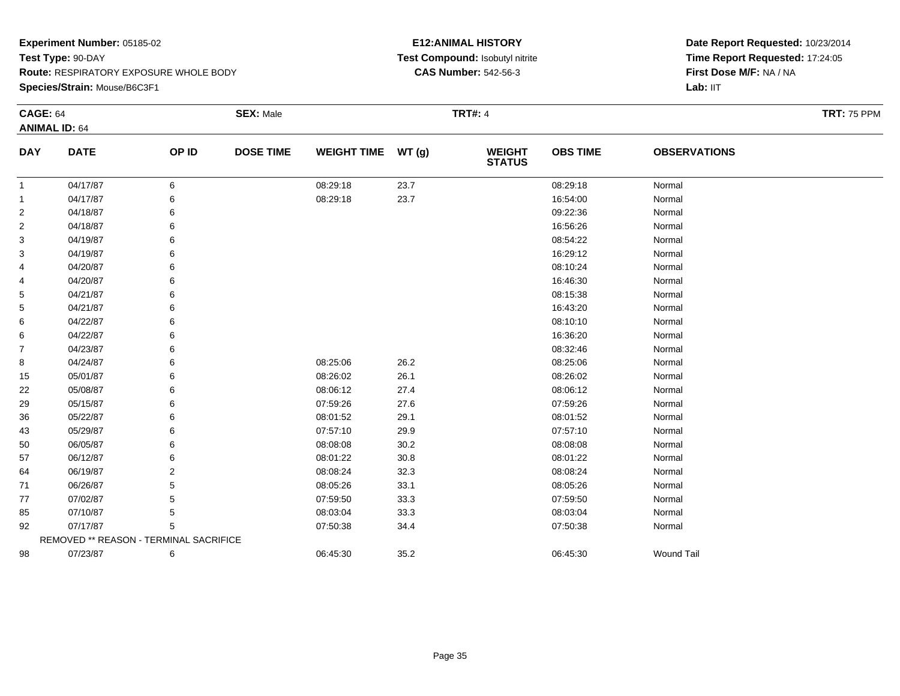**Species/Strain:** Mouse/B6C3F1

#### **E12:ANIMAL HISTORY Test Compound:** Isobutyl nitrite**CAS Number:** 542-56-3

| <b>CAGE: 64</b> |                                        |       | <b>SEX: Male</b> |                    |       | <b>TRT#: 4</b>                 |                 |                     | <b>TRT: 75 PPM</b> |
|-----------------|----------------------------------------|-------|------------------|--------------------|-------|--------------------------------|-----------------|---------------------|--------------------|
|                 | <b>ANIMAL ID: 64</b>                   |       |                  |                    |       |                                |                 |                     |                    |
| <b>DAY</b>      | <b>DATE</b>                            | OP ID | <b>DOSE TIME</b> | <b>WEIGHT TIME</b> | WT(g) | <b>WEIGHT</b><br><b>STATUS</b> | <b>OBS TIME</b> | <b>OBSERVATIONS</b> |                    |
| $\mathbf{1}$    | 04/17/87                               | 6     |                  | 08:29:18           | 23.7  |                                | 08:29:18        | Normal              |                    |
| $\mathbf{1}$    | 04/17/87                               |       |                  | 08:29:18           | 23.7  |                                | 16:54:00        | Normal              |                    |
| $\overline{2}$  | 04/18/87                               |       |                  |                    |       |                                | 09:22:36        | Normal              |                    |
| $\overline{2}$  | 04/18/87                               |       |                  |                    |       |                                | 16:56:26        | Normal              |                    |
| 3               | 04/19/87                               |       |                  |                    |       |                                | 08:54:22        | Normal              |                    |
| 3               | 04/19/87                               |       |                  |                    |       |                                | 16:29:12        | Normal              |                    |
| 4               | 04/20/87                               |       |                  |                    |       |                                | 08:10:24        | Normal              |                    |
| 4               | 04/20/87                               |       |                  |                    |       |                                | 16:46:30        | Normal              |                    |
| 5               | 04/21/87                               |       |                  |                    |       |                                | 08:15:38        | Normal              |                    |
| 5               | 04/21/87                               |       |                  |                    |       |                                | 16:43:20        | Normal              |                    |
| 6               | 04/22/87                               |       |                  |                    |       |                                | 08:10:10        | Normal              |                    |
| 6               | 04/22/87                               |       |                  |                    |       |                                | 16:36:20        | Normal              |                    |
| $\overline{7}$  | 04/23/87                               |       |                  |                    |       |                                | 08:32:46        | Normal              |                    |
| 8               | 04/24/87                               |       |                  | 08:25:06           | 26.2  |                                | 08:25:06        | Normal              |                    |
| 15              | 05/01/87                               |       |                  | 08:26:02           | 26.1  |                                | 08:26:02        | Normal              |                    |
| 22              | 05/08/87                               |       |                  | 08:06:12           | 27.4  |                                | 08:06:12        | Normal              |                    |
| 29              | 05/15/87                               |       |                  | 07:59:26           | 27.6  |                                | 07:59:26        | Normal              |                    |
| 36              | 05/22/87                               |       |                  | 08:01:52           | 29.1  |                                | 08:01:52        | Normal              |                    |
| 43              | 05/29/87                               | 6     |                  | 07:57:10           | 29.9  |                                | 07:57:10        | Normal              |                    |
| 50              | 06/05/87                               |       |                  | 08:08:08           | 30.2  |                                | 08:08:08        | Normal              |                    |
| 57              | 06/12/87                               |       |                  | 08:01:22           | 30.8  |                                | 08:01:22        | Normal              |                    |
| 64              | 06/19/87                               | 2     |                  | 08:08:24           | 32.3  |                                | 08:08:24        | Normal              |                    |
| 71              | 06/26/87                               |       |                  | 08:05:26           | 33.1  |                                | 08:05:26        | Normal              |                    |
| 77              | 07/02/87                               |       |                  | 07:59:50           | 33.3  |                                | 07:59:50        | Normal              |                    |
| 85              | 07/10/87                               | 5     |                  | 08:03:04           | 33.3  |                                | 08:03:04        | Normal              |                    |
| 92              | 07/17/87                               |       |                  | 07:50:38           | 34.4  |                                | 07:50:38        | Normal              |                    |
|                 | REMOVED ** REASON - TERMINAL SACRIFICE |       |                  |                    |       |                                |                 |                     |                    |
| 98              | 07/23/87                               | 6     |                  | 06:45:30           | 35.2  |                                | 06:45:30        | <b>Wound Tail</b>   |                    |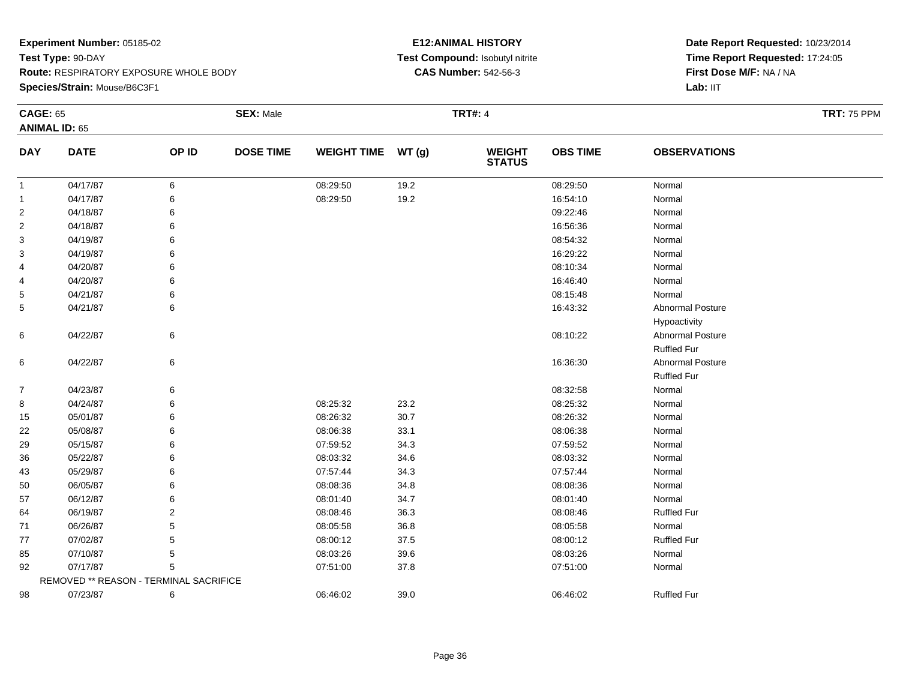#### **Species/Strain:** Mouse/B6C3F1

#### **E12:ANIMAL HISTORY Test Compound:** Isobutyl nitrite**CAS Number:** 542-56-3

| <b>CAGE: 65</b>      |                                        |       | <b>SEX: Male</b> |                    | <b>TRT#: 4</b> |                                |                 |                     | <b>TRT: 75 PPM</b> |
|----------------------|----------------------------------------|-------|------------------|--------------------|----------------|--------------------------------|-----------------|---------------------|--------------------|
| <b>ANIMAL ID: 65</b> |                                        |       |                  |                    |                |                                |                 |                     |                    |
| <b>DAY</b>           | <b>DATE</b>                            | OP ID | <b>DOSE TIME</b> | <b>WEIGHT TIME</b> | WT(g)          | <b>WEIGHT</b><br><b>STATUS</b> | <b>OBS TIME</b> | <b>OBSERVATIONS</b> |                    |
| $\mathbf{1}$         | 04/17/87                               | 6     |                  | 08:29:50           | 19.2           |                                | 08:29:50        | Normal              |                    |
| 1                    | 04/17/87                               | 6     |                  | 08:29:50           | 19.2           |                                | 16:54:10        | Normal              |                    |
| $\overline{2}$       | 04/18/87                               |       |                  |                    |                |                                | 09:22:46        | Normal              |                    |
| $\overline{2}$       | 04/18/87                               | 6     |                  |                    |                |                                | 16:56:36        | Normal              |                    |
| 3                    | 04/19/87                               | 6     |                  |                    |                |                                | 08:54:32        | Normal              |                    |
| 3                    | 04/19/87                               | 6     |                  |                    |                |                                | 16:29:22        | Normal              |                    |
| 4                    | 04/20/87                               | 6     |                  |                    |                |                                | 08:10:34        | Normal              |                    |
| 4                    | 04/20/87                               | 6     |                  |                    |                |                                | 16:46:40        | Normal              |                    |
| 5                    | 04/21/87                               | 6     |                  |                    |                |                                | 08:15:48        | Normal              |                    |
| 5                    | 04/21/87                               | 6     |                  |                    |                |                                | 16:43:32        | Abnormal Posture    |                    |
|                      |                                        |       |                  |                    |                |                                |                 | Hypoactivity        |                    |
| 6                    | 04/22/87                               | 6     |                  |                    |                |                                | 08:10:22        | Abnormal Posture    |                    |
|                      |                                        |       |                  |                    |                |                                |                 | <b>Ruffled Fur</b>  |                    |
| 6                    | 04/22/87                               | 6     |                  |                    |                |                                | 16:36:30        | Abnormal Posture    |                    |
|                      |                                        |       |                  |                    |                |                                |                 | <b>Ruffled Fur</b>  |                    |
| $\overline{7}$       | 04/23/87                               | 6     |                  |                    |                |                                | 08:32:58        | Normal              |                    |
| 8                    | 04/24/87                               | 6     |                  | 08:25:32           | 23.2           |                                | 08:25:32        | Normal              |                    |
| 15                   | 05/01/87                               | 6     |                  | 08:26:32           | 30.7           |                                | 08:26:32        | Normal              |                    |
| 22                   | 05/08/87                               | 6     |                  | 08:06:38           | 33.1           |                                | 08:06:38        | Normal              |                    |
| 29                   | 05/15/87                               | 6     |                  | 07:59:52           | 34.3           |                                | 07:59:52        | Normal              |                    |
| 36                   | 05/22/87                               | 6     |                  | 08:03:32           | 34.6           |                                | 08:03:32        | Normal              |                    |
| 43                   | 05/29/87                               |       |                  | 07:57:44           | 34.3           |                                | 07:57:44        | Normal              |                    |
| 50                   | 06/05/87                               |       |                  | 08:08:36           | 34.8           |                                | 08:08:36        | Normal              |                    |
| 57                   | 06/12/87                               | 6     |                  | 08:01:40           | 34.7           |                                | 08:01:40        | Normal              |                    |
| 64                   | 06/19/87                               | 2     |                  | 08:08:46           | 36.3           |                                | 08:08:46        | <b>Ruffled Fur</b>  |                    |
| 71                   | 06/26/87                               | 5     |                  | 08:05:58           | 36.8           |                                | 08:05:58        | Normal              |                    |
| 77                   | 07/02/87                               | 5     |                  | 08:00:12           | 37.5           |                                | 08:00:12        | <b>Ruffled Fur</b>  |                    |
| 85                   | 07/10/87                               | 5     |                  | 08:03:26           | 39.6           |                                | 08:03:26        | Normal              |                    |
| 92                   | 07/17/87                               | 5     |                  | 07:51:00           | 37.8           |                                | 07:51:00        | Normal              |                    |
|                      | REMOVED ** REASON - TERMINAL SACRIFICE |       |                  |                    |                |                                |                 |                     |                    |
| 98                   | 07/23/87                               | 6     |                  | 06:46:02           | 39.0           |                                | 06:46:02        | <b>Ruffled Fur</b>  |                    |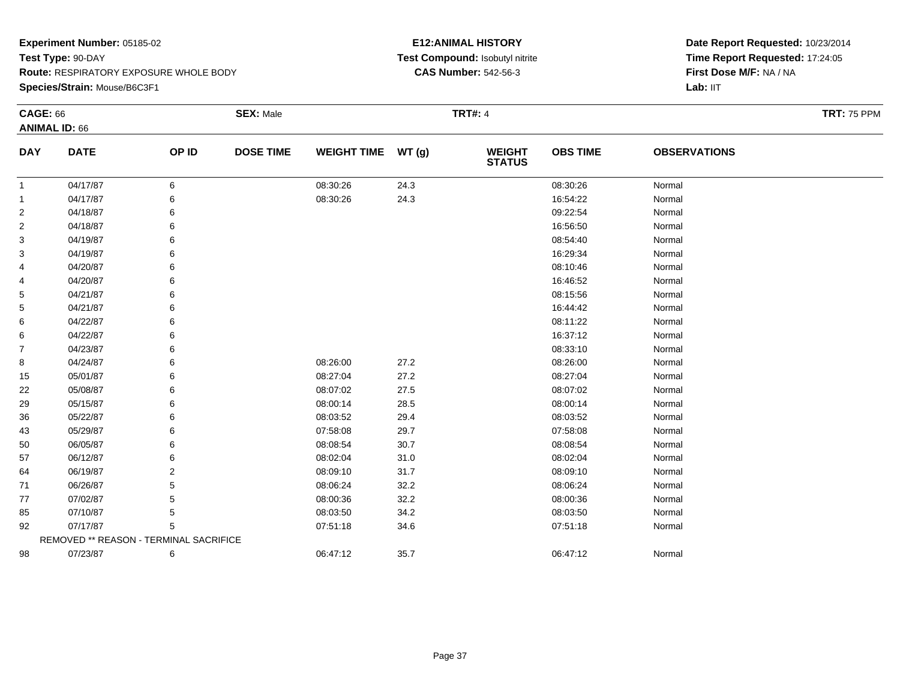#### **Species/Strain:** Mouse/B6C3F1

## **E12:ANIMAL HISTORY Test Compound:** Isobutyl nitrite**CAS Number:** 542-56-3

| <b>CAGE: 66</b> |                                        |       | <b>SEX: Male</b> |                    |      | <b>TRT#: 4</b>                 |                 |                     | <b>TRT: 75 PPM</b> |
|-----------------|----------------------------------------|-------|------------------|--------------------|------|--------------------------------|-----------------|---------------------|--------------------|
|                 | <b>ANIMAL ID: 66</b>                   |       |                  |                    |      |                                |                 |                     |                    |
| <b>DAY</b>      | <b>DATE</b>                            | OP ID | <b>DOSE TIME</b> | WEIGHT TIME WT (g) |      | <b>WEIGHT</b><br><b>STATUS</b> | <b>OBS TIME</b> | <b>OBSERVATIONS</b> |                    |
| -1              | 04/17/87                               | 6     |                  | 08:30:26           | 24.3 |                                | 08:30:26        | Normal              |                    |
| -1              | 04/17/87                               | 6     |                  | 08:30:26           | 24.3 |                                | 16:54:22        | Normal              |                    |
| 2               | 04/18/87                               | 6     |                  |                    |      |                                | 09:22:54        | Normal              |                    |
| 2               | 04/18/87                               | 6     |                  |                    |      |                                | 16:56:50        | Normal              |                    |
| 3               | 04/19/87                               |       |                  |                    |      |                                | 08:54:40        | Normal              |                    |
| 3               | 04/19/87                               | 6     |                  |                    |      |                                | 16:29:34        | Normal              |                    |
| 4               | 04/20/87                               | 6     |                  |                    |      |                                | 08:10:46        | Normal              |                    |
| 4               | 04/20/87                               | 6     |                  |                    |      |                                | 16:46:52        | Normal              |                    |
| 5               | 04/21/87                               |       |                  |                    |      |                                | 08:15:56        | Normal              |                    |
| 5               | 04/21/87                               |       |                  |                    |      |                                | 16:44:42        | Normal              |                    |
| 6               | 04/22/87                               |       |                  |                    |      |                                | 08:11:22        | Normal              |                    |
| 6               | 04/22/87                               | 6     |                  |                    |      |                                | 16:37:12        | Normal              |                    |
| 7               | 04/23/87                               |       |                  |                    |      |                                | 08:33:10        | Normal              |                    |
| 8               | 04/24/87                               | 6     |                  | 08:26:00           | 27.2 |                                | 08:26:00        | Normal              |                    |
| 15              | 05/01/87                               | 6     |                  | 08:27:04           | 27.2 |                                | 08:27:04        | Normal              |                    |
| 22              | 05/08/87                               | 6     |                  | 08:07:02           | 27.5 |                                | 08:07:02        | Normal              |                    |
| 29              | 05/15/87                               |       |                  | 08:00:14           | 28.5 |                                | 08:00:14        | Normal              |                    |
| 36              | 05/22/87                               |       |                  | 08:03:52           | 29.4 |                                | 08:03:52        | Normal              |                    |
| 43              | 05/29/87                               |       |                  | 07:58:08           | 29.7 |                                | 07:58:08        | Normal              |                    |
| 50              | 06/05/87                               | 6     |                  | 08:08:54           | 30.7 |                                | 08:08:54        | Normal              |                    |
| 57              | 06/12/87                               |       |                  | 08:02:04           | 31.0 |                                | 08:02:04        | Normal              |                    |
| 64              | 06/19/87                               | 2     |                  | 08:09:10           | 31.7 |                                | 08:09:10        | Normal              |                    |
| 71              | 06/26/87                               |       |                  | 08:06:24           | 32.2 |                                | 08:06:24        | Normal              |                    |
| 77              | 07/02/87                               | 5     |                  | 08:00:36           | 32.2 |                                | 08:00:36        | Normal              |                    |
| 85              | 07/10/87                               | 5     |                  | 08:03:50           | 34.2 |                                | 08:03:50        | Normal              |                    |
| 92              | 07/17/87                               | 5     |                  | 07:51:18           | 34.6 |                                | 07:51:18        | Normal              |                    |
|                 | REMOVED ** REASON - TERMINAL SACRIFICE |       |                  |                    |      |                                |                 |                     |                    |
| 98              | 07/23/87                               | 6     |                  | 06:47:12           | 35.7 |                                | 06:47:12        | Normal              |                    |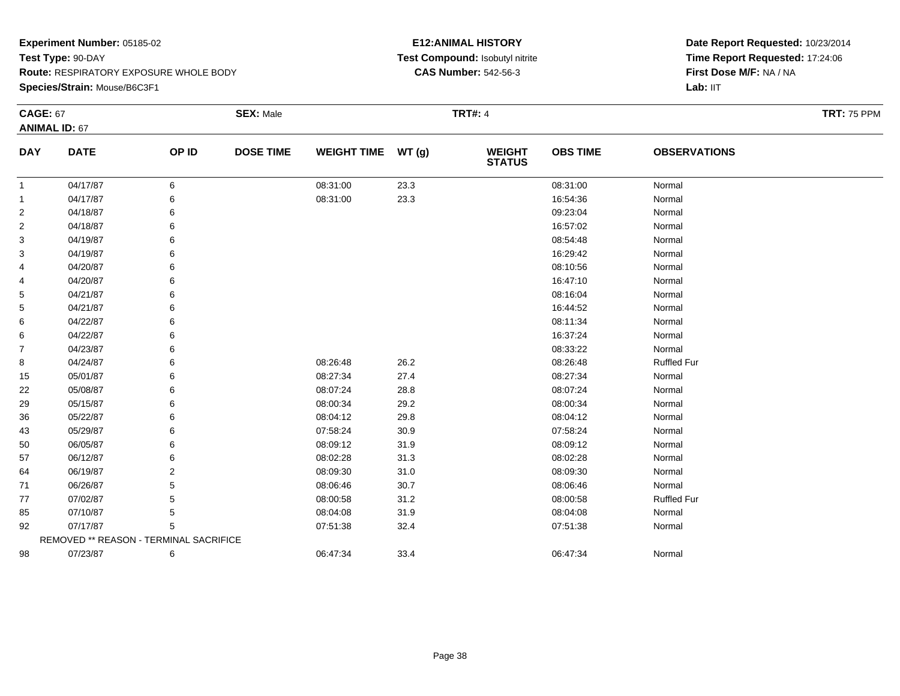**Species/Strain:** Mouse/B6C3F1

## **E12:ANIMAL HISTORY Test Compound:** Isobutyl nitrite**CAS Number:** 542-56-3

| <b>CAGE: 67</b> |                                        |                | <b>SEX: Male</b> |                    |       | <b>TRT#: 4</b>                 |                 |                     | <b>TRT: 75 PPM</b> |
|-----------------|----------------------------------------|----------------|------------------|--------------------|-------|--------------------------------|-----------------|---------------------|--------------------|
|                 | <b>ANIMAL ID: 67</b>                   |                |                  |                    |       |                                |                 |                     |                    |
| <b>DAY</b>      | <b>DATE</b>                            | OP ID          | <b>DOSE TIME</b> | <b>WEIGHT TIME</b> | WT(g) | <b>WEIGHT</b><br><b>STATUS</b> | <b>OBS TIME</b> | <b>OBSERVATIONS</b> |                    |
| $\mathbf{1}$    | 04/17/87                               | 6              |                  | 08:31:00           | 23.3  |                                | 08:31:00        | Normal              |                    |
| 1               | 04/17/87                               |                |                  | 08:31:00           | 23.3  |                                | 16:54:36        | Normal              |                    |
| 2               | 04/18/87                               |                |                  |                    |       |                                | 09:23:04        | Normal              |                    |
| 2               | 04/18/87                               | 6              |                  |                    |       |                                | 16:57:02        | Normal              |                    |
| 3               | 04/19/87                               |                |                  |                    |       |                                | 08:54:48        | Normal              |                    |
| 3               | 04/19/87                               |                |                  |                    |       |                                | 16:29:42        | Normal              |                    |
| 4               | 04/20/87                               |                |                  |                    |       |                                | 08:10:56        | Normal              |                    |
| 4               | 04/20/87                               |                |                  |                    |       |                                | 16:47:10        | Normal              |                    |
| 5               | 04/21/87                               |                |                  |                    |       |                                | 08:16:04        | Normal              |                    |
| 5               | 04/21/87                               |                |                  |                    |       |                                | 16:44:52        | Normal              |                    |
| 6               | 04/22/87                               |                |                  |                    |       |                                | 08:11:34        | Normal              |                    |
| 6               | 04/22/87                               |                |                  |                    |       |                                | 16:37:24        | Normal              |                    |
| 7               | 04/23/87                               |                |                  |                    |       |                                | 08:33:22        | Normal              |                    |
| 8               | 04/24/87                               |                |                  | 08:26:48           | 26.2  |                                | 08:26:48        | <b>Ruffled Fur</b>  |                    |
| 15              | 05/01/87                               | 6              |                  | 08:27:34           | 27.4  |                                | 08:27:34        | Normal              |                    |
| 22              | 05/08/87                               |                |                  | 08:07:24           | 28.8  |                                | 08:07:24        | Normal              |                    |
| 29              | 05/15/87                               |                |                  | 08:00:34           | 29.2  |                                | 08:00:34        | Normal              |                    |
| 36              | 05/22/87                               |                |                  | 08:04:12           | 29.8  |                                | 08:04:12        | Normal              |                    |
| 43              | 05/29/87                               |                |                  | 07:58:24           | 30.9  |                                | 07:58:24        | Normal              |                    |
| 50              | 06/05/87                               | 6              |                  | 08:09:12           | 31.9  |                                | 08:09:12        | Normal              |                    |
| 57              | 06/12/87                               |                |                  | 08:02:28           | 31.3  |                                | 08:02:28        | Normal              |                    |
| 64              | 06/19/87                               | $\overline{2}$ |                  | 08:09:30           | 31.0  |                                | 08:09:30        | Normal              |                    |
| 71              | 06/26/87                               | 5              |                  | 08:06:46           | 30.7  |                                | 08:06:46        | Normal              |                    |
| 77              | 07/02/87                               | 5              |                  | 08:00:58           | 31.2  |                                | 08:00:58        | <b>Ruffled Fur</b>  |                    |
| 85              | 07/10/87                               | 5              |                  | 08:04:08           | 31.9  |                                | 08:04:08        | Normal              |                    |
| 92              | 07/17/87                               | 5              |                  | 07:51:38           | 32.4  |                                | 07:51:38        | Normal              |                    |
|                 | REMOVED ** REASON - TERMINAL SACRIFICE |                |                  |                    |       |                                |                 |                     |                    |
| 98              | 07/23/87                               | 6              |                  | 06:47:34           | 33.4  |                                | 06:47:34        | Normal              |                    |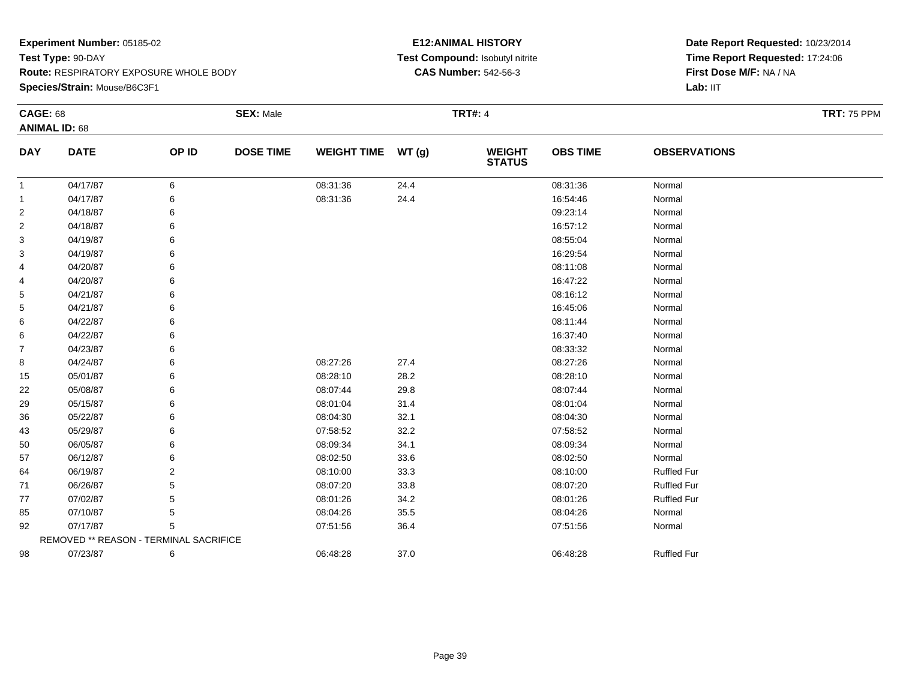**Species/Strain:** Mouse/B6C3F1

## **E12:ANIMAL HISTORY Test Compound:** Isobutyl nitrite**CAS Number:** 542-56-3

| <b>CAGE: 68</b> | <b>ANIMAL ID: 68</b>                   |       | <b>SEX: Male</b> |                    |       | <b>TRT#: 4</b>                 |                 |                     | <b>TRT: 75 PPM</b> |
|-----------------|----------------------------------------|-------|------------------|--------------------|-------|--------------------------------|-----------------|---------------------|--------------------|
| <b>DAY</b>      | <b>DATE</b>                            | OP ID | <b>DOSE TIME</b> | <b>WEIGHT TIME</b> | WT(g) | <b>WEIGHT</b><br><b>STATUS</b> | <b>OBS TIME</b> | <b>OBSERVATIONS</b> |                    |
| $\mathbf{1}$    | 04/17/87                               | 6     |                  | 08:31:36           | 24.4  |                                | 08:31:36        | Normal              |                    |
| -1              | 04/17/87                               | 6     |                  | 08:31:36           | 24.4  |                                | 16:54:46        | Normal              |                    |
| $\overline{2}$  | 04/18/87                               | 6     |                  |                    |       |                                | 09:23:14        | Normal              |                    |
| $\overline{2}$  | 04/18/87                               | 6     |                  |                    |       |                                | 16:57:12        | Normal              |                    |
| 3               | 04/19/87                               | 6     |                  |                    |       |                                | 08:55:04        | Normal              |                    |
| 3               | 04/19/87                               |       |                  |                    |       |                                | 16:29:54        | Normal              |                    |
| 4               | 04/20/87                               | 6     |                  |                    |       |                                | 08:11:08        | Normal              |                    |
| 4               | 04/20/87                               | 6     |                  |                    |       |                                | 16:47:22        | Normal              |                    |
| 5               | 04/21/87                               |       |                  |                    |       |                                | 08:16:12        | Normal              |                    |
| 5               | 04/21/87                               |       |                  |                    |       |                                | 16:45:06        | Normal              |                    |
| 6               | 04/22/87                               |       |                  |                    |       |                                | 08:11:44        | Normal              |                    |
| 6               | 04/22/87                               | 6     |                  |                    |       |                                | 16:37:40        | Normal              |                    |
| $\overline{7}$  | 04/23/87                               |       |                  |                    |       |                                | 08:33:32        | Normal              |                    |
| 8               | 04/24/87                               |       |                  | 08:27:26           | 27.4  |                                | 08:27:26        | Normal              |                    |
| 15              | 05/01/87                               |       |                  | 08:28:10           | 28.2  |                                | 08:28:10        | Normal              |                    |
| 22              | 05/08/87                               | 6     |                  | 08:07:44           | 29.8  |                                | 08:07:44        | Normal              |                    |
| 29              | 05/15/87                               | 6     |                  | 08:01:04           | 31.4  |                                | 08:01:04        | Normal              |                    |
| 36              | 05/22/87                               |       |                  | 08:04:30           | 32.1  |                                | 08:04:30        | Normal              |                    |
| 43              | 05/29/87                               |       |                  | 07:58:52           | 32.2  |                                | 07:58:52        | Normal              |                    |
| 50              | 06/05/87                               | 6     |                  | 08:09:34           | 34.1  |                                | 08:09:34        | Normal              |                    |
| 57              | 06/12/87                               |       |                  | 08:02:50           | 33.6  |                                | 08:02:50        | Normal              |                    |
| 64              | 06/19/87                               |       |                  | 08:10:00           | 33.3  |                                | 08:10:00        | <b>Ruffled Fur</b>  |                    |
| 71              | 06/26/87                               |       |                  | 08:07:20           | 33.8  |                                | 08:07:20        | <b>Ruffled Fur</b>  |                    |
| 77              | 07/02/87                               | 5     |                  | 08:01:26           | 34.2  |                                | 08:01:26        | <b>Ruffled Fur</b>  |                    |
| 85              | 07/10/87                               | 5     |                  | 08:04:26           | 35.5  |                                | 08:04:26        | Normal              |                    |
| 92              | 07/17/87                               | 5     |                  | 07:51:56           | 36.4  |                                | 07:51:56        | Normal              |                    |
|                 | REMOVED ** REASON - TERMINAL SACRIFICE |       |                  |                    |       |                                |                 |                     |                    |
| 98              | 07/23/87                               | 6     |                  | 06:48:28           | 37.0  |                                | 06:48:28        | <b>Ruffled Fur</b>  |                    |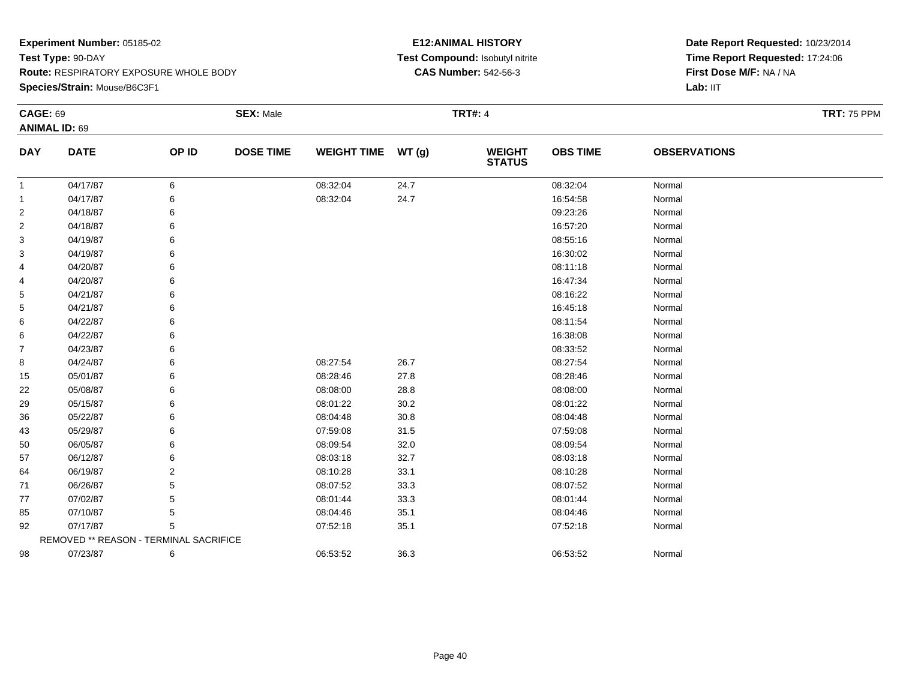**Species/Strain:** Mouse/B6C3F1

## **E12:ANIMAL HISTORY Test Compound:** Isobutyl nitrite**CAS Number:** 542-56-3

| <b>CAGE: 69</b> |                                        |       | <b>SEX: Male</b> |                    |      | <b>TRT#: 4</b>                 |                 |                     | <b>TRT: 75 PPM</b> |
|-----------------|----------------------------------------|-------|------------------|--------------------|------|--------------------------------|-----------------|---------------------|--------------------|
|                 | <b>ANIMAL ID: 69</b>                   |       |                  |                    |      |                                |                 |                     |                    |
| <b>DAY</b>      | <b>DATE</b>                            | OP ID | <b>DOSE TIME</b> | WEIGHT TIME WT (g) |      | <b>WEIGHT</b><br><b>STATUS</b> | <b>OBS TIME</b> | <b>OBSERVATIONS</b> |                    |
| -1              | 04/17/87                               | 6     |                  | 08:32:04           | 24.7 |                                | 08:32:04        | Normal              |                    |
| -1              | 04/17/87                               | 6     |                  | 08:32:04           | 24.7 |                                | 16:54:58        | Normal              |                    |
| $\overline{2}$  | 04/18/87                               | 6     |                  |                    |      |                                | 09:23:26        | Normal              |                    |
| 2               | 04/18/87                               | 6     |                  |                    |      |                                | 16:57:20        | Normal              |                    |
| 3               | 04/19/87                               | 6     |                  |                    |      |                                | 08:55:16        | Normal              |                    |
| 3               | 04/19/87                               | 6     |                  |                    |      |                                | 16:30:02        | Normal              |                    |
| 4               | 04/20/87                               |       |                  |                    |      |                                | 08:11:18        | Normal              |                    |
| 4               | 04/20/87                               | 6     |                  |                    |      |                                | 16:47:34        | Normal              |                    |
| 5               | 04/21/87                               |       |                  |                    |      |                                | 08:16:22        | Normal              |                    |
| 5               | 04/21/87                               |       |                  |                    |      |                                | 16:45:18        | Normal              |                    |
| 6               | 04/22/87                               |       |                  |                    |      |                                | 08:11:54        | Normal              |                    |
| 6               | 04/22/87                               |       |                  |                    |      |                                | 16:38:08        | Normal              |                    |
| $\overline{7}$  | 04/23/87                               |       |                  |                    |      |                                | 08:33:52        | Normal              |                    |
| 8               | 04/24/87                               | 6     |                  | 08:27:54           | 26.7 |                                | 08:27:54        | Normal              |                    |
| 15              | 05/01/87                               | 6     |                  | 08:28:46           | 27.8 |                                | 08:28:46        | Normal              |                    |
| 22              | 05/08/87                               | 6     |                  | 08:08:00           | 28.8 |                                | 08:08:00        | Normal              |                    |
| 29              | 05/15/87                               |       |                  | 08:01:22           | 30.2 |                                | 08:01:22        | Normal              |                    |
| 36              | 05/22/87                               |       |                  | 08:04:48           | 30.8 |                                | 08:04:48        | Normal              |                    |
| 43              | 05/29/87                               |       |                  | 07:59:08           | 31.5 |                                | 07:59:08        | Normal              |                    |
| 50              | 06/05/87                               | 6     |                  | 08:09:54           | 32.0 |                                | 08:09:54        | Normal              |                    |
| 57              | 06/12/87                               |       |                  | 08:03:18           | 32.7 |                                | 08:03:18        | Normal              |                    |
| 64              | 06/19/87                               | 2     |                  | 08:10:28           | 33.1 |                                | 08:10:28        | Normal              |                    |
| 71              | 06/26/87                               |       |                  | 08:07:52           | 33.3 |                                | 08:07:52        | Normal              |                    |
| 77              | 07/02/87                               | 5     |                  | 08:01:44           | 33.3 |                                | 08:01:44        | Normal              |                    |
| 85              | 07/10/87                               | 5     |                  | 08:04:46           | 35.1 |                                | 08:04:46        | Normal              |                    |
| 92              | 07/17/87                               | 5     |                  | 07:52:18           | 35.1 |                                | 07:52:18        | Normal              |                    |
|                 | REMOVED ** REASON - TERMINAL SACRIFICE |       |                  |                    |      |                                |                 |                     |                    |
| 98              | 07/23/87                               | 6     |                  | 06:53:52           | 36.3 |                                | 06:53:52        | Normal              |                    |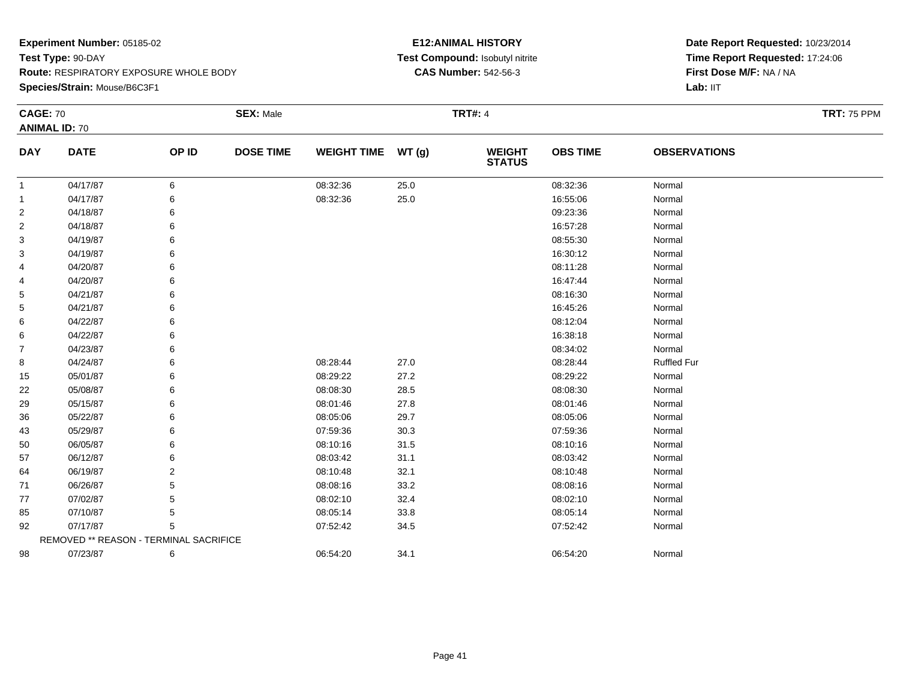**Species/Strain:** Mouse/B6C3F1

## **E12:ANIMAL HISTORY Test Compound:** Isobutyl nitrite**CAS Number:** 542-56-3

| <b>CAGE: 70</b> |                                        |       | <b>SEX: Male</b> |                    |      | <b>TRT#: 4</b>                 |                 |                     | <b>TRT: 75 PPM</b> |
|-----------------|----------------------------------------|-------|------------------|--------------------|------|--------------------------------|-----------------|---------------------|--------------------|
|                 | <b>ANIMAL ID: 70</b>                   |       |                  |                    |      |                                |                 |                     |                    |
| <b>DAY</b>      | <b>DATE</b>                            | OP ID | <b>DOSE TIME</b> | WEIGHT TIME WT (g) |      | <b>WEIGHT</b><br><b>STATUS</b> | <b>OBS TIME</b> | <b>OBSERVATIONS</b> |                    |
| -1              | 04/17/87                               | 6     |                  | 08:32:36           | 25.0 |                                | 08:32:36        | Normal              |                    |
| $\overline{1}$  | 04/17/87                               |       |                  | 08:32:36           | 25.0 |                                | 16:55:06        | Normal              |                    |
| $\overline{2}$  | 04/18/87                               |       |                  |                    |      |                                | 09:23:36        | Normal              |                    |
| $\overline{2}$  | 04/18/87                               |       |                  |                    |      |                                | 16:57:28        | Normal              |                    |
| 3               | 04/19/87                               |       |                  |                    |      |                                | 08:55:30        | Normal              |                    |
| 3               | 04/19/87                               |       |                  |                    |      |                                | 16:30:12        | Normal              |                    |
| 4               | 04/20/87                               |       |                  |                    |      |                                | 08:11:28        | Normal              |                    |
| 4               | 04/20/87                               |       |                  |                    |      |                                | 16:47:44        | Normal              |                    |
| 5               | 04/21/87                               |       |                  |                    |      |                                | 08:16:30        | Normal              |                    |
| 5               | 04/21/87                               |       |                  |                    |      |                                | 16:45:26        | Normal              |                    |
| 6               | 04/22/87                               |       |                  |                    |      |                                | 08:12:04        | Normal              |                    |
| 6               | 04/22/87                               |       |                  |                    |      |                                | 16:38:18        | Normal              |                    |
| 7               | 04/23/87                               |       |                  |                    |      |                                | 08:34:02        | Normal              |                    |
| 8               | 04/24/87                               |       |                  | 08:28:44           | 27.0 |                                | 08:28:44        | <b>Ruffled Fur</b>  |                    |
| 15              | 05/01/87                               |       |                  | 08:29:22           | 27.2 |                                | 08:29:22        | Normal              |                    |
| 22              | 05/08/87                               |       |                  | 08:08:30           | 28.5 |                                | 08:08:30        | Normal              |                    |
| 29              | 05/15/87                               |       |                  | 08:01:46           | 27.8 |                                | 08:01:46        | Normal              |                    |
| 36              | 05/22/87                               |       |                  | 08:05:06           | 29.7 |                                | 08:05:06        | Normal              |                    |
| 43              | 05/29/87                               |       |                  | 07:59:36           | 30.3 |                                | 07:59:36        | Normal              |                    |
| 50              | 06/05/87                               |       |                  | 08:10:16           | 31.5 |                                | 08:10:16        | Normal              |                    |
| 57              | 06/12/87                               |       |                  | 08:03:42           | 31.1 |                                | 08:03:42        | Normal              |                    |
| 64              | 06/19/87                               |       |                  | 08:10:48           | 32.1 |                                | 08:10:48        | Normal              |                    |
| 71              | 06/26/87                               |       |                  | 08:08:16           | 33.2 |                                | 08:08:16        | Normal              |                    |
| 77              | 07/02/87                               |       |                  | 08:02:10           | 32.4 |                                | 08:02:10        | Normal              |                    |
| 85              | 07/10/87                               | 5     |                  | 08:05:14           | 33.8 |                                | 08:05:14        | Normal              |                    |
| 92              | 07/17/87                               | 5     |                  | 07:52:42           | 34.5 |                                | 07:52:42        | Normal              |                    |
|                 | REMOVED ** REASON - TERMINAL SACRIFICE |       |                  |                    |      |                                |                 |                     |                    |
| 98              | 07/23/87                               | 6     |                  | 06:54:20           | 34.1 |                                | 06:54:20        | Normal              |                    |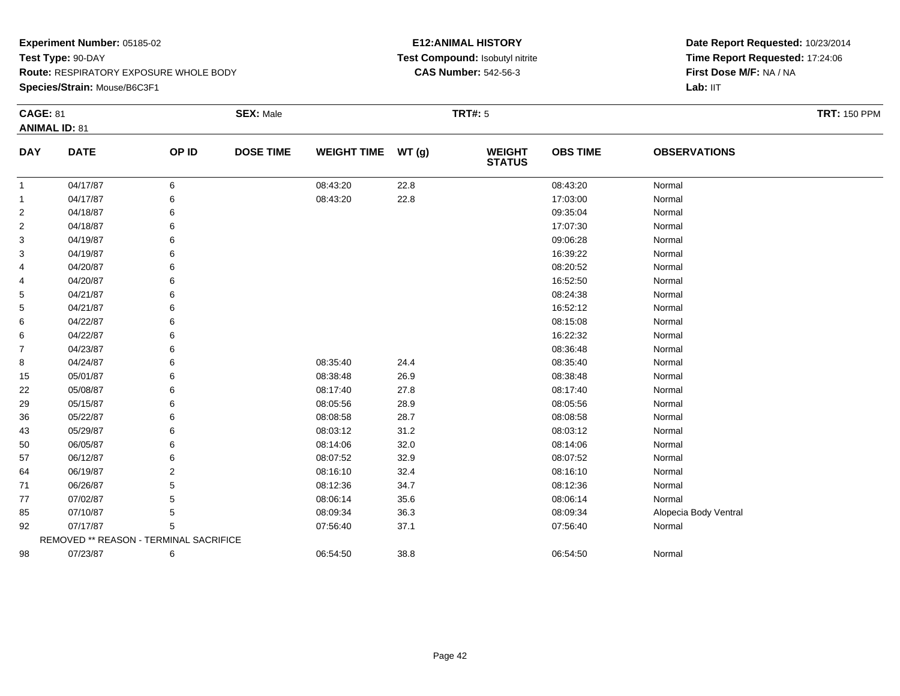**Species/Strain:** Mouse/B6C3F1

## **E12:ANIMAL HISTORY Test Compound:** Isobutyl nitrite**CAS Number:** 542-56-3

| <b>CAGE: 81</b> | <b>ANIMAL ID: 81</b>                   |                | <b>SEX: Male</b> |                    |       | <b>TRT#: 5</b>                 |                 |                       | <b>TRT: 150 PPM</b> |
|-----------------|----------------------------------------|----------------|------------------|--------------------|-------|--------------------------------|-----------------|-----------------------|---------------------|
| <b>DAY</b>      | <b>DATE</b>                            | OP ID          | <b>DOSE TIME</b> | <b>WEIGHT TIME</b> | WT(g) | <b>WEIGHT</b><br><b>STATUS</b> | <b>OBS TIME</b> | <b>OBSERVATIONS</b>   |                     |
| $\mathbf{1}$    | 04/17/87                               | 6              |                  | 08:43:20           | 22.8  |                                | 08:43:20        | Normal                |                     |
| $\mathbf{1}$    | 04/17/87                               | 6              |                  | 08:43:20           | 22.8  |                                | 17:03:00        | Normal                |                     |
| $\overline{2}$  | 04/18/87                               |                |                  |                    |       |                                | 09:35:04        | Normal                |                     |
| 2               | 04/18/87                               | 6              |                  |                    |       |                                | 17:07:30        | Normal                |                     |
| 3               | 04/19/87                               |                |                  |                    |       |                                | 09:06:28        | Normal                |                     |
| 3               | 04/19/87                               |                |                  |                    |       |                                | 16:39:22        | Normal                |                     |
| 4               | 04/20/87                               |                |                  |                    |       |                                | 08:20:52        | Normal                |                     |
| 4               | 04/20/87                               | 6              |                  |                    |       |                                | 16:52:50        | Normal                |                     |
| 5               | 04/21/87                               |                |                  |                    |       |                                | 08:24:38        | Normal                |                     |
| 5               | 04/21/87                               |                |                  |                    |       |                                | 16:52:12        | Normal                |                     |
| 6               | 04/22/87                               |                |                  |                    |       |                                | 08:15:08        | Normal                |                     |
| 6               | 04/22/87                               |                |                  |                    |       |                                | 16:22:32        | Normal                |                     |
| $\overline{7}$  | 04/23/87                               |                |                  |                    |       |                                | 08:36:48        | Normal                |                     |
| 8               | 04/24/87                               | 6              |                  | 08:35:40           | 24.4  |                                | 08:35:40        | Normal                |                     |
| 15              | 05/01/87                               | 6              |                  | 08:38:48           | 26.9  |                                | 08:38:48        | Normal                |                     |
| 22              | 05/08/87                               | 6              |                  | 08:17:40           | 27.8  |                                | 08:17:40        | Normal                |                     |
| 29              | 05/15/87                               |                |                  | 08:05:56           | 28.9  |                                | 08:05:56        | Normal                |                     |
| 36              | 05/22/87                               |                |                  | 08:08:58           | 28.7  |                                | 08:08:58        | Normal                |                     |
| 43              | 05/29/87                               | 6              |                  | 08:03:12           | 31.2  |                                | 08:03:12        | Normal                |                     |
| 50              | 06/05/87                               | 6              |                  | 08:14:06           | 32.0  |                                | 08:14:06        | Normal                |                     |
| 57              | 06/12/87                               |                |                  | 08:07:52           | 32.9  |                                | 08:07:52        | Normal                |                     |
| 64              | 06/19/87                               | $\overline{2}$ |                  | 08:16:10           | 32.4  |                                | 08:16:10        | Normal                |                     |
| 71              | 06/26/87                               | 5              |                  | 08:12:36           | 34.7  |                                | 08:12:36        | Normal                |                     |
| 77              | 07/02/87                               | 5              |                  | 08:06:14           | 35.6  |                                | 08:06:14        | Normal                |                     |
| 85              | 07/10/87                               | 5              |                  | 08:09:34           | 36.3  |                                | 08:09:34        | Alopecia Body Ventral |                     |
| 92              | 07/17/87                               | 5              |                  | 07:56:40           | 37.1  |                                | 07:56:40        | Normal                |                     |
|                 | REMOVED ** REASON - TERMINAL SACRIFICE |                |                  |                    |       |                                |                 |                       |                     |
| 98              | 07/23/87                               | 6              |                  | 06:54:50           | 38.8  |                                | 06:54:50        | Normal                |                     |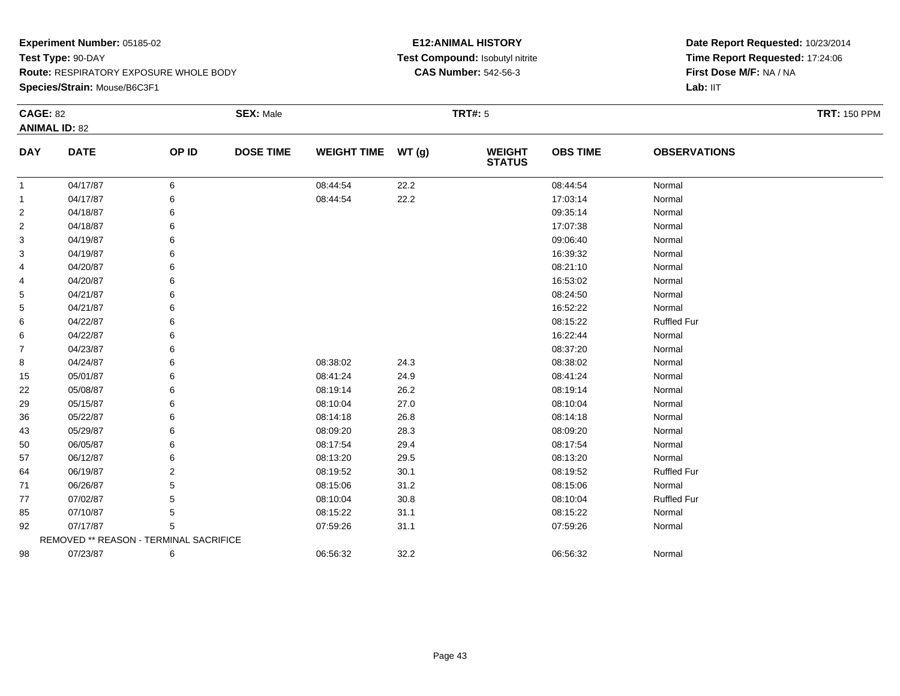**Species/Strain:** Mouse/B6C3F1

## **E12:ANIMAL HISTORY Test Compound:** Isobutyl nitrite**CAS Number:** 542-56-3

| <b>CAGE: 82</b> |                                        |       | <b>SEX: Male</b> |                    |       | <b>TRT#: 5</b>           |                 |                     | <b>TRT: 150 PPM</b> |
|-----------------|----------------------------------------|-------|------------------|--------------------|-------|--------------------------|-----------------|---------------------|---------------------|
|                 | <b>ANIMAL ID: 82</b>                   |       |                  |                    |       |                          |                 |                     |                     |
| <b>DAY</b>      | <b>DATE</b>                            | OP ID | <b>DOSE TIME</b> | <b>WEIGHT TIME</b> | WT(g) | <b>WEIGHT<br/>STATUS</b> | <b>OBS TIME</b> | <b>OBSERVATIONS</b> |                     |
| $\mathbf{1}$    | 04/17/87                               | 6     |                  | 08:44:54           | 22.2  |                          | 08:44:54        | Normal              |                     |
| $\mathbf{1}$    | 04/17/87                               | 6     |                  | 08:44:54           | 22.2  |                          | 17:03:14        | Normal              |                     |
| $\overline{2}$  | 04/18/87                               |       |                  |                    |       |                          | 09:35:14        | Normal              |                     |
| $\overline{2}$  | 04/18/87                               |       |                  |                    |       |                          | 17:07:38        | Normal              |                     |
| 3               | 04/19/87                               |       |                  |                    |       |                          | 09:06:40        | Normal              |                     |
| 3               | 04/19/87                               |       |                  |                    |       |                          | 16:39:32        | Normal              |                     |
| 4               | 04/20/87                               |       |                  |                    |       |                          | 08:21:10        | Normal              |                     |
| 4               | 04/20/87                               |       |                  |                    |       |                          | 16:53:02        | Normal              |                     |
| 5               | 04/21/87                               |       |                  |                    |       |                          | 08:24:50        | Normal              |                     |
| 5               | 04/21/87                               |       |                  |                    |       |                          | 16:52:22        | Normal              |                     |
| 6               | 04/22/87                               |       |                  |                    |       |                          | 08:15:22        | <b>Ruffled Fur</b>  |                     |
| 6               | 04/22/87                               |       |                  |                    |       |                          | 16:22:44        | Normal              |                     |
| $\overline{7}$  | 04/23/87                               |       |                  |                    |       |                          | 08:37:20        | Normal              |                     |
| 8               | 04/24/87                               |       |                  | 08:38:02           | 24.3  |                          | 08:38:02        | Normal              |                     |
| 15              | 05/01/87                               |       |                  | 08:41:24           | 24.9  |                          | 08:41:24        | Normal              |                     |
| 22              | 05/08/87                               |       |                  | 08:19:14           | 26.2  |                          | 08:19:14        | Normal              |                     |
| 29              | 05/15/87                               |       |                  | 08:10:04           | 27.0  |                          | 08:10:04        | Normal              |                     |
| 36              | 05/22/87                               |       |                  | 08:14:18           | 26.8  |                          | 08:14:18        | Normal              |                     |
| 43              | 05/29/87                               |       |                  | 08:09:20           | 28.3  |                          | 08:09:20        | Normal              |                     |
| 50              | 06/05/87                               |       |                  | 08:17:54           | 29.4  |                          | 08:17:54        | Normal              |                     |
| 57              | 06/12/87                               |       |                  | 08:13:20           | 29.5  |                          | 08:13:20        | Normal              |                     |
| 64              | 06/19/87                               | 2     |                  | 08:19:52           | 30.1  |                          | 08:19:52        | <b>Ruffled Fur</b>  |                     |
| 71              | 06/26/87                               |       |                  | 08:15:06           | 31.2  |                          | 08:15:06        | Normal              |                     |
| 77              | 07/02/87                               |       |                  | 08:10:04           | 30.8  |                          | 08:10:04        | <b>Ruffled Fur</b>  |                     |
| 85              | 07/10/87                               | 5     |                  | 08:15:22           | 31.1  |                          | 08:15:22        | Normal              |                     |
| 92              | 07/17/87                               | 5     |                  | 07:59:26           | 31.1  |                          | 07:59:26        | Normal              |                     |
|                 | REMOVED ** REASON - TERMINAL SACRIFICE |       |                  |                    |       |                          |                 |                     |                     |
| 98              | 07/23/87                               | 6     |                  | 06:56:32           | 32.2  |                          | 06:56:32        | Normal              |                     |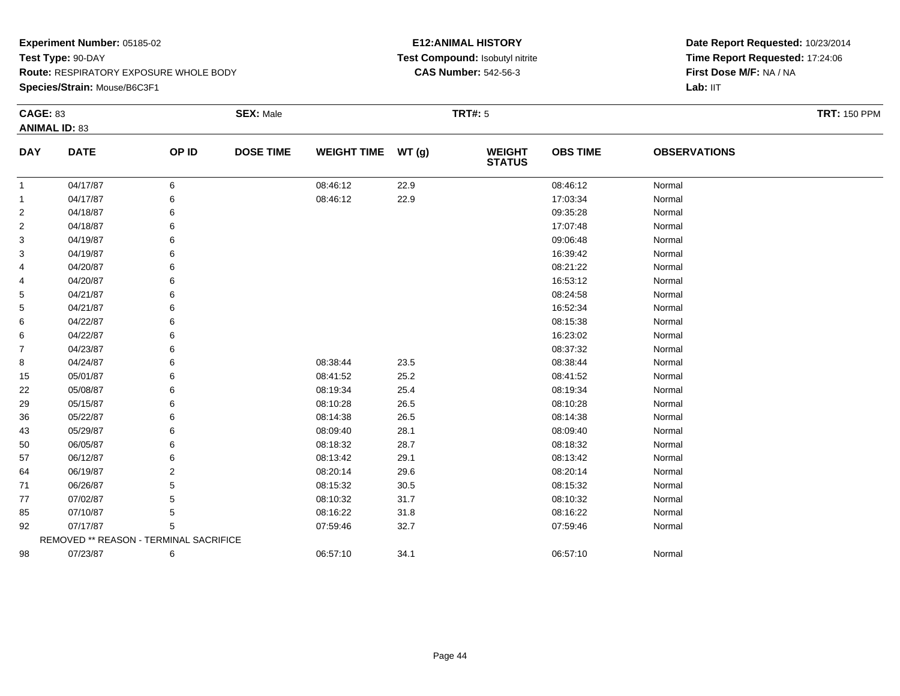**Species/Strain:** Mouse/B6C3F1

## **E12:ANIMAL HISTORY Test Compound:** Isobutyl nitrite**CAS Number:** 542-56-3

| <b>CAGE: 83</b> |                                        |                | <b>SEX: Male</b> |                    |       | <b>TRT#: 5</b>                 |                 |                     | <b>TRT: 150 PPM</b> |
|-----------------|----------------------------------------|----------------|------------------|--------------------|-------|--------------------------------|-----------------|---------------------|---------------------|
|                 | <b>ANIMAL ID: 83</b>                   |                |                  |                    |       |                                |                 |                     |                     |
| <b>DAY</b>      | <b>DATE</b>                            | OP ID          | <b>DOSE TIME</b> | <b>WEIGHT TIME</b> | WT(g) | <b>WEIGHT</b><br><b>STATUS</b> | <b>OBS TIME</b> | <b>OBSERVATIONS</b> |                     |
| $\mathbf{1}$    | 04/17/87                               | 6              |                  | 08:46:12           | 22.9  |                                | 08:46:12        | Normal              |                     |
| $\mathbf{1}$    | 04/17/87                               | 6              |                  | 08:46:12           | 22.9  |                                | 17:03:34        | Normal              |                     |
| $\overline{c}$  | 04/18/87                               | 6              |                  |                    |       |                                | 09:35:28        | Normal              |                     |
| 2               | 04/18/87                               | 6              |                  |                    |       |                                | 17:07:48        | Normal              |                     |
| 3               | 04/19/87                               | 6              |                  |                    |       |                                | 09:06:48        | Normal              |                     |
| 3               | 04/19/87                               | 6              |                  |                    |       |                                | 16:39:42        | Normal              |                     |
| 4               | 04/20/87                               | 6              |                  |                    |       |                                | 08:21:22        | Normal              |                     |
| 4               | 04/20/87                               | 6              |                  |                    |       |                                | 16:53:12        | Normal              |                     |
| 5               | 04/21/87                               | 6              |                  |                    |       |                                | 08:24:58        | Normal              |                     |
| 5               | 04/21/87                               | 6              |                  |                    |       |                                | 16:52:34        | Normal              |                     |
| 6               | 04/22/87                               | 6              |                  |                    |       |                                | 08:15:38        | Normal              |                     |
| 6               | 04/22/87                               | 6              |                  |                    |       |                                | 16:23:02        | Normal              |                     |
| $\overline{7}$  | 04/23/87                               | 6              |                  |                    |       |                                | 08:37:32        | Normal              |                     |
| 8               | 04/24/87                               | 6              |                  | 08:38:44           | 23.5  |                                | 08:38:44        | Normal              |                     |
| 15              | 05/01/87                               | 6              |                  | 08:41:52           | 25.2  |                                | 08:41:52        | Normal              |                     |
| 22              | 05/08/87                               | 6              |                  | 08:19:34           | 25.4  |                                | 08:19:34        | Normal              |                     |
| 29              | 05/15/87                               | 6              |                  | 08:10:28           | 26.5  |                                | 08:10:28        | Normal              |                     |
| 36              | 05/22/87                               | 6              |                  | 08:14:38           | 26.5  |                                | 08:14:38        | Normal              |                     |
| 43              | 05/29/87                               | 6              |                  | 08:09:40           | 28.1  |                                | 08:09:40        | Normal              |                     |
| 50              | 06/05/87                               | 6              |                  | 08:18:32           | 28.7  |                                | 08:18:32        | Normal              |                     |
| 57              | 06/12/87                               | 6              |                  | 08:13:42           | 29.1  |                                | 08:13:42        | Normal              |                     |
| 64              | 06/19/87                               | $\overline{2}$ |                  | 08:20:14           | 29.6  |                                | 08:20:14        | Normal              |                     |
| 71              | 06/26/87                               | 5              |                  | 08:15:32           | 30.5  |                                | 08:15:32        | Normal              |                     |
| 77              | 07/02/87                               | 5              |                  | 08:10:32           | 31.7  |                                | 08:10:32        | Normal              |                     |
| 85              | 07/10/87                               | 5              |                  | 08:16:22           | 31.8  |                                | 08:16:22        | Normal              |                     |
| 92              | 07/17/87                               | 5              |                  | 07:59:46           | 32.7  |                                | 07:59:46        | Normal              |                     |
|                 | REMOVED ** REASON - TERMINAL SACRIFICE |                |                  |                    |       |                                |                 |                     |                     |
| 98              | 07/23/87                               | 6              |                  | 06:57:10           | 34.1  |                                | 06:57:10        | Normal              |                     |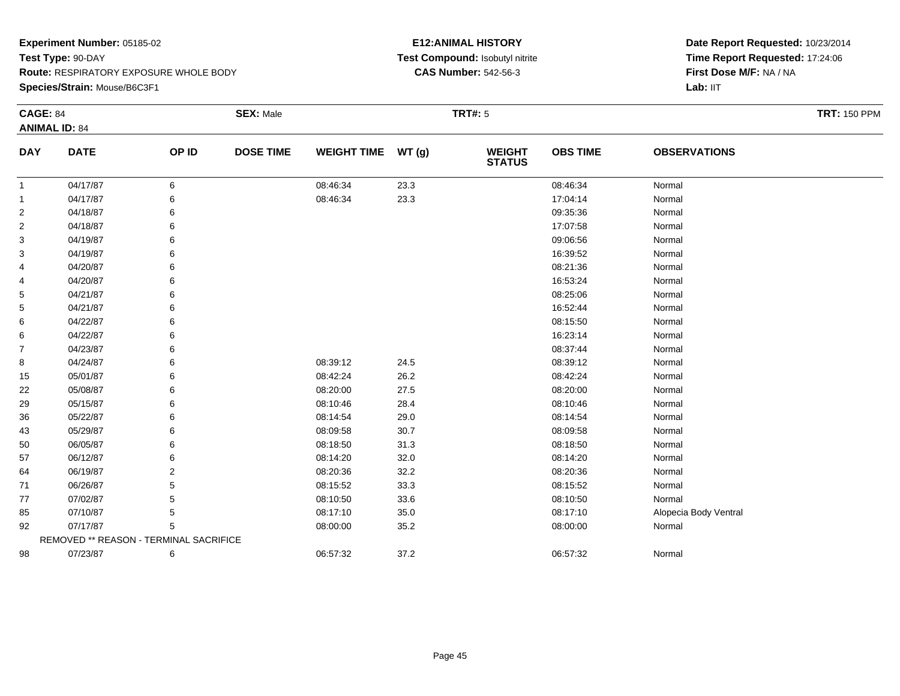**Species/Strain:** Mouse/B6C3F1

## **E12:ANIMAL HISTORY Test Compound:** Isobutyl nitrite**CAS Number:** 542-56-3

| <b>CAGE: 84</b> | <b>ANIMAL ID: 84</b>                   |       | <b>SEX: Male</b> |                    |       | <b>TRT#: 5</b>                 |                 |                       | <b>TRT: 150 PPM</b> |
|-----------------|----------------------------------------|-------|------------------|--------------------|-------|--------------------------------|-----------------|-----------------------|---------------------|
| <b>DAY</b>      | <b>DATE</b>                            | OP ID | <b>DOSE TIME</b> | <b>WEIGHT TIME</b> | WT(g) | <b>WEIGHT</b><br><b>STATUS</b> | <b>OBS TIME</b> | <b>OBSERVATIONS</b>   |                     |
| $\overline{1}$  | 04/17/87                               | 6     |                  | 08:46:34           | 23.3  |                                | 08:46:34        | Normal                |                     |
| $\mathbf{1}$    | 04/17/87                               | 6     |                  | 08:46:34           | 23.3  |                                | 17:04:14        | Normal                |                     |
| $\overline{2}$  | 04/18/87                               | 6     |                  |                    |       |                                | 09:35:36        | Normal                |                     |
| 2               | 04/18/87                               | 6     |                  |                    |       |                                | 17:07:58        | Normal                |                     |
| 3               | 04/19/87                               | 6     |                  |                    |       |                                | 09:06:56        | Normal                |                     |
| 3               | 04/19/87                               | 6     |                  |                    |       |                                | 16:39:52        | Normal                |                     |
| 4               | 04/20/87                               | 6     |                  |                    |       |                                | 08:21:36        | Normal                |                     |
| 4               | 04/20/87                               | 6     |                  |                    |       |                                | 16:53:24        | Normal                |                     |
| 5               | 04/21/87                               | 6     |                  |                    |       |                                | 08:25:06        | Normal                |                     |
| 5               | 04/21/87                               | 6     |                  |                    |       |                                | 16:52:44        | Normal                |                     |
| 6               | 04/22/87                               | 6     |                  |                    |       |                                | 08:15:50        | Normal                |                     |
| 6               | 04/22/87                               | 6     |                  |                    |       |                                | 16:23:14        | Normal                |                     |
| 7               | 04/23/87                               | 6     |                  |                    |       |                                | 08:37:44        | Normal                |                     |
| 8               | 04/24/87                               | 6     |                  | 08:39:12           | 24.5  |                                | 08:39:12        | Normal                |                     |
| 15              | 05/01/87                               | 6     |                  | 08:42:24           | 26.2  |                                | 08:42:24        | Normal                |                     |
| 22              | 05/08/87                               | 6     |                  | 08:20:00           | 27.5  |                                | 08:20:00        | Normal                |                     |
| 29              | 05/15/87                               | 6     |                  | 08:10:46           | 28.4  |                                | 08:10:46        | Normal                |                     |
| 36              | 05/22/87                               | 6     |                  | 08:14:54           | 29.0  |                                | 08:14:54        | Normal                |                     |
| 43              | 05/29/87                               | 6     |                  | 08:09:58           | 30.7  |                                | 08:09:58        | Normal                |                     |
| 50              | 06/05/87                               | 6     |                  | 08:18:50           | 31.3  |                                | 08:18:50        | Normal                |                     |
| 57              | 06/12/87                               | 6     |                  | 08:14:20           | 32.0  |                                | 08:14:20        | Normal                |                     |
| 64              | 06/19/87                               | 2     |                  | 08:20:36           | 32.2  |                                | 08:20:36        | Normal                |                     |
| 71              | 06/26/87                               | 5     |                  | 08:15:52           | 33.3  |                                | 08:15:52        | Normal                |                     |
| 77              | 07/02/87                               | 5     |                  | 08:10:50           | 33.6  |                                | 08:10:50        | Normal                |                     |
| 85              | 07/10/87                               | 5     |                  | 08:17:10           | 35.0  |                                | 08:17:10        | Alopecia Body Ventral |                     |
| 92              | 07/17/87                               | 5     |                  | 08:00:00           | 35.2  |                                | 08:00:00        | Normal                |                     |
|                 | REMOVED ** REASON - TERMINAL SACRIFICE |       |                  |                    |       |                                |                 |                       |                     |
| 98              | 07/23/87                               | 6     |                  | 06:57:32           | 37.2  |                                | 06:57:32        | Normal                |                     |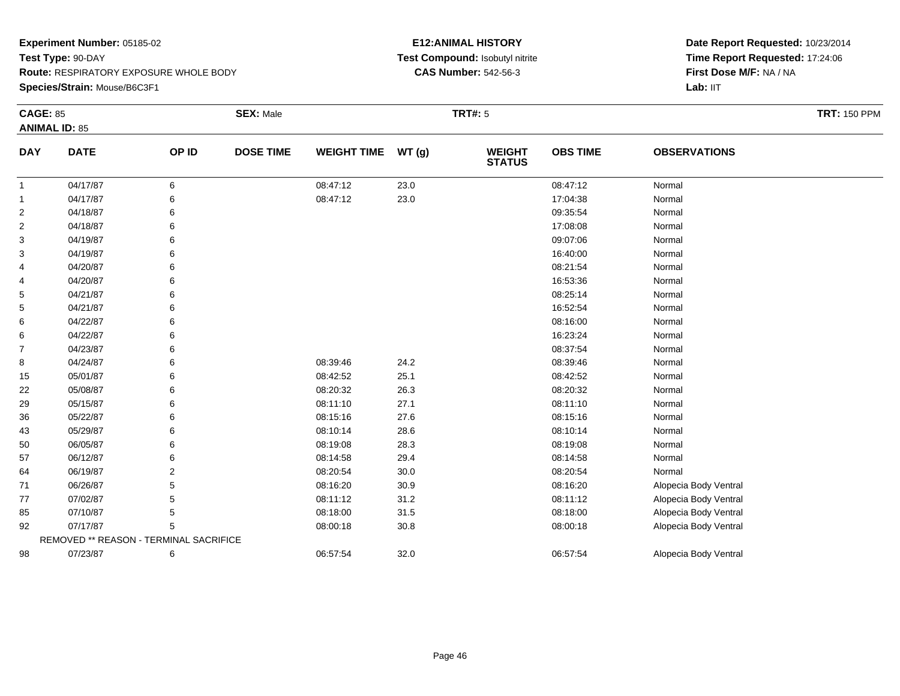**Species/Strain:** Mouse/B6C3F1

## **E12:ANIMAL HISTORY Test Compound:** Isobutyl nitrite**CAS Number:** 542-56-3

| <b>CAGE: 85</b> | <b>ANIMAL ID: 85</b>                   |                | <b>SEX: Male</b> |                    |       | <b>TRT#: 5</b>                 |                 |                       | <b>TRT: 150 PPM</b> |
|-----------------|----------------------------------------|----------------|------------------|--------------------|-------|--------------------------------|-----------------|-----------------------|---------------------|
| <b>DAY</b>      | <b>DATE</b>                            | OP ID          | <b>DOSE TIME</b> | <b>WEIGHT TIME</b> | WT(g) | <b>WEIGHT</b><br><b>STATUS</b> | <b>OBS TIME</b> | <b>OBSERVATIONS</b>   |                     |
| $\mathbf{1}$    | 04/17/87                               | 6              |                  | 08:47:12           | 23.0  |                                | 08:47:12        | Normal                |                     |
| -1              | 04/17/87                               |                |                  | 08:47:12           | 23.0  |                                | 17:04:38        | Normal                |                     |
| $\overline{2}$  | 04/18/87                               |                |                  |                    |       |                                | 09:35:54        | Normal                |                     |
| $\overline{2}$  | 04/18/87                               |                |                  |                    |       |                                | 17:08:08        | Normal                |                     |
| 3               | 04/19/87                               |                |                  |                    |       |                                | 09:07:06        | Normal                |                     |
| 3               | 04/19/87                               |                |                  |                    |       |                                | 16:40:00        | Normal                |                     |
| 4               | 04/20/87                               |                |                  |                    |       |                                | 08:21:54        | Normal                |                     |
| 4               | 04/20/87                               |                |                  |                    |       |                                | 16:53:36        | Normal                |                     |
| 5               | 04/21/87                               |                |                  |                    |       |                                | 08:25:14        | Normal                |                     |
| 5               | 04/21/87                               |                |                  |                    |       |                                | 16:52:54        | Normal                |                     |
| 6               | 04/22/87                               |                |                  |                    |       |                                | 08:16:00        | Normal                |                     |
| 6               | 04/22/87                               | 6              |                  |                    |       |                                | 16:23:24        | Normal                |                     |
| $\overline{7}$  | 04/23/87                               |                |                  |                    |       |                                | 08:37:54        | Normal                |                     |
| 8               | 04/24/87                               |                |                  | 08:39:46           | 24.2  |                                | 08:39:46        | Normal                |                     |
| 15              | 05/01/87                               |                |                  | 08:42:52           | 25.1  |                                | 08:42:52        | Normal                |                     |
| 22              | 05/08/87                               | 6              |                  | 08:20:32           | 26.3  |                                | 08:20:32        | Normal                |                     |
| 29              | 05/15/87                               | 6              |                  | 08:11:10           | 27.1  |                                | 08:11:10        | Normal                |                     |
| 36              | 05/22/87                               |                |                  | 08:15:16           | 27.6  |                                | 08:15:16        | Normal                |                     |
| 43              | 05/29/87                               |                |                  | 08:10:14           | 28.6  |                                | 08:10:14        | Normal                |                     |
| 50              | 06/05/87                               |                |                  | 08:19:08           | 28.3  |                                | 08:19:08        | Normal                |                     |
| 57              | 06/12/87                               |                |                  | 08:14:58           | 29.4  |                                | 08:14:58        | Normal                |                     |
| 64              | 06/19/87                               | $\overline{2}$ |                  | 08:20:54           | 30.0  |                                | 08:20:54        | Normal                |                     |
| 71              | 06/26/87                               | 5              |                  | 08:16:20           | 30.9  |                                | 08:16:20        | Alopecia Body Ventral |                     |
| 77              | 07/02/87                               |                |                  | 08:11:12           | 31.2  |                                | 08:11:12        | Alopecia Body Ventral |                     |
| 85              | 07/10/87                               |                |                  | 08:18:00           | 31.5  |                                | 08:18:00        | Alopecia Body Ventral |                     |
| 92              | 07/17/87                               |                |                  | 08:00:18           | 30.8  |                                | 08:00:18        | Alopecia Body Ventral |                     |
|                 | REMOVED ** REASON - TERMINAL SACRIFICE |                |                  |                    |       |                                |                 |                       |                     |
| 98              | 07/23/87                               | 6              |                  | 06:57:54           | 32.0  |                                | 06:57:54        | Alopecia Body Ventral |                     |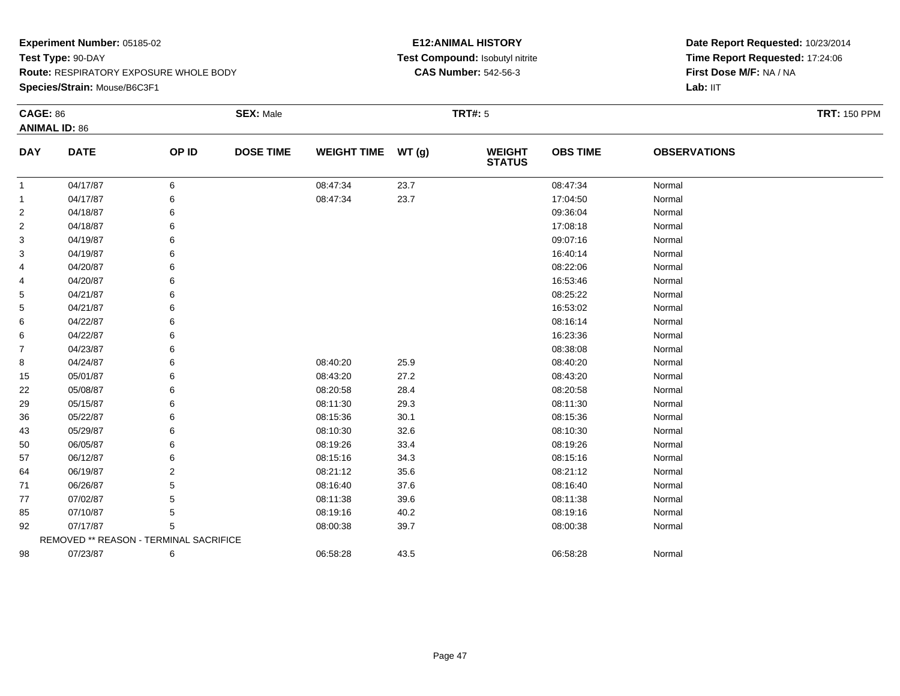**Species/Strain:** Mouse/B6C3F1

## **E12:ANIMAL HISTORY Test Compound:** Isobutyl nitrite**CAS Number:** 542-56-3

| <b>CAGE: 86</b> | <b>ANIMAL ID: 86</b>                   |                | <b>SEX: Male</b> |                    |       | <b>TRT#: 5</b>                 |                 |                     | <b>TRT: 150 PPM</b> |
|-----------------|----------------------------------------|----------------|------------------|--------------------|-------|--------------------------------|-----------------|---------------------|---------------------|
| <b>DAY</b>      | <b>DATE</b>                            | OP ID          | <b>DOSE TIME</b> | <b>WEIGHT TIME</b> | WT(g) | <b>WEIGHT</b><br><b>STATUS</b> | <b>OBS TIME</b> | <b>OBSERVATIONS</b> |                     |
| $\mathbf{1}$    | 04/17/87                               | 6              |                  | 08:47:34           | 23.7  |                                | 08:47:34        | Normal              |                     |
| 1               | 04/17/87                               | 6              |                  | 08:47:34           | 23.7  |                                | 17:04:50        | Normal              |                     |
| $\overline{2}$  | 04/18/87                               | 6              |                  |                    |       |                                | 09:36:04        | Normal              |                     |
| 2               | 04/18/87                               | 6              |                  |                    |       |                                | 17:08:18        | Normal              |                     |
| 3               | 04/19/87                               | 6              |                  |                    |       |                                | 09:07:16        | Normal              |                     |
| 3               | 04/19/87                               | 6              |                  |                    |       |                                | 16:40:14        | Normal              |                     |
| 4               | 04/20/87                               | 6              |                  |                    |       |                                | 08:22:06        | Normal              |                     |
| 4               | 04/20/87                               | 6              |                  |                    |       |                                | 16:53:46        | Normal              |                     |
| 5               | 04/21/87                               | 6              |                  |                    |       |                                | 08:25:22        | Normal              |                     |
| 5               | 04/21/87                               | 6              |                  |                    |       |                                | 16:53:02        | Normal              |                     |
| 6               | 04/22/87                               | 6              |                  |                    |       |                                | 08:16:14        | Normal              |                     |
| 6               | 04/22/87                               | 6              |                  |                    |       |                                | 16:23:36        | Normal              |                     |
| $\overline{7}$  | 04/23/87                               | 6              |                  |                    |       |                                | 08:38:08        | Normal              |                     |
| 8               | 04/24/87                               | 6              |                  | 08:40:20           | 25.9  |                                | 08:40:20        | Normal              |                     |
| 15              | 05/01/87                               | 6              |                  | 08:43:20           | 27.2  |                                | 08:43:20        | Normal              |                     |
| 22              | 05/08/87                               | 6              |                  | 08:20:58           | 28.4  |                                | 08:20:58        | Normal              |                     |
| 29              | 05/15/87                               | 6              |                  | 08:11:30           | 29.3  |                                | 08:11:30        | Normal              |                     |
| 36              | 05/22/87                               | 6              |                  | 08:15:36           | 30.1  |                                | 08:15:36        | Normal              |                     |
| 43              | 05/29/87                               | 6              |                  | 08:10:30           | 32.6  |                                | 08:10:30        | Normal              |                     |
| 50              | 06/05/87                               | 6              |                  | 08:19:26           | 33.4  |                                | 08:19:26        | Normal              |                     |
| 57              | 06/12/87                               | 6              |                  | 08:15:16           | 34.3  |                                | 08:15:16        | Normal              |                     |
| 64              | 06/19/87                               | $\overline{2}$ |                  | 08:21:12           | 35.6  |                                | 08:21:12        | Normal              |                     |
| 71              | 06/26/87                               | 5              |                  | 08:16:40           | 37.6  |                                | 08:16:40        | Normal              |                     |
| 77              | 07/02/87                               | 5              |                  | 08:11:38           | 39.6  |                                | 08:11:38        | Normal              |                     |
| 85              | 07/10/87                               | 5              |                  | 08:19:16           | 40.2  |                                | 08:19:16        | Normal              |                     |
| 92              | 07/17/87                               | 5              |                  | 08:00:38           | 39.7  |                                | 08:00:38        | Normal              |                     |
|                 | REMOVED ** REASON - TERMINAL SACRIFICE |                |                  |                    |       |                                |                 |                     |                     |
| 98              | 07/23/87                               | 6              |                  | 06:58:28           | 43.5  |                                | 06:58:28        | Normal              |                     |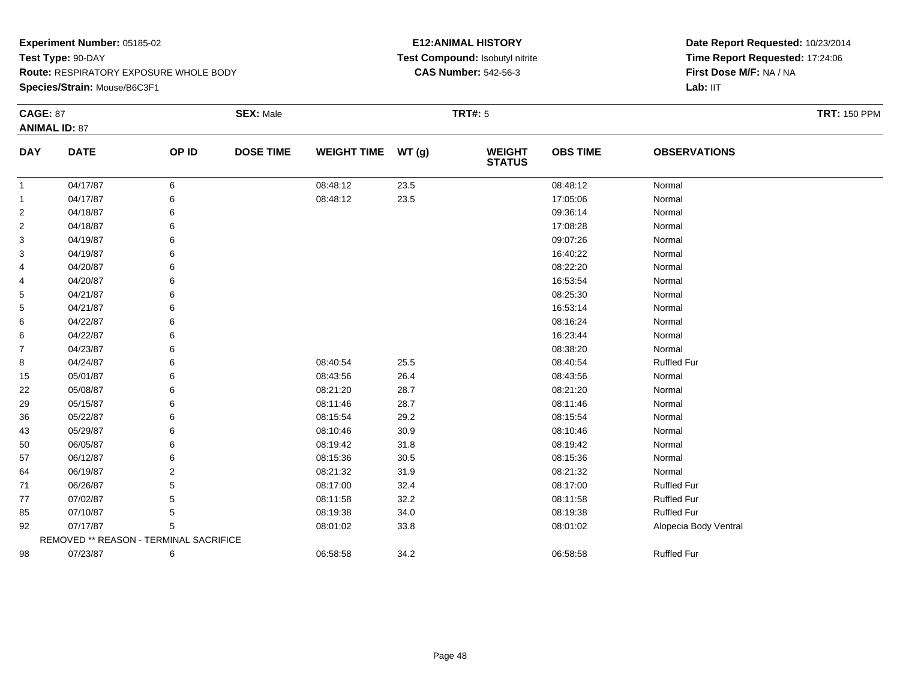**Species/Strain:** Mouse/B6C3F1

## **E12:ANIMAL HISTORY Test Compound:** Isobutyl nitrite**CAS Number:** 542-56-3

| <b>CAGE: 87</b> |                                        |                | <b>SEX: Male</b> |                    |          | <b>TRT#:</b> 5                 |                 |                       | <b>TRT: 150 PPM</b> |
|-----------------|----------------------------------------|----------------|------------------|--------------------|----------|--------------------------------|-----------------|-----------------------|---------------------|
|                 | <b>ANIMAL ID: 87</b>                   |                |                  |                    |          |                                |                 |                       |                     |
| <b>DAY</b>      | <b>DATE</b>                            | OP ID          | <b>DOSE TIME</b> | <b>WEIGHT TIME</b> | WT(g)    | <b>WEIGHT</b><br><b>STATUS</b> | <b>OBS TIME</b> | <b>OBSERVATIONS</b>   |                     |
| $\mathbf{1}$    | 04/17/87                               | 6              |                  | 08:48:12           | 23.5     |                                | 08:48:12        | Normal                |                     |
| $\mathbf{1}$    | 04/17/87                               | 6              |                  | 08:48:12           | 23.5     |                                | 17:05:06        | Normal                |                     |
| $\overline{2}$  | 04/18/87                               |                |                  |                    |          |                                | 09:36:14        | Normal                |                     |
| $\overline{2}$  | 04/18/87                               |                |                  |                    |          |                                | 17:08:28        | Normal                |                     |
| 3               | 04/19/87                               |                |                  |                    |          |                                | 09:07:26        | Normal                |                     |
| 3               | 04/19/87                               |                |                  |                    |          |                                | 16:40:22        | Normal                |                     |
| 4               | 04/20/87                               | 6              |                  |                    |          |                                | 08:22:20        | Normal                |                     |
| 4               | 04/20/87                               |                |                  |                    |          |                                | 16:53:54        | Normal                |                     |
| 5               | 04/21/87                               |                |                  |                    |          |                                | 08:25:30        | Normal                |                     |
| 5               | 04/21/87                               |                |                  |                    |          |                                | 16:53:14        | Normal                |                     |
| 6               | 04/22/87                               |                |                  |                    |          |                                | 08:16:24        | Normal                |                     |
| 6               | 04/22/87                               |                |                  |                    |          |                                | 16:23:44        | Normal                |                     |
| 7               | 04/23/87                               |                |                  |                    |          |                                | 08:38:20        | Normal                |                     |
| 8               | 04/24/87                               |                |                  | 08:40:54           | 25.5     |                                | 08:40:54        | <b>Ruffled Fur</b>    |                     |
| 15              | 05/01/87                               |                |                  | 08:43:56           | 26.4     |                                | 08:43:56        | Normal                |                     |
| 22              | 05/08/87                               |                |                  | 08:21:20           | 28.7     |                                | 08:21:20        | Normal                |                     |
| 29              | 05/15/87                               |                |                  | 08:11:46           | 28.7     |                                | 08:11:46        | Normal                |                     |
| 36              | 05/22/87                               |                |                  | 08:15:54           | 29.2     |                                | 08:15:54        | Normal                |                     |
| 43              | 05/29/87                               |                |                  | 08:10:46           | 30.9     |                                | 08:10:46        | Normal                |                     |
| 50              | 06/05/87                               | 6              |                  | 08:19:42           | 31.8     |                                | 08:19:42        | Normal                |                     |
| 57              | 06/12/87                               |                |                  | 08:15:36           | $30.5\,$ |                                | 08:15:36        | Normal                |                     |
| 64              | 06/19/87                               | $\overline{2}$ |                  | 08:21:32           | 31.9     |                                | 08:21:32        | Normal                |                     |
| 71              | 06/26/87                               |                |                  | 08:17:00           | 32.4     |                                | 08:17:00        | <b>Ruffled Fur</b>    |                     |
| 77              | 07/02/87                               |                |                  | 08:11:58           | 32.2     |                                | 08:11:58        | <b>Ruffled Fur</b>    |                     |
| 85              | 07/10/87                               | 5              |                  | 08:19:38           | 34.0     |                                | 08:19:38        | <b>Ruffled Fur</b>    |                     |
| 92              | 07/17/87                               | 5              |                  | 08:01:02           | 33.8     |                                | 08:01:02        | Alopecia Body Ventral |                     |
|                 | REMOVED ** REASON - TERMINAL SACRIFICE |                |                  |                    |          |                                |                 |                       |                     |
| 98              | 07/23/87                               | 6              |                  | 06:58:58           | 34.2     |                                | 06:58:58        | <b>Ruffled Fur</b>    |                     |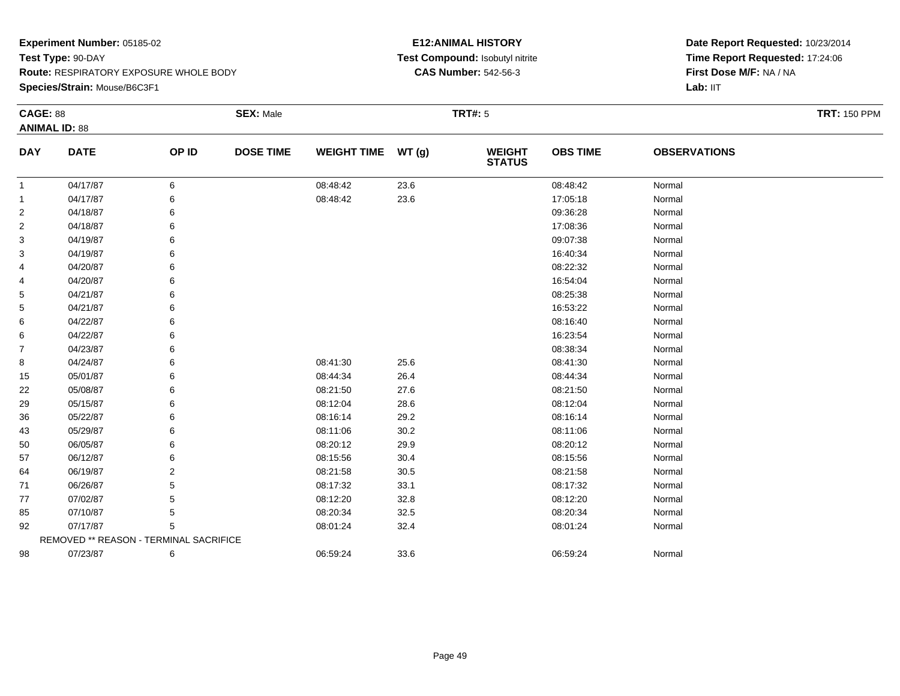**Species/Strain:** Mouse/B6C3F1

## **E12:ANIMAL HISTORY Test Compound:** Isobutyl nitrite**CAS Number:** 542-56-3

| <b>CAGE: 88</b> | <b>ANIMAL ID: 88</b>                   |       | <b>SEX: Male</b> |                    |       | <b>TRT#: 5</b>                 |                 |                     | <b>TRT: 150 PPM</b> |
|-----------------|----------------------------------------|-------|------------------|--------------------|-------|--------------------------------|-----------------|---------------------|---------------------|
| <b>DAY</b>      | <b>DATE</b>                            | OP ID | <b>DOSE TIME</b> | <b>WEIGHT TIME</b> | WT(g) | <b>WEIGHT</b><br><b>STATUS</b> | <b>OBS TIME</b> | <b>OBSERVATIONS</b> |                     |
| $\mathbf{1}$    | 04/17/87                               | 6     |                  | 08:48:42           | 23.6  |                                | 08:48:42        | Normal              |                     |
| -1              | 04/17/87                               | 6     |                  | 08:48:42           | 23.6  |                                | 17:05:18        | Normal              |                     |
| $\overline{2}$  | 04/18/87                               | 6     |                  |                    |       |                                | 09:36:28        | Normal              |                     |
| $\overline{2}$  | 04/18/87                               | 6     |                  |                    |       |                                | 17:08:36        | Normal              |                     |
| 3               | 04/19/87                               | 6     |                  |                    |       |                                | 09:07:38        | Normal              |                     |
| 3               | 04/19/87                               |       |                  |                    |       |                                | 16:40:34        | Normal              |                     |
| 4               | 04/20/87                               | 6     |                  |                    |       |                                | 08:22:32        | Normal              |                     |
| 4               | 04/20/87                               | 6     |                  |                    |       |                                | 16:54:04        | Normal              |                     |
| 5               | 04/21/87                               | 6     |                  |                    |       |                                | 08:25:38        | Normal              |                     |
| 5               | 04/21/87                               |       |                  |                    |       |                                | 16:53:22        | Normal              |                     |
| 6               | 04/22/87                               |       |                  |                    |       |                                | 08:16:40        | Normal              |                     |
| 6               | 04/22/87                               | 6     |                  |                    |       |                                | 16:23:54        | Normal              |                     |
| $\overline{7}$  | 04/23/87                               | 6     |                  |                    |       |                                | 08:38:34        | Normal              |                     |
| 8               | 04/24/87                               |       |                  | 08:41:30           | 25.6  |                                | 08:41:30        | Normal              |                     |
| 15              | 05/01/87                               |       |                  | 08:44:34           | 26.4  |                                | 08:44:34        | Normal              |                     |
| 22              | 05/08/87                               | 6     |                  | 08:21:50           | 27.6  |                                | 08:21:50        | Normal              |                     |
| 29              | 05/15/87                               | 6     |                  | 08:12:04           | 28.6  |                                | 08:12:04        | Normal              |                     |
| 36              | 05/22/87                               |       |                  | 08:16:14           | 29.2  |                                | 08:16:14        | Normal              |                     |
| 43              | 05/29/87                               |       |                  | 08:11:06           | 30.2  |                                | 08:11:06        | Normal              |                     |
| 50              | 06/05/87                               | 6     |                  | 08:20:12           | 29.9  |                                | 08:20:12        | Normal              |                     |
| 57              | 06/12/87                               | 6     |                  | 08:15:56           | 30.4  |                                | 08:15:56        | Normal              |                     |
| 64              | 06/19/87                               | 2     |                  | 08:21:58           | 30.5  |                                | 08:21:58        | Normal              |                     |
| 71              | 06/26/87                               |       |                  | 08:17:32           | 33.1  |                                | 08:17:32        | Normal              |                     |
| 77              | 07/02/87                               | 5     |                  | 08:12:20           | 32.8  |                                | 08:12:20        | Normal              |                     |
| 85              | 07/10/87                               | 5     |                  | 08:20:34           | 32.5  |                                | 08:20:34        | Normal              |                     |
| 92              | 07/17/87                               | 5     |                  | 08:01:24           | 32.4  |                                | 08:01:24        | Normal              |                     |
|                 | REMOVED ** REASON - TERMINAL SACRIFICE |       |                  |                    |       |                                |                 |                     |                     |
| 98              | 07/23/87                               | 6     |                  | 06:59:24           | 33.6  |                                | 06:59:24        | Normal              |                     |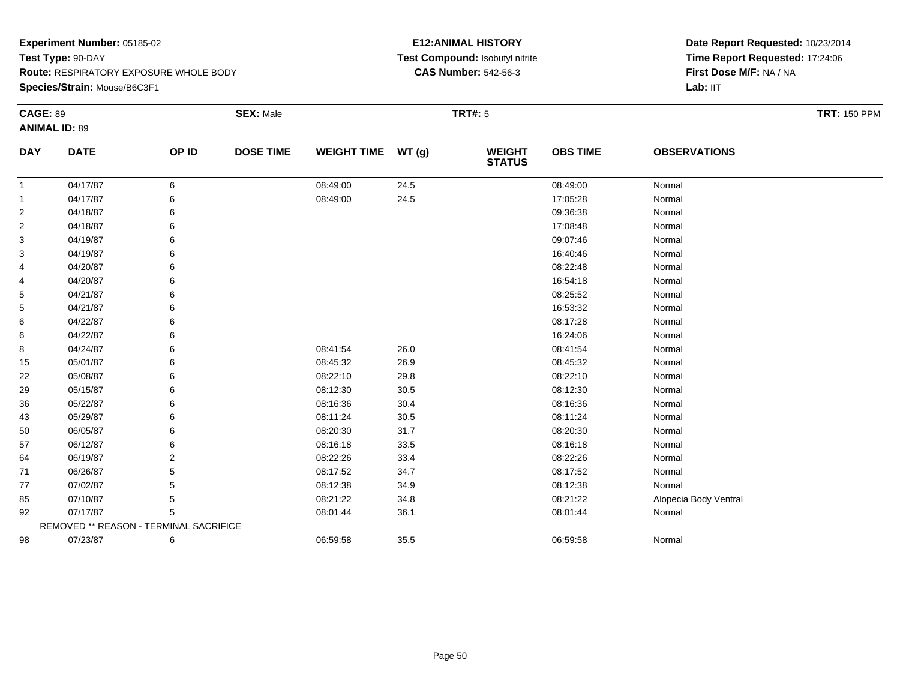**Species/Strain:** Mouse/B6C3F1

## **E12:ANIMAL HISTORY Test Compound:** Isobutyl nitrite**CAS Number:** 542-56-3

| <b>CAGE: 89</b> |                                        |       | <b>SEX: Male</b> |                    |       | <b>TRT#: 5</b>                 |                 |                       | <b>TRT: 150 PPM</b> |
|-----------------|----------------------------------------|-------|------------------|--------------------|-------|--------------------------------|-----------------|-----------------------|---------------------|
|                 | <b>ANIMAL ID: 89</b>                   |       |                  |                    |       |                                |                 |                       |                     |
| <b>DAY</b>      | <b>DATE</b>                            | OP ID | <b>DOSE TIME</b> | <b>WEIGHT TIME</b> | WT(g) | <b>WEIGHT</b><br><b>STATUS</b> | <b>OBS TIME</b> | <b>OBSERVATIONS</b>   |                     |
| $\mathbf{1}$    | 04/17/87                               | 6     |                  | 08:49:00           | 24.5  |                                | 08:49:00        | Normal                |                     |
| $\mathbf{1}$    | 04/17/87                               | 6     |                  | 08:49:00           | 24.5  |                                | 17:05:28        | Normal                |                     |
| $\overline{2}$  | 04/18/87                               |       |                  |                    |       |                                | 09:36:38        | Normal                |                     |
| $\overline{2}$  | 04/18/87                               |       |                  |                    |       |                                | 17:08:48        | Normal                |                     |
| 3               | 04/19/87                               |       |                  |                    |       |                                | 09:07:46        | Normal                |                     |
| 3               | 04/19/87                               |       |                  |                    |       |                                | 16:40:46        | Normal                |                     |
| 4               | 04/20/87                               |       |                  |                    |       |                                | 08:22:48        | Normal                |                     |
| 4               | 04/20/87                               |       |                  |                    |       |                                | 16:54:18        | Normal                |                     |
| 5               | 04/21/87                               |       |                  |                    |       |                                | 08:25:52        | Normal                |                     |
| 5               | 04/21/87                               |       |                  |                    |       |                                | 16:53:32        | Normal                |                     |
| 6               | 04/22/87                               |       |                  |                    |       |                                | 08:17:28        | Normal                |                     |
| 6               | 04/22/87                               |       |                  |                    |       |                                | 16:24:06        | Normal                |                     |
| 8               | 04/24/87                               |       |                  | 08:41:54           | 26.0  |                                | 08:41:54        | Normal                |                     |
| 15              | 05/01/87                               |       |                  | 08:45:32           | 26.9  |                                | 08:45:32        | Normal                |                     |
| 22              | 05/08/87                               |       |                  | 08:22:10           | 29.8  |                                | 08:22:10        | Normal                |                     |
| 29              | 05/15/87                               |       |                  | 08:12:30           | 30.5  |                                | 08:12:30        | Normal                |                     |
| 36              | 05/22/87                               |       |                  | 08:16:36           | 30.4  |                                | 08:16:36        | Normal                |                     |
| 43              | 05/29/87                               |       |                  | 08:11:24           | 30.5  |                                | 08:11:24        | Normal                |                     |
| 50              | 06/05/87                               |       |                  | 08:20:30           | 31.7  |                                | 08:20:30        | Normal                |                     |
| 57              | 06/12/87                               |       |                  | 08:16:18           | 33.5  |                                | 08:16:18        | Normal                |                     |
| 64              | 06/19/87                               | 2     |                  | 08:22:26           | 33.4  |                                | 08:22:26        | Normal                |                     |
| 71              | 06/26/87                               |       |                  | 08:17:52           | 34.7  |                                | 08:17:52        | Normal                |                     |
| 77              | 07/02/87                               |       |                  | 08:12:38           | 34.9  |                                | 08:12:38        | Normal                |                     |
| 85              | 07/10/87                               |       |                  | 08:21:22           | 34.8  |                                | 08:21:22        | Alopecia Body Ventral |                     |
| 92              | 07/17/87                               | 5     |                  | 08:01:44           | 36.1  |                                | 08:01:44        | Normal                |                     |
|                 | REMOVED ** REASON - TERMINAL SACRIFICE |       |                  |                    |       |                                |                 |                       |                     |
| 98              | 07/23/87                               | 6     |                  | 06:59:58           | 35.5  |                                | 06:59:58        | Normal                |                     |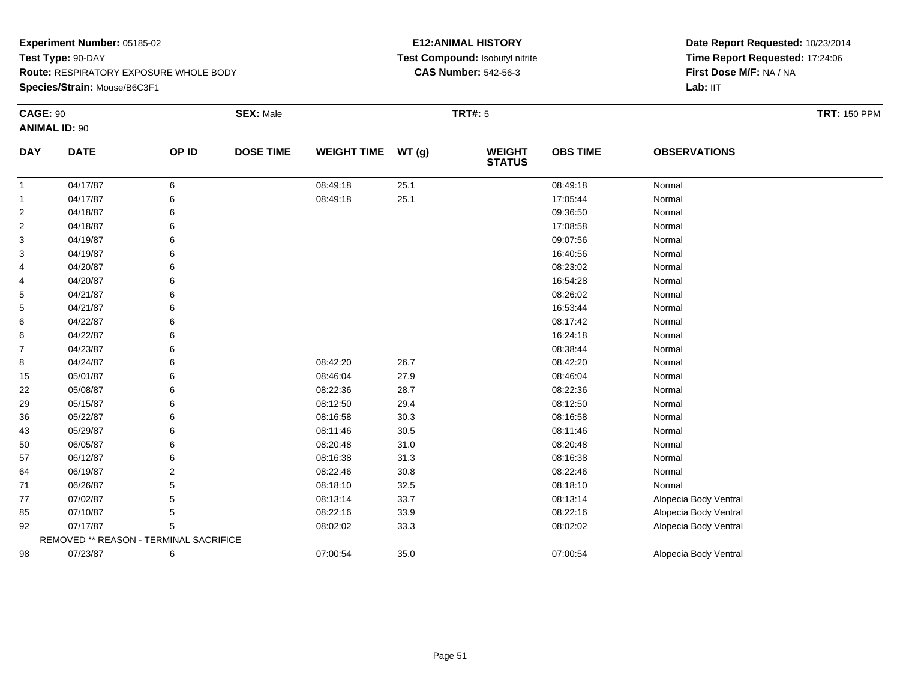**Species/Strain:** Mouse/B6C3F1

## **E12:ANIMAL HISTORY Test Compound:** Isobutyl nitrite**CAS Number:** 542-56-3

| <b>CAGE: 90</b> | <b>ANIMAL ID: 90</b>                   |       | <b>SEX: Male</b> |                    |       | <b>TRT#:</b> 5                 |                 |                       | <b>TRT: 150 PPM</b> |
|-----------------|----------------------------------------|-------|------------------|--------------------|-------|--------------------------------|-----------------|-----------------------|---------------------|
| <b>DAY</b>      | <b>DATE</b>                            | OP ID | <b>DOSE TIME</b> | <b>WEIGHT TIME</b> | WT(g) | <b>WEIGHT</b><br><b>STATUS</b> | <b>OBS TIME</b> | <b>OBSERVATIONS</b>   |                     |
| $\mathbf{1}$    | 04/17/87                               | 6     |                  | 08:49:18           | 25.1  |                                | 08:49:18        | Normal                |                     |
| $\mathbf{1}$    | 04/17/87                               | 6     |                  | 08:49:18           | 25.1  |                                | 17:05:44        | Normal                |                     |
| $\overline{c}$  | 04/18/87                               | 6     |                  |                    |       |                                | 09:36:50        | Normal                |                     |
| 2               | 04/18/87                               | 6     |                  |                    |       |                                | 17:08:58        | Normal                |                     |
| 3               | 04/19/87                               | 6     |                  |                    |       |                                | 09:07:56        | Normal                |                     |
| 3               | 04/19/87                               | 6     |                  |                    |       |                                | 16:40:56        | Normal                |                     |
| 4               | 04/20/87                               | 6     |                  |                    |       |                                | 08:23:02        | Normal                |                     |
| 4               | 04/20/87                               | 6     |                  |                    |       |                                | 16:54:28        | Normal                |                     |
| 5               | 04/21/87                               | 6     |                  |                    |       |                                | 08:26:02        | Normal                |                     |
| 5               | 04/21/87                               |       |                  |                    |       |                                | 16:53:44        | Normal                |                     |
| 6               | 04/22/87                               | 6     |                  |                    |       |                                | 08:17:42        | Normal                |                     |
| 6               | 04/22/87                               | 6     |                  |                    |       |                                | 16:24:18        | Normal                |                     |
| 7               | 04/23/87                               | 6     |                  |                    |       |                                | 08:38:44        | Normal                |                     |
| 8               | 04/24/87                               | 6     |                  | 08:42:20           | 26.7  |                                | 08:42:20        | Normal                |                     |
| 15              | 05/01/87                               | 6     |                  | 08:46:04           | 27.9  |                                | 08:46:04        | Normal                |                     |
| 22              | 05/08/87                               | 6     |                  | 08:22:36           | 28.7  |                                | 08:22:36        | Normal                |                     |
| 29              | 05/15/87                               | 6     |                  | 08:12:50           | 29.4  |                                | 08:12:50        | Normal                |                     |
| 36              | 05/22/87                               | 6     |                  | 08:16:58           | 30.3  |                                | 08:16:58        | Normal                |                     |
| 43              | 05/29/87                               | 6     |                  | 08:11:46           | 30.5  |                                | 08:11:46        | Normal                |                     |
| 50              | 06/05/87                               | 6     |                  | 08:20:48           | 31.0  |                                | 08:20:48        | Normal                |                     |
| 57              | 06/12/87                               | 6     |                  | 08:16:38           | 31.3  |                                | 08:16:38        | Normal                |                     |
| 64              | 06/19/87                               | 2     |                  | 08:22:46           | 30.8  |                                | 08:22:46        | Normal                |                     |
| 71              | 06/26/87                               | 5     |                  | 08:18:10           | 32.5  |                                | 08:18:10        | Normal                |                     |
| 77              | 07/02/87                               | 5     |                  | 08:13:14           | 33.7  |                                | 08:13:14        | Alopecia Body Ventral |                     |
| 85              | 07/10/87                               | 5     |                  | 08:22:16           | 33.9  |                                | 08:22:16        | Alopecia Body Ventral |                     |
| 92              | 07/17/87                               | 5     |                  | 08:02:02           | 33.3  |                                | 08:02:02        | Alopecia Body Ventral |                     |
|                 | REMOVED ** REASON - TERMINAL SACRIFICE |       |                  |                    |       |                                |                 |                       |                     |
| 98              | 07/23/87                               | 6     |                  | 07:00:54           | 35.0  |                                | 07:00:54        | Alopecia Body Ventral |                     |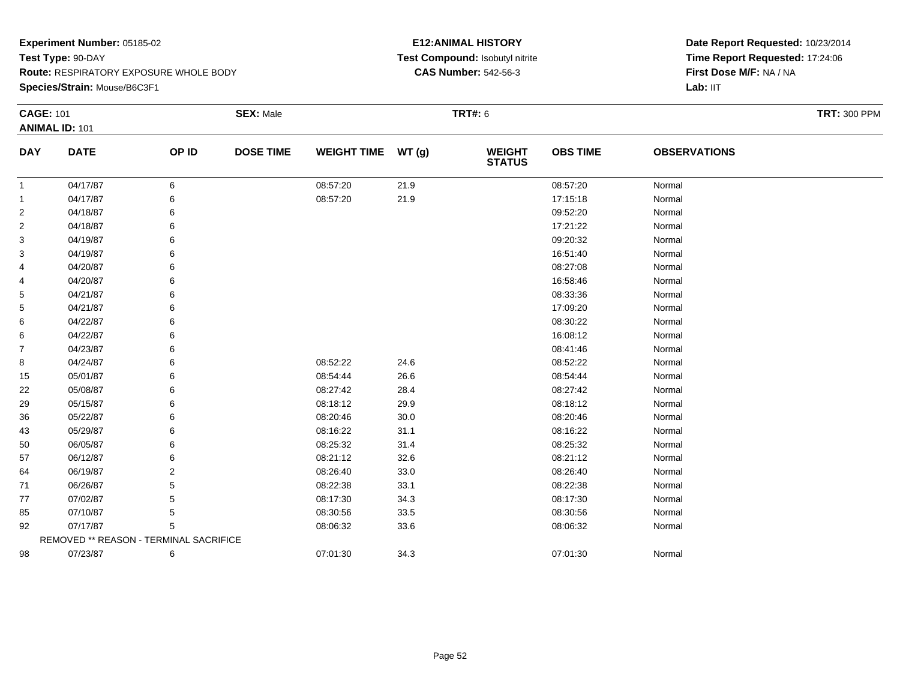**Species/Strain:** Mouse/B6C3F1

## **E12:ANIMAL HISTORY Test Compound:** Isobutyl nitrite**CAS Number:** 542-56-3

| <b>CAGE: 101</b> | <b>ANIMAL ID: 101</b>                  |       | <b>SEX: Male</b> |                    |       | <b>TRT#: 6</b>                 |                 |                     | <b>TRT: 300 PPM</b> |
|------------------|----------------------------------------|-------|------------------|--------------------|-------|--------------------------------|-----------------|---------------------|---------------------|
| <b>DAY</b>       | <b>DATE</b>                            | OP ID | <b>DOSE TIME</b> | <b>WEIGHT TIME</b> | WT(g) | <b>WEIGHT</b><br><b>STATUS</b> | <b>OBS TIME</b> | <b>OBSERVATIONS</b> |                     |
| $\mathbf{1}$     | 04/17/87                               | 6     |                  | 08:57:20           | 21.9  |                                | 08:57:20        | Normal              |                     |
| $\mathbf{1}$     | 04/17/87                               | 6     |                  | 08:57:20           | 21.9  |                                | 17:15:18        | Normal              |                     |
| 2                | 04/18/87                               |       |                  |                    |       |                                | 09:52:20        | Normal              |                     |
| 2                | 04/18/87                               |       |                  |                    |       |                                | 17:21:22        | Normal              |                     |
| 3                | 04/19/87                               |       |                  |                    |       |                                | 09:20:32        | Normal              |                     |
| 3                | 04/19/87                               |       |                  |                    |       |                                | 16:51:40        | Normal              |                     |
| 4                | 04/20/87                               |       |                  |                    |       |                                | 08:27:08        | Normal              |                     |
| 4                | 04/20/87                               |       |                  |                    |       |                                | 16:58:46        | Normal              |                     |
| 5                | 04/21/87                               |       |                  |                    |       |                                | 08:33:36        | Normal              |                     |
| 5                | 04/21/87                               |       |                  |                    |       |                                | 17:09:20        | Normal              |                     |
| 6                | 04/22/87                               |       |                  |                    |       |                                | 08:30:22        | Normal              |                     |
| 6                | 04/22/87                               |       |                  |                    |       |                                | 16:08:12        | Normal              |                     |
| $\overline{7}$   | 04/23/87                               |       |                  |                    |       |                                | 08:41:46        | Normal              |                     |
| 8                | 04/24/87                               | 6     |                  | 08:52:22           | 24.6  |                                | 08:52:22        | Normal              |                     |
| 15               | 05/01/87                               |       |                  | 08:54:44           | 26.6  |                                | 08:54:44        | Normal              |                     |
| 22               | 05/08/87                               | 6     |                  | 08:27:42           | 28.4  |                                | 08:27:42        | Normal              |                     |
| 29               | 05/15/87                               | 6     |                  | 08:18:12           | 29.9  |                                | 08:18:12        | Normal              |                     |
| 36               | 05/22/87                               |       |                  | 08:20:46           | 30.0  |                                | 08:20:46        | Normal              |                     |
| 43               | 05/29/87                               |       |                  | 08:16:22           | 31.1  |                                | 08:16:22        | Normal              |                     |
| 50               | 06/05/87                               | 6     |                  | 08:25:32           | 31.4  |                                | 08:25:32        | Normal              |                     |
| 57               | 06/12/87                               |       |                  | 08:21:12           | 32.6  |                                | 08:21:12        | Normal              |                     |
| 64               | 06/19/87                               |       |                  | 08:26:40           | 33.0  |                                | 08:26:40        | Normal              |                     |
| 71               | 06/26/87                               |       |                  | 08:22:38           | 33.1  |                                | 08:22:38        | Normal              |                     |
| 77               | 07/02/87                               |       |                  | 08:17:30           | 34.3  |                                | 08:17:30        | Normal              |                     |
| 85               | 07/10/87                               | 5     |                  | 08:30:56           | 33.5  |                                | 08:30:56        | Normal              |                     |
| 92               | 07/17/87                               | 5     |                  | 08:06:32           | 33.6  |                                | 08:06:32        | Normal              |                     |
|                  | REMOVED ** REASON - TERMINAL SACRIFICE |       |                  |                    |       |                                |                 |                     |                     |
| 98               | 07/23/87                               | 6     |                  | 07:01:30           | 34.3  |                                | 07:01:30        | Normal              |                     |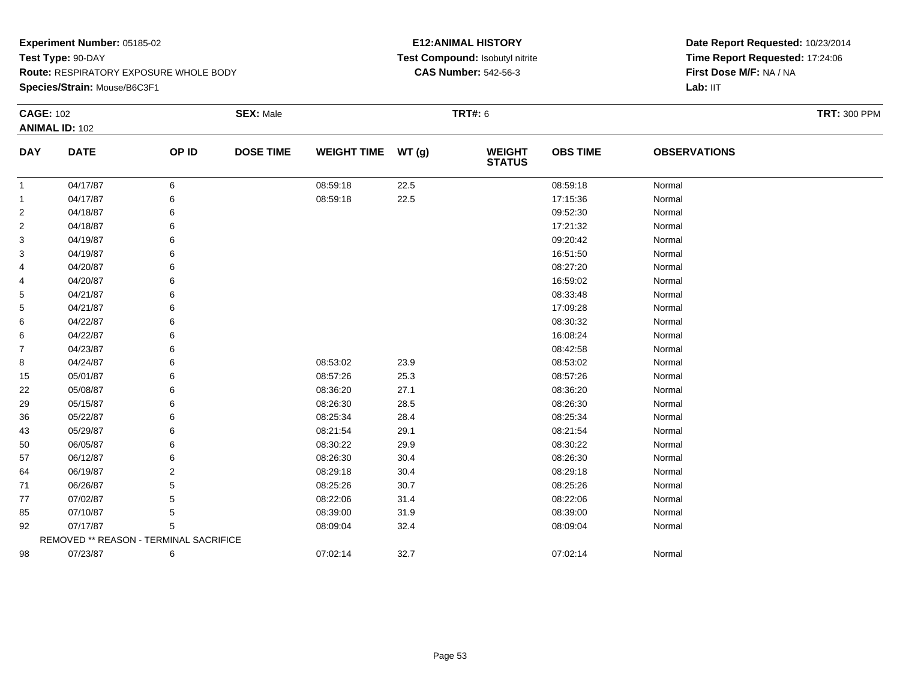**Species/Strain:** Mouse/B6C3F1

## **E12:ANIMAL HISTORY Test Compound:** Isobutyl nitrite**CAS Number:** 542-56-3

| <b>CAGE: 102</b> | <b>ANIMAL ID: 102</b>                  |       | <b>SEX: Male</b> |                    |       | <b>TRT#: 6</b>                 |                 |                     | <b>TRT: 300 PPM</b> |
|------------------|----------------------------------------|-------|------------------|--------------------|-------|--------------------------------|-----------------|---------------------|---------------------|
| <b>DAY</b>       | <b>DATE</b>                            | OP ID | <b>DOSE TIME</b> | <b>WEIGHT TIME</b> | WT(g) | <b>WEIGHT</b><br><b>STATUS</b> | <b>OBS TIME</b> | <b>OBSERVATIONS</b> |                     |
| $\mathbf{1}$     | 04/17/87                               | 6     |                  | 08:59:18           | 22.5  |                                | 08:59:18        | Normal              |                     |
| $\overline{1}$   | 04/17/87                               | 6     |                  | 08:59:18           | 22.5  |                                | 17:15:36        | Normal              |                     |
| $\overline{2}$   | 04/18/87                               | 6     |                  |                    |       |                                | 09:52:30        | Normal              |                     |
| $\overline{2}$   | 04/18/87                               | 6     |                  |                    |       |                                | 17:21:32        | Normal              |                     |
| 3                | 04/19/87                               |       |                  |                    |       |                                | 09:20:42        | Normal              |                     |
| 3                | 04/19/87                               |       |                  |                    |       |                                | 16:51:50        | Normal              |                     |
| 4                | 04/20/87                               |       |                  |                    |       |                                | 08:27:20        | Normal              |                     |
| 4                | 04/20/87                               | 6     |                  |                    |       |                                | 16:59:02        | Normal              |                     |
| 5                | 04/21/87                               |       |                  |                    |       |                                | 08:33:48        | Normal              |                     |
| 5                | 04/21/87                               |       |                  |                    |       |                                | 17:09:28        | Normal              |                     |
| 6                | 04/22/87                               |       |                  |                    |       |                                | 08:30:32        | Normal              |                     |
| 6                | 04/22/87                               | 6     |                  |                    |       |                                | 16:08:24        | Normal              |                     |
| 7                | 04/23/87                               |       |                  |                    |       |                                | 08:42:58        | Normal              |                     |
| 8                | 04/24/87                               | 6     |                  | 08:53:02           | 23.9  |                                | 08:53:02        | Normal              |                     |
| 15               | 05/01/87                               |       |                  | 08:57:26           | 25.3  |                                | 08:57:26        | Normal              |                     |
| 22               | 05/08/87                               | 6     |                  | 08:36:20           | 27.1  |                                | 08:36:20        | Normal              |                     |
| 29               | 05/15/87                               |       |                  | 08:26:30           | 28.5  |                                | 08:26:30        | Normal              |                     |
| 36               | 05/22/87                               |       |                  | 08:25:34           | 28.4  |                                | 08:25:34        | Normal              |                     |
| 43               | 05/29/87                               |       |                  | 08:21:54           | 29.1  |                                | 08:21:54        | Normal              |                     |
| 50               | 06/05/87                               | 6     |                  | 08:30:22           | 29.9  |                                | 08:30:22        | Normal              |                     |
| 57               | 06/12/87                               |       |                  | 08:26:30           | 30.4  |                                | 08:26:30        | Normal              |                     |
| 64               | 06/19/87                               | 2     |                  | 08:29:18           | 30.4  |                                | 08:29:18        | Normal              |                     |
| 71               | 06/26/87                               |       |                  | 08:25:26           | 30.7  |                                | 08:25:26        | Normal              |                     |
| 77               | 07/02/87                               |       |                  | 08:22:06           | 31.4  |                                | 08:22:06        | Normal              |                     |
| 85               | 07/10/87                               | 5     |                  | 08:39:00           | 31.9  |                                | 08:39:00        | Normal              |                     |
| 92               | 07/17/87                               | 5     |                  | 08:09:04           | 32.4  |                                | 08:09:04        | Normal              |                     |
|                  | REMOVED ** REASON - TERMINAL SACRIFICE |       |                  |                    |       |                                |                 |                     |                     |
| 98               | 07/23/87                               | 6     |                  | 07:02:14           | 32.7  |                                | 07:02:14        | Normal              |                     |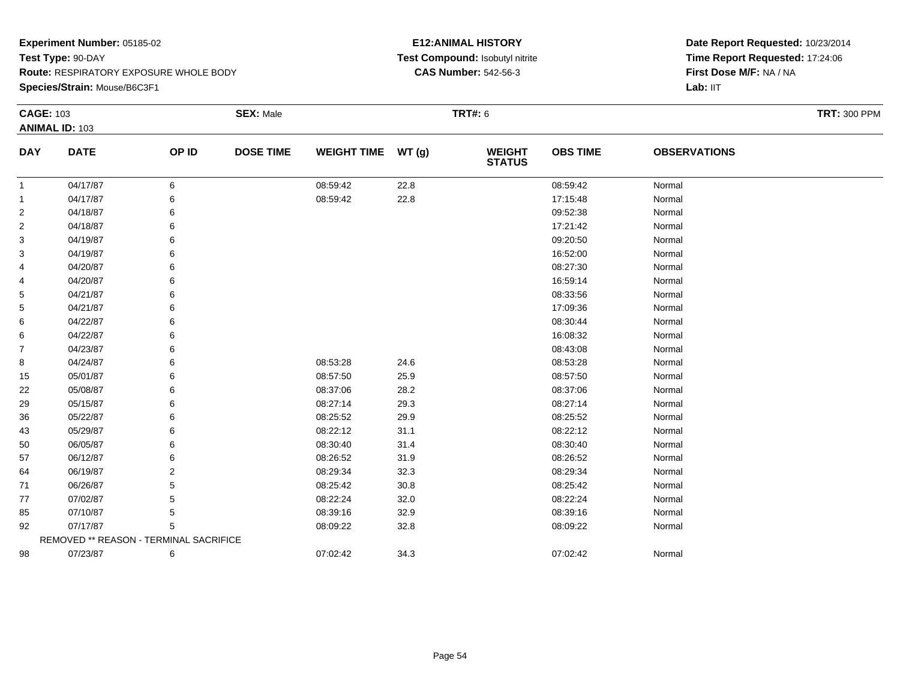**Species/Strain:** Mouse/B6C3F1

## **E12:ANIMAL HISTORY Test Compound:** Isobutyl nitrite**CAS Number:** 542-56-3

| <b>CAGE: 103</b> | <b>ANIMAL ID: 103</b>                  |       | <b>SEX: Male</b> |                    |       | <b>TRT#: 6</b>                 |                 |                     | <b>TRT: 300 PPM</b> |
|------------------|----------------------------------------|-------|------------------|--------------------|-------|--------------------------------|-----------------|---------------------|---------------------|
| <b>DAY</b>       | <b>DATE</b>                            | OP ID | <b>DOSE TIME</b> | <b>WEIGHT TIME</b> | WT(g) | <b>WEIGHT</b><br><b>STATUS</b> | <b>OBS TIME</b> | <b>OBSERVATIONS</b> |                     |
| $\mathbf{1}$     | 04/17/87                               | 6     |                  | 08:59:42           | 22.8  |                                | 08:59:42        | Normal              |                     |
| 1                | 04/17/87                               | 6     |                  | 08:59:42           | 22.8  |                                | 17:15:48        | Normal              |                     |
| 2                | 04/18/87                               | 6     |                  |                    |       |                                | 09:52:38        | Normal              |                     |
| $\overline{2}$   | 04/18/87                               | 6     |                  |                    |       |                                | 17:21:42        | Normal              |                     |
| 3                | 04/19/87                               | 6     |                  |                    |       |                                | 09:20:50        | Normal              |                     |
| 3                | 04/19/87                               | 6     |                  |                    |       |                                | 16:52:00        | Normal              |                     |
| 4                | 04/20/87                               | 6     |                  |                    |       |                                | 08:27:30        | Normal              |                     |
| 4                | 04/20/87                               | 6     |                  |                    |       |                                | 16:59:14        | Normal              |                     |
| 5                | 04/21/87                               | 6     |                  |                    |       |                                | 08:33:56        | Normal              |                     |
| 5                | 04/21/87                               |       |                  |                    |       |                                | 17:09:36        | Normal              |                     |
| 6                | 04/22/87                               | 6     |                  |                    |       |                                | 08:30:44        | Normal              |                     |
| 6                | 04/22/87                               | 6     |                  |                    |       |                                | 16:08:32        | Normal              |                     |
| 7                | 04/23/87                               | 6     |                  |                    |       |                                | 08:43:08        | Normal              |                     |
| 8                | 04/24/87                               | 6     |                  | 08:53:28           | 24.6  |                                | 08:53:28        | Normal              |                     |
| 15               | 05/01/87                               | 6     |                  | 08:57:50           | 25.9  |                                | 08:57:50        | Normal              |                     |
| 22               | 05/08/87                               | 6     |                  | 08:37:06           | 28.2  |                                | 08:37:06        | Normal              |                     |
| 29               | 05/15/87                               |       |                  | 08:27:14           | 29.3  |                                | 08:27:14        | Normal              |                     |
| 36               | 05/22/87                               | 6     |                  | 08:25:52           | 29.9  |                                | 08:25:52        | Normal              |                     |
| 43               | 05/29/87                               | 6     |                  | 08:22:12           | 31.1  |                                | 08:22:12        | Normal              |                     |
| 50               | 06/05/87                               | 6     |                  | 08:30:40           | 31.4  |                                | 08:30:40        | Normal              |                     |
| 57               | 06/12/87                               |       |                  | 08:26:52           | 31.9  |                                | 08:26:52        | Normal              |                     |
| 64               | 06/19/87                               | 2     |                  | 08:29:34           | 32.3  |                                | 08:29:34        | Normal              |                     |
| 71               | 06/26/87                               | 5     |                  | 08:25:42           | 30.8  |                                | 08:25:42        | Normal              |                     |
| 77               | 07/02/87                               | 5     |                  | 08:22:24           | 32.0  |                                | 08:22:24        | Normal              |                     |
| 85               | 07/10/87                               | 5     |                  | 08:39:16           | 32.9  |                                | 08:39:16        | Normal              |                     |
| 92               | 07/17/87                               | 5     |                  | 08:09:22           | 32.8  |                                | 08:09:22        | Normal              |                     |
|                  | REMOVED ** REASON - TERMINAL SACRIFICE |       |                  |                    |       |                                |                 |                     |                     |
| 98               | 07/23/87                               | 6     |                  | 07:02:42           | 34.3  |                                | 07:02:42        | Normal              |                     |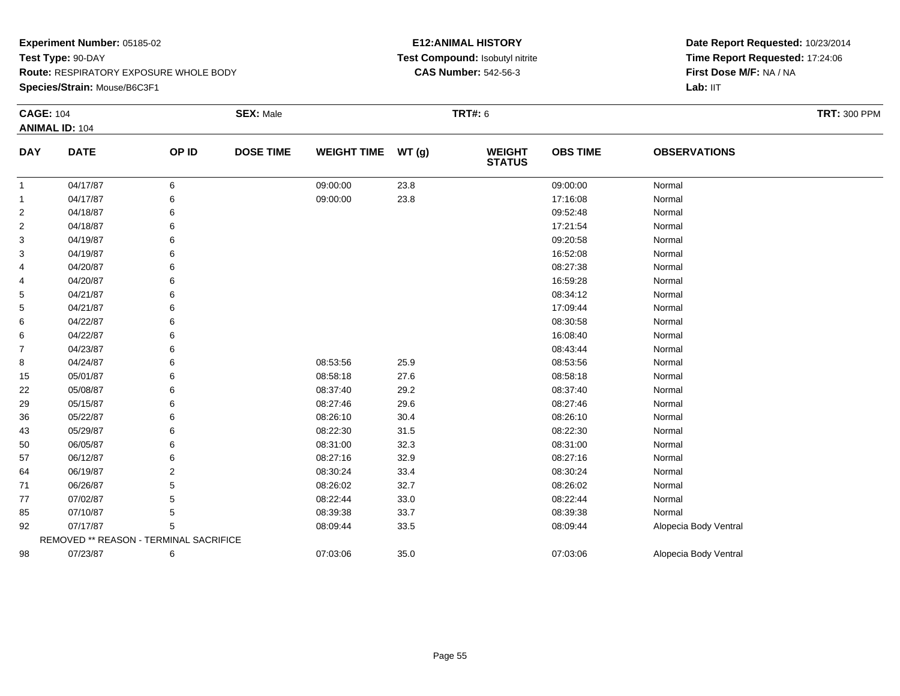**Species/Strain:** Mouse/B6C3F1

## **E12:ANIMAL HISTORY Test Compound:** Isobutyl nitrite**CAS Number:** 542-56-3

| <b>CAGE: 104</b> |                                        |       | <b>SEX: Male</b> |                    |       | <b>TRT#: 6</b>                 |                 |                       | <b>TRT: 300 PPM</b> |
|------------------|----------------------------------------|-------|------------------|--------------------|-------|--------------------------------|-----------------|-----------------------|---------------------|
|                  | <b>ANIMAL ID: 104</b>                  |       |                  |                    |       |                                |                 |                       |                     |
| <b>DAY</b>       | <b>DATE</b>                            | OP ID | <b>DOSE TIME</b> | <b>WEIGHT TIME</b> | WT(g) | <b>WEIGHT</b><br><b>STATUS</b> | <b>OBS TIME</b> | <b>OBSERVATIONS</b>   |                     |
| $\overline{1}$   | 04/17/87                               | 6     |                  | 09:00:00           | 23.8  |                                | 09:00:00        | Normal                |                     |
| $\overline{1}$   | 04/17/87                               | 6     |                  | 09:00:00           | 23.8  |                                | 17:16:08        | Normal                |                     |
| 2                | 04/18/87                               | 6     |                  |                    |       |                                | 09:52:48        | Normal                |                     |
| 2                | 04/18/87                               | 6     |                  |                    |       |                                | 17:21:54        | Normal                |                     |
| 3                | 04/19/87                               | 6     |                  |                    |       |                                | 09:20:58        | Normal                |                     |
| 3                | 04/19/87                               | 6     |                  |                    |       |                                | 16:52:08        | Normal                |                     |
| 4                | 04/20/87                               | 6     |                  |                    |       |                                | 08:27:38        | Normal                |                     |
| 4                | 04/20/87                               | 6     |                  |                    |       |                                | 16:59:28        | Normal                |                     |
| 5                | 04/21/87                               | 6     |                  |                    |       |                                | 08:34:12        | Normal                |                     |
| 5                | 04/21/87                               | 6     |                  |                    |       |                                | 17:09:44        | Normal                |                     |
| 6                | 04/22/87                               | 6     |                  |                    |       |                                | 08:30:58        | Normal                |                     |
| 6                | 04/22/87                               | 6     |                  |                    |       |                                | 16:08:40        | Normal                |                     |
| 7                | 04/23/87                               | 6     |                  |                    |       |                                | 08:43:44        | Normal                |                     |
| 8                | 04/24/87                               | 6     |                  | 08:53:56           | 25.9  |                                | 08:53:56        | Normal                |                     |
| 15               | 05/01/87                               | 6     |                  | 08:58:18           | 27.6  |                                | 08:58:18        | Normal                |                     |
| 22               | 05/08/87                               | 6     |                  | 08:37:40           | 29.2  |                                | 08:37:40        | Normal                |                     |
| 29               | 05/15/87                               | 6     |                  | 08:27:46           | 29.6  |                                | 08:27:46        | Normal                |                     |
| 36               | 05/22/87                               | 6     |                  | 08:26:10           | 30.4  |                                | 08:26:10        | Normal                |                     |
| 43               | 05/29/87                               | 6     |                  | 08:22:30           | 31.5  |                                | 08:22:30        | Normal                |                     |
| 50               | 06/05/87                               | 6     |                  | 08:31:00           | 32.3  |                                | 08:31:00        | Normal                |                     |
| 57               | 06/12/87                               | 6     |                  | 08:27:16           | 32.9  |                                | 08:27:16        | Normal                |                     |
| 64               | 06/19/87                               | 2     |                  | 08:30:24           | 33.4  |                                | 08:30:24        | Normal                |                     |
| 71               | 06/26/87                               | 5     |                  | 08:26:02           | 32.7  |                                | 08:26:02        | Normal                |                     |
| 77               | 07/02/87                               | 5     |                  | 08:22:44           | 33.0  |                                | 08:22:44        | Normal                |                     |
| 85               | 07/10/87                               | 5     |                  | 08:39:38           | 33.7  |                                | 08:39:38        | Normal                |                     |
| 92               | 07/17/87                               | 5     |                  | 08:09:44           | 33.5  |                                | 08:09:44        | Alopecia Body Ventral |                     |
|                  | REMOVED ** REASON - TERMINAL SACRIFICE |       |                  |                    |       |                                |                 |                       |                     |
| 98               | 07/23/87                               | 6     |                  | 07:03:06           | 35.0  |                                | 07:03:06        | Alopecia Body Ventral |                     |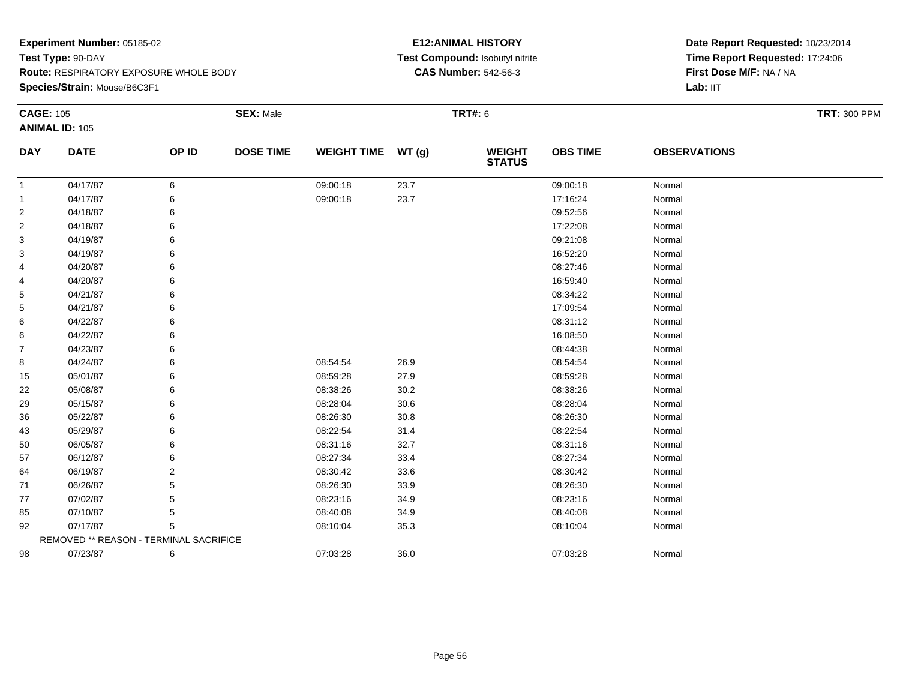**Species/Strain:** Mouse/B6C3F1

## **E12:ANIMAL HISTORY Test Compound:** Isobutyl nitrite**CAS Number:** 542-56-3

| <b>CAGE: 105</b> | <b>ANIMAL ID: 105</b>                  |       | <b>SEX: Male</b> |                    |       | <b>TRT#: 6</b>                 |                 |                     | <b>TRT: 300 PPM</b> |
|------------------|----------------------------------------|-------|------------------|--------------------|-------|--------------------------------|-----------------|---------------------|---------------------|
| <b>DAY</b>       | <b>DATE</b>                            | OP ID | <b>DOSE TIME</b> | <b>WEIGHT TIME</b> | WT(g) | <b>WEIGHT</b><br><b>STATUS</b> | <b>OBS TIME</b> | <b>OBSERVATIONS</b> |                     |
| $\overline{1}$   | 04/17/87                               | 6     |                  | 09:00:18           | 23.7  |                                | 09:00:18        | Normal              |                     |
| $\overline{1}$   | 04/17/87                               | 6     |                  | 09:00:18           | 23.7  |                                | 17:16:24        | Normal              |                     |
| 2                | 04/18/87                               | 6     |                  |                    |       |                                | 09:52:56        | Normal              |                     |
| $\overline{2}$   | 04/18/87                               | 6     |                  |                    |       |                                | 17:22:08        | Normal              |                     |
| 3                | 04/19/87                               |       |                  |                    |       |                                | 09:21:08        | Normal              |                     |
| 3                | 04/19/87                               | 6     |                  |                    |       |                                | 16:52:20        | Normal              |                     |
| 4                | 04/20/87                               | 6     |                  |                    |       |                                | 08:27:46        | Normal              |                     |
| 4                | 04/20/87                               | 6     |                  |                    |       |                                | 16:59:40        | Normal              |                     |
| 5                | 04/21/87                               |       |                  |                    |       |                                | 08:34:22        | Normal              |                     |
| 5                | 04/21/87                               | 6     |                  |                    |       |                                | 17:09:54        | Normal              |                     |
| 6                | 04/22/87                               |       |                  |                    |       |                                | 08:31:12        | Normal              |                     |
| 6                | 04/22/87                               | 6     |                  |                    |       |                                | 16:08:50        | Normal              |                     |
| $\overline{7}$   | 04/23/87                               | 6     |                  |                    |       |                                | 08:44:38        | Normal              |                     |
| 8                | 04/24/87                               | 6     |                  | 08:54:54           | 26.9  |                                | 08:54:54        | Normal              |                     |
| 15               | 05/01/87                               | 6     |                  | 08:59:28           | 27.9  |                                | 08:59:28        | Normal              |                     |
| 22               | 05/08/87                               | 6     |                  | 08:38:26           | 30.2  |                                | 08:38:26        | Normal              |                     |
| 29               | 05/15/87                               | 6     |                  | 08:28:04           | 30.6  |                                | 08:28:04        | Normal              |                     |
| 36               | 05/22/87                               |       |                  | 08:26:30           | 30.8  |                                | 08:26:30        | Normal              |                     |
| 43               | 05/29/87                               |       |                  | 08:22:54           | 31.4  |                                | 08:22:54        | Normal              |                     |
| 50               | 06/05/87                               | 6     |                  | 08:31:16           | 32.7  |                                | 08:31:16        | Normal              |                     |
| 57               | 06/12/87                               |       |                  | 08:27:34           | 33.4  |                                | 08:27:34        | Normal              |                     |
| 64               | 06/19/87                               | 2     |                  | 08:30:42           | 33.6  |                                | 08:30:42        | Normal              |                     |
| 71               | 06/26/87                               |       |                  | 08:26:30           | 33.9  |                                | 08:26:30        | Normal              |                     |
| 77               | 07/02/87                               |       |                  | 08:23:16           | 34.9  |                                | 08:23:16        | Normal              |                     |
| 85               | 07/10/87                               | 5     |                  | 08:40:08           | 34.9  |                                | 08:40:08        | Normal              |                     |
| 92               | 07/17/87                               | 5     |                  | 08:10:04           | 35.3  |                                | 08:10:04        | Normal              |                     |
|                  | REMOVED ** REASON - TERMINAL SACRIFICE |       |                  |                    |       |                                |                 |                     |                     |
| 98               | 07/23/87                               | 6     |                  | 07:03:28           | 36.0  |                                | 07:03:28        | Normal              |                     |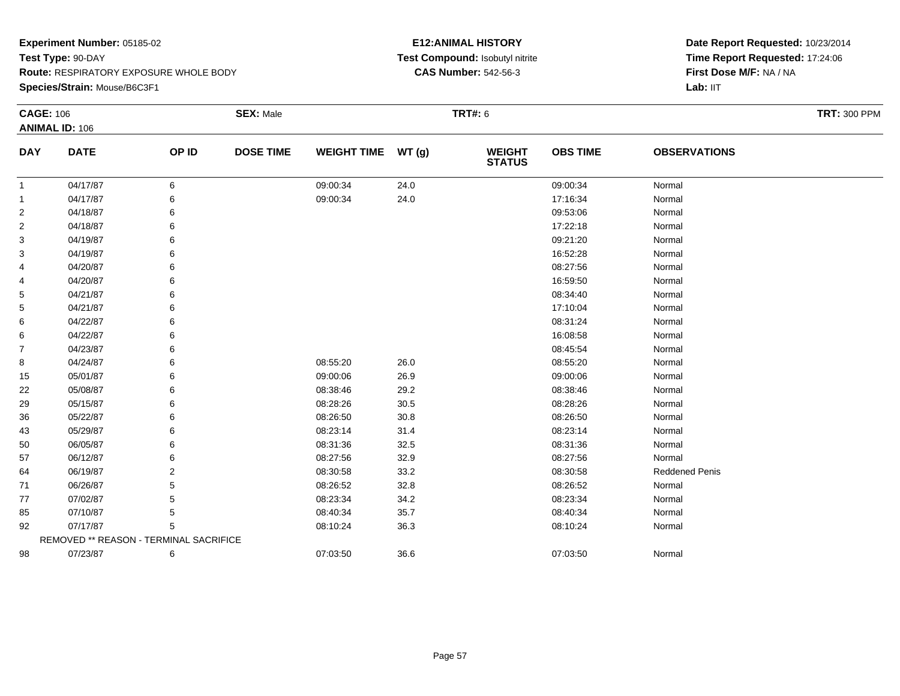**Species/Strain:** Mouse/B6C3F1

## **E12:ANIMAL HISTORY Test Compound:** Isobutyl nitrite**CAS Number:** 542-56-3

| <b>CAGE: 106</b> | <b>ANIMAL ID: 106</b>                  |                | <b>SEX: Male</b> |                    |          | <b>TRT#: 6</b>                 |                 |                       | <b>TRT: 300 PPM</b> |
|------------------|----------------------------------------|----------------|------------------|--------------------|----------|--------------------------------|-----------------|-----------------------|---------------------|
| <b>DAY</b>       | <b>DATE</b>                            | OP ID          | <b>DOSE TIME</b> | <b>WEIGHT TIME</b> | WT(g)    | <b>WEIGHT</b><br><b>STATUS</b> | <b>OBS TIME</b> | <b>OBSERVATIONS</b>   |                     |
| $\mathbf{1}$     | 04/17/87                               | 6              |                  | 09:00:34           | 24.0     |                                | 09:00:34        | Normal                |                     |
| $\mathbf{1}$     | 04/17/87                               | 6              |                  | 09:00:34           | 24.0     |                                | 17:16:34        | Normal                |                     |
| $\overline{2}$   | 04/18/87                               |                |                  |                    |          |                                | 09:53:06        | Normal                |                     |
| 2                | 04/18/87                               |                |                  |                    |          |                                | 17:22:18        | Normal                |                     |
| 3                | 04/19/87                               |                |                  |                    |          |                                | 09:21:20        | Normal                |                     |
| 3                | 04/19/87                               |                |                  |                    |          |                                | 16:52:28        | Normal                |                     |
| 4                | 04/20/87                               |                |                  |                    |          |                                | 08:27:56        | Normal                |                     |
| 4                | 04/20/87                               |                |                  |                    |          |                                | 16:59:50        | Normal                |                     |
| 5                | 04/21/87                               |                |                  |                    |          |                                | 08:34:40        | Normal                |                     |
| 5                | 04/21/87                               |                |                  |                    |          |                                | 17:10:04        | Normal                |                     |
| 6                | 04/22/87                               |                |                  |                    |          |                                | 08:31:24        | Normal                |                     |
| 6                | 04/22/87                               |                |                  |                    |          |                                | 16:08:58        | Normal                |                     |
| $\overline{7}$   | 04/23/87                               |                |                  |                    |          |                                | 08:45:54        | Normal                |                     |
| 8                | 04/24/87                               |                |                  | 08:55:20           | 26.0     |                                | 08:55:20        | Normal                |                     |
| 15               | 05/01/87                               |                |                  | 09:00:06           | 26.9     |                                | 09:00:06        | Normal                |                     |
| 22               | 05/08/87                               |                |                  | 08:38:46           | 29.2     |                                | 08:38:46        | Normal                |                     |
| 29               | 05/15/87                               |                |                  | 08:28:26           | $30.5\,$ |                                | 08:28:26        | Normal                |                     |
| 36               | 05/22/87                               |                |                  | 08:26:50           | 30.8     |                                | 08:26:50        | Normal                |                     |
| 43               | 05/29/87                               |                |                  | 08:23:14           | 31.4     |                                | 08:23:14        | Normal                |                     |
| 50               | 06/05/87                               |                |                  | 08:31:36           | 32.5     |                                | 08:31:36        | Normal                |                     |
| 57               | 06/12/87                               |                |                  | 08:27:56           | 32.9     |                                | 08:27:56        | Normal                |                     |
| 64               | 06/19/87                               | $\overline{2}$ |                  | 08:30:58           | 33.2     |                                | 08:30:58        | <b>Reddened Penis</b> |                     |
| 71               | 06/26/87                               | 5              |                  | 08:26:52           | 32.8     |                                | 08:26:52        | Normal                |                     |
| 77               | 07/02/87                               |                |                  | 08:23:34           | 34.2     |                                | 08:23:34        | Normal                |                     |
| 85               | 07/10/87                               | 5              |                  | 08:40:34           | 35.7     |                                | 08:40:34        | Normal                |                     |
| 92               | 07/17/87                               | 5              |                  | 08:10:24           | 36.3     |                                | 08:10:24        | Normal                |                     |
|                  | REMOVED ** REASON - TERMINAL SACRIFICE |                |                  |                    |          |                                |                 |                       |                     |
| 98               | 07/23/87                               | 6              |                  | 07:03:50           | 36.6     |                                | 07:03:50        | Normal                |                     |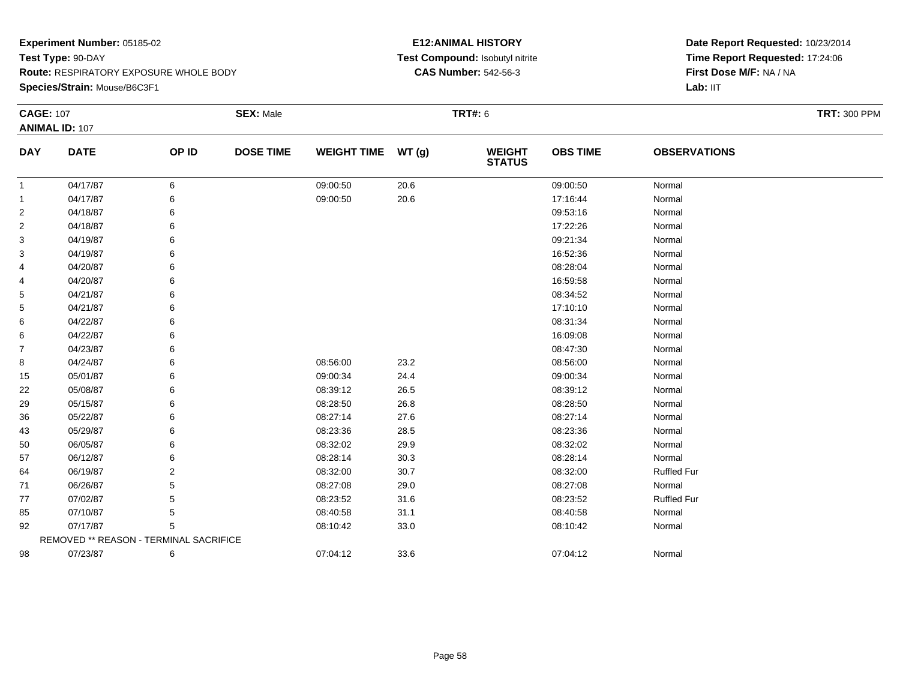**Species/Strain:** Mouse/B6C3F1

## **E12:ANIMAL HISTORY Test Compound:** Isobutyl nitrite**CAS Number:** 542-56-3

| <b>CAGE: 107</b> | <b>ANIMAL ID: 107</b>                  |       | <b>SEX: Male</b> |                    |       | <b>TRT#: 6</b>                 |                 |                     | <b>TRT: 300 PPM</b> |
|------------------|----------------------------------------|-------|------------------|--------------------|-------|--------------------------------|-----------------|---------------------|---------------------|
| <b>DAY</b>       | <b>DATE</b>                            | OP ID | <b>DOSE TIME</b> | <b>WEIGHT TIME</b> | WT(g) | <b>WEIGHT</b><br><b>STATUS</b> | <b>OBS TIME</b> | <b>OBSERVATIONS</b> |                     |
| $\mathbf{1}$     | 04/17/87                               | 6     |                  | 09:00:50           | 20.6  |                                | 09:00:50        | Normal              |                     |
| 1                | 04/17/87                               | 6     |                  | 09:00:50           | 20.6  |                                | 17:16:44        | Normal              |                     |
| 2                | 04/18/87                               | 6     |                  |                    |       |                                | 09:53:16        | Normal              |                     |
| $\overline{2}$   | 04/18/87                               | 6     |                  |                    |       |                                | 17:22:26        | Normal              |                     |
| 3                | 04/19/87                               | 6     |                  |                    |       |                                | 09:21:34        | Normal              |                     |
| 3                | 04/19/87                               | 6     |                  |                    |       |                                | 16:52:36        | Normal              |                     |
| 4                | 04/20/87                               | 6     |                  |                    |       |                                | 08:28:04        | Normal              |                     |
| 4                | 04/20/87                               | 6     |                  |                    |       |                                | 16:59:58        | Normal              |                     |
| 5                | 04/21/87                               | 6     |                  |                    |       |                                | 08:34:52        | Normal              |                     |
| 5                | 04/21/87                               |       |                  |                    |       |                                | 17:10:10        | Normal              |                     |
| 6                | 04/22/87                               | 6     |                  |                    |       |                                | 08:31:34        | Normal              |                     |
| 6                | 04/22/87                               | 6     |                  |                    |       |                                | 16:09:08        | Normal              |                     |
| 7                | 04/23/87                               | 6     |                  |                    |       |                                | 08:47:30        | Normal              |                     |
| 8                | 04/24/87                               | 6     |                  | 08:56:00           | 23.2  |                                | 08:56:00        | Normal              |                     |
| 15               | 05/01/87                               | 6     |                  | 09:00:34           | 24.4  |                                | 09:00:34        | Normal              |                     |
| 22               | 05/08/87                               | 6     |                  | 08:39:12           | 26.5  |                                | 08:39:12        | Normal              |                     |
| 29               | 05/15/87                               |       |                  | 08:28:50           | 26.8  |                                | 08:28:50        | Normal              |                     |
| 36               | 05/22/87                               | 6     |                  | 08:27:14           | 27.6  |                                | 08:27:14        | Normal              |                     |
| 43               | 05/29/87                               | 6     |                  | 08:23:36           | 28.5  |                                | 08:23:36        | Normal              |                     |
| 50               | 06/05/87                               | 6     |                  | 08:32:02           | 29.9  |                                | 08:32:02        | Normal              |                     |
| 57               | 06/12/87                               |       |                  | 08:28:14           | 30.3  |                                | 08:28:14        | Normal              |                     |
| 64               | 06/19/87                               | 2     |                  | 08:32:00           | 30.7  |                                | 08:32:00        | <b>Ruffled Fur</b>  |                     |
| 71               | 06/26/87                               | 5     |                  | 08:27:08           | 29.0  |                                | 08:27:08        | Normal              |                     |
| 77               | 07/02/87                               | 5     |                  | 08:23:52           | 31.6  |                                | 08:23:52        | <b>Ruffled Fur</b>  |                     |
| 85               | 07/10/87                               | 5     |                  | 08:40:58           | 31.1  |                                | 08:40:58        | Normal              |                     |
| 92               | 07/17/87                               | 5     |                  | 08:10:42           | 33.0  |                                | 08:10:42        | Normal              |                     |
|                  | REMOVED ** REASON - TERMINAL SACRIFICE |       |                  |                    |       |                                |                 |                     |                     |
| 98               | 07/23/87                               | 6     |                  | 07:04:12           | 33.6  |                                | 07:04:12        | Normal              |                     |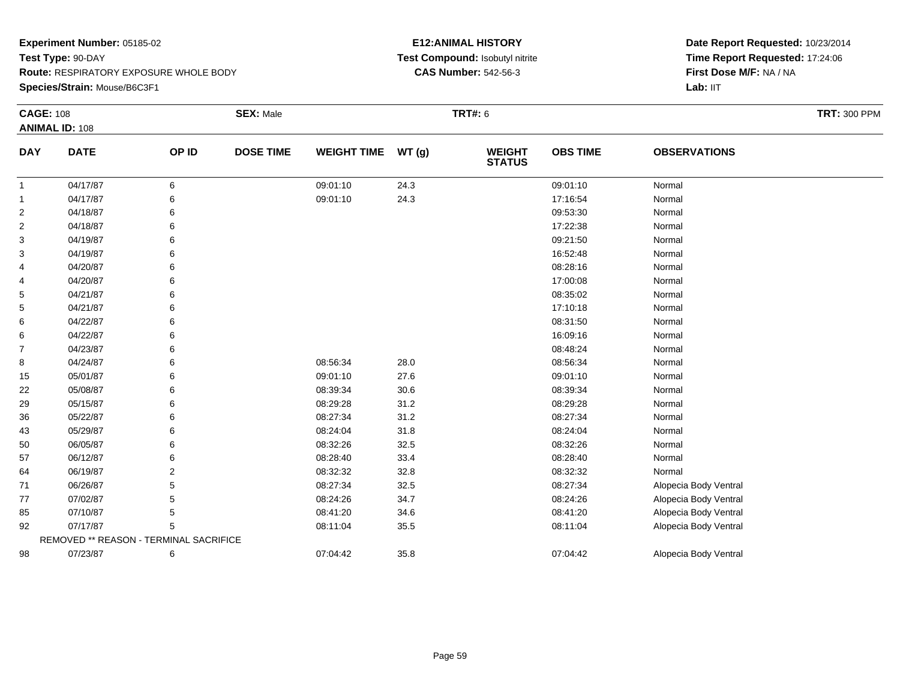**Species/Strain:** Mouse/B6C3F1

## **E12:ANIMAL HISTORY Test Compound:** Isobutyl nitrite**CAS Number:** 542-56-3

| <b>CAGE: 108</b> |                                        |       | <b>SEX: Male</b> |                    |       | <b>TRT#: 6</b>                 |                 |                       | <b>TRT: 300 PPM</b> |
|------------------|----------------------------------------|-------|------------------|--------------------|-------|--------------------------------|-----------------|-----------------------|---------------------|
|                  | <b>ANIMAL ID: 108</b>                  |       |                  |                    |       |                                |                 |                       |                     |
| <b>DAY</b>       | <b>DATE</b>                            | OP ID | <b>DOSE TIME</b> | <b>WEIGHT TIME</b> | WT(g) | <b>WEIGHT</b><br><b>STATUS</b> | <b>OBS TIME</b> | <b>OBSERVATIONS</b>   |                     |
| $\overline{1}$   | 04/17/87                               | 6     |                  | 09:01:10           | 24.3  |                                | 09:01:10        | Normal                |                     |
| $\overline{1}$   | 04/17/87                               | 6     |                  | 09:01:10           | 24.3  |                                | 17:16:54        | Normal                |                     |
| $\overline{2}$   | 04/18/87                               | 6     |                  |                    |       |                                | 09:53:30        | Normal                |                     |
| $\overline{c}$   | 04/18/87                               | 6     |                  |                    |       |                                | 17:22:38        | Normal                |                     |
| 3                | 04/19/87                               | 6     |                  |                    |       |                                | 09:21:50        | Normal                |                     |
| 3                | 04/19/87                               | 6     |                  |                    |       |                                | 16:52:48        | Normal                |                     |
| 4                | 04/20/87                               |       |                  |                    |       |                                | 08:28:16        | Normal                |                     |
| 4                | 04/20/87                               | 6     |                  |                    |       |                                | 17:00:08        | Normal                |                     |
| 5                | 04/21/87                               | 6     |                  |                    |       |                                | 08:35:02        | Normal                |                     |
| 5                | 04/21/87                               | 6     |                  |                    |       |                                | 17:10:18        | Normal                |                     |
| 6                | 04/22/87                               | 6     |                  |                    |       |                                | 08:31:50        | Normal                |                     |
| 6                | 04/22/87                               | 6     |                  |                    |       |                                | 16:09:16        | Normal                |                     |
| $\overline{7}$   | 04/23/87                               | 6     |                  |                    |       |                                | 08:48:24        | Normal                |                     |
| 8                | 04/24/87                               | 6     |                  | 08:56:34           | 28.0  |                                | 08:56:34        | Normal                |                     |
| 15               | 05/01/87                               | 6     |                  | 09:01:10           | 27.6  |                                | 09:01:10        | Normal                |                     |
| 22               | 05/08/87                               | 6     |                  | 08:39:34           | 30.6  |                                | 08:39:34        | Normal                |                     |
| 29               | 05/15/87                               | 6     |                  | 08:29:28           | 31.2  |                                | 08:29:28        | Normal                |                     |
| 36               | 05/22/87                               | 6     |                  | 08:27:34           | 31.2  |                                | 08:27:34        | Normal                |                     |
| 43               | 05/29/87                               | 6     |                  | 08:24:04           | 31.8  |                                | 08:24:04        | Normal                |                     |
| 50               | 06/05/87                               | 6     |                  | 08:32:26           | 32.5  |                                | 08:32:26        | Normal                |                     |
| 57               | 06/12/87                               | 6     |                  | 08:28:40           | 33.4  |                                | 08:28:40        | Normal                |                     |
| 64               | 06/19/87                               | 2     |                  | 08:32:32           | 32.8  |                                | 08:32:32        | Normal                |                     |
| 71               | 06/26/87                               | 5     |                  | 08:27:34           | 32.5  |                                | 08:27:34        | Alopecia Body Ventral |                     |
| 77               | 07/02/87                               | 5     |                  | 08:24:26           | 34.7  |                                | 08:24:26        | Alopecia Body Ventral |                     |
| 85               | 07/10/87                               | 5     |                  | 08:41:20           | 34.6  |                                | 08:41:20        | Alopecia Body Ventral |                     |
| 92               | 07/17/87                               | 5     |                  | 08:11:04           | 35.5  |                                | 08:11:04        | Alopecia Body Ventral |                     |
|                  | REMOVED ** REASON - TERMINAL SACRIFICE |       |                  |                    |       |                                |                 |                       |                     |
| 98               | 07/23/87                               | 6     |                  | 07:04:42           | 35.8  |                                | 07:04:42        | Alopecia Body Ventral |                     |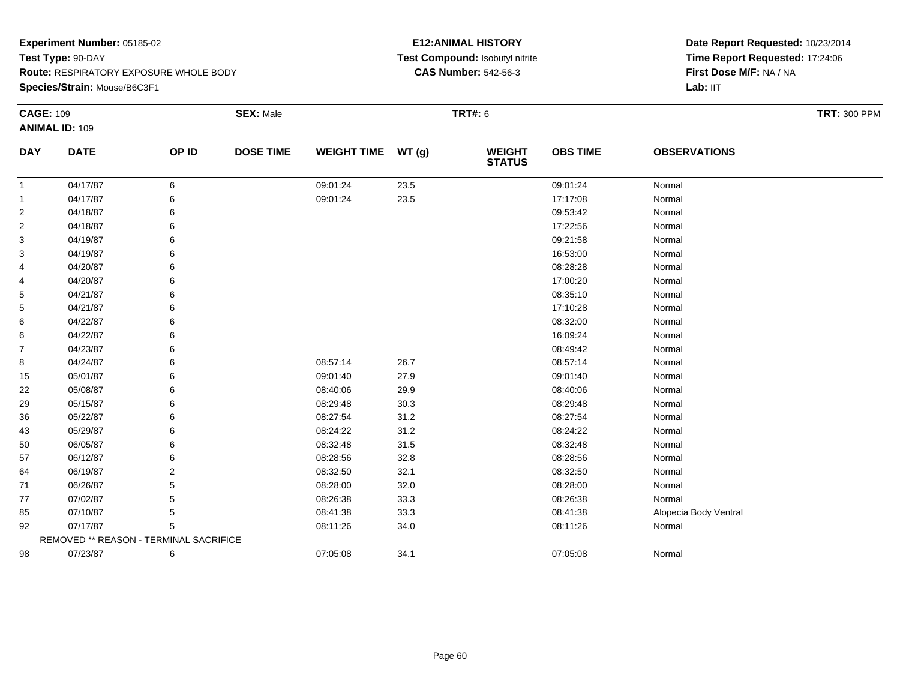**Species/Strain:** Mouse/B6C3F1

## **E12:ANIMAL HISTORY Test Compound:** Isobutyl nitrite**CAS Number:** 542-56-3

| <b>CAGE: 109</b> | <b>ANIMAL ID: 109</b>                  |       | <b>SEX: Male</b> |                    |       | <b>TRT#: 6</b>                 |                 |                       | <b>TRT: 300 PPM</b> |
|------------------|----------------------------------------|-------|------------------|--------------------|-------|--------------------------------|-----------------|-----------------------|---------------------|
| <b>DAY</b>       | <b>DATE</b>                            | OP ID | <b>DOSE TIME</b> | <b>WEIGHT TIME</b> | WT(g) | <b>WEIGHT</b><br><b>STATUS</b> | <b>OBS TIME</b> | <b>OBSERVATIONS</b>   |                     |
| $\mathbf{1}$     | 04/17/87                               | 6     |                  | 09:01:24           | 23.5  |                                | 09:01:24        | Normal                |                     |
| $\mathbf{1}$     | 04/17/87                               | 6     |                  | 09:01:24           | 23.5  |                                | 17:17:08        | Normal                |                     |
| $\overline{2}$   | 04/18/87                               | 6     |                  |                    |       |                                | 09:53:42        | Normal                |                     |
| 2                | 04/18/87                               | 6     |                  |                    |       |                                | 17:22:56        | Normal                |                     |
| 3                | 04/19/87                               | 6     |                  |                    |       |                                | 09:21:58        | Normal                |                     |
| 3                | 04/19/87                               | 6     |                  |                    |       |                                | 16:53:00        | Normal                |                     |
| 4                | 04/20/87                               | 6     |                  |                    |       |                                | 08:28:28        | Normal                |                     |
| 4                | 04/20/87                               | 6     |                  |                    |       |                                | 17:00:20        | Normal                |                     |
| 5                | 04/21/87                               |       |                  |                    |       |                                | 08:35:10        | Normal                |                     |
| 5                | 04/21/87                               |       |                  |                    |       |                                | 17:10:28        | Normal                |                     |
| 6                | 04/22/87                               | 6     |                  |                    |       |                                | 08:32:00        | Normal                |                     |
| 6                | 04/22/87                               | 6     |                  |                    |       |                                | 16:09:24        | Normal                |                     |
| 7                | 04/23/87                               | 6     |                  |                    |       |                                | 08:49:42        | Normal                |                     |
| 8                | 04/24/87                               | 6     |                  | 08:57:14           | 26.7  |                                | 08:57:14        | Normal                |                     |
| 15               | 05/01/87                               | 6     |                  | 09:01:40           | 27.9  |                                | 09:01:40        | Normal                |                     |
| 22               | 05/08/87                               | 6     |                  | 08:40:06           | 29.9  |                                | 08:40:06        | Normal                |                     |
| 29               | 05/15/87                               | 6     |                  | 08:29:48           | 30.3  |                                | 08:29:48        | Normal                |                     |
| 36               | 05/22/87                               | 6     |                  | 08:27:54           | 31.2  |                                | 08:27:54        | Normal                |                     |
| 43               | 05/29/87                               | 6     |                  | 08:24:22           | 31.2  |                                | 08:24:22        | Normal                |                     |
| 50               | 06/05/87                               | 6     |                  | 08:32:48           | 31.5  |                                | 08:32:48        | Normal                |                     |
| 57               | 06/12/87                               | 6     |                  | 08:28:56           | 32.8  |                                | 08:28:56        | Normal                |                     |
| 64               | 06/19/87                               | 2     |                  | 08:32:50           | 32.1  |                                | 08:32:50        | Normal                |                     |
| 71               | 06/26/87                               | 5     |                  | 08:28:00           | 32.0  |                                | 08:28:00        | Normal                |                     |
| 77               | 07/02/87                               | 5     |                  | 08:26:38           | 33.3  |                                | 08:26:38        | Normal                |                     |
| 85               | 07/10/87                               | 5     |                  | 08:41:38           | 33.3  |                                | 08:41:38        | Alopecia Body Ventral |                     |
| 92               | 07/17/87                               | 5     |                  | 08:11:26           | 34.0  |                                | 08:11:26        | Normal                |                     |
|                  | REMOVED ** REASON - TERMINAL SACRIFICE |       |                  |                    |       |                                |                 |                       |                     |
| 98               | 07/23/87                               | 6     |                  | 07:05:08           | 34.1  |                                | 07:05:08        | Normal                |                     |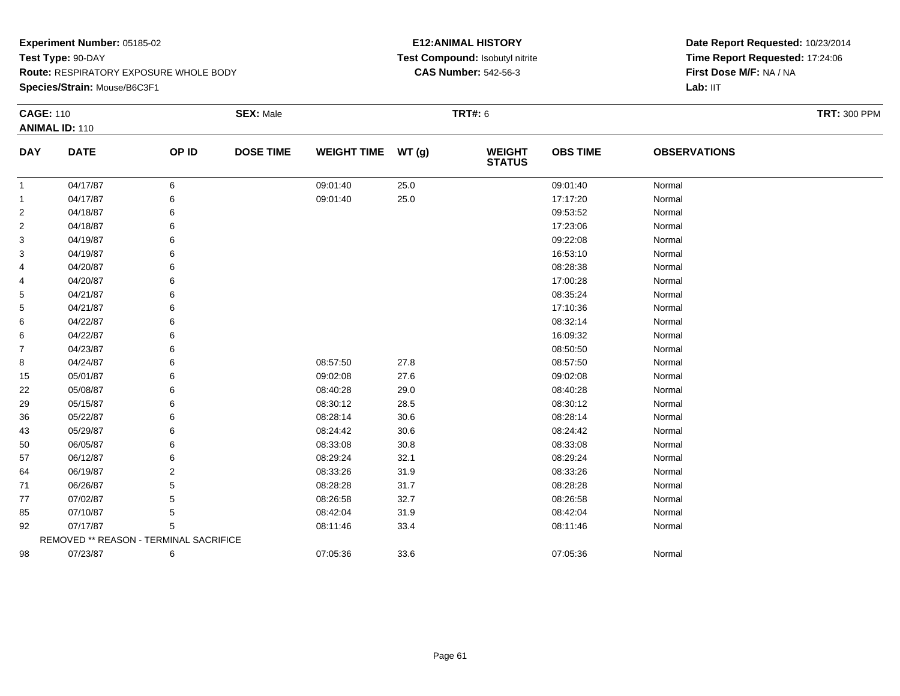**Species/Strain:** Mouse/B6C3F1

## **E12:ANIMAL HISTORY Test Compound:** Isobutyl nitrite**CAS Number:** 542-56-3

| <b>CAGE: 110</b>        |                                        |       | <b>SEX: Male</b> |                    |        | <b>TRT#: 6</b>                 |                 |                     | <b>TRT: 300 PPM</b> |
|-------------------------|----------------------------------------|-------|------------------|--------------------|--------|--------------------------------|-----------------|---------------------|---------------------|
|                         | <b>ANIMAL ID: 110</b>                  |       |                  |                    |        |                                |                 |                     |                     |
| <b>DAY</b>              | <b>DATE</b>                            | OP ID | <b>DOSE TIME</b> | <b>WEIGHT TIME</b> | WT(g)  | <b>WEIGHT</b><br><b>STATUS</b> | <b>OBS TIME</b> | <b>OBSERVATIONS</b> |                     |
| $\overline{1}$          | 04/17/87                               | 6     |                  | 09:01:40           | 25.0   |                                | 09:01:40        | Normal              |                     |
| $\mathbf{1}$            | 04/17/87                               | 6     |                  | 09:01:40           | 25.0   |                                | 17:17:20        | Normal              |                     |
| 2                       | 04/18/87                               | 6     |                  |                    |        |                                | 09:53:52        | Normal              |                     |
| $\overline{\mathbf{c}}$ | 04/18/87                               | 6     |                  |                    |        |                                | 17:23:06        | Normal              |                     |
| 3                       | 04/19/87                               | 6     |                  |                    |        |                                | 09:22:08        | Normal              |                     |
| 3                       | 04/19/87                               | 6     |                  |                    |        |                                | 16:53:10        | Normal              |                     |
| 4                       | 04/20/87                               | 6     |                  |                    |        |                                | 08:28:38        | Normal              |                     |
| 4                       | 04/20/87                               | 6     |                  |                    |        |                                | 17:00:28        | Normal              |                     |
| 5                       | 04/21/87                               | 6     |                  |                    |        |                                | 08:35:24        | Normal              |                     |
| 5                       | 04/21/87                               | 6     |                  |                    |        |                                | 17:10:36        | Normal              |                     |
| 6                       | 04/22/87                               | 6     |                  |                    |        |                                | 08:32:14        | Normal              |                     |
| 6                       | 04/22/87                               | 6     |                  |                    |        |                                | 16:09:32        | Normal              |                     |
| $\overline{7}$          | 04/23/87                               | 6     |                  |                    |        |                                | 08:50:50        | Normal              |                     |
| 8                       | 04/24/87                               | 6     |                  | 08:57:50           | 27.8   |                                | 08:57:50        | Normal              |                     |
| 15                      | 05/01/87                               | 6     |                  | 09:02:08           | 27.6   |                                | 09:02:08        | Normal              |                     |
| 22                      | 05/08/87                               | 6     |                  | 08:40:28           | 29.0   |                                | 08:40:28        | Normal              |                     |
| 29                      | 05/15/87                               | 6     |                  | 08:30:12           | 28.5   |                                | 08:30:12        | Normal              |                     |
| 36                      | 05/22/87                               | 6     |                  | 08:28:14           | $30.6$ |                                | 08:28:14        | Normal              |                     |
| 43                      | 05/29/87                               | 6     |                  | 08:24:42           | 30.6   |                                | 08:24:42        | Normal              |                     |
| 50                      | 06/05/87                               | 6     |                  | 08:33:08           | 30.8   |                                | 08:33:08        | Normal              |                     |
| 57                      | 06/12/87                               | 6     |                  | 08:29:24           | 32.1   |                                | 08:29:24        | Normal              |                     |
| 64                      | 06/19/87                               | 2     |                  | 08:33:26           | 31.9   |                                | 08:33:26        | Normal              |                     |
| 71                      | 06/26/87                               | 5     |                  | 08:28:28           | 31.7   |                                | 08:28:28        | Normal              |                     |
| 77                      | 07/02/87                               | 5     |                  | 08:26:58           | 32.7   |                                | 08:26:58        | Normal              |                     |
| 85                      | 07/10/87                               | 5     |                  | 08:42:04           | 31.9   |                                | 08:42:04        | Normal              |                     |
| 92                      | 07/17/87                               | 5     |                  | 08:11:46           | 33.4   |                                | 08:11:46        | Normal              |                     |
|                         | REMOVED ** REASON - TERMINAL SACRIFICE |       |                  |                    |        |                                |                 |                     |                     |
| 98                      | 07/23/87                               | 6     |                  | 07:05:36           | 33.6   |                                | 07:05:36        | Normal              |                     |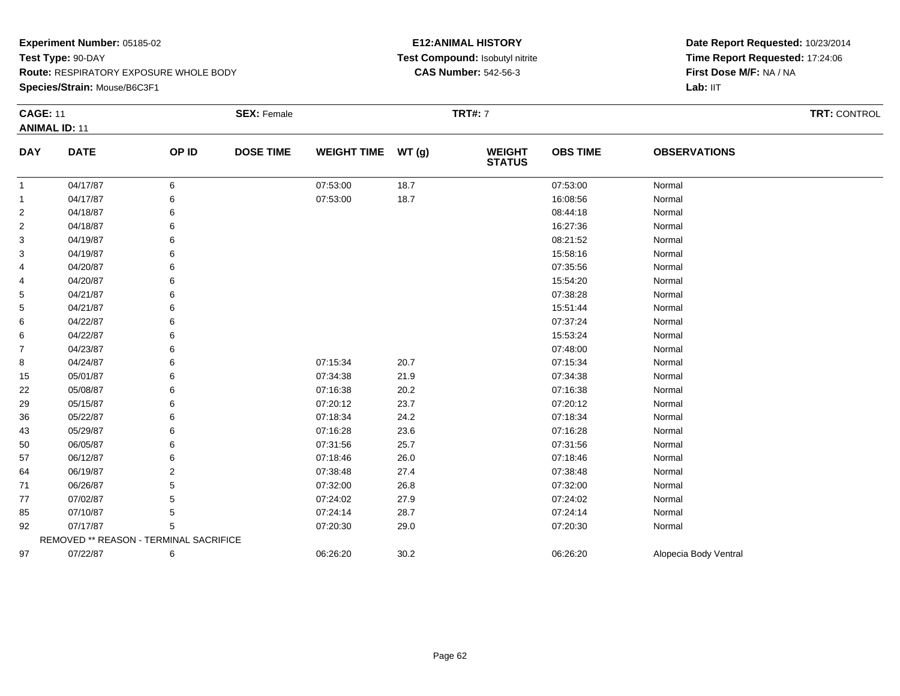**Species/Strain:** Mouse/B6C3F1

## **E12:ANIMAL HISTORY Test Compound:** Isobutyl nitrite**CAS Number:** 542-56-3

| <b>CAGE: 11</b> |                                        |       | <b>SEX: Female</b> |                    |       | <b>TRT#: 7</b>           |                 |                       | TRT: CONTROL |
|-----------------|----------------------------------------|-------|--------------------|--------------------|-------|--------------------------|-----------------|-----------------------|--------------|
|                 | <b>ANIMAL ID: 11</b>                   |       |                    |                    |       |                          |                 |                       |              |
| <b>DAY</b>      | <b>DATE</b>                            | OP ID | <b>DOSE TIME</b>   | <b>WEIGHT TIME</b> | WT(g) | <b>WEIGHT<br/>STATUS</b> | <b>OBS TIME</b> | <b>OBSERVATIONS</b>   |              |
| $\mathbf{1}$    | 04/17/87                               | 6     |                    | 07:53:00           | 18.7  |                          | 07:53:00        | Normal                |              |
| 1               | 04/17/87                               | 6     |                    | 07:53:00           | 18.7  |                          | 16:08:56        | Normal                |              |
| 2               | 04/18/87                               | 6     |                    |                    |       |                          | 08:44:18        | Normal                |              |
| 2               | 04/18/87                               |       |                    |                    |       |                          | 16:27:36        | Normal                |              |
| 3               | 04/19/87                               | 6     |                    |                    |       |                          | 08:21:52        | Normal                |              |
| 3               | 04/19/87                               |       |                    |                    |       |                          | 15:58:16        | Normal                |              |
| 4               | 04/20/87                               | 6     |                    |                    |       |                          | 07:35:56        | Normal                |              |
| 4               | 04/20/87                               |       |                    |                    |       |                          | 15:54:20        | Normal                |              |
| 5               | 04/21/87                               |       |                    |                    |       |                          | 07:38:28        | Normal                |              |
| 5               | 04/21/87                               |       |                    |                    |       |                          | 15:51:44        | Normal                |              |
| 6               | 04/22/87                               | 6     |                    |                    |       |                          | 07:37:24        | Normal                |              |
| 6               | 04/22/87                               | 6     |                    |                    |       |                          | 15:53:24        | Normal                |              |
| 7               | 04/23/87                               |       |                    |                    |       |                          | 07:48:00        | Normal                |              |
| 8               | 04/24/87                               |       |                    | 07:15:34           | 20.7  |                          | 07:15:34        | Normal                |              |
| 15              | 05/01/87                               | 6     |                    | 07:34:38           | 21.9  |                          | 07:34:38        | Normal                |              |
| 22              | 05/08/87                               | 6     |                    | 07:16:38           | 20.2  |                          | 07:16:38        | Normal                |              |
| 29              | 05/15/87                               |       |                    | 07:20:12           | 23.7  |                          | 07:20:12        | Normal                |              |
| 36              | 05/22/87                               |       |                    | 07:18:34           | 24.2  |                          | 07:18:34        | Normal                |              |
| 43              | 05/29/87                               | 6     |                    | 07:16:28           | 23.6  |                          | 07:16:28        | Normal                |              |
| 50              | 06/05/87                               | 6     |                    | 07:31:56           | 25.7  |                          | 07:31:56        | Normal                |              |
| 57              | 06/12/87                               |       |                    | 07:18:46           | 26.0  |                          | 07:18:46        | Normal                |              |
| 64              | 06/19/87                               | 2     |                    | 07:38:48           | 27.4  |                          | 07:38:48        | Normal                |              |
| 71              | 06/26/87                               | 5     |                    | 07:32:00           | 26.8  |                          | 07:32:00        | Normal                |              |
| 77              | 07/02/87                               | 5     |                    | 07:24:02           | 27.9  |                          | 07:24:02        | Normal                |              |
| 85              | 07/10/87                               |       |                    | 07:24:14           | 28.7  |                          | 07:24:14        | Normal                |              |
| 92              | 07/17/87                               | 5     |                    | 07:20:30           | 29.0  |                          | 07:20:30        | Normal                |              |
|                 | REMOVED ** REASON - TERMINAL SACRIFICE |       |                    |                    |       |                          |                 |                       |              |
| 97              | 07/22/87                               | 6     |                    | 06:26:20           | 30.2  |                          | 06:26:20        | Alopecia Body Ventral |              |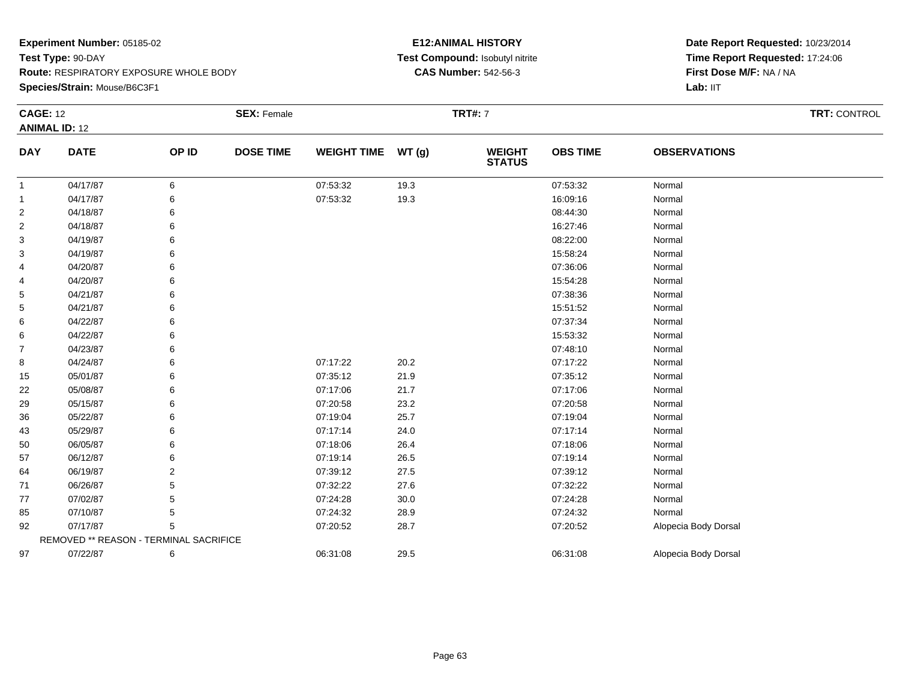**Species/Strain:** Mouse/B6C3F1

## **E12:ANIMAL HISTORY Test Compound:** Isobutyl nitrite**CAS Number:** 542-56-3

| <b>CAGE: 12</b> |                                        |       | <b>SEX: Female</b> |                    |      | <b>TRT#: 7</b>                 |                 |                      | TRT: CONTROL |
|-----------------|----------------------------------------|-------|--------------------|--------------------|------|--------------------------------|-----------------|----------------------|--------------|
|                 | <b>ANIMAL ID: 12</b>                   |       |                    |                    |      |                                |                 |                      |              |
| <b>DAY</b>      | <b>DATE</b>                            | OP ID | <b>DOSE TIME</b>   | WEIGHT TIME WT (g) |      | <b>WEIGHT</b><br><b>STATUS</b> | <b>OBS TIME</b> | <b>OBSERVATIONS</b>  |              |
| 1               | 04/17/87                               | 6     |                    | 07:53:32           | 19.3 |                                | 07:53:32        | Normal               |              |
| -1              | 04/17/87                               | 6     |                    | 07:53:32           | 19.3 |                                | 16:09:16        | Normal               |              |
| $\overline{2}$  | 04/18/87                               | 6     |                    |                    |      |                                | 08:44:30        | Normal               |              |
| 2               | 04/18/87                               |       |                    |                    |      |                                | 16:27:46        | Normal               |              |
| 3               | 04/19/87                               |       |                    |                    |      |                                | 08:22:00        | Normal               |              |
| 3               | 04/19/87                               |       |                    |                    |      |                                | 15:58:24        | Normal               |              |
| 4               | 04/20/87                               | 6     |                    |                    |      |                                | 07:36:06        | Normal               |              |
| 4               | 04/20/87                               |       |                    |                    |      |                                | 15:54:28        | Normal               |              |
| 5               | 04/21/87                               |       |                    |                    |      |                                | 07:38:36        | Normal               |              |
| 5               | 04/21/87                               |       |                    |                    |      |                                | 15:51:52        | Normal               |              |
| 6               | 04/22/87                               |       |                    |                    |      |                                | 07:37:34        | Normal               |              |
| 6               | 04/22/87                               |       |                    |                    |      |                                | 15:53:32        | Normal               |              |
| 7               | 04/23/87                               |       |                    |                    |      |                                | 07:48:10        | Normal               |              |
| 8               | 04/24/87                               |       |                    | 07:17:22           | 20.2 |                                | 07:17:22        | Normal               |              |
| 15              | 05/01/87                               | 6     |                    | 07:35:12           | 21.9 |                                | 07:35:12        | Normal               |              |
| 22              | 05/08/87                               |       |                    | 07:17:06           | 21.7 |                                | 07:17:06        | Normal               |              |
| 29              | 05/15/87                               |       |                    | 07:20:58           | 23.2 |                                | 07:20:58        | Normal               |              |
| 36              | 05/22/87                               |       |                    | 07:19:04           | 25.7 |                                | 07:19:04        | Normal               |              |
| 43              | 05/29/87                               |       |                    | 07:17:14           | 24.0 |                                | 07:17:14        | Normal               |              |
| 50              | 06/05/87                               |       |                    | 07:18:06           | 26.4 |                                | 07:18:06        | Normal               |              |
| 57              | 06/12/87                               |       |                    | 07:19:14           | 26.5 |                                | 07:19:14        | Normal               |              |
| 64              | 06/19/87                               | 2     |                    | 07:39:12           | 27.5 |                                | 07:39:12        | Normal               |              |
| 71              | 06/26/87                               | 5     |                    | 07:32:22           | 27.6 |                                | 07:32:22        | Normal               |              |
| 77              | 07/02/87                               |       |                    | 07:24:28           | 30.0 |                                | 07:24:28        | Normal               |              |
| 85              | 07/10/87                               | 5     |                    | 07:24:32           | 28.9 |                                | 07:24:32        | Normal               |              |
| 92              | 07/17/87                               | 5     |                    | 07:20:52           | 28.7 |                                | 07:20:52        | Alopecia Body Dorsal |              |
|                 | REMOVED ** REASON - TERMINAL SACRIFICE |       |                    |                    |      |                                |                 |                      |              |
| 97              | 07/22/87                               | 6     |                    | 06:31:08           | 29.5 |                                | 06:31:08        | Alopecia Body Dorsal |              |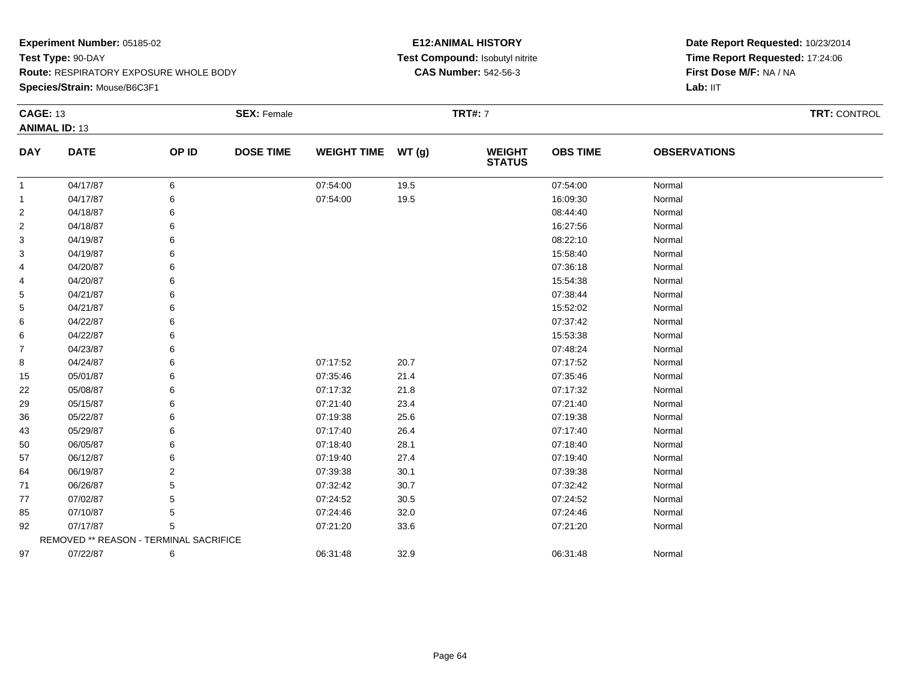**Species/Strain:** Mouse/B6C3F1

## **E12:ANIMAL HISTORY Test Compound:** Isobutyl nitrite**CAS Number:** 542-56-3

| <b>CAGE: 13</b> |                                        |       | <b>SEX: Female</b> |                    |       | <b>TRT#: 7</b>                 |                 |                     | TRT: CONTROL |
|-----------------|----------------------------------------|-------|--------------------|--------------------|-------|--------------------------------|-----------------|---------------------|--------------|
|                 | <b>ANIMAL ID: 13</b>                   |       |                    |                    |       |                                |                 |                     |              |
| <b>DAY</b>      | <b>DATE</b>                            | OP ID | <b>DOSE TIME</b>   | <b>WEIGHT TIME</b> | WT(g) | <b>WEIGHT</b><br><b>STATUS</b> | <b>OBS TIME</b> | <b>OBSERVATIONS</b> |              |
| 1               | 04/17/87                               | 6     |                    | 07:54:00           | 19.5  |                                | 07:54:00        | Normal              |              |
| -1              | 04/17/87                               | 6     |                    | 07:54:00           | 19.5  |                                | 16:09:30        | Normal              |              |
| $\overline{2}$  | 04/18/87                               |       |                    |                    |       |                                | 08:44:40        | Normal              |              |
| 2               | 04/18/87                               | 6     |                    |                    |       |                                | 16:27:56        | Normal              |              |
| 3               | 04/19/87                               |       |                    |                    |       |                                | 08:22:10        | Normal              |              |
| 3               | 04/19/87                               |       |                    |                    |       |                                | 15:58:40        | Normal              |              |
| 4               | 04/20/87                               |       |                    |                    |       |                                | 07:36:18        | Normal              |              |
| 4               | 04/20/87                               |       |                    |                    |       |                                | 15:54:38        | Normal              |              |
| 5               | 04/21/87                               |       |                    |                    |       |                                | 07:38:44        | Normal              |              |
| 5               | 04/21/87                               |       |                    |                    |       |                                | 15:52:02        | Normal              |              |
| 6               | 04/22/87                               |       |                    |                    |       |                                | 07:37:42        | Normal              |              |
| 6               | 04/22/87                               |       |                    |                    |       |                                | 15:53:38        | Normal              |              |
| 7               | 04/23/87                               |       |                    |                    |       |                                | 07:48:24        | Normal              |              |
| 8               | 04/24/87                               |       |                    | 07:17:52           | 20.7  |                                | 07:17:52        | Normal              |              |
| 15              | 05/01/87                               |       |                    | 07:35:46           | 21.4  |                                | 07:35:46        | Normal              |              |
| 22              | 05/08/87                               |       |                    | 07:17:32           | 21.8  |                                | 07:17:32        | Normal              |              |
| 29              | 05/15/87                               |       |                    | 07:21:40           | 23.4  |                                | 07:21:40        | Normal              |              |
| 36              | 05/22/87                               |       |                    | 07:19:38           | 25.6  |                                | 07:19:38        | Normal              |              |
| 43              | 05/29/87                               |       |                    | 07:17:40           | 26.4  |                                | 07:17:40        | Normal              |              |
| 50              | 06/05/87                               | 6     |                    | 07:18:40           | 28.1  |                                | 07:18:40        | Normal              |              |
| 57              | 06/12/87                               |       |                    | 07:19:40           | 27.4  |                                | 07:19:40        | Normal              |              |
| 64              | 06/19/87                               |       |                    | 07:39:38           | 30.1  |                                | 07:39:38        | Normal              |              |
| 71              | 06/26/87                               |       |                    | 07:32:42           | 30.7  |                                | 07:32:42        | Normal              |              |
| 77              | 07/02/87                               |       |                    | 07:24:52           | 30.5  |                                | 07:24:52        | Normal              |              |
| 85              | 07/10/87                               | 5     |                    | 07:24:46           | 32.0  |                                | 07:24:46        | Normal              |              |
| 92              | 07/17/87                               | 5     |                    | 07:21:20           | 33.6  |                                | 07:21:20        | Normal              |              |
|                 | REMOVED ** REASON - TERMINAL SACRIFICE |       |                    |                    |       |                                |                 |                     |              |
| 97              | 07/22/87                               | 6     |                    | 06:31:48           | 32.9  |                                | 06:31:48        | Normal              |              |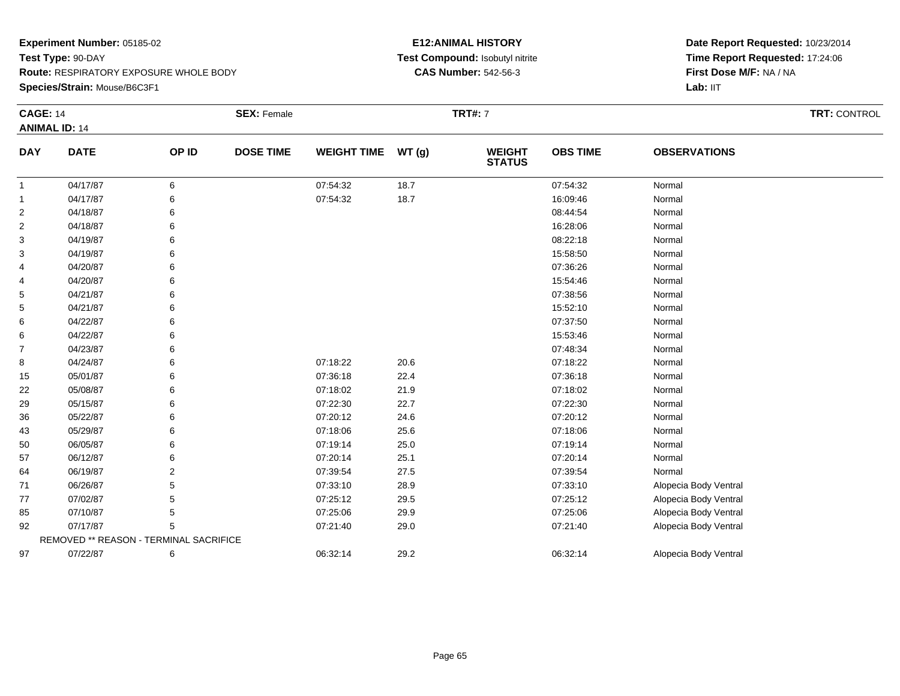#### **Species/Strain:** Mouse/B6C3F1

## **E12:ANIMAL HISTORY Test Compound:** Isobutyl nitrite**CAS Number:** 542-56-3

| <b>CAGE: 14</b> |                                        |                | <b>SEX: Female</b> |                    |       | <b>TRT#: 7</b>                 |                 |                       | TRT: CONTROL |
|-----------------|----------------------------------------|----------------|--------------------|--------------------|-------|--------------------------------|-----------------|-----------------------|--------------|
|                 | <b>ANIMAL ID: 14</b>                   |                |                    |                    |       |                                |                 |                       |              |
| <b>DAY</b>      | <b>DATE</b>                            | OP ID          | <b>DOSE TIME</b>   | <b>WEIGHT TIME</b> | WT(g) | <b>WEIGHT</b><br><b>STATUS</b> | <b>OBS TIME</b> | <b>OBSERVATIONS</b>   |              |
| 1               | 04/17/87                               | 6              |                    | 07:54:32           | 18.7  |                                | 07:54:32        | Normal                |              |
| 1               | 04/17/87                               | 6              |                    | 07:54:32           | 18.7  |                                | 16:09:46        | Normal                |              |
| 2               | 04/18/87                               | 6              |                    |                    |       |                                | 08:44:54        | Normal                |              |
| 2               | 04/18/87                               | 6              |                    |                    |       |                                | 16:28:06        | Normal                |              |
| 3               | 04/19/87                               | 6              |                    |                    |       |                                | 08:22:18        | Normal                |              |
| 3               | 04/19/87                               | 6              |                    |                    |       |                                | 15:58:50        | Normal                |              |
| 4               | 04/20/87                               | 6              |                    |                    |       |                                | 07:36:26        | Normal                |              |
| 4               | 04/20/87                               | 6              |                    |                    |       |                                | 15:54:46        | Normal                |              |
| 5               | 04/21/87                               | 6              |                    |                    |       |                                | 07:38:56        | Normal                |              |
| 5               | 04/21/87                               | 6              |                    |                    |       |                                | 15:52:10        | Normal                |              |
| 6               | 04/22/87                               | 6              |                    |                    |       |                                | 07:37:50        | Normal                |              |
| 6               | 04/22/87                               | 6              |                    |                    |       |                                | 15:53:46        | Normal                |              |
| 7               | 04/23/87                               | 6              |                    |                    |       |                                | 07:48:34        | Normal                |              |
| 8               | 04/24/87                               | 6              |                    | 07:18:22           | 20.6  |                                | 07:18:22        | Normal                |              |
| 15              | 05/01/87                               | 6              |                    | 07:36:18           | 22.4  |                                | 07:36:18        | Normal                |              |
| 22              | 05/08/87                               | 6              |                    | 07:18:02           | 21.9  |                                | 07:18:02        | Normal                |              |
| 29              | 05/15/87                               | 6              |                    | 07:22:30           | 22.7  |                                | 07:22:30        | Normal                |              |
| 36              | 05/22/87                               | 6              |                    | 07:20:12           | 24.6  |                                | 07:20:12        | Normal                |              |
| 43              | 05/29/87                               | 6              |                    | 07:18:06           | 25.6  |                                | 07:18:06        | Normal                |              |
| 50              | 06/05/87                               | 6              |                    | 07:19:14           | 25.0  |                                | 07:19:14        | Normal                |              |
| 57              | 06/12/87                               | 6              |                    | 07:20:14           | 25.1  |                                | 07:20:14        | Normal                |              |
| 64              | 06/19/87                               | $\overline{2}$ |                    | 07:39:54           | 27.5  |                                | 07:39:54        | Normal                |              |
| 71              | 06/26/87                               | 5              |                    | 07:33:10           | 28.9  |                                | 07:33:10        | Alopecia Body Ventral |              |
| 77              | 07/02/87                               | 5              |                    | 07:25:12           | 29.5  |                                | 07:25:12        | Alopecia Body Ventral |              |
| 85              | 07/10/87                               | 5              |                    | 07:25:06           | 29.9  |                                | 07:25:06        | Alopecia Body Ventral |              |
| 92              | 07/17/87                               | 5              |                    | 07:21:40           | 29.0  |                                | 07:21:40        | Alopecia Body Ventral |              |
|                 | REMOVED ** REASON - TERMINAL SACRIFICE |                |                    |                    |       |                                |                 |                       |              |
| 97              | 07/22/87                               | 6              |                    | 06:32:14           | 29.2  |                                | 06:32:14        | Alopecia Body Ventral |              |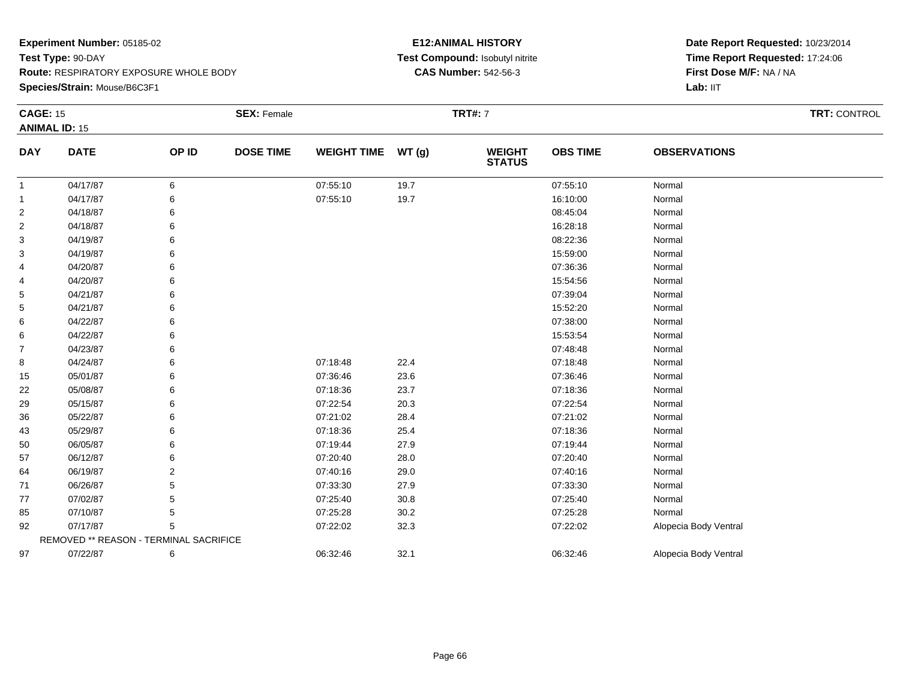**Species/Strain:** Mouse/B6C3F1

## **E12:ANIMAL HISTORY Test Compound:** Isobutyl nitrite**CAS Number:** 542-56-3

| <b>CAGE: 15</b> | <b>ANIMAL ID: 15</b>                   |                | <b>SEX: Female</b> |                    |       | <b>TRT#: 7</b>                 |                 |                       | <b>TRT: CONTROL</b> |
|-----------------|----------------------------------------|----------------|--------------------|--------------------|-------|--------------------------------|-----------------|-----------------------|---------------------|
| <b>DAY</b>      | <b>DATE</b>                            | OP ID          | <b>DOSE TIME</b>   | <b>WEIGHT TIME</b> | WT(g) | <b>WEIGHT</b><br><b>STATUS</b> | <b>OBS TIME</b> | <b>OBSERVATIONS</b>   |                     |
| 1               | 04/17/87                               | 6              |                    | 07:55:10           | 19.7  |                                | 07:55:10        | Normal                |                     |
| $\mathbf{1}$    | 04/17/87                               | 6              |                    | 07:55:10           | 19.7  |                                | 16:10:00        | Normal                |                     |
| $\overline{c}$  | 04/18/87                               | 6              |                    |                    |       |                                | 08:45:04        | Normal                |                     |
| 2               | 04/18/87                               | 6              |                    |                    |       |                                | 16:28:18        | Normal                |                     |
| 3               | 04/19/87                               | 6              |                    |                    |       |                                | 08:22:36        | Normal                |                     |
| 3               | 04/19/87                               | 6              |                    |                    |       |                                | 15:59:00        | Normal                |                     |
| 4               | 04/20/87                               | 6              |                    |                    |       |                                | 07:36:36        | Normal                |                     |
| 4               | 04/20/87                               | 6              |                    |                    |       |                                | 15:54:56        | Normal                |                     |
| 5               | 04/21/87                               | 6              |                    |                    |       |                                | 07:39:04        | Normal                |                     |
| 5               | 04/21/87                               | 6              |                    |                    |       |                                | 15:52:20        | Normal                |                     |
| 6               | 04/22/87                               | 6              |                    |                    |       |                                | 07:38:00        | Normal                |                     |
| 6               | 04/22/87                               | 6              |                    |                    |       |                                | 15:53:54        | Normal                |                     |
| 7               | 04/23/87                               | 6              |                    |                    |       |                                | 07:48:48        | Normal                |                     |
| 8               | 04/24/87                               | 6              |                    | 07:18:48           | 22.4  |                                | 07:18:48        | Normal                |                     |
| 15              | 05/01/87                               | 6              |                    | 07:36:46           | 23.6  |                                | 07:36:46        | Normal                |                     |
| 22              | 05/08/87                               | 6              |                    | 07:18:36           | 23.7  |                                | 07:18:36        | Normal                |                     |
| 29              | 05/15/87                               | 6              |                    | 07:22:54           | 20.3  |                                | 07:22:54        | Normal                |                     |
| 36              | 05/22/87                               | 6              |                    | 07:21:02           | 28.4  |                                | 07:21:02        | Normal                |                     |
| 43              | 05/29/87                               | 6              |                    | 07:18:36           | 25.4  |                                | 07:18:36        | Normal                |                     |
| 50              | 06/05/87                               | 6              |                    | 07:19:44           | 27.9  |                                | 07:19:44        | Normal                |                     |
| 57              | 06/12/87                               | 6              |                    | 07:20:40           | 28.0  |                                | 07:20:40        | Normal                |                     |
| 64              | 06/19/87                               | $\overline{2}$ |                    | 07:40:16           | 29.0  |                                | 07:40:16        | Normal                |                     |
| 71              | 06/26/87                               | 5              |                    | 07:33:30           | 27.9  |                                | 07:33:30        | Normal                |                     |
| 77              | 07/02/87                               | 5              |                    | 07:25:40           | 30.8  |                                | 07:25:40        | Normal                |                     |
| 85              | 07/10/87                               | 5              |                    | 07:25:28           | 30.2  |                                | 07:25:28        | Normal                |                     |
| 92              | 07/17/87                               | 5              |                    | 07:22:02           | 32.3  |                                | 07:22:02        | Alopecia Body Ventral |                     |
|                 | REMOVED ** REASON - TERMINAL SACRIFICE |                |                    |                    |       |                                |                 |                       |                     |
| 97              | 07/22/87                               | 6              |                    | 06:32:46           | 32.1  |                                | 06:32:46        | Alopecia Body Ventral |                     |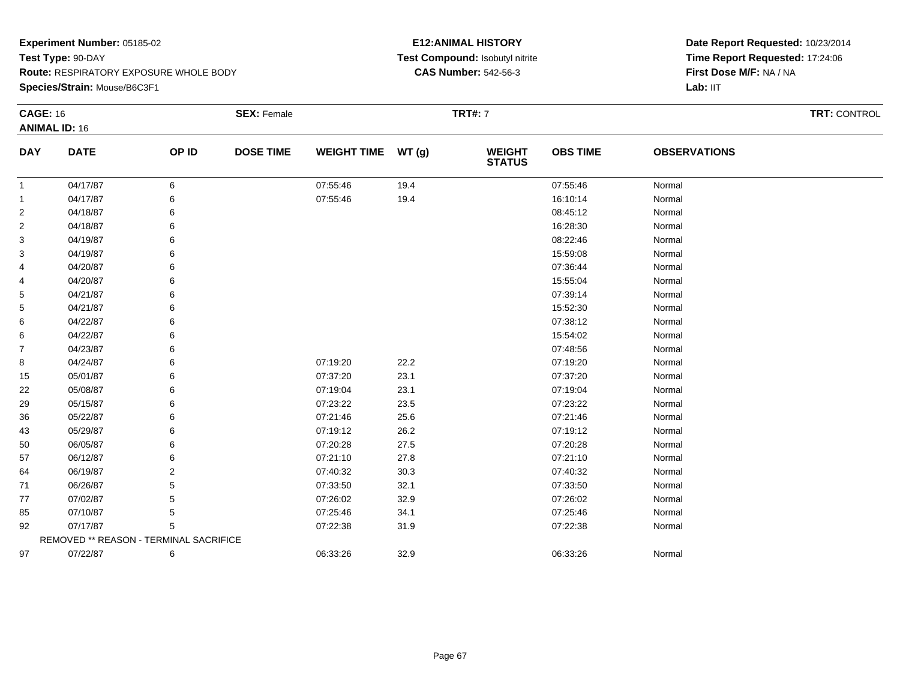**Species/Strain:** Mouse/B6C3F1

## **E12:ANIMAL HISTORY Test Compound:** Isobutyl nitrite**CAS Number:** 542-56-3

| <b>CAGE: 16</b> |                                        |       | <b>SEX: Female</b> |                    |       | <b>TRT#: 7</b>                 |                 |                     | <b>TRT: CONTROL</b> |
|-----------------|----------------------------------------|-------|--------------------|--------------------|-------|--------------------------------|-----------------|---------------------|---------------------|
|                 | <b>ANIMAL ID: 16</b>                   |       |                    |                    |       |                                |                 |                     |                     |
| <b>DAY</b>      | <b>DATE</b>                            | OP ID | <b>DOSE TIME</b>   | <b>WEIGHT TIME</b> | WT(g) | <b>WEIGHT</b><br><b>STATUS</b> | <b>OBS TIME</b> | <b>OBSERVATIONS</b> |                     |
| -1              | 04/17/87                               | 6     |                    | 07:55:46           | 19.4  |                                | 07:55:46        | Normal              |                     |
| -1              | 04/17/87                               | 6     |                    | 07:55:46           | 19.4  |                                | 16:10:14        | Normal              |                     |
| $\overline{2}$  | 04/18/87                               |       |                    |                    |       |                                | 08:45:12        | Normal              |                     |
| 2               | 04/18/87                               | 6     |                    |                    |       |                                | 16:28:30        | Normal              |                     |
| 3               | 04/19/87                               |       |                    |                    |       |                                | 08:22:46        | Normal              |                     |
| 3               | 04/19/87                               |       |                    |                    |       |                                | 15:59:08        | Normal              |                     |
| 4               | 04/20/87                               |       |                    |                    |       |                                | 07:36:44        | Normal              |                     |
| 4               | 04/20/87                               |       |                    |                    |       |                                | 15:55:04        | Normal              |                     |
| 5               | 04/21/87                               |       |                    |                    |       |                                | 07:39:14        | Normal              |                     |
| 5               | 04/21/87                               |       |                    |                    |       |                                | 15:52:30        | Normal              |                     |
| 6               | 04/22/87                               |       |                    |                    |       |                                | 07:38:12        | Normal              |                     |
| 6               | 04/22/87                               |       |                    |                    |       |                                | 15:54:02        | Normal              |                     |
| $\overline{7}$  | 04/23/87                               |       |                    |                    |       |                                | 07:48:56        | Normal              |                     |
| 8               | 04/24/87                               | 6     |                    | 07:19:20           | 22.2  |                                | 07:19:20        | Normal              |                     |
| 15              | 05/01/87                               |       |                    | 07:37:20           | 23.1  |                                | 07:37:20        | Normal              |                     |
| 22              | 05/08/87                               | 6     |                    | 07:19:04           | 23.1  |                                | 07:19:04        | Normal              |                     |
| 29              | 05/15/87                               |       |                    | 07:23:22           | 23.5  |                                | 07:23:22        | Normal              |                     |
| 36              | 05/22/87                               |       |                    | 07:21:46           | 25.6  |                                | 07:21:46        | Normal              |                     |
| 43              | 05/29/87                               |       |                    | 07:19:12           | 26.2  |                                | 07:19:12        | Normal              |                     |
| 50              | 06/05/87                               | 6     |                    | 07:20:28           | 27.5  |                                | 07:20:28        | Normal              |                     |
| 57              | 06/12/87                               |       |                    | 07:21:10           | 27.8  |                                | 07:21:10        | Normal              |                     |
| 64              | 06/19/87                               | 2     |                    | 07:40:32           | 30.3  |                                | 07:40:32        | Normal              |                     |
| 71              | 06/26/87                               |       |                    | 07:33:50           | 32.1  |                                | 07:33:50        | Normal              |                     |
| 77              | 07/02/87                               |       |                    | 07:26:02           | 32.9  |                                | 07:26:02        | Normal              |                     |
| 85              | 07/10/87                               | 5     |                    | 07:25:46           | 34.1  |                                | 07:25:46        | Normal              |                     |
| 92              | 07/17/87                               | 5     |                    | 07:22:38           | 31.9  |                                | 07:22:38        | Normal              |                     |
|                 | REMOVED ** REASON - TERMINAL SACRIFICE |       |                    |                    |       |                                |                 |                     |                     |
| 97              | 07/22/87                               | 6     |                    | 06:33:26           | 32.9  |                                | 06:33:26        | Normal              |                     |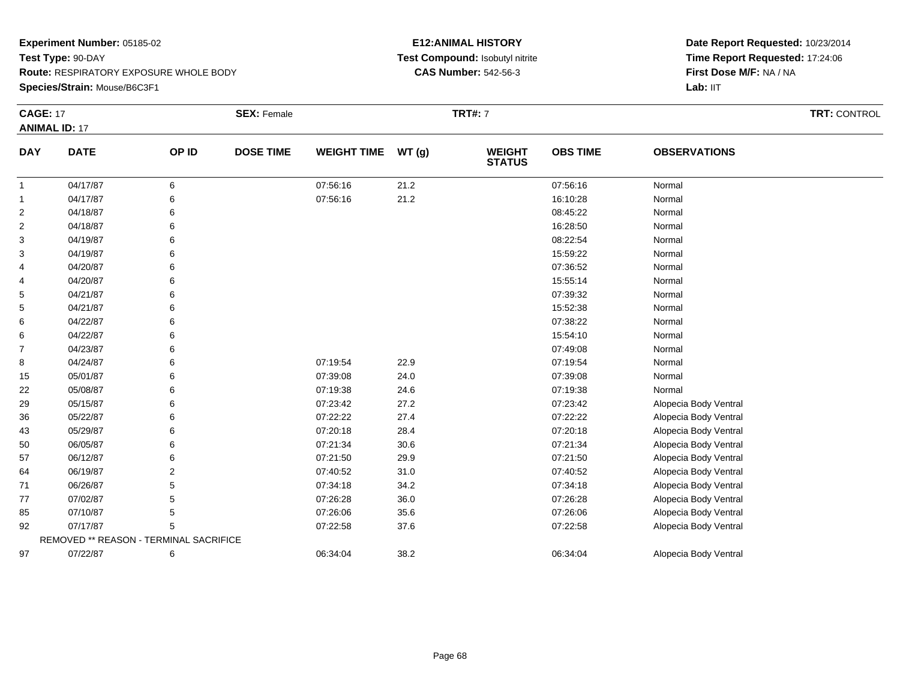**Species/Strain:** Mouse/B6C3F1

## **E12:ANIMAL HISTORY Test Compound:** Isobutyl nitrite**CAS Number:** 542-56-3

| <b>CAGE: 17</b> |                                        |       | <b>SEX: Female</b> |                    |       | <b>TRT#: 7</b>                 |                 |                       | TRT: CONTROL |
|-----------------|----------------------------------------|-------|--------------------|--------------------|-------|--------------------------------|-----------------|-----------------------|--------------|
|                 | <b>ANIMAL ID: 17</b>                   |       |                    |                    |       |                                |                 |                       |              |
| <b>DAY</b>      | <b>DATE</b>                            | OP ID | <b>DOSE TIME</b>   | <b>WEIGHT TIME</b> | WT(g) | <b>WEIGHT</b><br><b>STATUS</b> | <b>OBS TIME</b> | <b>OBSERVATIONS</b>   |              |
| $\mathbf{1}$    | 04/17/87                               | 6     |                    | 07:56:16           | 21.2  |                                | 07:56:16        | Normal                |              |
| $\mathbf{1}$    | 04/17/87                               | 6     |                    | 07:56:16           | 21.2  |                                | 16:10:28        | Normal                |              |
| $\overline{2}$  | 04/18/87                               | 6     |                    |                    |       |                                | 08:45:22        | Normal                |              |
| $\overline{2}$  | 04/18/87                               |       |                    |                    |       |                                | 16:28:50        | Normal                |              |
| 3               | 04/19/87                               |       |                    |                    |       |                                | 08:22:54        | Normal                |              |
| 3               | 04/19/87                               |       |                    |                    |       |                                | 15:59:22        | Normal                |              |
| 4               | 04/20/87                               |       |                    |                    |       |                                | 07:36:52        | Normal                |              |
| 4               | 04/20/87                               |       |                    |                    |       |                                | 15:55:14        | Normal                |              |
| 5               | 04/21/87                               |       |                    |                    |       |                                | 07:39:32        | Normal                |              |
| 5               | 04/21/87                               |       |                    |                    |       |                                | 15:52:38        | Normal                |              |
| 6               | 04/22/87                               |       |                    |                    |       |                                | 07:38:22        | Normal                |              |
| 6               | 04/22/87                               |       |                    |                    |       |                                | 15:54:10        | Normal                |              |
| $\overline{7}$  | 04/23/87                               |       |                    |                    |       |                                | 07:49:08        | Normal                |              |
| 8               | 04/24/87                               |       |                    | 07:19:54           | 22.9  |                                | 07:19:54        | Normal                |              |
| 15              | 05/01/87                               | 6     |                    | 07:39:08           | 24.0  |                                | 07:39:08        | Normal                |              |
| 22              | 05/08/87                               |       |                    | 07:19:38           | 24.6  |                                | 07:19:38        | Normal                |              |
| 29              | 05/15/87                               |       |                    | 07:23:42           | 27.2  |                                | 07:23:42        | Alopecia Body Ventral |              |
| 36              | 05/22/87                               |       |                    | 07:22:22           | 27.4  |                                | 07:22:22        | Alopecia Body Ventral |              |
| 43              | 05/29/87                               |       |                    | 07:20:18           | 28.4  |                                | 07:20:18        | Alopecia Body Ventral |              |
| 50              | 06/05/87                               |       |                    | 07:21:34           | 30.6  |                                | 07:21:34        | Alopecia Body Ventral |              |
| 57              | 06/12/87                               |       |                    | 07:21:50           | 29.9  |                                | 07:21:50        | Alopecia Body Ventral |              |
| 64              | 06/19/87                               | 2     |                    | 07:40:52           | 31.0  |                                | 07:40:52        | Alopecia Body Ventral |              |
| 71              | 06/26/87                               | 5     |                    | 07:34:18           | 34.2  |                                | 07:34:18        | Alopecia Body Ventral |              |
| 77              | 07/02/87                               | 5     |                    | 07:26:28           | 36.0  |                                | 07:26:28        | Alopecia Body Ventral |              |
| 85              | 07/10/87                               | 5     |                    | 07:26:06           | 35.6  |                                | 07:26:06        | Alopecia Body Ventral |              |
| 92              | 07/17/87                               | 5     |                    | 07:22:58           | 37.6  |                                | 07:22:58        | Alopecia Body Ventral |              |
|                 | REMOVED ** REASON - TERMINAL SACRIFICE |       |                    |                    |       |                                |                 |                       |              |
| 97              | 07/22/87                               | 6     |                    | 06:34:04           | 38.2  |                                | 06:34:04        | Alopecia Body Ventral |              |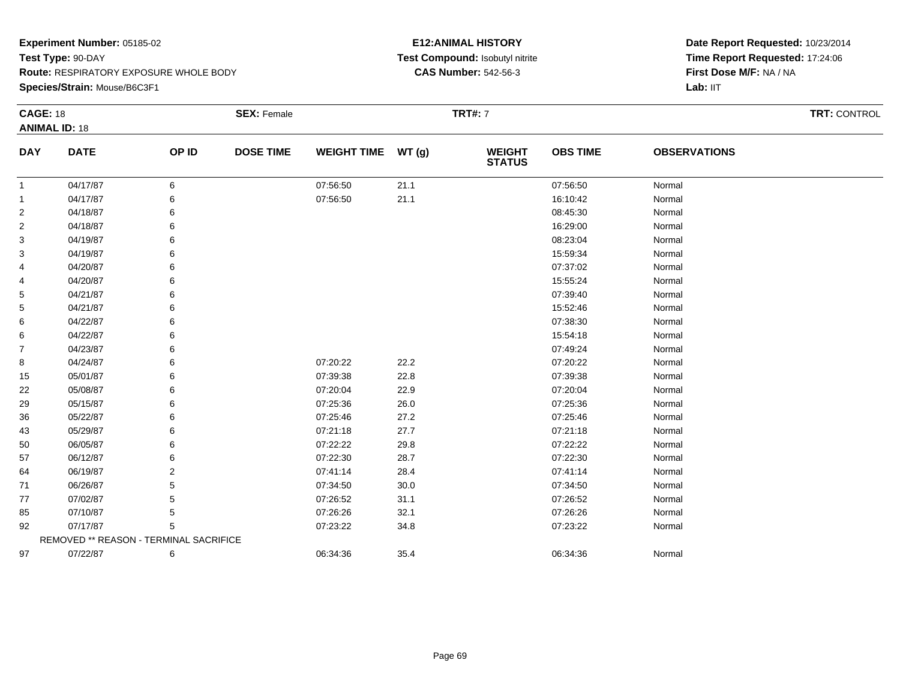**Species/Strain:** Mouse/B6C3F1

## **E12:ANIMAL HISTORY Test Compound:** Isobutyl nitrite**CAS Number:** 542-56-3

| <b>CAGE: 18</b> | <b>ANIMAL ID: 18</b>                   |       | <b>SEX: Female</b> |                    |       | <b>TRT#:</b> 7                 |                 |                     | <b>TRT: CONTROL</b> |
|-----------------|----------------------------------------|-------|--------------------|--------------------|-------|--------------------------------|-----------------|---------------------|---------------------|
| <b>DAY</b>      | <b>DATE</b>                            | OP ID | <b>DOSE TIME</b>   | <b>WEIGHT TIME</b> | WT(g) | <b>WEIGHT</b><br><b>STATUS</b> | <b>OBS TIME</b> | <b>OBSERVATIONS</b> |                     |
| 1               | 04/17/87                               | 6     |                    | 07:56:50           | 21.1  |                                | 07:56:50        | Normal              |                     |
| $\mathbf 1$     | 04/17/87                               | 6     |                    | 07:56:50           | 21.1  |                                | 16:10:42        | Normal              |                     |
| $\overline{2}$  | 04/18/87                               | 6     |                    |                    |       |                                | 08:45:30        | Normal              |                     |
| $\overline{2}$  | 04/18/87                               | 6     |                    |                    |       |                                | 16:29:00        | Normal              |                     |
| 3               | 04/19/87                               | 6     |                    |                    |       |                                | 08:23:04        | Normal              |                     |
| 3               | 04/19/87                               | 6     |                    |                    |       |                                | 15:59:34        | Normal              |                     |
| 4               | 04/20/87                               | 6     |                    |                    |       |                                | 07:37:02        | Normal              |                     |
| 4               | 04/20/87                               | 6     |                    |                    |       |                                | 15:55:24        | Normal              |                     |
| 5               | 04/21/87                               | 6     |                    |                    |       |                                | 07:39:40        | Normal              |                     |
| 5               | 04/21/87                               | 6     |                    |                    |       |                                | 15:52:46        | Normal              |                     |
| 6               | 04/22/87                               | 6     |                    |                    |       |                                | 07:38:30        | Normal              |                     |
| 6               | 04/22/87                               | 6     |                    |                    |       |                                | 15:54:18        | Normal              |                     |
| $\overline{7}$  | 04/23/87                               | 6     |                    |                    |       |                                | 07:49:24        | Normal              |                     |
| 8               | 04/24/87                               | 6     |                    | 07:20:22           | 22.2  |                                | 07:20:22        | Normal              |                     |
| 15              | 05/01/87                               | 6     |                    | 07:39:38           | 22.8  |                                | 07:39:38        | Normal              |                     |
| 22              | 05/08/87                               | 6     |                    | 07:20:04           | 22.9  |                                | 07:20:04        | Normal              |                     |
| 29              | 05/15/87                               | 6     |                    | 07:25:36           | 26.0  |                                | 07:25:36        | Normal              |                     |
| 36              | 05/22/87                               | 6     |                    | 07:25:46           | 27.2  |                                | 07:25:46        | Normal              |                     |
| 43              | 05/29/87                               | 6     |                    | 07:21:18           | 27.7  |                                | 07:21:18        | Normal              |                     |
| 50              | 06/05/87                               | 6     |                    | 07:22:22           | 29.8  |                                | 07:22:22        | Normal              |                     |
| 57              | 06/12/87                               | 6     |                    | 07:22:30           | 28.7  |                                | 07:22:30        | Normal              |                     |
| 64              | 06/19/87                               | 2     |                    | 07:41:14           | 28.4  |                                | 07:41:14        | Normal              |                     |
| 71              | 06/26/87                               | 5     |                    | 07:34:50           | 30.0  |                                | 07:34:50        | Normal              |                     |
| 77              | 07/02/87                               | 5     |                    | 07:26:52           | 31.1  |                                | 07:26:52        | Normal              |                     |
| 85              | 07/10/87                               | 5     |                    | 07:26:26           | 32.1  |                                | 07:26:26        | Normal              |                     |
| 92              | 07/17/87                               | 5     |                    | 07:23:22           | 34.8  |                                | 07:23:22        | Normal              |                     |
|                 | REMOVED ** REASON - TERMINAL SACRIFICE |       |                    |                    |       |                                |                 |                     |                     |
| 97              | 07/22/87                               | 6     |                    | 06:34:36           | 35.4  |                                | 06:34:36        | Normal              |                     |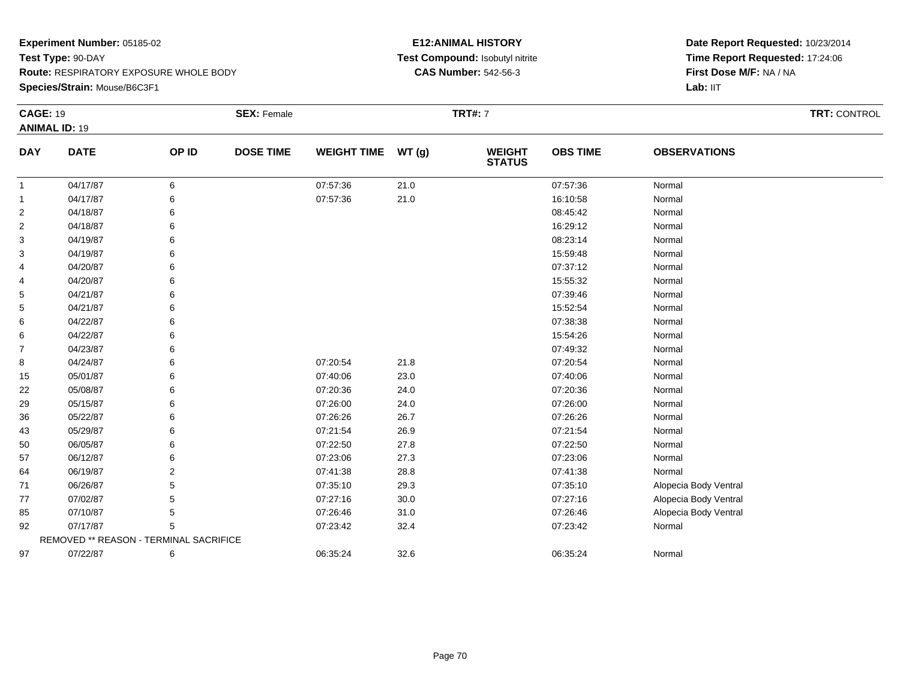**Species/Strain:** Mouse/B6C3F1

## **E12:ANIMAL HISTORY Test Compound:** Isobutyl nitrite**CAS Number:** 542-56-3

| <b>CAGE: 19</b> |                                        |       | <b>SEX: Female</b> |                    |       | <b>TRT#:</b> 7                 |                 |                       | <b>TRT: CONTROL</b> |
|-----------------|----------------------------------------|-------|--------------------|--------------------|-------|--------------------------------|-----------------|-----------------------|---------------------|
|                 | <b>ANIMAL ID: 19</b>                   |       |                    |                    |       |                                |                 |                       |                     |
| <b>DAY</b>      | <b>DATE</b>                            | OP ID | <b>DOSE TIME</b>   | <b>WEIGHT TIME</b> | WT(g) | <b>WEIGHT</b><br><b>STATUS</b> | <b>OBS TIME</b> | <b>OBSERVATIONS</b>   |                     |
| 1               | 04/17/87                               | 6     |                    | 07:57:36           | 21.0  |                                | 07:57:36        | Normal                |                     |
| $\mathbf{1}$    | 04/17/87                               | 6     |                    | 07:57:36           | 21.0  |                                | 16:10:58        | Normal                |                     |
| $\overline{2}$  | 04/18/87                               | 6     |                    |                    |       |                                | 08:45:42        | Normal                |                     |
| 2               | 04/18/87                               | 6     |                    |                    |       |                                | 16:29:12        | Normal                |                     |
| 3               | 04/19/87                               | 6     |                    |                    |       |                                | 08:23:14        | Normal                |                     |
| 3               | 04/19/87                               |       |                    |                    |       |                                | 15:59:48        | Normal                |                     |
| 4               | 04/20/87                               | 6     |                    |                    |       |                                | 07:37:12        | Normal                |                     |
| 4               | 04/20/87                               | 6     |                    |                    |       |                                | 15:55:32        | Normal                |                     |
| 5               | 04/21/87                               | 6     |                    |                    |       |                                | 07:39:46        | Normal                |                     |
| 5               | 04/21/87                               | 6     |                    |                    |       |                                | 15:52:54        | Normal                |                     |
| 6               | 04/22/87                               | 6     |                    |                    |       |                                | 07:38:38        | Normal                |                     |
| 6               | 04/22/87                               | 6     |                    |                    |       |                                | 15:54:26        | Normal                |                     |
| $\overline{7}$  | 04/23/87                               | 6     |                    |                    |       |                                | 07:49:32        | Normal                |                     |
| 8               | 04/24/87                               | 6     |                    | 07:20:54           | 21.8  |                                | 07:20:54        | Normal                |                     |
| 15              | 05/01/87                               | 6     |                    | 07:40:06           | 23.0  |                                | 07:40:06        | Normal                |                     |
| 22              | 05/08/87                               | 6     |                    | 07:20:36           | 24.0  |                                | 07:20:36        | Normal                |                     |
| 29              | 05/15/87                               | 6     |                    | 07:26:00           | 24.0  |                                | 07:26:00        | Normal                |                     |
| 36              | 05/22/87                               | 6     |                    | 07:26:26           | 26.7  |                                | 07:26:26        | Normal                |                     |
| 43              | 05/29/87                               | 6     |                    | 07:21:54           | 26.9  |                                | 07:21:54        | Normal                |                     |
| 50              | 06/05/87                               | 6     |                    | 07:22:50           | 27.8  |                                | 07:22:50        | Normal                |                     |
| 57              | 06/12/87                               | 6     |                    | 07:23:06           | 27.3  |                                | 07:23:06        | Normal                |                     |
| 64              | 06/19/87                               | 2     |                    | 07:41:38           | 28.8  |                                | 07:41:38        | Normal                |                     |
| 71              | 06/26/87                               | 5     |                    | 07:35:10           | 29.3  |                                | 07:35:10        | Alopecia Body Ventral |                     |
| 77              | 07/02/87                               | 5     |                    | 07:27:16           | 30.0  |                                | 07:27:16        | Alopecia Body Ventral |                     |
| 85              | 07/10/87                               | 5     |                    | 07:26:46           | 31.0  |                                | 07:26:46        | Alopecia Body Ventral |                     |
| 92              | 07/17/87                               | 5     |                    | 07:23:42           | 32.4  |                                | 07:23:42        | Normal                |                     |
|                 | REMOVED ** REASON - TERMINAL SACRIFICE |       |                    |                    |       |                                |                 |                       |                     |
| 97              | 07/22/87                               | 6     |                    | 06:35:24           | 32.6  |                                | 06:35:24        | Normal                |                     |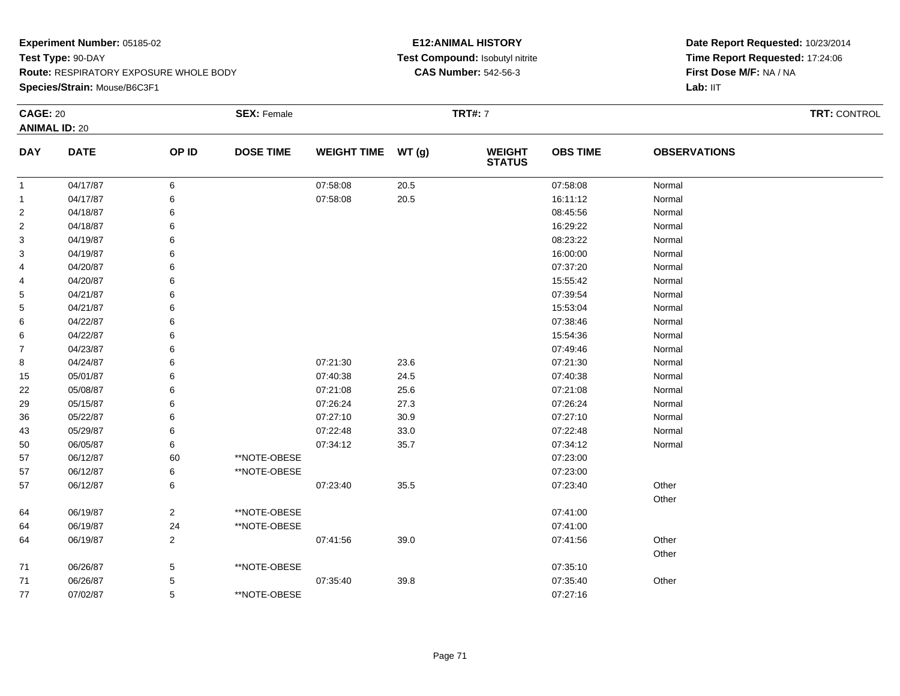**Species/Strain:** Mouse/B6C3F1

## **E12:ANIMAL HISTORY Test Compound:** Isobutyl nitrite**CAS Number:** 542-56-3

| <b>CAGE: 20</b>      |             |                | <b>SEX: Female</b> |                    |      | <b>TRT#: 7</b>                 |                 |                     | TRT: CONTROL |
|----------------------|-------------|----------------|--------------------|--------------------|------|--------------------------------|-----------------|---------------------|--------------|
| <b>ANIMAL ID: 20</b> |             |                |                    |                    |      |                                |                 |                     |              |
| <b>DAY</b>           | <b>DATE</b> | OP ID          | <b>DOSE TIME</b>   | WEIGHT TIME WT (g) |      | <b>WEIGHT</b><br><b>STATUS</b> | <b>OBS TIME</b> | <b>OBSERVATIONS</b> |              |
| $\mathbf{1}$         | 04/17/87    | 6              |                    | 07:58:08           | 20.5 |                                | 07:58:08        | Normal              |              |
| $\mathbf{1}$         | 04/17/87    | 6              |                    | 07:58:08           | 20.5 |                                | 16:11:12        | Normal              |              |
| $\overline{2}$       | 04/18/87    | 6              |                    |                    |      |                                | 08:45:56        | Normal              |              |
| 2                    | 04/18/87    |                |                    |                    |      |                                | 16:29:22        | Normal              |              |
| 3                    | 04/19/87    | 6              |                    |                    |      |                                | 08:23:22        | Normal              |              |
| 3                    | 04/19/87    | 6              |                    |                    |      |                                | 16:00:00        | Normal              |              |
| 4                    | 04/20/87    | 6              |                    |                    |      |                                | 07:37:20        | Normal              |              |
| 4                    | 04/20/87    |                |                    |                    |      |                                | 15:55:42        | Normal              |              |
| 5                    | 04/21/87    |                |                    |                    |      |                                | 07:39:54        | Normal              |              |
| 5                    | 04/21/87    |                |                    |                    |      |                                | 15:53:04        | Normal              |              |
| 6                    | 04/22/87    |                |                    |                    |      |                                | 07:38:46        | Normal              |              |
| 6                    | 04/22/87    |                |                    |                    |      |                                | 15:54:36        | Normal              |              |
| $\overline{7}$       | 04/23/87    |                |                    |                    |      |                                | 07:49:46        | Normal              |              |
| 8                    | 04/24/87    | 6              |                    | 07:21:30           | 23.6 |                                | 07:21:30        | Normal              |              |
| 15                   | 05/01/87    | 6              |                    | 07:40:38           | 24.5 |                                | 07:40:38        | Normal              |              |
| 22                   | 05/08/87    |                |                    | 07:21:08           | 25.6 |                                | 07:21:08        | Normal              |              |
| 29                   | 05/15/87    |                |                    | 07:26:24           | 27.3 |                                | 07:26:24        | Normal              |              |
| 36                   | 05/22/87    |                |                    | 07:27:10           | 30.9 |                                | 07:27:10        | Normal              |              |
| 43                   | 05/29/87    | 6              |                    | 07:22:48           | 33.0 |                                | 07:22:48        | Normal              |              |
| 50                   | 06/05/87    | 6              |                    | 07:34:12           | 35.7 |                                | 07:34:12        | Normal              |              |
| 57                   | 06/12/87    | 60             | **NOTE-OBESE       |                    |      |                                | 07:23:00        |                     |              |
| 57                   | 06/12/87    | 6              | **NOTE-OBESE       |                    |      |                                | 07:23:00        |                     |              |
| 57                   | 06/12/87    | 6              |                    | 07:23:40           | 35.5 |                                | 07:23:40        | Other               |              |
|                      |             |                |                    |                    |      |                                |                 | Other               |              |
| 64                   | 06/19/87    | $\overline{a}$ | **NOTE-OBESE       |                    |      |                                | 07:41:00        |                     |              |
| 64                   | 06/19/87    | 24             | **NOTE-OBESE       |                    |      |                                | 07:41:00        |                     |              |
| 64                   | 06/19/87    | $\overline{2}$ |                    | 07:41:56           | 39.0 |                                | 07:41:56        | Other               |              |
|                      |             |                |                    |                    |      |                                |                 | Other               |              |
| 71                   | 06/26/87    | 5              | **NOTE-OBESE       |                    |      |                                | 07:35:10        |                     |              |
| 71                   | 06/26/87    | 5              |                    | 07:35:40           | 39.8 |                                | 07:35:40        | Other               |              |
| 77                   | 07/02/87    | 5              | **NOTE-OBESE       |                    |      |                                | 07:27:16        |                     |              |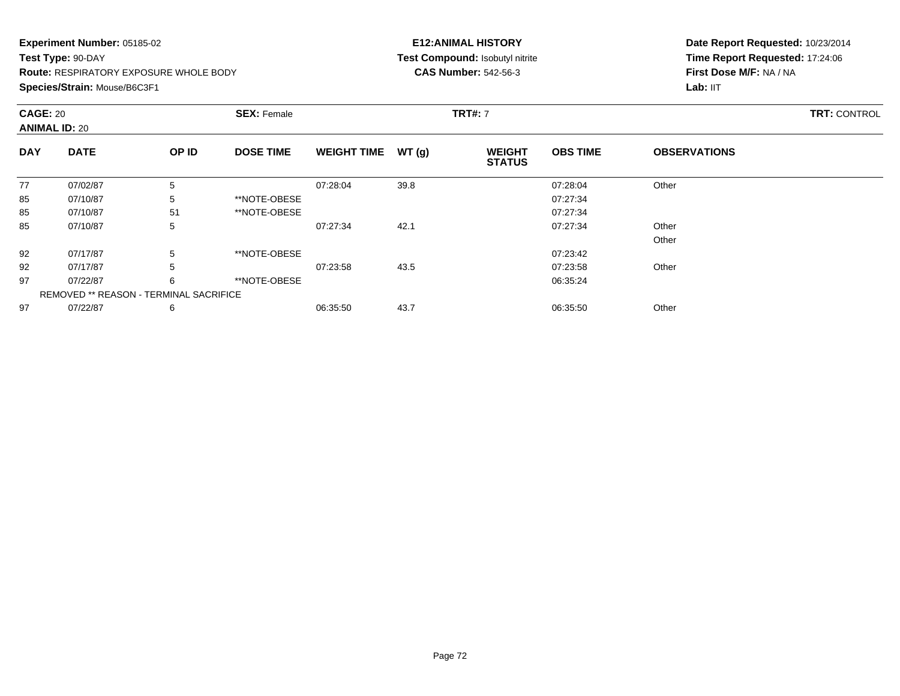## **Experiment Number:** 05185-02**Test Type:** 90-DAY **Route:** RESPIRATORY EXPOSURE WHOLE BODY**Species/Strain:** Mouse/B6C3F1

## **E12:ANIMAL HISTORY Test Compound:** Isobutyl nitrite**CAS Number:** 542-56-3

| <b>CAGE: 20</b><br><b>ANIMAL ID: 20</b> |                                               |       | <b>SEX: Female</b> |                    |       | <b>TRT#: 7</b>                 |                 |                     | <b>TRT: CONTROL</b> |
|-----------------------------------------|-----------------------------------------------|-------|--------------------|--------------------|-------|--------------------------------|-----------------|---------------------|---------------------|
| <b>DAY</b>                              | <b>DATE</b>                                   | OP ID | <b>DOSE TIME</b>   | <b>WEIGHT TIME</b> | WT(g) | <b>WEIGHT</b><br><b>STATUS</b> | <b>OBS TIME</b> | <b>OBSERVATIONS</b> |                     |
| 77                                      | 07/02/87                                      | 5     |                    | 07:28:04           | 39.8  |                                | 07:28:04        | Other               |                     |
| 85                                      | 07/10/87                                      | 5     | **NOTE-OBESE       |                    |       |                                | 07:27:34        |                     |                     |
| 85                                      | 07/10/87                                      | 51    | **NOTE-OBESE       |                    |       |                                | 07:27:34        |                     |                     |
| 85                                      | 07/10/87                                      | 5     |                    | 07:27:34           | 42.1  |                                | 07:27:34        | Other               |                     |
|                                         |                                               |       |                    |                    |       |                                |                 | Other               |                     |
| 92                                      | 07/17/87                                      | 5     | **NOTE-OBESE       |                    |       |                                | 07:23:42        |                     |                     |
| 92                                      | 07/17/87                                      | 5     |                    | 07:23:58           | 43.5  |                                | 07:23:58        | Other               |                     |
| 97                                      | 07/22/87                                      | 6     | **NOTE-OBESE       |                    |       |                                | 06:35:24        |                     |                     |
|                                         | <b>REMOVED ** REASON - TERMINAL SACRIFICE</b> |       |                    |                    |       |                                |                 |                     |                     |
| 97                                      | 07/22/87                                      | 6     |                    | 06:35:50           | 43.7  |                                | 06:35:50        | Other               |                     |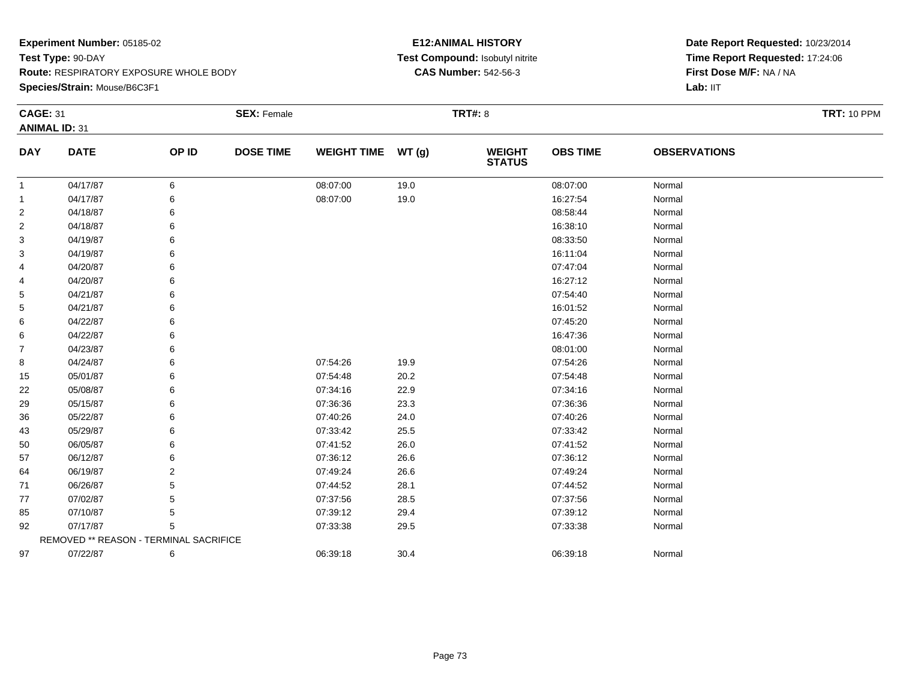**Species/Strain:** Mouse/B6C3F1

### **E12:ANIMAL HISTORY Test Compound:** Isobutyl nitrite**CAS Number:** 542-56-3

| <b>CAGE: 31</b> |                                        |                | <b>SEX: Female</b> |                    |       | <b>TRT#: 8</b>                 |                 |                     | <b>TRT: 10 PPM</b> |  |  |
|-----------------|----------------------------------------|----------------|--------------------|--------------------|-------|--------------------------------|-----------------|---------------------|--------------------|--|--|
|                 | <b>ANIMAL ID: 31</b>                   |                |                    |                    |       |                                |                 |                     |                    |  |  |
| <b>DAY</b>      | <b>DATE</b>                            | OP ID          | <b>DOSE TIME</b>   | <b>WEIGHT TIME</b> | WT(g) | <b>WEIGHT</b><br><b>STATUS</b> | <b>OBS TIME</b> | <b>OBSERVATIONS</b> |                    |  |  |
| 1               | 04/17/87                               | 6              |                    | 08:07:00           | 19.0  |                                | 08:07:00        | Normal              |                    |  |  |
| 1               | 04/17/87                               | 6              |                    | 08:07:00           | 19.0  |                                | 16:27:54        | Normal              |                    |  |  |
| $\overline{c}$  | 04/18/87                               | 6              |                    |                    |       |                                | 08:58:44        | Normal              |                    |  |  |
| 2               | 04/18/87                               | 6              |                    |                    |       |                                | 16:38:10        | Normal              |                    |  |  |
| 3               | 04/19/87                               | 6              |                    |                    |       |                                | 08:33:50        | Normal              |                    |  |  |
| 3               | 04/19/87                               |                |                    |                    |       |                                | 16:11:04        | Normal              |                    |  |  |
| 4               | 04/20/87                               | 6              |                    |                    |       |                                | 07:47:04        | Normal              |                    |  |  |
| 4               | 04/20/87                               | 6              |                    |                    |       |                                | 16:27:12        | Normal              |                    |  |  |
| 5               | 04/21/87                               | 6              |                    |                    |       |                                | 07:54:40        | Normal              |                    |  |  |
| 5               | 04/21/87                               | 6              |                    |                    |       |                                | 16:01:52        | Normal              |                    |  |  |
| 6               | 04/22/87                               | 6              |                    |                    |       |                                | 07:45:20        | Normal              |                    |  |  |
| 6               | 04/22/87                               | 6              |                    |                    |       |                                | 16:47:36        | Normal              |                    |  |  |
| 7               | 04/23/87                               | 6              |                    |                    |       |                                | 08:01:00        | Normal              |                    |  |  |
| 8               | 04/24/87                               | 6              |                    | 07:54:26           | 19.9  |                                | 07:54:26        | Normal              |                    |  |  |
| 15              | 05/01/87                               | 6              |                    | 07:54:48           | 20.2  |                                | 07:54:48        | Normal              |                    |  |  |
| 22              | 05/08/87                               | 6              |                    | 07:34:16           | 22.9  |                                | 07:34:16        | Normal              |                    |  |  |
| 29              | 05/15/87                               | 6              |                    | 07:36:36           | 23.3  |                                | 07:36:36        | Normal              |                    |  |  |
| 36              | 05/22/87                               | 6              |                    | 07:40:26           | 24.0  |                                | 07:40:26        | Normal              |                    |  |  |
| 43              | 05/29/87                               | 6              |                    | 07:33:42           | 25.5  |                                | 07:33:42        | Normal              |                    |  |  |
| 50              | 06/05/87                               | 6              |                    | 07:41:52           | 26.0  |                                | 07:41:52        | Normal              |                    |  |  |
| 57              | 06/12/87                               | 6              |                    | 07:36:12           | 26.6  |                                | 07:36:12        | Normal              |                    |  |  |
| 64              | 06/19/87                               | $\overline{2}$ |                    | 07:49:24           | 26.6  |                                | 07:49:24        | Normal              |                    |  |  |
| 71              | 06/26/87                               | 5              |                    | 07:44:52           | 28.1  |                                | 07:44:52        | Normal              |                    |  |  |
| 77              | 07/02/87                               | 5              |                    | 07:37:56           | 28.5  |                                | 07:37:56        | Normal              |                    |  |  |
| 85              | 07/10/87                               | 5              |                    | 07:39:12           | 29.4  |                                | 07:39:12        | Normal              |                    |  |  |
| 92              | 07/17/87                               | 5              |                    | 07:33:38           | 29.5  |                                | 07:33:38        | Normal              |                    |  |  |
|                 | REMOVED ** REASON - TERMINAL SACRIFICE |                |                    |                    |       |                                |                 |                     |                    |  |  |
| 97              | 07/22/87                               | 6              |                    | 06:39:18           | 30.4  |                                | 06:39:18        | Normal              |                    |  |  |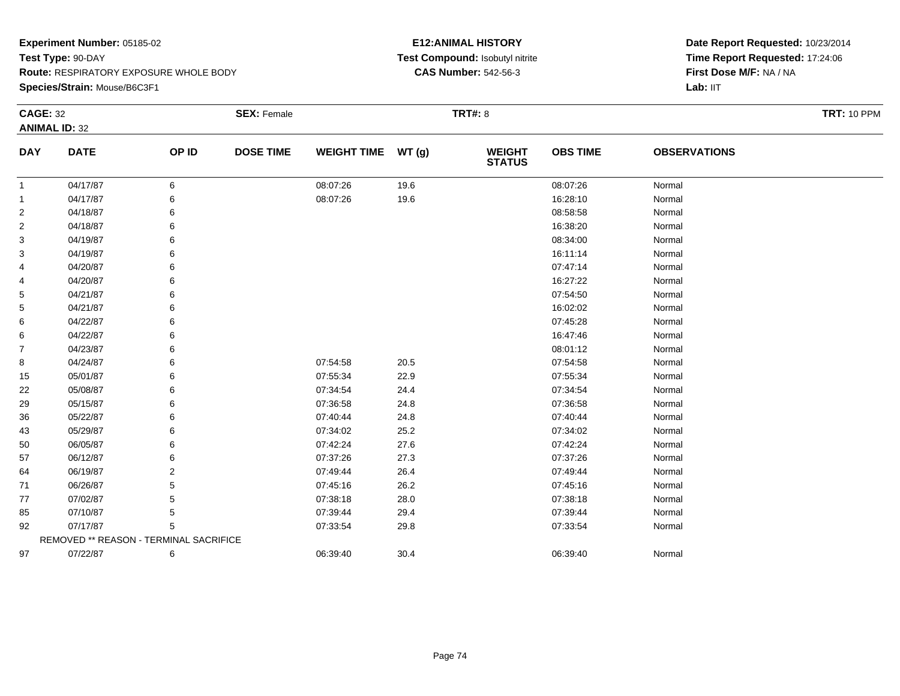**Species/Strain:** Mouse/B6C3F1

### **E12:ANIMAL HISTORY Test Compound:** Isobutyl nitrite**CAS Number:** 542-56-3

| <b>CAGE: 32</b> | <b>ANIMAL ID: 32</b>                   |                | <b>SEX: Female</b> |                    |       | <b>TRT#: 8</b>                 |                 |                     | <b>TRT: 10 PPM</b> |
|-----------------|----------------------------------------|----------------|--------------------|--------------------|-------|--------------------------------|-----------------|---------------------|--------------------|
| <b>DAY</b>      | <b>DATE</b>                            | OP ID          | <b>DOSE TIME</b>   | <b>WEIGHT TIME</b> | WT(g) | <b>WEIGHT</b><br><b>STATUS</b> | <b>OBS TIME</b> | <b>OBSERVATIONS</b> |                    |
| 1               | 04/17/87                               | 6              |                    | 08:07:26           | 19.6  |                                | 08:07:26        | Normal              |                    |
|                 | 04/17/87                               | 6              |                    | 08:07:26           | 19.6  |                                | 16:28:10        | Normal              |                    |
| $\overline{2}$  | 04/18/87                               | 6              |                    |                    |       |                                | 08:58:58        | Normal              |                    |
| $\overline{c}$  | 04/18/87                               | 6              |                    |                    |       |                                | 16:38:20        | Normal              |                    |
| 3               | 04/19/87                               | 6              |                    |                    |       |                                | 08:34:00        | Normal              |                    |
| 3               | 04/19/87                               | 6              |                    |                    |       |                                | 16:11:14        | Normal              |                    |
| 4               | 04/20/87                               | 6              |                    |                    |       |                                | 07:47:14        | Normal              |                    |
| 4               | 04/20/87                               | 6              |                    |                    |       |                                | 16:27:22        | Normal              |                    |
| 5               | 04/21/87                               | 6              |                    |                    |       |                                | 07:54:50        | Normal              |                    |
| 5               | 04/21/87                               | 6              |                    |                    |       |                                | 16:02:02        | Normal              |                    |
| 6               | 04/22/87                               |                |                    |                    |       |                                | 07:45:28        | Normal              |                    |
| 6               | 04/22/87                               | 6              |                    |                    |       |                                | 16:47:46        | Normal              |                    |
| 7               | 04/23/87                               |                |                    |                    |       |                                | 08:01:12        | Normal              |                    |
| 8               | 04/24/87                               | 6              |                    | 07:54:58           | 20.5  |                                | 07:54:58        | Normal              |                    |
| 15              | 05/01/87                               | 6              |                    | 07:55:34           | 22.9  |                                | 07:55:34        | Normal              |                    |
| 22              | 05/08/87                               | 6              |                    | 07:34:54           | 24.4  |                                | 07:34:54        | Normal              |                    |
| 29              | 05/15/87                               | 6              |                    | 07:36:58           | 24.8  |                                | 07:36:58        | Normal              |                    |
| 36              | 05/22/87                               | 6              |                    | 07:40:44           | 24.8  |                                | 07:40:44        | Normal              |                    |
| 43              | 05/29/87                               | 6              |                    | 07:34:02           | 25.2  |                                | 07:34:02        | Normal              |                    |
| 50              | 06/05/87                               | 6              |                    | 07:42:24           | 27.6  |                                | 07:42:24        | Normal              |                    |
| 57              | 06/12/87                               | 6              |                    | 07:37:26           | 27.3  |                                | 07:37:26        | Normal              |                    |
| 64              | 06/19/87                               | $\overline{2}$ |                    | 07:49:44           | 26.4  |                                | 07:49:44        | Normal              |                    |
| 71              | 06/26/87                               | 5              |                    | 07:45:16           | 26.2  |                                | 07:45:16        | Normal              |                    |
| 77              | 07/02/87                               | 5              |                    | 07:38:18           | 28.0  |                                | 07:38:18        | Normal              |                    |
| 85              | 07/10/87                               | 5              |                    | 07:39:44           | 29.4  |                                | 07:39:44        | Normal              |                    |
| 92              | 07/17/87                               | 5              |                    | 07:33:54           | 29.8  |                                | 07:33:54        | Normal              |                    |
|                 | REMOVED ** REASON - TERMINAL SACRIFICE |                |                    |                    |       |                                |                 |                     |                    |
| 97              | 07/22/87                               | 6              |                    | 06:39:40           | 30.4  |                                | 06:39:40        | Normal              |                    |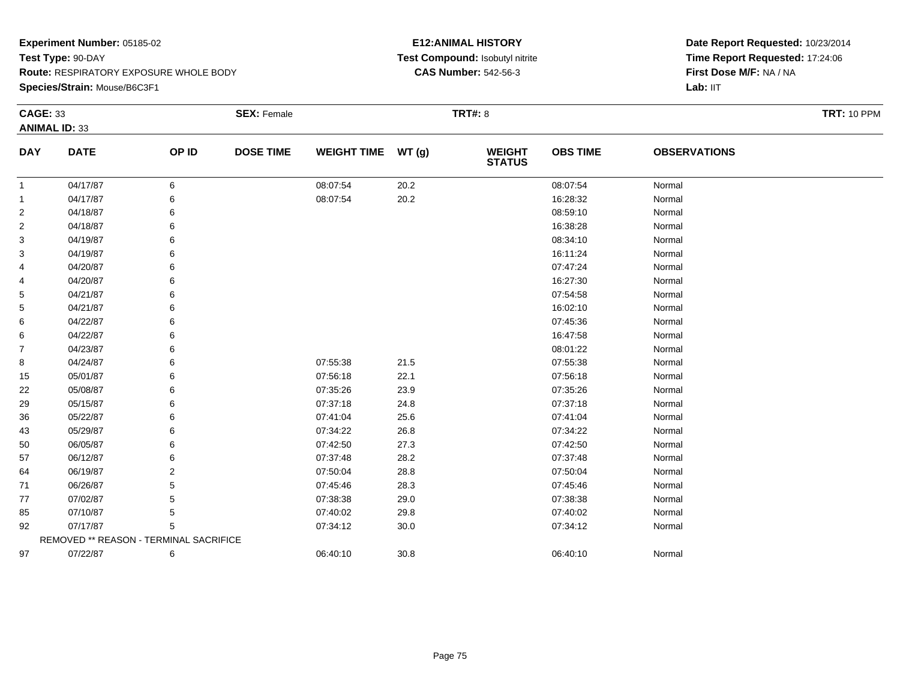**Species/Strain:** Mouse/B6C3F1

### **E12:ANIMAL HISTORY Test Compound:** Isobutyl nitrite**CAS Number:** 542-56-3

| <b>CAGE: 33</b> | <b>ANIMAL ID: 33</b>                   |       | <b>SEX: Female</b> |                    |       | <b>TRT#: 8</b>                 |                 |                     | <b>TRT: 10 PPM</b> |
|-----------------|----------------------------------------|-------|--------------------|--------------------|-------|--------------------------------|-----------------|---------------------|--------------------|
| <b>DAY</b>      | <b>DATE</b>                            | OP ID | <b>DOSE TIME</b>   | <b>WEIGHT TIME</b> | WT(g) | <b>WEIGHT</b><br><b>STATUS</b> | <b>OBS TIME</b> | <b>OBSERVATIONS</b> |                    |
| $\mathbf{1}$    | 04/17/87                               | 6     |                    | 08:07:54           | 20.2  |                                | 08:07:54        | Normal              |                    |
| 1               | 04/17/87                               | 6     |                    | 08:07:54           | 20.2  |                                | 16:28:32        | Normal              |                    |
| 2               | 04/18/87                               | 6     |                    |                    |       |                                | 08:59:10        | Normal              |                    |
| 2               | 04/18/87                               | 6     |                    |                    |       |                                | 16:38:28        | Normal              |                    |
| 3               | 04/19/87                               | 6     |                    |                    |       |                                | 08:34:10        | Normal              |                    |
| 3               | 04/19/87                               | 6     |                    |                    |       |                                | 16:11:24        | Normal              |                    |
| 4               | 04/20/87                               | 6     |                    |                    |       |                                | 07:47:24        | Normal              |                    |
| 4               | 04/20/87                               | 6     |                    |                    |       |                                | 16:27:30        | Normal              |                    |
| 5               | 04/21/87                               |       |                    |                    |       |                                | 07:54:58        | Normal              |                    |
| 5               | 04/21/87                               |       |                    |                    |       |                                | 16:02:10        | Normal              |                    |
| 6               | 04/22/87                               |       |                    |                    |       |                                | 07:45:36        | Normal              |                    |
| 6               | 04/22/87                               | 6     |                    |                    |       |                                | 16:47:58        | Normal              |                    |
| 7               | 04/23/87                               |       |                    |                    |       |                                | 08:01:22        | Normal              |                    |
| 8               | 04/24/87                               |       |                    | 07:55:38           | 21.5  |                                | 07:55:38        | Normal              |                    |
| 15              | 05/01/87                               |       |                    | 07:56:18           | 22.1  |                                | 07:56:18        | Normal              |                    |
| 22              | 05/08/87                               | 6     |                    | 07:35:26           | 23.9  |                                | 07:35:26        | Normal              |                    |
| 29              | 05/15/87                               |       |                    | 07:37:18           | 24.8  |                                | 07:37:18        | Normal              |                    |
| 36              | 05/22/87                               |       |                    | 07:41:04           | 25.6  |                                | 07:41:04        | Normal              |                    |
| 43              | 05/29/87                               |       |                    | 07:34:22           | 26.8  |                                | 07:34:22        | Normal              |                    |
| 50              | 06/05/87                               | 6     |                    | 07:42:50           | 27.3  |                                | 07:42:50        | Normal              |                    |
| 57              | 06/12/87                               |       |                    | 07:37:48           | 28.2  |                                | 07:37:48        | Normal              |                    |
| 64              | 06/19/87                               | 2     |                    | 07:50:04           | 28.8  |                                | 07:50:04        | Normal              |                    |
| 71              | 06/26/87                               | 5     |                    | 07:45:46           | 28.3  |                                | 07:45:46        | Normal              |                    |
| 77              | 07/02/87                               | 5     |                    | 07:38:38           | 29.0  |                                | 07:38:38        | Normal              |                    |
| 85              | 07/10/87                               | 5     |                    | 07:40:02           | 29.8  |                                | 07:40:02        | Normal              |                    |
| 92              | 07/17/87                               | 5     |                    | 07:34:12           | 30.0  |                                | 07:34:12        | Normal              |                    |
|                 | REMOVED ** REASON - TERMINAL SACRIFICE |       |                    |                    |       |                                |                 |                     |                    |
| 97              | 07/22/87                               | 6     |                    | 06:40:10           | 30.8  |                                | 06:40:10        | Normal              |                    |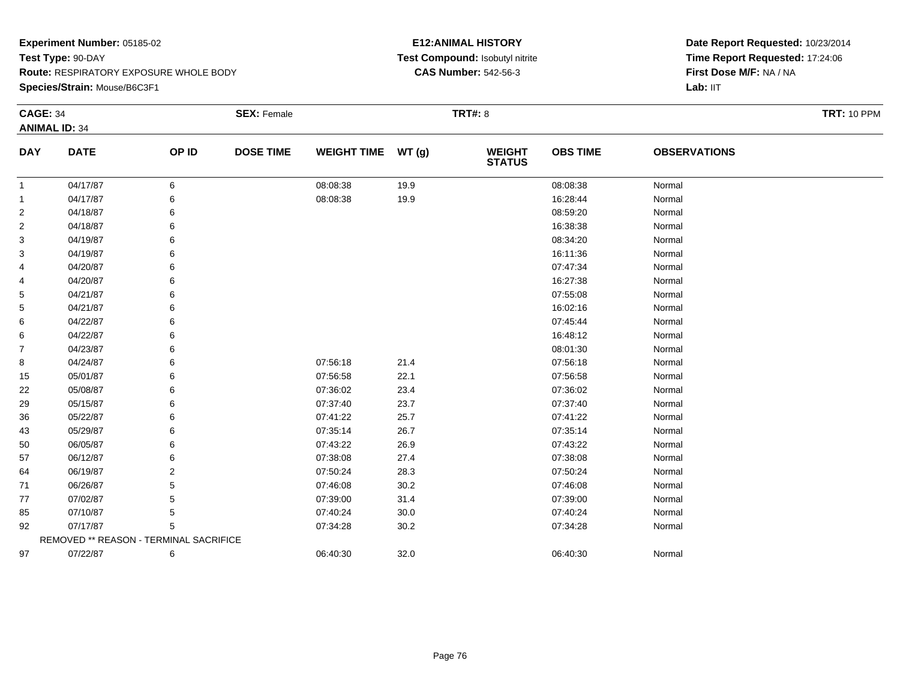**Species/Strain:** Mouse/B6C3F1

### **E12:ANIMAL HISTORY Test Compound:** Isobutyl nitrite**CAS Number:** 542-56-3

| <b>CAGE: 34</b> |                                        |                | <b>SEX: Female</b> |                    |       | <b>TRT#: 8</b>                 |                 |                     | <b>TRT: 10 PPM</b> |
|-----------------|----------------------------------------|----------------|--------------------|--------------------|-------|--------------------------------|-----------------|---------------------|--------------------|
|                 | <b>ANIMAL ID: 34</b>                   |                |                    |                    |       |                                |                 |                     |                    |
| <b>DAY</b>      | <b>DATE</b>                            | OP ID          | <b>DOSE TIME</b>   | <b>WEIGHT TIME</b> | WT(g) | <b>WEIGHT</b><br><b>STATUS</b> | <b>OBS TIME</b> | <b>OBSERVATIONS</b> |                    |
| 1               | 04/17/87                               | 6              |                    | 08:08:38           | 19.9  |                                | 08:08:38        | Normal              |                    |
| 1               | 04/17/87                               | 6              |                    | 08:08:38           | 19.9  |                                | 16:28:44        | Normal              |                    |
| 2               | 04/18/87                               | 6              |                    |                    |       |                                | 08:59:20        | Normal              |                    |
| 2               | 04/18/87                               | 6              |                    |                    |       |                                | 16:38:38        | Normal              |                    |
| 3               | 04/19/87                               | 6              |                    |                    |       |                                | 08:34:20        | Normal              |                    |
| 3               | 04/19/87                               | 6              |                    |                    |       |                                | 16:11:36        | Normal              |                    |
| 4               | 04/20/87                               | 6              |                    |                    |       |                                | 07:47:34        | Normal              |                    |
| 4               | 04/20/87                               | 6              |                    |                    |       |                                | 16:27:38        | Normal              |                    |
| 5               | 04/21/87                               | 6              |                    |                    |       |                                | 07:55:08        | Normal              |                    |
| 5               | 04/21/87                               | 6              |                    |                    |       |                                | 16:02:16        | Normal              |                    |
| 6               | 04/22/87                               | 6              |                    |                    |       |                                | 07:45:44        | Normal              |                    |
| 6               | 04/22/87                               | 6              |                    |                    |       |                                | 16:48:12        | Normal              |                    |
| $\overline{7}$  | 04/23/87                               | 6              |                    |                    |       |                                | 08:01:30        | Normal              |                    |
| 8               | 04/24/87                               | 6              |                    | 07:56:18           | 21.4  |                                | 07:56:18        | Normal              |                    |
| 15              | 05/01/87                               | 6              |                    | 07:56:58           | 22.1  |                                | 07:56:58        | Normal              |                    |
| 22              | 05/08/87                               | 6              |                    | 07:36:02           | 23.4  |                                | 07:36:02        | Normal              |                    |
| 29              | 05/15/87                               | 6              |                    | 07:37:40           | 23.7  |                                | 07:37:40        | Normal              |                    |
| 36              | 05/22/87                               | 6              |                    | 07:41:22           | 25.7  |                                | 07:41:22        | Normal              |                    |
| 43              | 05/29/87                               | 6              |                    | 07:35:14           | 26.7  |                                | 07:35:14        | Normal              |                    |
| 50              | 06/05/87                               | 6              |                    | 07:43:22           | 26.9  |                                | 07:43:22        | Normal              |                    |
| 57              | 06/12/87                               | 6              |                    | 07:38:08           | 27.4  |                                | 07:38:08        | Normal              |                    |
| 64              | 06/19/87                               | $\overline{2}$ |                    | 07:50:24           | 28.3  |                                | 07:50:24        | Normal              |                    |
| 71              | 06/26/87                               | 5              |                    | 07:46:08           | 30.2  |                                | 07:46:08        | Normal              |                    |
| 77              | 07/02/87                               | 5              |                    | 07:39:00           | 31.4  |                                | 07:39:00        | Normal              |                    |
| 85              | 07/10/87                               | 5              |                    | 07:40:24           | 30.0  |                                | 07:40:24        | Normal              |                    |
| 92              | 07/17/87                               | 5              |                    | 07:34:28           | 30.2  |                                | 07:34:28        | Normal              |                    |
|                 | REMOVED ** REASON - TERMINAL SACRIFICE |                |                    |                    |       |                                |                 |                     |                    |
| 97              | 07/22/87                               | 6              |                    | 06:40:30           | 32.0  |                                | 06:40:30        | Normal              |                    |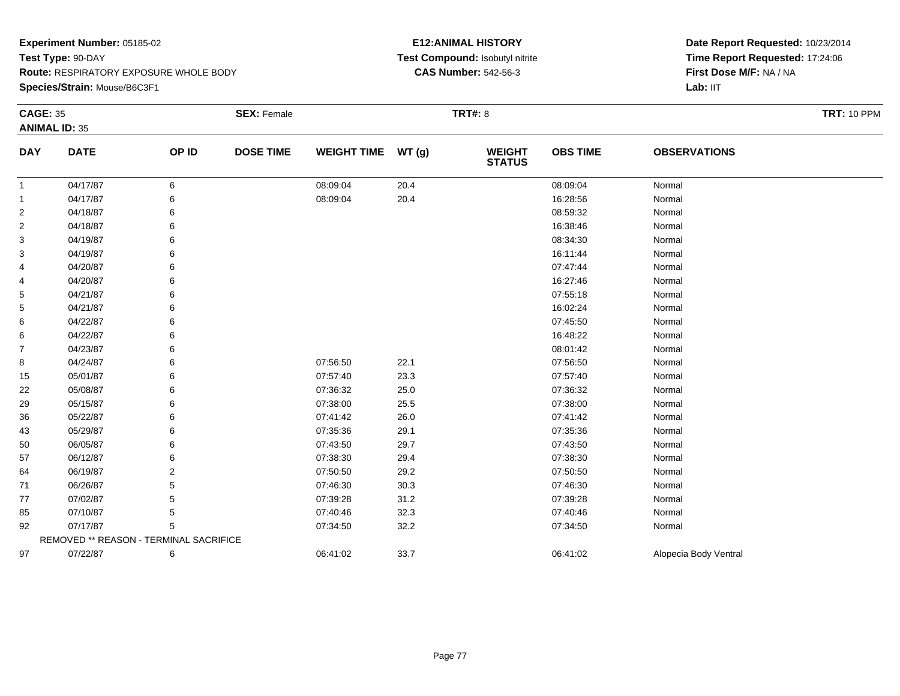**Species/Strain:** Mouse/B6C3F1

### **E12:ANIMAL HISTORY Test Compound:** Isobutyl nitrite**CAS Number:** 542-56-3

| <b>CAGE: 35</b> | <b>ANIMAL ID: 35</b>                   |       | <b>SEX: Female</b> |                    |       | <b>TRT#: 8</b>                 |                 |                       | <b>TRT: 10 PPM</b> |
|-----------------|----------------------------------------|-------|--------------------|--------------------|-------|--------------------------------|-----------------|-----------------------|--------------------|
| <b>DAY</b>      | <b>DATE</b>                            | OP ID | <b>DOSE TIME</b>   | <b>WEIGHT TIME</b> | WT(g) | <b>WEIGHT</b><br><b>STATUS</b> | <b>OBS TIME</b> | <b>OBSERVATIONS</b>   |                    |
| $\mathbf{1}$    | 04/17/87                               | 6     |                    | 08:09:04           | 20.4  |                                | 08:09:04        | Normal                |                    |
| -1              | 04/17/87                               | 6     |                    | 08:09:04           | 20.4  |                                | 16:28:56        | Normal                |                    |
| $\overline{2}$  | 04/18/87                               | 6     |                    |                    |       |                                | 08:59:32        | Normal                |                    |
| 2               | 04/18/87                               | 6     |                    |                    |       |                                | 16:38:46        | Normal                |                    |
| 3               | 04/19/87                               | 6     |                    |                    |       |                                | 08:34:30        | Normal                |                    |
| 3               | 04/19/87                               |       |                    |                    |       |                                | 16:11:44        | Normal                |                    |
| 4               | 04/20/87                               |       |                    |                    |       |                                | 07:47:44        | Normal                |                    |
| 4               | 04/20/87                               |       |                    |                    |       |                                | 16:27:46        | Normal                |                    |
| 5               | 04/21/87                               | 6     |                    |                    |       |                                | 07:55:18        | Normal                |                    |
| 5               | 04/21/87                               |       |                    |                    |       |                                | 16:02:24        | Normal                |                    |
| 6               | 04/22/87                               |       |                    |                    |       |                                | 07:45:50        | Normal                |                    |
| 6               | 04/22/87                               |       |                    |                    |       |                                | 16:48:22        | Normal                |                    |
| $\overline{7}$  | 04/23/87                               |       |                    |                    |       |                                | 08:01:42        | Normal                |                    |
| 8               | 04/24/87                               | 6     |                    | 07:56:50           | 22.1  |                                | 07:56:50        | Normal                |                    |
| 15              | 05/01/87                               | 6     |                    | 07:57:40           | 23.3  |                                | 07:57:40        | Normal                |                    |
| 22              | 05/08/87                               | 6     |                    | 07:36:32           | 25.0  |                                | 07:36:32        | Normal                |                    |
| 29              | 05/15/87                               |       |                    | 07:38:00           | 25.5  |                                | 07:38:00        | Normal                |                    |
| 36              | 05/22/87                               |       |                    | 07:41:42           | 26.0  |                                | 07:41:42        | Normal                |                    |
| 43              | 05/29/87                               |       |                    | 07:35:36           | 29.1  |                                | 07:35:36        | Normal                |                    |
| 50              | 06/05/87                               | 6     |                    | 07:43:50           | 29.7  |                                | 07:43:50        | Normal                |                    |
| 57              | 06/12/87                               |       |                    | 07:38:30           | 29.4  |                                | 07:38:30        | Normal                |                    |
| 64              | 06/19/87                               | 2     |                    | 07:50:50           | 29.2  |                                | 07:50:50        | Normal                |                    |
| 71              | 06/26/87                               | 5     |                    | 07:46:30           | 30.3  |                                | 07:46:30        | Normal                |                    |
| 77              | 07/02/87                               | 5     |                    | 07:39:28           | 31.2  |                                | 07:39:28        | Normal                |                    |
| 85              | 07/10/87                               | 5     |                    | 07:40:46           | 32.3  |                                | 07:40:46        | Normal                |                    |
| 92              | 07/17/87                               | 5     |                    | 07:34:50           | 32.2  |                                | 07:34:50        | Normal                |                    |
|                 | REMOVED ** REASON - TERMINAL SACRIFICE |       |                    |                    |       |                                |                 |                       |                    |
| 97              | 07/22/87                               | 6     |                    | 06:41:02           | 33.7  |                                | 06:41:02        | Alopecia Body Ventral |                    |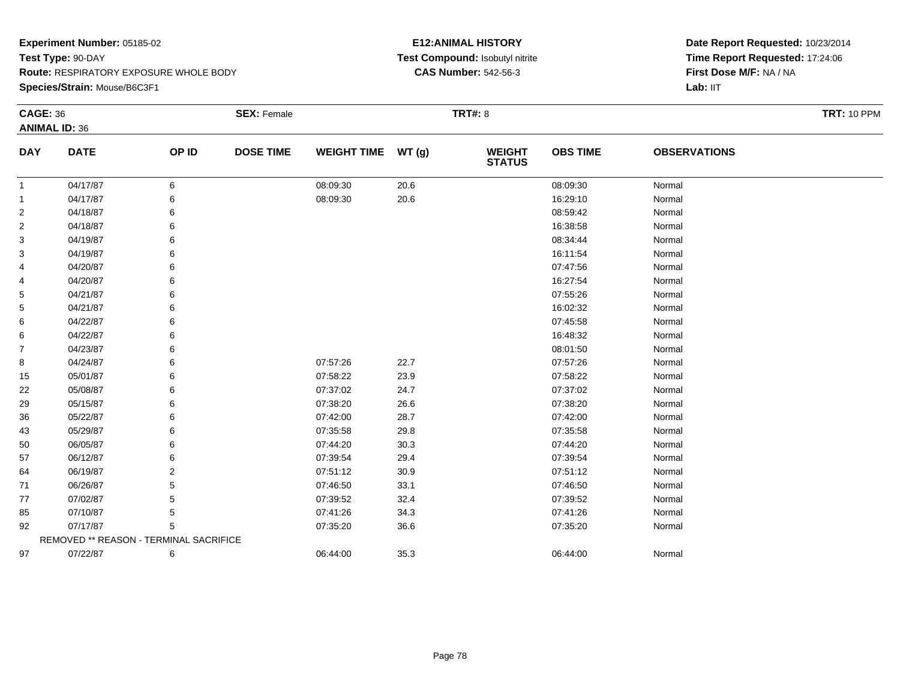### **Experiment Number:** 05185-02**Test Type:** 90-DAY **Route:** RESPIRATORY EXPOSURE WHOLE BODY**Species/Strain:** Mouse/B6C3F1

### **E12:ANIMAL HISTORY Test Compound:** Isobutyl nitrite**CAS Number:** 542-56-3

| <b>CAGE: 36</b> |                                        |       | <b>SEX: Female</b> |                    |        | <b>TRT#: 8</b>                 |                 |                     | <b>TRT: 10 PPM</b> |
|-----------------|----------------------------------------|-------|--------------------|--------------------|--------|--------------------------------|-----------------|---------------------|--------------------|
|                 | <b>ANIMAL ID: 36</b>                   |       |                    |                    |        |                                |                 |                     |                    |
| <b>DAY</b>      | <b>DATE</b>                            | OP ID | <b>DOSE TIME</b>   | <b>WEIGHT TIME</b> | WT (g) | <b>WEIGHT</b><br><b>STATUS</b> | <b>OBS TIME</b> | <b>OBSERVATIONS</b> |                    |
| $\mathbf{1}$    | 04/17/87                               | 6     |                    | 08:09:30           | 20.6   |                                | 08:09:30        | Normal              |                    |
| 1               | 04/17/87                               | 6     |                    | 08:09:30           | 20.6   |                                | 16:29:10        | Normal              |                    |
| 2               | 04/18/87                               | 6     |                    |                    |        |                                | 08:59:42        | Normal              |                    |
| 2               | 04/18/87                               | 6     |                    |                    |        |                                | 16:38:58        | Normal              |                    |
| 3               | 04/19/87                               |       |                    |                    |        |                                | 08:34:44        | Normal              |                    |
| 3               | 04/19/87                               |       |                    |                    |        |                                | 16:11:54        | Normal              |                    |
| 4               | 04/20/87                               |       |                    |                    |        |                                | 07:47:56        | Normal              |                    |
| 4               | 04/20/87                               | 6     |                    |                    |        |                                | 16:27:54        | Normal              |                    |
| 5               | 04/21/87                               |       |                    |                    |        |                                | 07:55:26        | Normal              |                    |
| 5               | 04/21/87                               |       |                    |                    |        |                                | 16:02:32        | Normal              |                    |
| 6               | 04/22/87                               |       |                    |                    |        |                                | 07:45:58        | Normal              |                    |
| 6               | 04/22/87                               | 6     |                    |                    |        |                                | 16:48:32        | Normal              |                    |
| 7               | 04/23/87                               |       |                    |                    |        |                                | 08:01:50        | Normal              |                    |
| 8               | 04/24/87                               |       |                    | 07:57:26           | 22.7   |                                | 07:57:26        | Normal              |                    |
| 15              | 05/01/87                               | 6     |                    | 07:58:22           | 23.9   |                                | 07:58:22        | Normal              |                    |
| 22              | 05/08/87                               | 6     |                    | 07:37:02           | 24.7   |                                | 07:37:02        | Normal              |                    |
| 29              | 05/15/87                               |       |                    | 07:38:20           | 26.6   |                                | 07:38:20        | Normal              |                    |
| 36              | 05/22/87                               |       |                    | 07:42:00           | 28.7   |                                | 07:42:00        | Normal              |                    |
| 43              | 05/29/87                               |       |                    | 07:35:58           | 29.8   |                                | 07:35:58        | Normal              |                    |
| 50              | 06/05/87                               | 6     |                    | 07:44:20           | 30.3   |                                | 07:44:20        | Normal              |                    |
| 57              | 06/12/87                               |       |                    | 07:39:54           | 29.4   |                                | 07:39:54        | Normal              |                    |
| 64              | 06/19/87                               | 2     |                    | 07:51:12           | 30.9   |                                | 07:51:12        | Normal              |                    |
| 71              | 06/26/87                               |       |                    | 07:46:50           | 33.1   |                                | 07:46:50        | Normal              |                    |
| 77              | 07/02/87                               | 5     |                    | 07:39:52           | 32.4   |                                | 07:39:52        | Normal              |                    |
| 85              | 07/10/87                               | 5     |                    | 07:41:26           | 34.3   |                                | 07:41:26        | Normal              |                    |
| 92              | 07/17/87                               | 5     |                    | 07:35:20           | 36.6   |                                | 07:35:20        | Normal              |                    |
|                 | REMOVED ** REASON - TERMINAL SACRIFICE |       |                    |                    |        |                                |                 |                     |                    |
| 97              | 07/22/87                               | 6     |                    | 06:44:00           | 35.3   |                                | 06:44:00        | Normal              |                    |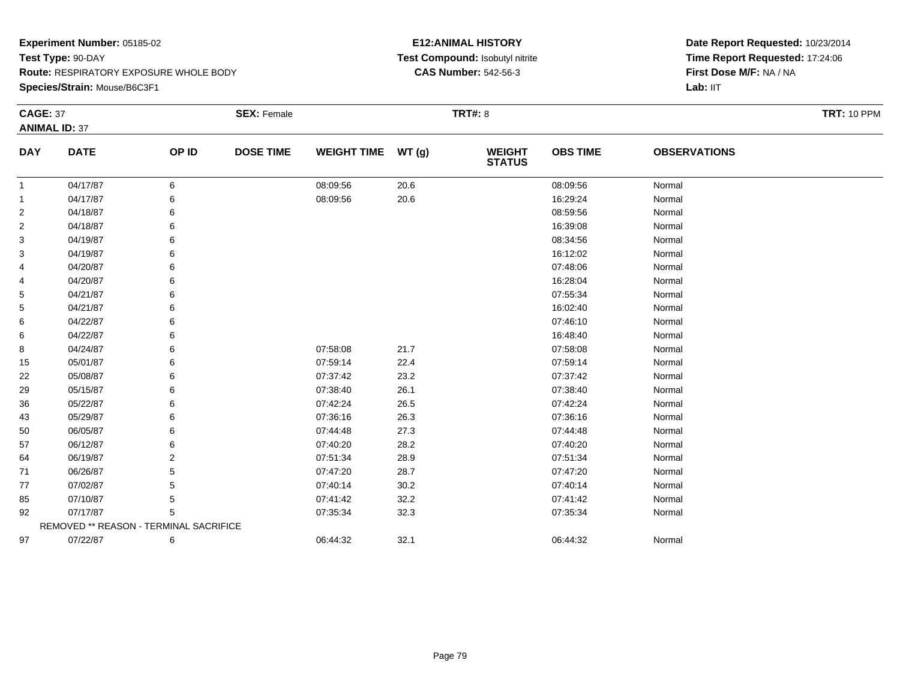**Species/Strain:** Mouse/B6C3F1

### **E12:ANIMAL HISTORY Test Compound:** Isobutyl nitrite**CAS Number:** 542-56-3

| <b>CAGE: 37</b> | <b>ANIMAL ID: 37</b>                   |       | <b>SEX: Female</b> |                    |       | <b>TRT#: 8</b>                 |                 |                     | <b>TRT: 10 PPM</b> |
|-----------------|----------------------------------------|-------|--------------------|--------------------|-------|--------------------------------|-----------------|---------------------|--------------------|
| <b>DAY</b>      | <b>DATE</b>                            | OP ID | <b>DOSE TIME</b>   | <b>WEIGHT TIME</b> | WT(g) | <b>WEIGHT</b><br><b>STATUS</b> | <b>OBS TIME</b> | <b>OBSERVATIONS</b> |                    |
| -1              | 04/17/87                               | 6     |                    | 08:09:56           | 20.6  |                                | 08:09:56        | Normal              |                    |
| 1               | 04/17/87                               | 6     |                    | 08:09:56           | 20.6  |                                | 16:29:24        | Normal              |                    |
| 2               | 04/18/87                               | 6     |                    |                    |       |                                | 08:59:56        | Normal              |                    |
| 2               | 04/18/87                               |       |                    |                    |       |                                | 16:39:08        | Normal              |                    |
| 3               | 04/19/87                               | 6     |                    |                    |       |                                | 08:34:56        | Normal              |                    |
| 3               | 04/19/87                               | 6     |                    |                    |       |                                | 16:12:02        | Normal              |                    |
| 4               | 04/20/87                               |       |                    |                    |       |                                | 07:48:06        | Normal              |                    |
| 4               | 04/20/87                               |       |                    |                    |       |                                | 16:28:04        | Normal              |                    |
| 5               | 04/21/87                               |       |                    |                    |       |                                | 07:55:34        | Normal              |                    |
| 5               | 04/21/87                               | 6     |                    |                    |       |                                | 16:02:40        | Normal              |                    |
| 6               | 04/22/87                               |       |                    |                    |       |                                | 07:46:10        | Normal              |                    |
| 6               | 04/22/87                               |       |                    |                    |       |                                | 16:48:40        | Normal              |                    |
| 8               | 04/24/87                               | 6     |                    | 07:58:08           | 21.7  |                                | 07:58:08        | Normal              |                    |
| 15              | 05/01/87                               |       |                    | 07:59:14           | 22.4  |                                | 07:59:14        | Normal              |                    |
| 22              | 05/08/87                               | 6     |                    | 07:37:42           | 23.2  |                                | 07:37:42        | Normal              |                    |
| 29              | 05/15/87                               | 6     |                    | 07:38:40           | 26.1  |                                | 07:38:40        | Normal              |                    |
| 36              | 05/22/87                               |       |                    | 07:42:24           | 26.5  |                                | 07:42:24        | Normal              |                    |
| 43              | 05/29/87                               | 6     |                    | 07:36:16           | 26.3  |                                | 07:36:16        | Normal              |                    |
| 50              | 06/05/87                               | 6     |                    | 07:44:48           | 27.3  |                                | 07:44:48        | Normal              |                    |
| 57              | 06/12/87                               |       |                    | 07:40:20           | 28.2  |                                | 07:40:20        | Normal              |                    |
| 64              | 06/19/87                               | 2     |                    | 07:51:34           | 28.9  |                                | 07:51:34        | Normal              |                    |
| 71              | 06/26/87                               | 5     |                    | 07:47:20           | 28.7  |                                | 07:47:20        | Normal              |                    |
| 77              | 07/02/87                               | 5     |                    | 07:40:14           | 30.2  |                                | 07:40:14        | Normal              |                    |
| 85              | 07/10/87                               | 5     |                    | 07:41:42           | 32.2  |                                | 07:41:42        | Normal              |                    |
| 92              | 07/17/87                               | 5     |                    | 07:35:34           | 32.3  |                                | 07:35:34        | Normal              |                    |
|                 | REMOVED ** REASON - TERMINAL SACRIFICE |       |                    |                    |       |                                |                 |                     |                    |
| 97              | 07/22/87                               | 6     |                    | 06:44:32           | 32.1  |                                | 06:44:32        | Normal              |                    |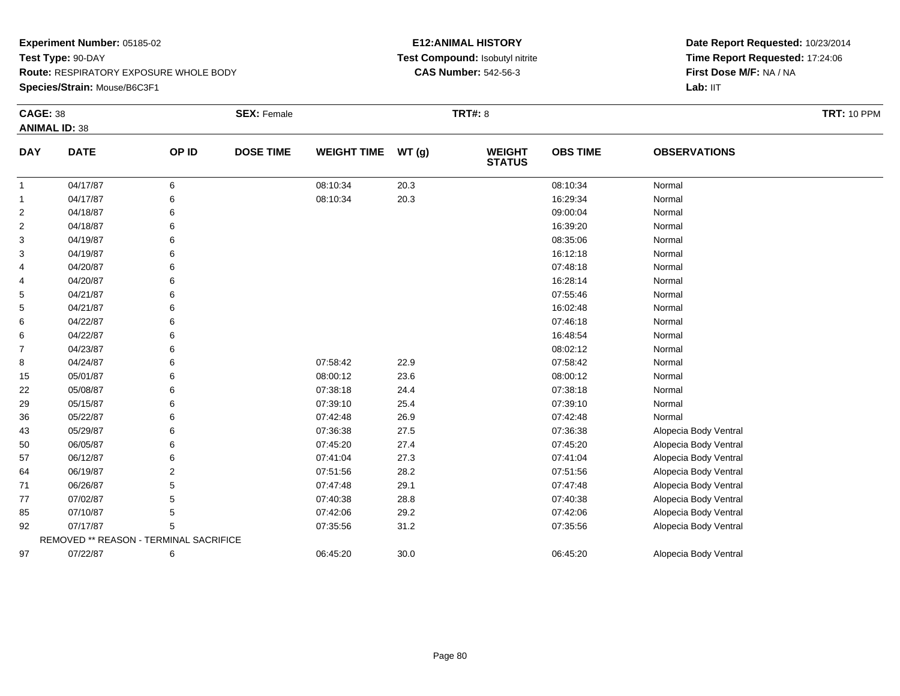### **Experiment Number:** 05185-02**Test Type:** 90-DAY **Route:** RESPIRATORY EXPOSURE WHOLE BODY**Species/Strain:** Mouse/B6C3F1

### **E12:ANIMAL HISTORY Test Compound:** Isobutyl nitrite**CAS Number:** 542-56-3

| <b>CAGE: 38</b> | <b>ANIMAL ID: 38</b>                   |       | <b>SEX: Female</b> |                    |       | <b>TRT#: 8</b>                 |                 |                       | <b>TRT: 10 PPM</b> |
|-----------------|----------------------------------------|-------|--------------------|--------------------|-------|--------------------------------|-----------------|-----------------------|--------------------|
| <b>DAY</b>      | <b>DATE</b>                            | OP ID | <b>DOSE TIME</b>   | <b>WEIGHT TIME</b> | WT(g) | <b>WEIGHT</b><br><b>STATUS</b> | <b>OBS TIME</b> | <b>OBSERVATIONS</b>   |                    |
| $\mathbf{1}$    | 04/17/87                               | 6     |                    | 08:10:34           | 20.3  |                                | 08:10:34        | Normal                |                    |
| 1               | 04/17/87                               | 6     |                    | 08:10:34           | 20.3  |                                | 16:29:34        | Normal                |                    |
| 2               | 04/18/87                               | 6     |                    |                    |       |                                | 09:00:04        | Normal                |                    |
| 2               | 04/18/87                               | 6     |                    |                    |       |                                | 16:39:20        | Normal                |                    |
| 3               | 04/19/87                               | 6     |                    |                    |       |                                | 08:35:06        | Normal                |                    |
| 3               | 04/19/87                               | 6     |                    |                    |       |                                | 16:12:18        | Normal                |                    |
| 4               | 04/20/87                               | 6     |                    |                    |       |                                | 07:48:18        | Normal                |                    |
| 4               | 04/20/87                               | 6     |                    |                    |       |                                | 16:28:14        | Normal                |                    |
| 5               | 04/21/87                               | 6     |                    |                    |       |                                | 07:55:46        | Normal                |                    |
| 5               | 04/21/87                               | 6     |                    |                    |       |                                | 16:02:48        | Normal                |                    |
| 6               | 04/22/87                               |       |                    |                    |       |                                | 07:46:18        | Normal                |                    |
| 6               | 04/22/87                               | 6     |                    |                    |       |                                | 16:48:54        | Normal                |                    |
| 7               | 04/23/87                               | 6     |                    |                    |       |                                | 08:02:12        | Normal                |                    |
| 8               | 04/24/87                               | 6     |                    | 07:58:42           | 22.9  |                                | 07:58:42        | Normal                |                    |
| 15              | 05/01/87                               | 6     |                    | 08:00:12           | 23.6  |                                | 08:00:12        | Normal                |                    |
| 22              | 05/08/87                               | 6     |                    | 07:38:18           | 24.4  |                                | 07:38:18        | Normal                |                    |
| 29              | 05/15/87                               | 6     |                    | 07:39:10           | 25.4  |                                | 07:39:10        | Normal                |                    |
| 36              | 05/22/87                               | 6     |                    | 07:42:48           | 26.9  |                                | 07:42:48        | Normal                |                    |
| 43              | 05/29/87                               | 6     |                    | 07:36:38           | 27.5  |                                | 07:36:38        | Alopecia Body Ventral |                    |
| 50              | 06/05/87                               | 6     |                    | 07:45:20           | 27.4  |                                | 07:45:20        | Alopecia Body Ventral |                    |
| 57              | 06/12/87                               | 6     |                    | 07:41:04           | 27.3  |                                | 07:41:04        | Alopecia Body Ventral |                    |
| 64              | 06/19/87                               | 2     |                    | 07:51:56           | 28.2  |                                | 07:51:56        | Alopecia Body Ventral |                    |
| 71              | 06/26/87                               | 5     |                    | 07:47:48           | 29.1  |                                | 07:47:48        | Alopecia Body Ventral |                    |
| 77              | 07/02/87                               | 5     |                    | 07:40:38           | 28.8  |                                | 07:40:38        | Alopecia Body Ventral |                    |
| 85              | 07/10/87                               | 5     |                    | 07:42:06           | 29.2  |                                | 07:42:06        | Alopecia Body Ventral |                    |
| 92              | 07/17/87                               | 5     |                    | 07:35:56           | 31.2  |                                | 07:35:56        | Alopecia Body Ventral |                    |
|                 | REMOVED ** REASON - TERMINAL SACRIFICE |       |                    |                    |       |                                |                 |                       |                    |
| 97              | 07/22/87                               | 6     |                    | 06:45:20           | 30.0  |                                | 06:45:20        | Alopecia Body Ventral |                    |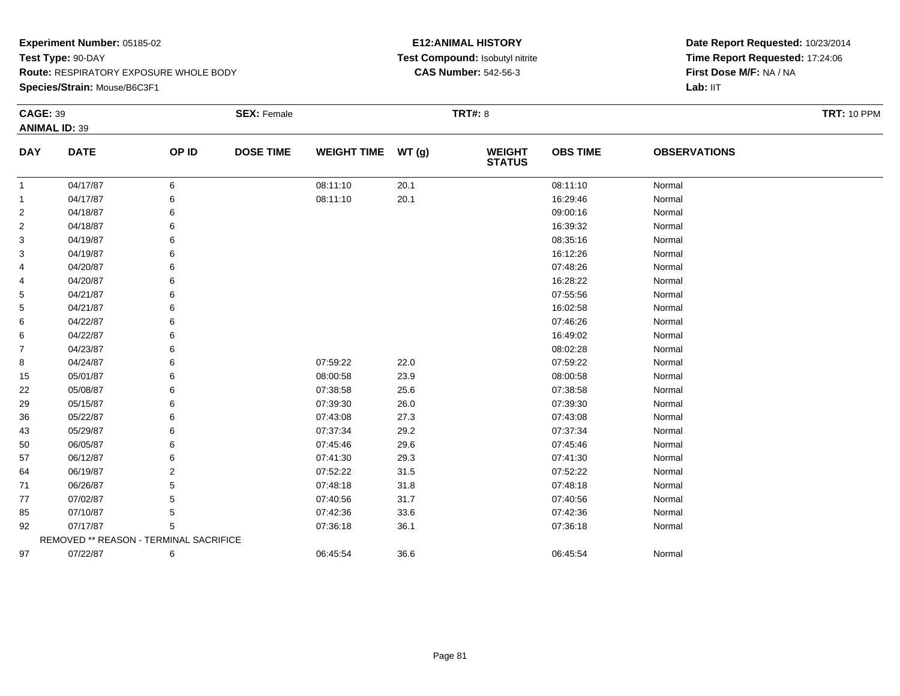### **Species/Strain:** Mouse/B6C3F1

### **E12:ANIMAL HISTORY Test Compound:** Isobutyl nitrite**CAS Number:** 542-56-3

| <b>CAGE: 39</b> |                                        |       | <b>SEX: Female</b> |                    |       | <b>TRT#: 8</b>           |                 |                     | <b>TRT: 10 PPM</b> |
|-----------------|----------------------------------------|-------|--------------------|--------------------|-------|--------------------------|-----------------|---------------------|--------------------|
|                 | <b>ANIMAL ID: 39</b>                   |       |                    |                    |       |                          |                 |                     |                    |
| <b>DAY</b>      | <b>DATE</b>                            | OP ID | <b>DOSE TIME</b>   | <b>WEIGHT TIME</b> | WT(g) | <b>WEIGHT<br/>STATUS</b> | <b>OBS TIME</b> | <b>OBSERVATIONS</b> |                    |
| 1               | 04/17/87                               | 6     |                    | 08:11:10           | 20.1  |                          | 08:11:10        | Normal              |                    |
| 1               | 04/17/87                               | 6     |                    | 08:11:10           | 20.1  |                          | 16:29:46        | Normal              |                    |
| 2               | 04/18/87                               | 6     |                    |                    |       |                          | 09:00:16        | Normal              |                    |
| 2               | 04/18/87                               | 6     |                    |                    |       |                          | 16:39:32        | Normal              |                    |
| 3               | 04/19/87                               | 6     |                    |                    |       |                          | 08:35:16        | Normal              |                    |
| 3               | 04/19/87                               | 6     |                    |                    |       |                          | 16:12:26        | Normal              |                    |
| 4               | 04/20/87                               | 6     |                    |                    |       |                          | 07:48:26        | Normal              |                    |
| 4               | 04/20/87                               | 6     |                    |                    |       |                          | 16:28:22        | Normal              |                    |
| 5               | 04/21/87                               | 6     |                    |                    |       |                          | 07:55:56        | Normal              |                    |
| 5               | 04/21/87                               | 6     |                    |                    |       |                          | 16:02:58        | Normal              |                    |
| 6               | 04/22/87                               | 6     |                    |                    |       |                          | 07:46:26        | Normal              |                    |
| 6               | 04/22/87                               | 6     |                    |                    |       |                          | 16:49:02        | Normal              |                    |
| 7               | 04/23/87                               | 6     |                    |                    |       |                          | 08:02:28        | Normal              |                    |
| 8               | 04/24/87                               | 6     |                    | 07:59:22           | 22.0  |                          | 07:59:22        | Normal              |                    |
| 15              | 05/01/87                               | 6     |                    | 08:00:58           | 23.9  |                          | 08:00:58        | Normal              |                    |
| 22              | 05/08/87                               | 6     |                    | 07:38:58           | 25.6  |                          | 07:38:58        | Normal              |                    |
| 29              | 05/15/87                               | 6     |                    | 07:39:30           | 26.0  |                          | 07:39:30        | Normal              |                    |
| 36              | 05/22/87                               | 6     |                    | 07:43:08           | 27.3  |                          | 07:43:08        | Normal              |                    |
| 43              | 05/29/87                               | 6     |                    | 07:37:34           | 29.2  |                          | 07:37:34        | Normal              |                    |
| 50              | 06/05/87                               | 6     |                    | 07:45:46           | 29.6  |                          | 07:45:46        | Normal              |                    |
| 57              | 06/12/87                               | 6     |                    | 07:41:30           | 29.3  |                          | 07:41:30        | Normal              |                    |
| 64              | 06/19/87                               | 2     |                    | 07:52:22           | 31.5  |                          | 07:52:22        | Normal              |                    |
| 71              | 06/26/87                               | 5     |                    | 07:48:18           | 31.8  |                          | 07:48:18        | Normal              |                    |
| 77              | 07/02/87                               | 5     |                    | 07:40:56           | 31.7  |                          | 07:40:56        | Normal              |                    |
| 85              | 07/10/87                               | 5     |                    | 07:42:36           | 33.6  |                          | 07:42:36        | Normal              |                    |
| 92              | 07/17/87                               | 5     |                    | 07:36:18           | 36.1  |                          | 07:36:18        | Normal              |                    |
|                 | REMOVED ** REASON - TERMINAL SACRIFICE |       |                    |                    |       |                          |                 |                     |                    |
| 97              | 07/22/87                               | 6     |                    | 06:45:54           | 36.6  |                          | 06:45:54        | Normal              |                    |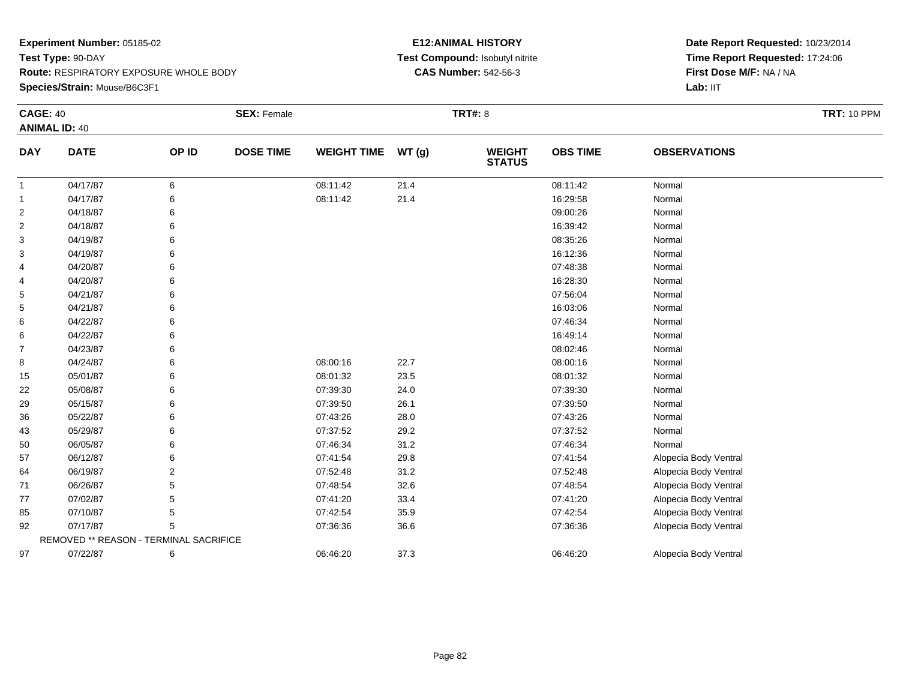### **Experiment Number:** 05185-02**Test Type:** 90-DAY **Route:** RESPIRATORY EXPOSURE WHOLE BODY**Species/Strain:** Mouse/B6C3F1

### **E12:ANIMAL HISTORY Test Compound:** Isobutyl nitrite**CAS Number:** 542-56-3

| <b>CAGE: 40</b> | <b>ANIMAL ID: 40</b>                   |                | <b>SEX: Female</b> |                    |       | <b>TRT#: 8</b>                 |                 |                       | <b>TRT: 10 PPM</b> |
|-----------------|----------------------------------------|----------------|--------------------|--------------------|-------|--------------------------------|-----------------|-----------------------|--------------------|
| <b>DAY</b>      | <b>DATE</b>                            | OP ID          | <b>DOSE TIME</b>   | <b>WEIGHT TIME</b> | WT(g) | <b>WEIGHT</b><br><b>STATUS</b> | <b>OBS TIME</b> | <b>OBSERVATIONS</b>   |                    |
| $\mathbf{1}$    | 04/17/87                               | 6              |                    | 08:11:42           | 21.4  |                                | 08:11:42        | Normal                |                    |
| 1               | 04/17/87                               | 6              |                    | 08:11:42           | 21.4  |                                | 16:29:58        | Normal                |                    |
| 2               | 04/18/87                               | 6              |                    |                    |       |                                | 09:00:26        | Normal                |                    |
| $\overline{c}$  | 04/18/87                               | 6              |                    |                    |       |                                | 16:39:42        | Normal                |                    |
| 3               | 04/19/87                               | 6              |                    |                    |       |                                | 08:35:26        | Normal                |                    |
| 3               | 04/19/87                               | 6              |                    |                    |       |                                | 16:12:36        | Normal                |                    |
| 4               | 04/20/87                               | 6              |                    |                    |       |                                | 07:48:38        | Normal                |                    |
| 4               | 04/20/87                               | 6              |                    |                    |       |                                | 16:28:30        | Normal                |                    |
| 5               | 04/21/87                               | 6              |                    |                    |       |                                | 07:56:04        | Normal                |                    |
| 5               | 04/21/87                               | 6              |                    |                    |       |                                | 16:03:06        | Normal                |                    |
| 6               | 04/22/87                               | 6              |                    |                    |       |                                | 07:46:34        | Normal                |                    |
| 6               | 04/22/87                               | 6              |                    |                    |       |                                | 16:49:14        | Normal                |                    |
| 7               | 04/23/87                               | 6              |                    |                    |       |                                | 08:02:46        | Normal                |                    |
| 8               | 04/24/87                               | 6              |                    | 08:00:16           | 22.7  |                                | 08:00:16        | Normal                |                    |
| 15              | 05/01/87                               | 6              |                    | 08:01:32           | 23.5  |                                | 08:01:32        | Normal                |                    |
| 22              | 05/08/87                               | 6              |                    | 07:39:30           | 24.0  |                                | 07:39:30        | Normal                |                    |
| 29              | 05/15/87                               | 6              |                    | 07:39:50           | 26.1  |                                | 07:39:50        | Normal                |                    |
| 36              | 05/22/87                               | 6              |                    | 07:43:26           | 28.0  |                                | 07:43:26        | Normal                |                    |
| 43              | 05/29/87                               | 6              |                    | 07:37:52           | 29.2  |                                | 07:37:52        | Normal                |                    |
| 50              | 06/05/87                               | 6              |                    | 07:46:34           | 31.2  |                                | 07:46:34        | Normal                |                    |
| 57              | 06/12/87                               | 6              |                    | 07:41:54           | 29.8  |                                | 07:41:54        | Alopecia Body Ventral |                    |
| 64              | 06/19/87                               | $\overline{2}$ |                    | 07:52:48           | 31.2  |                                | 07:52:48        | Alopecia Body Ventral |                    |
| 71              | 06/26/87                               | 5              |                    | 07:48:54           | 32.6  |                                | 07:48:54        | Alopecia Body Ventral |                    |
| 77              | 07/02/87                               | 5              |                    | 07:41:20           | 33.4  |                                | 07:41:20        | Alopecia Body Ventral |                    |
| 85              | 07/10/87                               | 5              |                    | 07:42:54           | 35.9  |                                | 07:42:54        | Alopecia Body Ventral |                    |
| 92              | 07/17/87                               | 5              |                    | 07:36:36           | 36.6  |                                | 07:36:36        | Alopecia Body Ventral |                    |
|                 | REMOVED ** REASON - TERMINAL SACRIFICE |                |                    |                    |       |                                |                 |                       |                    |
| 97              | 07/22/87                               | 6              |                    | 06:46:20           | 37.3  |                                | 06:46:20        | Alopecia Body Ventral |                    |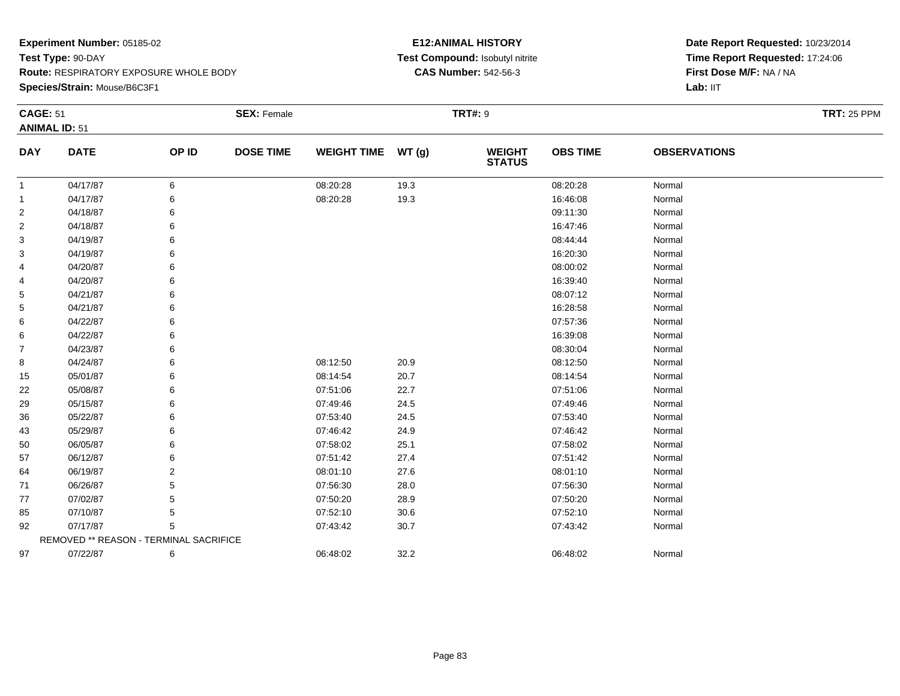**Species/Strain:** Mouse/B6C3F1

### **E12:ANIMAL HISTORY Test Compound:** Isobutyl nitrite**CAS Number:** 542-56-3

| <b>CAGE: 51</b> | <b>ANIMAL ID: 51</b>                   |       | <b>SEX: Female</b> |                    |      | <b>TRT#: 9</b>                 |                 |                     | <b>TRT: 25 PPM</b> |
|-----------------|----------------------------------------|-------|--------------------|--------------------|------|--------------------------------|-----------------|---------------------|--------------------|
| <b>DAY</b>      | <b>DATE</b>                            | OP ID | <b>DOSE TIME</b>   | WEIGHT TIME WT (g) |      | <b>WEIGHT</b><br><b>STATUS</b> | <b>OBS TIME</b> | <b>OBSERVATIONS</b> |                    |
| $\mathbf{1}$    | 04/17/87                               | 6     |                    | 08:20:28           | 19.3 |                                | 08:20:28        | Normal              |                    |
| 1               | 04/17/87                               | 6     |                    | 08:20:28           | 19.3 |                                | 16:46:08        | Normal              |                    |
| 2               | 04/18/87                               |       |                    |                    |      |                                | 09:11:30        | Normal              |                    |
| 2               | 04/18/87                               | 6     |                    |                    |      |                                | 16:47:46        | Normal              |                    |
| 3               | 04/19/87                               | 6     |                    |                    |      |                                | 08:44:44        | Normal              |                    |
| 3               | 04/19/87                               | 6     |                    |                    |      |                                | 16:20:30        | Normal              |                    |
| 4               | 04/20/87                               |       |                    |                    |      |                                | 08:00:02        | Normal              |                    |
| 4               | 04/20/87                               | 6     |                    |                    |      |                                | 16:39:40        | Normal              |                    |
| 5               | 04/21/87                               | 6     |                    |                    |      |                                | 08:07:12        | Normal              |                    |
| 5               | 04/21/87                               |       |                    |                    |      |                                | 16:28:58        | Normal              |                    |
| 6               | 04/22/87                               |       |                    |                    |      |                                | 07:57:36        | Normal              |                    |
| 6               | 04/22/87                               | 6     |                    |                    |      |                                | 16:39:08        | Normal              |                    |
| 7               | 04/23/87                               | 6     |                    |                    |      |                                | 08:30:04        | Normal              |                    |
| 8               | 04/24/87                               | 6     |                    | 08:12:50           | 20.9 |                                | 08:12:50        | Normal              |                    |
| 15              | 05/01/87                               | 6     |                    | 08:14:54           | 20.7 |                                | 08:14:54        | Normal              |                    |
| 22              | 05/08/87                               | 6     |                    | 07:51:06           | 22.7 |                                | 07:51:06        | Normal              |                    |
| 29              | 05/15/87                               | 6     |                    | 07:49:46           | 24.5 |                                | 07:49:46        | Normal              |                    |
| 36              | 05/22/87                               |       |                    | 07:53:40           | 24.5 |                                | 07:53:40        | Normal              |                    |
| 43              | 05/29/87                               |       |                    | 07:46:42           | 24.9 |                                | 07:46:42        | Normal              |                    |
| 50              | 06/05/87                               | 6     |                    | 07:58:02           | 25.1 |                                | 07:58:02        | Normal              |                    |
| 57              | 06/12/87                               |       |                    | 07:51:42           | 27.4 |                                | 07:51:42        | Normal              |                    |
| 64              | 06/19/87                               | 2     |                    | 08:01:10           | 27.6 |                                | 08:01:10        | Normal              |                    |
| 71              | 06/26/87                               | 5     |                    | 07:56:30           | 28.0 |                                | 07:56:30        | Normal              |                    |
| 77              | 07/02/87                               | 5     |                    | 07:50:20           | 28.9 |                                | 07:50:20        | Normal              |                    |
| 85              | 07/10/87                               | 5     |                    | 07:52:10           | 30.6 |                                | 07:52:10        | Normal              |                    |
| 92              | 07/17/87                               | 5     |                    | 07:43:42           | 30.7 |                                | 07:43:42        | Normal              |                    |
|                 | REMOVED ** REASON - TERMINAL SACRIFICE |       |                    |                    |      |                                |                 |                     |                    |
| 97              | 07/22/87                               | 6     |                    | 06:48:02           | 32.2 |                                | 06:48:02        | Normal              |                    |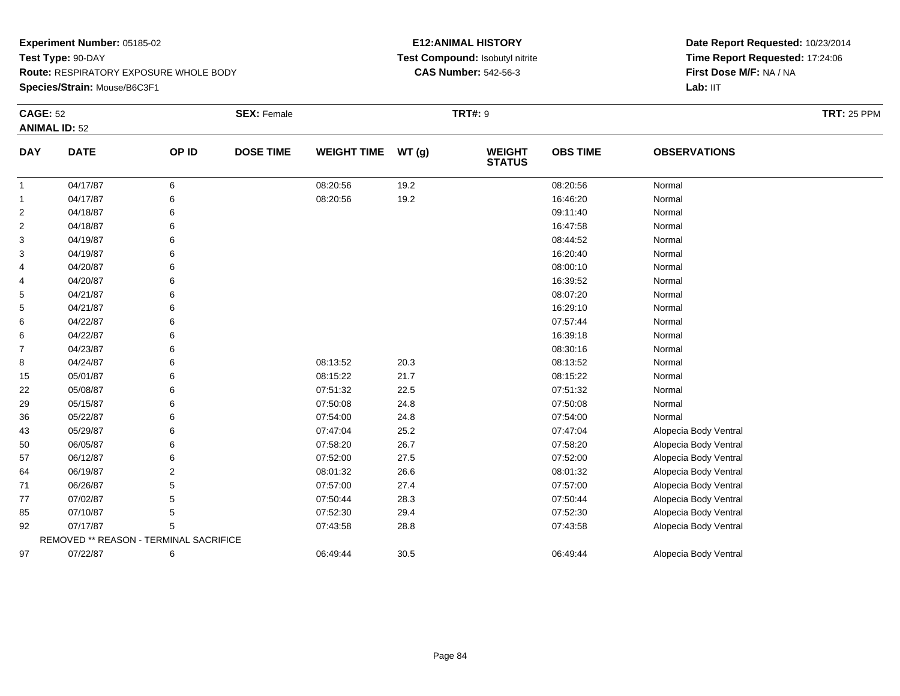**Species/Strain:** Mouse/B6C3F1

### **E12:ANIMAL HISTORY Test Compound:** Isobutyl nitrite**CAS Number:** 542-56-3

| <b>CAGE: 52</b> |                                        |                | <b>SEX: Female</b> |                    |       | <b>TRT#: 9</b>                 |                 |                       | <b>TRT: 25 PPM</b> |
|-----------------|----------------------------------------|----------------|--------------------|--------------------|-------|--------------------------------|-----------------|-----------------------|--------------------|
|                 | <b>ANIMAL ID: 52</b>                   |                |                    |                    |       |                                |                 |                       |                    |
| <b>DAY</b>      | <b>DATE</b>                            | OP ID          | <b>DOSE TIME</b>   | <b>WEIGHT TIME</b> | WT(g) | <b>WEIGHT</b><br><b>STATUS</b> | <b>OBS TIME</b> | <b>OBSERVATIONS</b>   |                    |
| 1               | 04/17/87                               | 6              |                    | 08:20:56           | 19.2  |                                | 08:20:56        | Normal                |                    |
| 1               | 04/17/87                               | 6              |                    | 08:20:56           | 19.2  |                                | 16:46:20        | Normal                |                    |
| $\overline{c}$  | 04/18/87                               | 6              |                    |                    |       |                                | 09:11:40        | Normal                |                    |
| 2               | 04/18/87                               | 6              |                    |                    |       |                                | 16:47:58        | Normal                |                    |
| 3               | 04/19/87                               | 6              |                    |                    |       |                                | 08:44:52        | Normal                |                    |
| 3               | 04/19/87                               | 6              |                    |                    |       |                                | 16:20:40        | Normal                |                    |
| 4               | 04/20/87                               | 6              |                    |                    |       |                                | 08:00:10        | Normal                |                    |
| 4               | 04/20/87                               | 6              |                    |                    |       |                                | 16:39:52        | Normal                |                    |
| 5               | 04/21/87                               |                |                    |                    |       |                                | 08:07:20        | Normal                |                    |
| 5               | 04/21/87                               | 6              |                    |                    |       |                                | 16:29:10        | Normal                |                    |
| 6               | 04/22/87                               | 6              |                    |                    |       |                                | 07:57:44        | Normal                |                    |
| 6               | 04/22/87                               | 6              |                    |                    |       |                                | 16:39:18        | Normal                |                    |
| 7               | 04/23/87                               | 6              |                    |                    |       |                                | 08:30:16        | Normal                |                    |
| 8               | 04/24/87                               | 6              |                    | 08:13:52           | 20.3  |                                | 08:13:52        | Normal                |                    |
| 15              | 05/01/87                               |                |                    | 08:15:22           | 21.7  |                                | 08:15:22        | Normal                |                    |
| 22              | 05/08/87                               | 6              |                    | 07:51:32           | 22.5  |                                | 07:51:32        | Normal                |                    |
| 29              | 05/15/87                               | 6              |                    | 07:50:08           | 24.8  |                                | 07:50:08        | Normal                |                    |
| 36              | 05/22/87                               | 6              |                    | 07:54:00           | 24.8  |                                | 07:54:00        | Normal                |                    |
| 43              | 05/29/87                               |                |                    | 07:47:04           | 25.2  |                                | 07:47:04        | Alopecia Body Ventral |                    |
| 50              | 06/05/87                               | 6              |                    | 07:58:20           | 26.7  |                                | 07:58:20        | Alopecia Body Ventral |                    |
| 57              | 06/12/87                               |                |                    | 07:52:00           | 27.5  |                                | 07:52:00        | Alopecia Body Ventral |                    |
| 64              | 06/19/87                               | $\overline{2}$ |                    | 08:01:32           | 26.6  |                                | 08:01:32        | Alopecia Body Ventral |                    |
| 71              | 06/26/87                               | 5              |                    | 07:57:00           | 27.4  |                                | 07:57:00        | Alopecia Body Ventral |                    |
| 77              | 07/02/87                               | 5              |                    | 07:50:44           | 28.3  |                                | 07:50:44        | Alopecia Body Ventral |                    |
| 85              | 07/10/87                               | 5              |                    | 07:52:30           | 29.4  |                                | 07:52:30        | Alopecia Body Ventral |                    |
| 92              | 07/17/87                               | 5              |                    | 07:43:58           | 28.8  |                                | 07:43:58        | Alopecia Body Ventral |                    |
|                 | REMOVED ** REASON - TERMINAL SACRIFICE |                |                    |                    |       |                                |                 |                       |                    |
| 97              | 07/22/87                               | 6              |                    | 06:49:44           | 30.5  |                                | 06:49:44        | Alopecia Body Ventral |                    |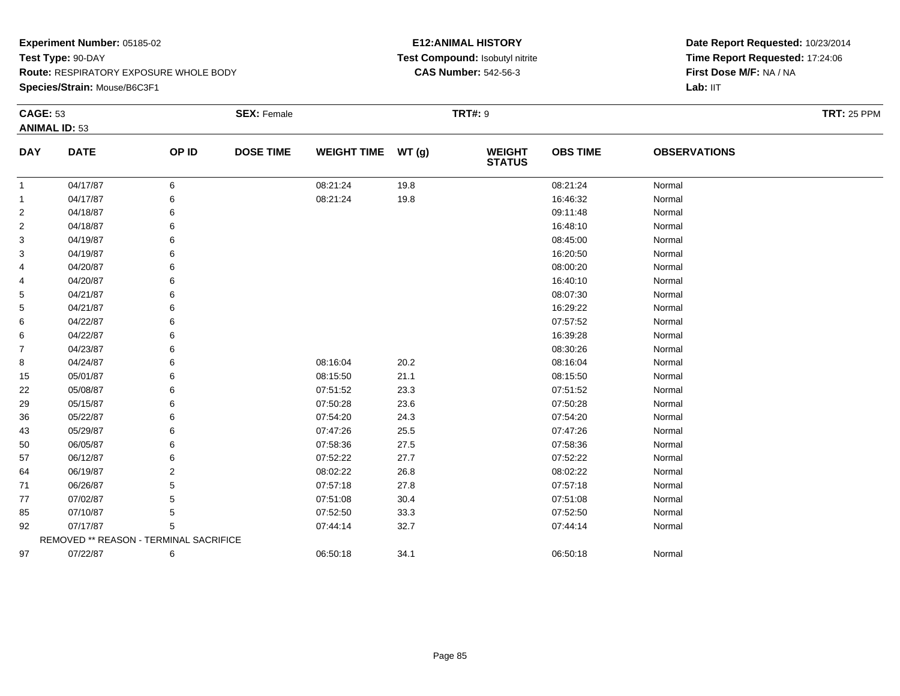**Species/Strain:** Mouse/B6C3F1

### **E12:ANIMAL HISTORY Test Compound:** Isobutyl nitrite**CAS Number:** 542-56-3

| <b>CAGE: 53</b> |                                        |                | <b>SEX: Female</b> |                    |      | <b>TRT#: 9</b>                 |                 |                     | <b>TRT: 25 PPM</b> |
|-----------------|----------------------------------------|----------------|--------------------|--------------------|------|--------------------------------|-----------------|---------------------|--------------------|
|                 | <b>ANIMAL ID: 53</b>                   |                |                    |                    |      |                                |                 |                     |                    |
| <b>DAY</b>      | <b>DATE</b>                            | OP ID          | <b>DOSE TIME</b>   | WEIGHT TIME WT (g) |      | <b>WEIGHT</b><br><b>STATUS</b> | <b>OBS TIME</b> | <b>OBSERVATIONS</b> |                    |
| $\mathbf{1}$    | 04/17/87                               | 6              |                    | 08:21:24           | 19.8 |                                | 08:21:24        | Normal              |                    |
| 1               | 04/17/87                               | 6              |                    | 08:21:24           | 19.8 |                                | 16:46:32        | Normal              |                    |
| $\overline{2}$  | 04/18/87                               | 6              |                    |                    |      |                                | 09:11:48        | Normal              |                    |
| 2               | 04/18/87                               | 6              |                    |                    |      |                                | 16:48:10        | Normal              |                    |
| 3               | 04/19/87                               | 6              |                    |                    |      |                                | 08:45:00        | Normal              |                    |
| 3               | 04/19/87                               | 6              |                    |                    |      |                                | 16:20:50        | Normal              |                    |
| 4               | 04/20/87                               | 6              |                    |                    |      |                                | 08:00:20        | Normal              |                    |
| 4               | 04/20/87                               | 6              |                    |                    |      |                                | 16:40:10        | Normal              |                    |
| 5               | 04/21/87                               | 6              |                    |                    |      |                                | 08:07:30        | Normal              |                    |
| 5               | 04/21/87                               | 6              |                    |                    |      |                                | 16:29:22        | Normal              |                    |
| 6               | 04/22/87                               |                |                    |                    |      |                                | 07:57:52        | Normal              |                    |
| 6               | 04/22/87                               | 6              |                    |                    |      |                                | 16:39:28        | Normal              |                    |
| 7               | 04/23/87                               | 6              |                    |                    |      |                                | 08:30:26        | Normal              |                    |
| 8               | 04/24/87                               | 6              |                    | 08:16:04           | 20.2 |                                | 08:16:04        | Normal              |                    |
| 15              | 05/01/87                               | 6              |                    | 08:15:50           | 21.1 |                                | 08:15:50        | Normal              |                    |
| 22              | 05/08/87                               | 6              |                    | 07:51:52           | 23.3 |                                | 07:51:52        | Normal              |                    |
| 29              | 05/15/87                               | 6              |                    | 07:50:28           | 23.6 |                                | 07:50:28        | Normal              |                    |
| 36              | 05/22/87                               |                |                    | 07:54:20           | 24.3 |                                | 07:54:20        | Normal              |                    |
| 43              | 05/29/87                               |                |                    | 07:47:26           | 25.5 |                                | 07:47:26        | Normal              |                    |
| 50              | 06/05/87                               | 6              |                    | 07:58:36           | 27.5 |                                | 07:58:36        | Normal              |                    |
| 57              | 06/12/87                               | 6              |                    | 07:52:22           | 27.7 |                                | 07:52:22        | Normal              |                    |
| 64              | 06/19/87                               | $\overline{2}$ |                    | 08:02:22           | 26.8 |                                | 08:02:22        | Normal              |                    |
| 71              | 06/26/87                               | 5              |                    | 07:57:18           | 27.8 |                                | 07:57:18        | Normal              |                    |
| 77              | 07/02/87                               | 5              |                    | 07:51:08           | 30.4 |                                | 07:51:08        | Normal              |                    |
| 85              | 07/10/87                               | 5              |                    | 07:52:50           | 33.3 |                                | 07:52:50        | Normal              |                    |
| 92              | 07/17/87                               | 5              |                    | 07:44:14           | 32.7 |                                | 07:44:14        | Normal              |                    |
|                 | REMOVED ** REASON - TERMINAL SACRIFICE |                |                    |                    |      |                                |                 |                     |                    |
| 97              | 07/22/87                               | 6              |                    | 06:50:18           | 34.1 |                                | 06:50:18        | Normal              |                    |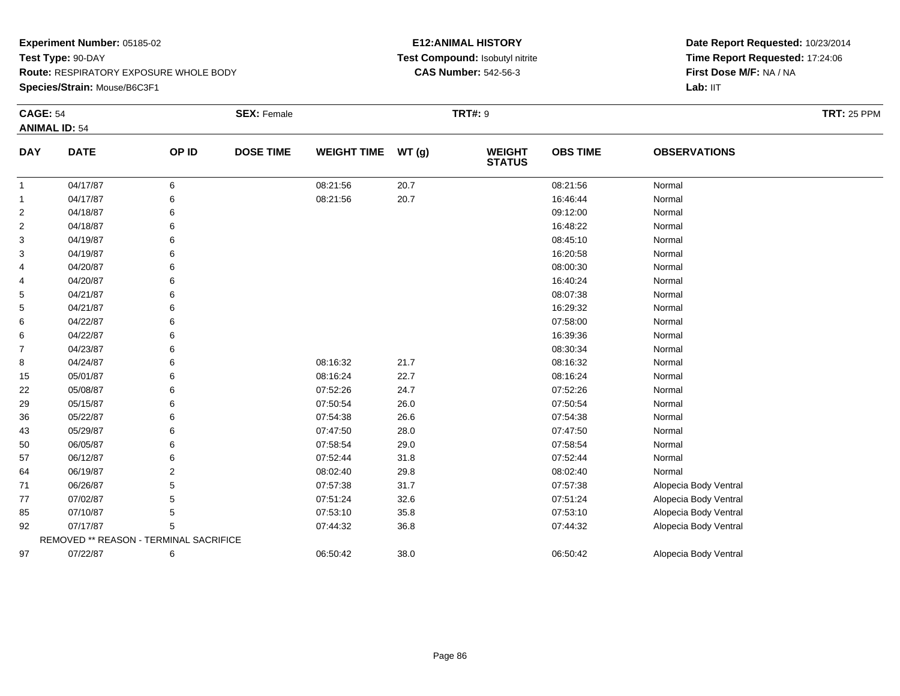#### **Species/Strain:** Mouse/B6C3F1

### **E12:ANIMAL HISTORY Test Compound:** Isobutyl nitrite**CAS Number:** 542-56-3

| <b>CAGE: 54</b> |                                        |       | <b>SEX: Female</b> |                    |       | <b>TRT#: 9</b>                 |                 |                       | <b>TRT: 25 PPM</b> |
|-----------------|----------------------------------------|-------|--------------------|--------------------|-------|--------------------------------|-----------------|-----------------------|--------------------|
|                 | <b>ANIMAL ID: 54</b>                   |       |                    |                    |       |                                |                 |                       |                    |
| <b>DAY</b>      | <b>DATE</b>                            | OP ID | <b>DOSE TIME</b>   | <b>WEIGHT TIME</b> | WT(g) | <b>WEIGHT</b><br><b>STATUS</b> | <b>OBS TIME</b> | <b>OBSERVATIONS</b>   |                    |
| $\mathbf{1}$    | 04/17/87                               | 6     |                    | 08:21:56           | 20.7  |                                | 08:21:56        | Normal                |                    |
| 1               | 04/17/87                               | 6     |                    | 08:21:56           | 20.7  |                                | 16:46:44        | Normal                |                    |
| 2               | 04/18/87                               | 6     |                    |                    |       |                                | 09:12:00        | Normal                |                    |
| $\overline{2}$  | 04/18/87                               | 6     |                    |                    |       |                                | 16:48:22        | Normal                |                    |
| 3               | 04/19/87                               | 6     |                    |                    |       |                                | 08:45:10        | Normal                |                    |
| 3               | 04/19/87                               |       |                    |                    |       |                                | 16:20:58        | Normal                |                    |
| 4               | 04/20/87                               |       |                    |                    |       |                                | 08:00:30        | Normal                |                    |
| 4               | 04/20/87                               |       |                    |                    |       |                                | 16:40:24        | Normal                |                    |
| 5               | 04/21/87                               |       |                    |                    |       |                                | 08:07:38        | Normal                |                    |
| 5               | 04/21/87                               |       |                    |                    |       |                                | 16:29:32        | Normal                |                    |
| 6               | 04/22/87                               |       |                    |                    |       |                                | 07:58:00        | Normal                |                    |
| 6               | 04/22/87                               |       |                    |                    |       |                                | 16:39:36        | Normal                |                    |
| $\overline{7}$  | 04/23/87                               |       |                    |                    |       |                                | 08:30:34        | Normal                |                    |
| 8               | 04/24/87                               |       |                    | 08:16:32           | 21.7  |                                | 08:16:32        | Normal                |                    |
| 15              | 05/01/87                               | 6     |                    | 08:16:24           | 22.7  |                                | 08:16:24        | Normal                |                    |
| 22              | 05/08/87                               |       |                    | 07:52:26           | 24.7  |                                | 07:52:26        | Normal                |                    |
| 29              | 05/15/87                               |       |                    | 07:50:54           | 26.0  |                                | 07:50:54        | Normal                |                    |
| 36              | 05/22/87                               |       |                    | 07:54:38           | 26.6  |                                | 07:54:38        | Normal                |                    |
| 43              | 05/29/87                               | 6     |                    | 07:47:50           | 28.0  |                                | 07:47:50        | Normal                |                    |
| 50              | 06/05/87                               |       |                    | 07:58:54           | 29.0  |                                | 07:58:54        | Normal                |                    |
| 57              | 06/12/87                               |       |                    | 07:52:44           | 31.8  |                                | 07:52:44        | Normal                |                    |
| 64              | 06/19/87                               |       |                    | 08:02:40           | 29.8  |                                | 08:02:40        | Normal                |                    |
| 71              | 06/26/87                               |       |                    | 07:57:38           | 31.7  |                                | 07:57:38        | Alopecia Body Ventral |                    |
| 77              | 07/02/87                               | 5     |                    | 07:51:24           | 32.6  |                                | 07:51:24        | Alopecia Body Ventral |                    |
| 85              | 07/10/87                               | 5     |                    | 07:53:10           | 35.8  |                                | 07:53:10        | Alopecia Body Ventral |                    |
| 92              | 07/17/87                               | 5     |                    | 07:44:32           | 36.8  |                                | 07:44:32        | Alopecia Body Ventral |                    |
|                 | REMOVED ** REASON - TERMINAL SACRIFICE |       |                    |                    |       |                                |                 |                       |                    |
| 97              | 07/22/87                               | 6     |                    | 06:50:42           | 38.0  |                                | 06:50:42        | Alopecia Body Ventral |                    |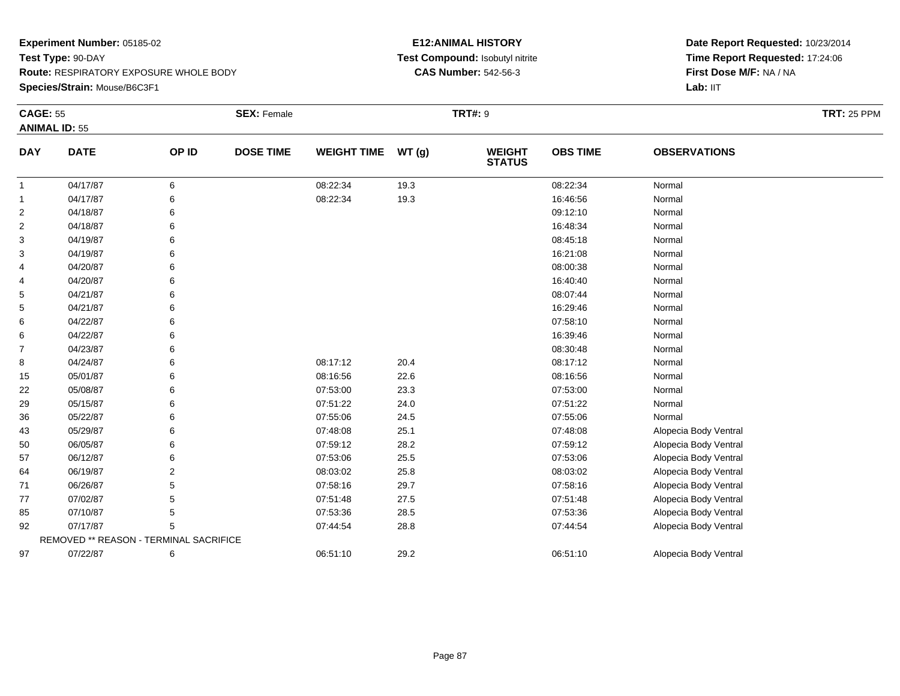#### **Species/Strain:** Mouse/B6C3F1

### **E12:ANIMAL HISTORY Test Compound:** Isobutyl nitrite**CAS Number:** 542-56-3

| <b>CAGE: 55</b> |                                        |       | <b>SEX: Female</b> |                    |       | <b>TRT#: 9</b>                 |                 |                       | <b>TRT: 25 PPM</b> |
|-----------------|----------------------------------------|-------|--------------------|--------------------|-------|--------------------------------|-----------------|-----------------------|--------------------|
|                 | <b>ANIMAL ID: 55</b>                   |       |                    |                    |       |                                |                 |                       |                    |
| <b>DAY</b>      | <b>DATE</b>                            | OP ID | <b>DOSE TIME</b>   | <b>WEIGHT TIME</b> | WT(g) | <b>WEIGHT</b><br><b>STATUS</b> | <b>OBS TIME</b> | <b>OBSERVATIONS</b>   |                    |
| $\mathbf{1}$    | 04/17/87                               | 6     |                    | 08:22:34           | 19.3  |                                | 08:22:34        | Normal                |                    |
| 1               | 04/17/87                               | 6     |                    | 08:22:34           | 19.3  |                                | 16:46:56        | Normal                |                    |
| $\overline{2}$  | 04/18/87                               | 6     |                    |                    |       |                                | 09:12:10        | Normal                |                    |
| $\overline{2}$  | 04/18/87                               | 6     |                    |                    |       |                                | 16:48:34        | Normal                |                    |
| 3               | 04/19/87                               | 6     |                    |                    |       |                                | 08:45:18        | Normal                |                    |
| 3               | 04/19/87                               |       |                    |                    |       |                                | 16:21:08        | Normal                |                    |
| 4               | 04/20/87                               |       |                    |                    |       |                                | 08:00:38        | Normal                |                    |
| 4               | 04/20/87                               |       |                    |                    |       |                                | 16:40:40        | Normal                |                    |
| 5               | 04/21/87                               | 6     |                    |                    |       |                                | 08:07:44        | Normal                |                    |
| 5               | 04/21/87                               | 6     |                    |                    |       |                                | 16:29:46        | Normal                |                    |
| 6               | 04/22/87                               |       |                    |                    |       |                                | 07:58:10        | Normal                |                    |
| 6               | 04/22/87                               |       |                    |                    |       |                                | 16:39:46        | Normal                |                    |
| $\overline{7}$  | 04/23/87                               |       |                    |                    |       |                                | 08:30:48        | Normal                |                    |
| 8               | 04/24/87                               | 6     |                    | 08:17:12           | 20.4  |                                | 08:17:12        | Normal                |                    |
| 15              | 05/01/87                               | 6     |                    | 08:16:56           | 22.6  |                                | 08:16:56        | Normal                |                    |
| 22              | 05/08/87                               |       |                    | 07:53:00           | 23.3  |                                | 07:53:00        | Normal                |                    |
| 29              | 05/15/87                               |       |                    | 07:51:22           | 24.0  |                                | 07:51:22        | Normal                |                    |
| 36              | 05/22/87                               | 6     |                    | 07:55:06           | 24.5  |                                | 07:55:06        | Normal                |                    |
| 43              | 05/29/87                               | 6     |                    | 07:48:08           | 25.1  |                                | 07:48:08        | Alopecia Body Ventral |                    |
| 50              | 06/05/87                               |       |                    | 07:59:12           | 28.2  |                                | 07:59:12        | Alopecia Body Ventral |                    |
| 57              | 06/12/87                               | 6     |                    | 07:53:06           | 25.5  |                                | 07:53:06        | Alopecia Body Ventral |                    |
| 64              | 06/19/87                               | 2     |                    | 08:03:02           | 25.8  |                                | 08:03:02        | Alopecia Body Ventral |                    |
| 71              | 06/26/87                               | 5     |                    | 07:58:16           | 29.7  |                                | 07:58:16        | Alopecia Body Ventral |                    |
| 77              | 07/02/87                               | 5     |                    | 07:51:48           | 27.5  |                                | 07:51:48        | Alopecia Body Ventral |                    |
| 85              | 07/10/87                               | 5     |                    | 07:53:36           | 28.5  |                                | 07:53:36        | Alopecia Body Ventral |                    |
| 92              | 07/17/87                               | 5     |                    | 07:44:54           | 28.8  |                                | 07:44:54        | Alopecia Body Ventral |                    |
|                 | REMOVED ** REASON - TERMINAL SACRIFICE |       |                    |                    |       |                                |                 |                       |                    |
| 97              | 07/22/87                               | 6     |                    | 06:51:10           | 29.2  |                                | 06:51:10        | Alopecia Body Ventral |                    |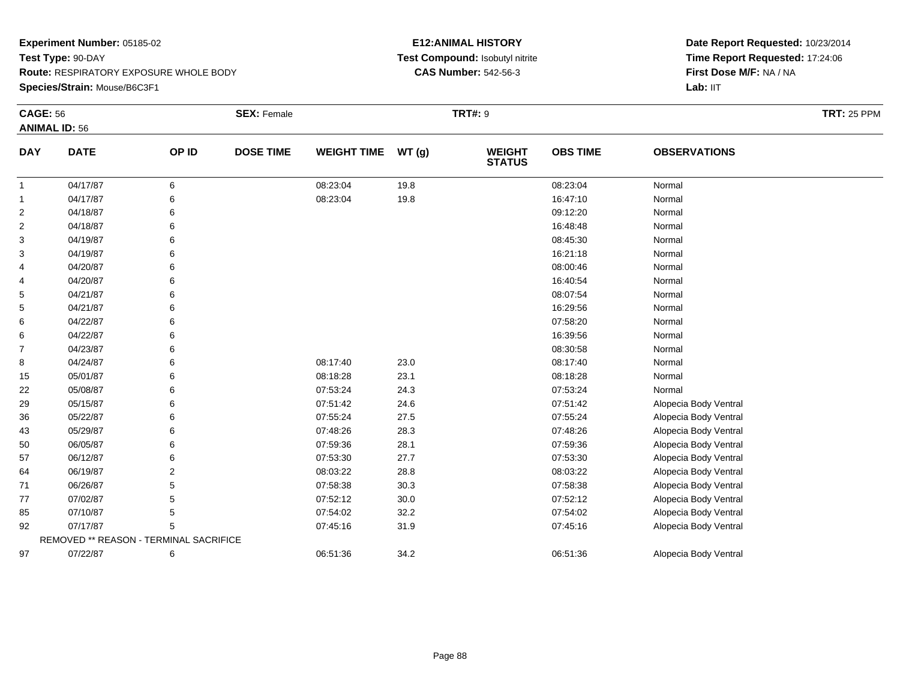### **Species/Strain:** Mouse/B6C3F1

### **E12:ANIMAL HISTORY Test Compound:** Isobutyl nitrite**CAS Number:** 542-56-3

| <b>CAGE: 56</b> |                                        |       | <b>SEX: Female</b> |                    |       | <b>TRT#: 9</b>                 |                 |                       | <b>TRT: 25 PPM</b> |
|-----------------|----------------------------------------|-------|--------------------|--------------------|-------|--------------------------------|-----------------|-----------------------|--------------------|
|                 | <b>ANIMAL ID: 56</b>                   |       |                    |                    |       |                                |                 |                       |                    |
| <b>DAY</b>      | <b>DATE</b>                            | OP ID | <b>DOSE TIME</b>   | <b>WEIGHT TIME</b> | WT(g) | <b>WEIGHT</b><br><b>STATUS</b> | <b>OBS TIME</b> | <b>OBSERVATIONS</b>   |                    |
| $\mathbf{1}$    | 04/17/87                               | 6     |                    | 08:23:04           | 19.8  |                                | 08:23:04        | Normal                |                    |
| 1               | 04/17/87                               | 6     |                    | 08:23:04           | 19.8  |                                | 16:47:10        | Normal                |                    |
| $\overline{2}$  | 04/18/87                               | 6     |                    |                    |       |                                | 09:12:20        | Normal                |                    |
| 2               | 04/18/87                               | 6     |                    |                    |       |                                | 16:48:48        | Normal                |                    |
| 3               | 04/19/87                               | 6     |                    |                    |       |                                | 08:45:30        | Normal                |                    |
| 3               | 04/19/87                               | 6     |                    |                    |       |                                | 16:21:18        | Normal                |                    |
| 4               | 04/20/87                               | 6     |                    |                    |       |                                | 08:00:46        | Normal                |                    |
| 4               | 04/20/87                               | 6     |                    |                    |       |                                | 16:40:54        | Normal                |                    |
| 5               | 04/21/87                               | 6     |                    |                    |       |                                | 08:07:54        | Normal                |                    |
| 5               | 04/21/87                               | 6     |                    |                    |       |                                | 16:29:56        | Normal                |                    |
| 6               | 04/22/87                               | 6     |                    |                    |       |                                | 07:58:20        | Normal                |                    |
| 6               | 04/22/87                               | 6     |                    |                    |       |                                | 16:39:56        | Normal                |                    |
| 7               | 04/23/87                               | 6     |                    |                    |       |                                | 08:30:58        | Normal                |                    |
| 8               | 04/24/87                               | 6     |                    | 08:17:40           | 23.0  |                                | 08:17:40        | Normal                |                    |
| 15              | 05/01/87                               | 6     |                    | 08:18:28           | 23.1  |                                | 08:18:28        | Normal                |                    |
| 22              | 05/08/87                               | 6     |                    | 07:53:24           | 24.3  |                                | 07:53:24        | Normal                |                    |
| 29              | 05/15/87                               | 6     |                    | 07:51:42           | 24.6  |                                | 07:51:42        | Alopecia Body Ventral |                    |
| 36              | 05/22/87                               | 6     |                    | 07:55:24           | 27.5  |                                | 07:55:24        | Alopecia Body Ventral |                    |
| 43              | 05/29/87                               | 6     |                    | 07:48:26           | 28.3  |                                | 07:48:26        | Alopecia Body Ventral |                    |
| 50              | 06/05/87                               | 6     |                    | 07:59:36           | 28.1  |                                | 07:59:36        | Alopecia Body Ventral |                    |
| 57              | 06/12/87                               | 6     |                    | 07:53:30           | 27.7  |                                | 07:53:30        | Alopecia Body Ventral |                    |
| 64              | 06/19/87                               | 2     |                    | 08:03:22           | 28.8  |                                | 08:03:22        | Alopecia Body Ventral |                    |
| 71              | 06/26/87                               | 5     |                    | 07:58:38           | 30.3  |                                | 07:58:38        | Alopecia Body Ventral |                    |
| 77              | 07/02/87                               | 5     |                    | 07:52:12           | 30.0  |                                | 07:52:12        | Alopecia Body Ventral |                    |
| 85              | 07/10/87                               | 5     |                    | 07:54:02           | 32.2  |                                | 07:54:02        | Alopecia Body Ventral |                    |
| 92              | 07/17/87                               | 5     |                    | 07:45:16           | 31.9  |                                | 07:45:16        | Alopecia Body Ventral |                    |
|                 | REMOVED ** REASON - TERMINAL SACRIFICE |       |                    |                    |       |                                |                 |                       |                    |
| 97              | 07/22/87                               | 6     |                    | 06:51:36           | 34.2  |                                | 06:51:36        | Alopecia Body Ventral |                    |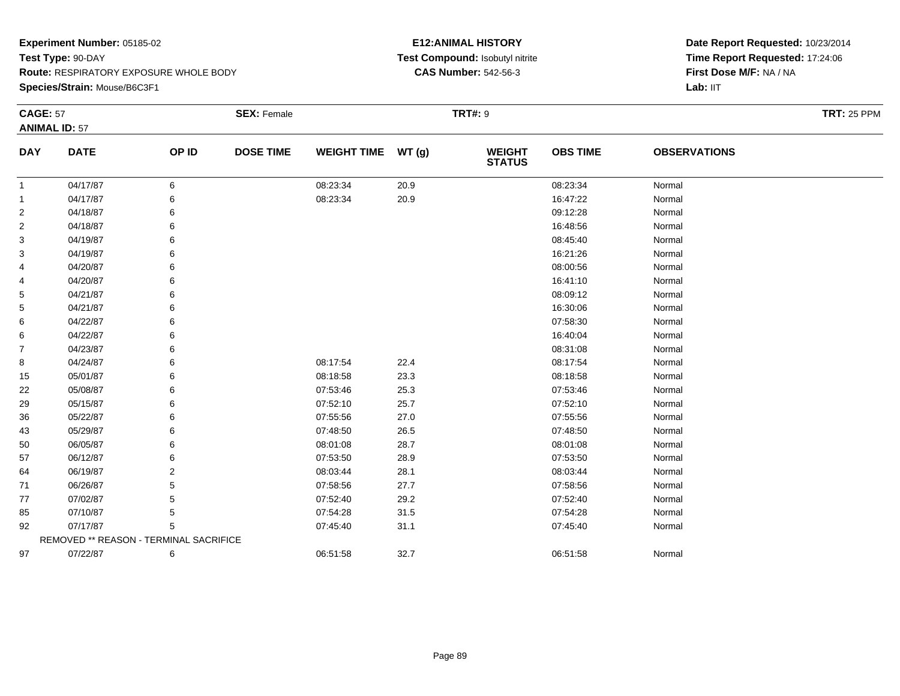**Species/Strain:** Mouse/B6C3F1

### **E12:ANIMAL HISTORY Test Compound:** Isobutyl nitrite**CAS Number:** 542-56-3

| <b>CAGE: 57</b> |                                        |                | <b>SEX: Female</b> |                    |       | <b>TRT#: 9</b>                 |                 |                     | <b>TRT: 25 PPM</b> |
|-----------------|----------------------------------------|----------------|--------------------|--------------------|-------|--------------------------------|-----------------|---------------------|--------------------|
|                 | <b>ANIMAL ID: 57</b>                   |                |                    |                    |       |                                |                 |                     |                    |
| <b>DAY</b>      | <b>DATE</b>                            | OP ID          | <b>DOSE TIME</b>   | <b>WEIGHT TIME</b> | WT(g) | <b>WEIGHT</b><br><b>STATUS</b> | <b>OBS TIME</b> | <b>OBSERVATIONS</b> |                    |
| $\mathbf{1}$    | 04/17/87                               | 6              |                    | 08:23:34           | 20.9  |                                | 08:23:34        | Normal              |                    |
| 1               | 04/17/87                               | 6              |                    | 08:23:34           | 20.9  |                                | 16:47:22        | Normal              |                    |
| $\overline{c}$  | 04/18/87                               | 6              |                    |                    |       |                                | 09:12:28        | Normal              |                    |
| 2               | 04/18/87                               | 6              |                    |                    |       |                                | 16:48:56        | Normal              |                    |
| 3               | 04/19/87                               | 6              |                    |                    |       |                                | 08:45:40        | Normal              |                    |
| 3               | 04/19/87                               | 6              |                    |                    |       |                                | 16:21:26        | Normal              |                    |
| 4               | 04/20/87                               | 6              |                    |                    |       |                                | 08:00:56        | Normal              |                    |
| 4               | 04/20/87                               | 6              |                    |                    |       |                                | 16:41:10        | Normal              |                    |
| 5               | 04/21/87                               | 6              |                    |                    |       |                                | 08:09:12        | Normal              |                    |
| 5               | 04/21/87                               | 6              |                    |                    |       |                                | 16:30:06        | Normal              |                    |
| 6               | 04/22/87                               | 6              |                    |                    |       |                                | 07:58:30        | Normal              |                    |
| 6               | 04/22/87                               | 6              |                    |                    |       |                                | 16:40:04        | Normal              |                    |
| $\overline{7}$  | 04/23/87                               | 6              |                    |                    |       |                                | 08:31:08        | Normal              |                    |
| 8               | 04/24/87                               | 6              |                    | 08:17:54           | 22.4  |                                | 08:17:54        | Normal              |                    |
| 15              | 05/01/87                               | 6              |                    | 08:18:58           | 23.3  |                                | 08:18:58        | Normal              |                    |
| 22              | 05/08/87                               | 6              |                    | 07:53:46           | 25.3  |                                | 07:53:46        | Normal              |                    |
| 29              | 05/15/87                               | 6              |                    | 07:52:10           | 25.7  |                                | 07:52:10        | Normal              |                    |
| 36              | 05/22/87                               | 6              |                    | 07:55:56           | 27.0  |                                | 07:55:56        | Normal              |                    |
| 43              | 05/29/87                               | 6              |                    | 07:48:50           | 26.5  |                                | 07:48:50        | Normal              |                    |
| 50              | 06/05/87                               | 6              |                    | 08:01:08           | 28.7  |                                | 08:01:08        | Normal              |                    |
| 57              | 06/12/87                               | 6              |                    | 07:53:50           | 28.9  |                                | 07:53:50        | Normal              |                    |
| 64              | 06/19/87                               | $\overline{2}$ |                    | 08:03:44           | 28.1  |                                | 08:03:44        | Normal              |                    |
| 71              | 06/26/87                               | 5              |                    | 07:58:56           | 27.7  |                                | 07:58:56        | Normal              |                    |
| 77              | 07/02/87                               | 5              |                    | 07:52:40           | 29.2  |                                | 07:52:40        | Normal              |                    |
| 85              | 07/10/87                               | 5              |                    | 07:54:28           | 31.5  |                                | 07:54:28        | Normal              |                    |
| 92              | 07/17/87                               | 5              |                    | 07:45:40           | 31.1  |                                | 07:45:40        | Normal              |                    |
|                 | REMOVED ** REASON - TERMINAL SACRIFICE |                |                    |                    |       |                                |                 |                     |                    |
| 97              | 07/22/87                               | 6              |                    | 06:51:58           | 32.7  |                                | 06:51:58        | Normal              |                    |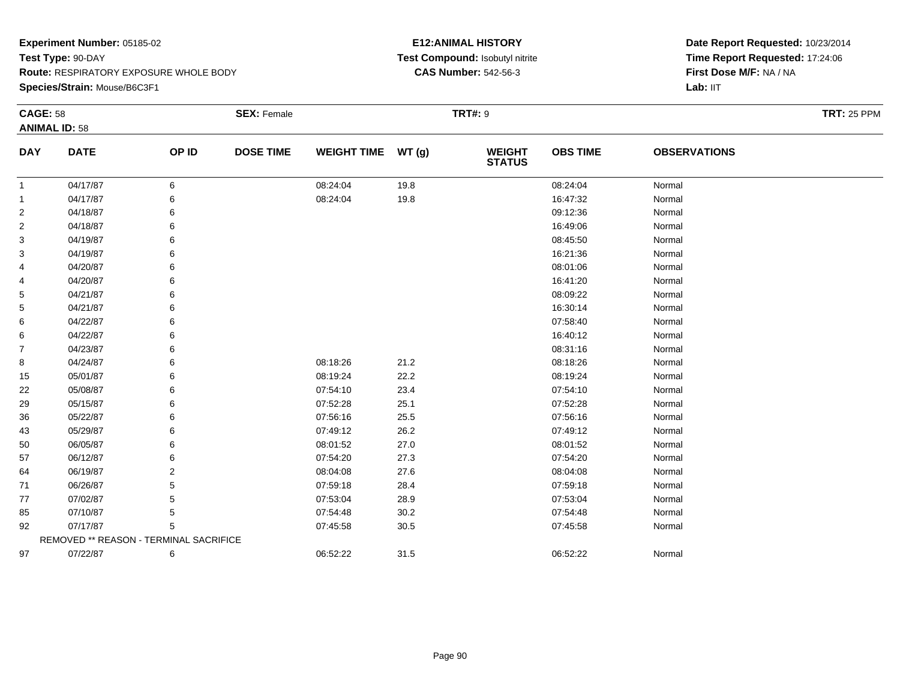### **Experiment Number:** 05185-02**Test Type:** 90-DAY **Route:** RESPIRATORY EXPOSURE WHOLE BODY**Species/Strain:** Mouse/B6C3F1

### **E12:ANIMAL HISTORY Test Compound:** Isobutyl nitrite**CAS Number:** 542-56-3

| <b>CAGE: 58</b> | <b>ANIMAL ID: 58</b>                   |       | <b>SEX: Female</b> |                    |       | <b>TRT#: 9</b>                 |                 |                     | <b>TRT: 25 PPM</b> |
|-----------------|----------------------------------------|-------|--------------------|--------------------|-------|--------------------------------|-----------------|---------------------|--------------------|
|                 |                                        |       |                    |                    |       |                                |                 |                     |                    |
| <b>DAY</b>      | <b>DATE</b>                            | OP ID | <b>DOSE TIME</b>   | <b>WEIGHT TIME</b> | WT(g) | <b>WEIGHT</b><br><b>STATUS</b> | <b>OBS TIME</b> | <b>OBSERVATIONS</b> |                    |
| 1               | 04/17/87                               | 6     |                    | 08:24:04           | 19.8  |                                | 08:24:04        | Normal              |                    |
| 1               | 04/17/87                               | 6     |                    | 08:24:04           | 19.8  |                                | 16:47:32        | Normal              |                    |
| $\overline{c}$  | 04/18/87                               | 6     |                    |                    |       |                                | 09:12:36        | Normal              |                    |
| 2               | 04/18/87                               | 6     |                    |                    |       |                                | 16:49:06        | Normal              |                    |
| 3               | 04/19/87                               | 6     |                    |                    |       |                                | 08:45:50        | Normal              |                    |
| 3               | 04/19/87                               | 6     |                    |                    |       |                                | 16:21:36        | Normal              |                    |
| 4               | 04/20/87                               | 6     |                    |                    |       |                                | 08:01:06        | Normal              |                    |
| 4               | 04/20/87                               | 6     |                    |                    |       |                                | 16:41:20        | Normal              |                    |
| 5               | 04/21/87                               | 6     |                    |                    |       |                                | 08:09:22        | Normal              |                    |
| 5               | 04/21/87                               | 6     |                    |                    |       |                                | 16:30:14        | Normal              |                    |
| 6               | 04/22/87                               | 6     |                    |                    |       |                                | 07:58:40        | Normal              |                    |
| 6               | 04/22/87                               | 6     |                    |                    |       |                                | 16:40:12        | Normal              |                    |
| 7               | 04/23/87                               | 6     |                    |                    |       |                                | 08:31:16        | Normal              |                    |
| 8               | 04/24/87                               | 6     |                    | 08:18:26           | 21.2  |                                | 08:18:26        | Normal              |                    |
| 15              | 05/01/87                               | 6     |                    | 08:19:24           | 22.2  |                                | 08:19:24        | Normal              |                    |
| 22              | 05/08/87                               | 6     |                    | 07:54:10           | 23.4  |                                | 07:54:10        | Normal              |                    |
| 29              | 05/15/87                               | 6     |                    | 07:52:28           | 25.1  |                                | 07:52:28        | Normal              |                    |
| 36              | 05/22/87                               | 6     |                    | 07:56:16           | 25.5  |                                | 07:56:16        | Normal              |                    |
| 43              | 05/29/87                               | 6     |                    | 07:49:12           | 26.2  |                                | 07:49:12        | Normal              |                    |
| 50              | 06/05/87                               | 6     |                    | 08:01:52           | 27.0  |                                | 08:01:52        | Normal              |                    |
| 57              | 06/12/87                               | 6     |                    | 07:54:20           | 27.3  |                                | 07:54:20        | Normal              |                    |
| 64              | 06/19/87                               | 2     |                    | 08:04:08           | 27.6  |                                | 08:04:08        | Normal              |                    |
| 71              | 06/26/87                               | 5     |                    | 07:59:18           | 28.4  |                                | 07:59:18        | Normal              |                    |
| 77              | 07/02/87                               | 5     |                    | 07:53:04           | 28.9  |                                | 07:53:04        | Normal              |                    |
| 85              | 07/10/87                               | 5     |                    | 07:54:48           | 30.2  |                                | 07:54:48        | Normal              |                    |
| 92              | 07/17/87                               | 5     |                    | 07:45:58           | 30.5  |                                | 07:45:58        | Normal              |                    |
|                 | REMOVED ** REASON - TERMINAL SACRIFICE |       |                    |                    |       |                                |                 |                     |                    |
| 97              | 07/22/87                               | 6     |                    | 06:52:22           | 31.5  |                                | 06:52:22        | Normal              |                    |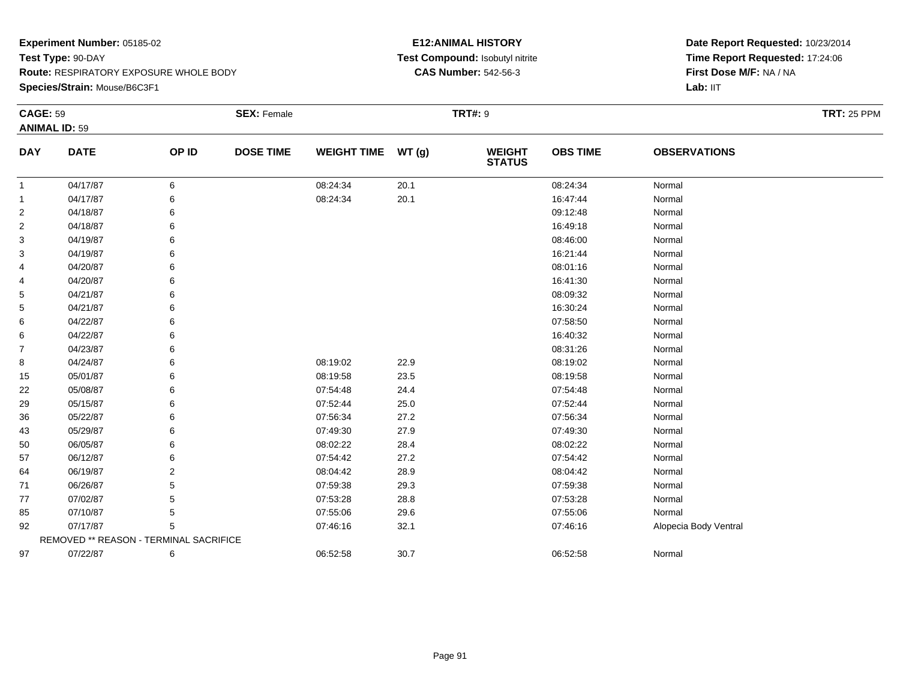#### **Species/Strain:** Mouse/B6C3F1

#### **E12:ANIMAL HISTORY Test Compound:** Isobutyl nitrite**CAS Number:** 542-56-3

| <b>CAGE: 59</b> | <b>ANIMAL ID: 59</b>                   |               | <b>SEX: Female</b> |                    |       | <b>TRT#: 9</b>           |                 |                       | <b>TRT: 25 PPM</b> |
|-----------------|----------------------------------------|---------------|--------------------|--------------------|-------|--------------------------|-----------------|-----------------------|--------------------|
| <b>DAY</b>      | <b>DATE</b>                            | OP ID         | <b>DOSE TIME</b>   | <b>WEIGHT TIME</b> | WT(g) | <b>WEIGHT<br/>STATUS</b> | <b>OBS TIME</b> | <b>OBSERVATIONS</b>   |                    |
| -1              | 04/17/87                               | 6             |                    | 08:24:34           | 20.1  |                          | 08:24:34        | Normal                |                    |
| 1               | 04/17/87                               | 6             |                    | 08:24:34           | 20.1  |                          | 16:47:44        | Normal                |                    |
| $\overline{2}$  | 04/18/87                               |               |                    |                    |       |                          | 09:12:48        | Normal                |                    |
| 2               | 04/18/87                               | 6             |                    |                    |       |                          | 16:49:18        | Normal                |                    |
| 3               | 04/19/87                               |               |                    |                    |       |                          | 08:46:00        | Normal                |                    |
| 3               | 04/19/87                               |               |                    |                    |       |                          | 16:21:44        | Normal                |                    |
| 4               | 04/20/87                               |               |                    |                    |       |                          | 08:01:16        | Normal                |                    |
| 4               | 04/20/87                               |               |                    |                    |       |                          | 16:41:30        | Normal                |                    |
| 5               | 04/21/87                               |               |                    |                    |       |                          | 08:09:32        | Normal                |                    |
| 5               | 04/21/87                               |               |                    |                    |       |                          | 16:30:24        | Normal                |                    |
| 6               | 04/22/87                               |               |                    |                    |       |                          | 07:58:50        | Normal                |                    |
| 6               | 04/22/87                               |               |                    |                    |       |                          | 16:40:32        | Normal                |                    |
| $\overline{7}$  | 04/23/87                               | 6             |                    |                    |       |                          | 08:31:26        | Normal                |                    |
| 8               | 04/24/87                               |               |                    | 08:19:02           | 22.9  |                          | 08:19:02        | Normal                |                    |
| 15              | 05/01/87                               |               |                    | 08:19:58           | 23.5  |                          | 08:19:58        | Normal                |                    |
| 22              | 05/08/87                               |               |                    | 07:54:48           | 24.4  |                          | 07:54:48        | Normal                |                    |
| 29              | 05/15/87                               |               |                    | 07:52:44           | 25.0  |                          | 07:52:44        | Normal                |                    |
| 36              | 05/22/87                               |               |                    | 07:56:34           | 27.2  |                          | 07:56:34        | Normal                |                    |
| 43              | 05/29/87                               |               |                    | 07:49:30           | 27.9  |                          | 07:49:30        | Normal                |                    |
| 50              | 06/05/87                               |               |                    | 08:02:22           | 28.4  |                          | 08:02:22        | Normal                |                    |
| 57              | 06/12/87                               |               |                    | 07:54:42           | 27.2  |                          | 07:54:42        | Normal                |                    |
| 64              | 06/19/87                               | $\mathcal{P}$ |                    | 08:04:42           | 28.9  |                          | 08:04:42        | Normal                |                    |
| 71              | 06/26/87                               |               |                    | 07:59:38           | 29.3  |                          | 07:59:38        | Normal                |                    |
| 77              | 07/02/87                               |               |                    | 07:53:28           | 28.8  |                          | 07:53:28        | Normal                |                    |
| 85              | 07/10/87                               |               |                    | 07:55:06           | 29.6  |                          | 07:55:06        | Normal                |                    |
| 92              | 07/17/87                               | 5             |                    | 07:46:16           | 32.1  |                          | 07:46:16        | Alopecia Body Ventral |                    |
|                 | REMOVED ** REASON - TERMINAL SACRIFICE |               |                    |                    |       |                          |                 |                       |                    |
| 97              | 07/22/87                               | 6             |                    | 06:52:58           | 30.7  |                          | 06:52:58        | Normal                |                    |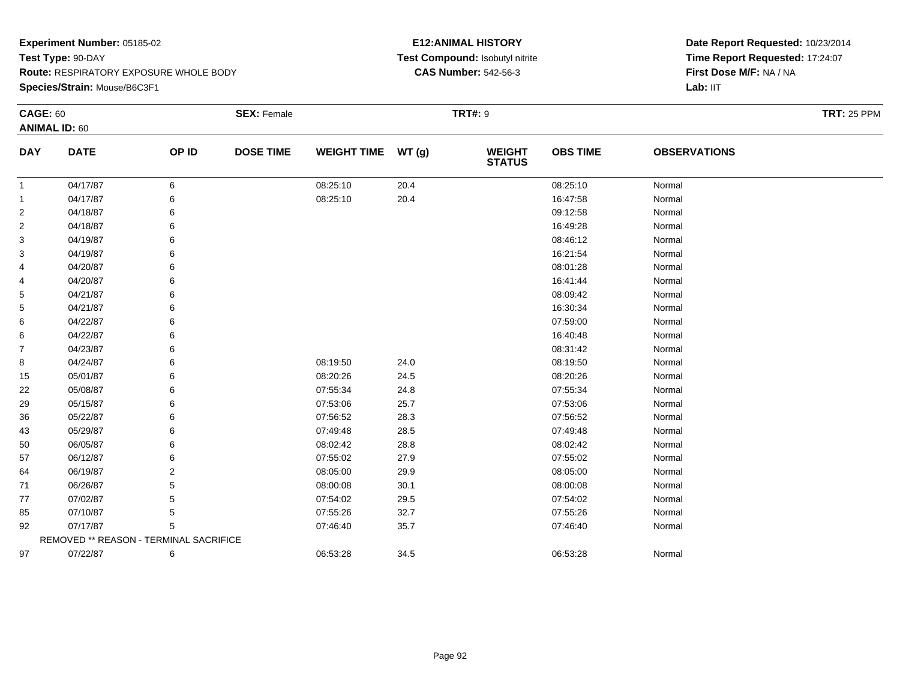#### **Species/Strain:** Mouse/B6C3F1

### **E12:ANIMAL HISTORY Test Compound:** Isobutyl nitrite**CAS Number:** 542-56-3

| <b>CAGE: 60</b> |                                        |       | <b>SEX: Female</b> |                    |       | <b>TRT#: 9</b>                 |                 |                     | <b>TRT: 25 PPM</b> |
|-----------------|----------------------------------------|-------|--------------------|--------------------|-------|--------------------------------|-----------------|---------------------|--------------------|
|                 | <b>ANIMAL ID: 60</b>                   |       |                    |                    |       |                                |                 |                     |                    |
| <b>DAY</b>      | <b>DATE</b>                            | OP ID | <b>DOSE TIME</b>   | <b>WEIGHT TIME</b> | WT(g) | <b>WEIGHT</b><br><b>STATUS</b> | <b>OBS TIME</b> | <b>OBSERVATIONS</b> |                    |
| $\mathbf{1}$    | 04/17/87                               | 6     |                    | 08:25:10           | 20.4  |                                | 08:25:10        | Normal              |                    |
| -1              | 04/17/87                               | 6     |                    | 08:25:10           | 20.4  |                                | 16:47:58        | Normal              |                    |
| 2               | 04/18/87                               | 6     |                    |                    |       |                                | 09:12:58        | Normal              |                    |
| $\overline{2}$  | 04/18/87                               | 6     |                    |                    |       |                                | 16:49:28        | Normal              |                    |
| 3               | 04/19/87                               | 6     |                    |                    |       |                                | 08:46:12        | Normal              |                    |
| 3               | 04/19/87                               | 6     |                    |                    |       |                                | 16:21:54        | Normal              |                    |
| 4               | 04/20/87                               | 6     |                    |                    |       |                                | 08:01:28        | Normal              |                    |
| 4               | 04/20/87                               | 6     |                    |                    |       |                                | 16:41:44        | Normal              |                    |
| 5               | 04/21/87                               | 6     |                    |                    |       |                                | 08:09:42        | Normal              |                    |
| 5               | 04/21/87                               | 6     |                    |                    |       |                                | 16:30:34        | Normal              |                    |
| 6               | 04/22/87                               | 6     |                    |                    |       |                                | 07:59:00        | Normal              |                    |
| 6               | 04/22/87                               | 6     |                    |                    |       |                                | 16:40:48        | Normal              |                    |
| $\overline{7}$  | 04/23/87                               | 6     |                    |                    |       |                                | 08:31:42        | Normal              |                    |
| 8               | 04/24/87                               | 6     |                    | 08:19:50           | 24.0  |                                | 08:19:50        | Normal              |                    |
| 15              | 05/01/87                               | 6     |                    | 08:20:26           | 24.5  |                                | 08:20:26        | Normal              |                    |
| 22              | 05/08/87                               | 6     |                    | 07:55:34           | 24.8  |                                | 07:55:34        | Normal              |                    |
| 29              | 05/15/87                               | 6     |                    | 07:53:06           | 25.7  |                                | 07:53:06        | Normal              |                    |
| 36              | 05/22/87                               | 6     |                    | 07:56:52           | 28.3  |                                | 07:56:52        | Normal              |                    |
| 43              | 05/29/87                               | 6     |                    | 07:49:48           | 28.5  |                                | 07:49:48        | Normal              |                    |
| 50              | 06/05/87                               | 6     |                    | 08:02:42           | 28.8  |                                | 08:02:42        | Normal              |                    |
| 57              | 06/12/87                               | 6     |                    | 07:55:02           | 27.9  |                                | 07:55:02        | Normal              |                    |
| 64              | 06/19/87                               | 2     |                    | 08:05:00           | 29.9  |                                | 08:05:00        | Normal              |                    |
| 71              | 06/26/87                               | 5     |                    | 08:00:08           | 30.1  |                                | 08:00:08        | Normal              |                    |
| 77              | 07/02/87                               | 5     |                    | 07:54:02           | 29.5  |                                | 07:54:02        | Normal              |                    |
| 85              | 07/10/87                               | 5     |                    | 07:55:26           | 32.7  |                                | 07:55:26        | Normal              |                    |
| 92              | 07/17/87                               | 5     |                    | 07:46:40           | 35.7  |                                | 07:46:40        | Normal              |                    |
|                 | REMOVED ** REASON - TERMINAL SACRIFICE |       |                    |                    |       |                                |                 |                     |                    |
| 97              | 07/22/87                               | 6     |                    | 06:53:28           | 34.5  |                                | 06:53:28        | Normal              |                    |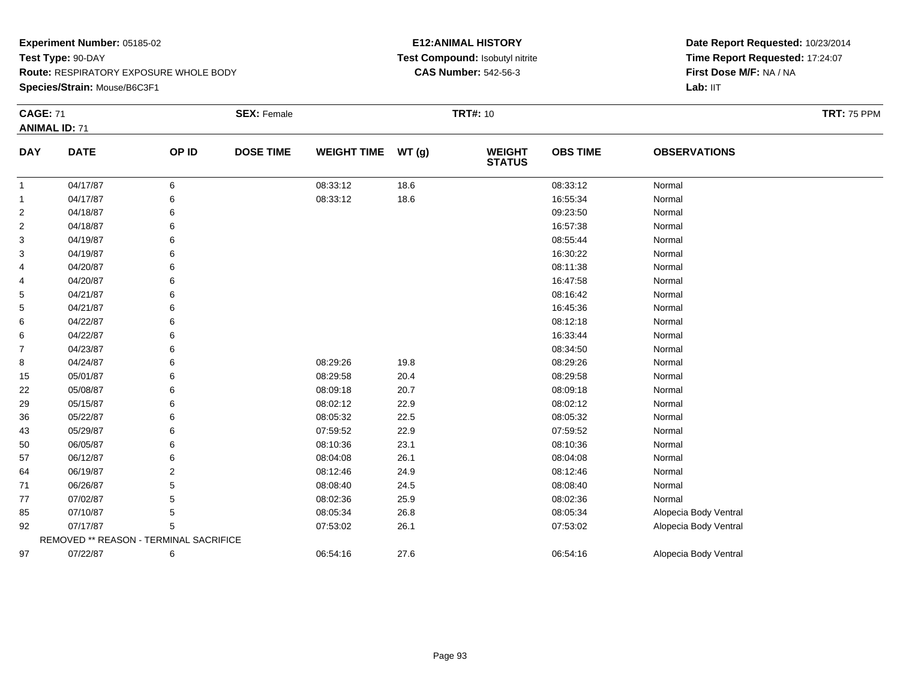**Species/Strain:** Mouse/B6C3F1

### **E12:ANIMAL HISTORY Test Compound:** Isobutyl nitrite**CAS Number:** 542-56-3

| <b>CAGE: 71</b> |                                        |       | <b>SEX: Female</b> |                    |       | <b>TRT#: 10</b>                |                 |                       | <b>TRT: 75 PPM</b> |
|-----------------|----------------------------------------|-------|--------------------|--------------------|-------|--------------------------------|-----------------|-----------------------|--------------------|
|                 | <b>ANIMAL ID: 71</b>                   |       |                    |                    |       |                                |                 |                       |                    |
| <b>DAY</b>      | <b>DATE</b>                            | OP ID | <b>DOSE TIME</b>   | <b>WEIGHT TIME</b> | WT(g) | <b>WEIGHT</b><br><b>STATUS</b> | <b>OBS TIME</b> | <b>OBSERVATIONS</b>   |                    |
| -1              | 04/17/87                               | 6     |                    | 08:33:12           | 18.6  |                                | 08:33:12        | Normal                |                    |
| 1               | 04/17/87                               | 6     |                    | 08:33:12           | 18.6  |                                | 16:55:34        | Normal                |                    |
| $\overline{2}$  | 04/18/87                               | 6     |                    |                    |       |                                | 09:23:50        | Normal                |                    |
| 2               | 04/18/87                               | 6     |                    |                    |       |                                | 16:57:38        | Normal                |                    |
| 3               | 04/19/87                               |       |                    |                    |       |                                | 08:55:44        | Normal                |                    |
| 3               | 04/19/87                               | 6     |                    |                    |       |                                | 16:30:22        | Normal                |                    |
| 4               | 04/20/87                               | 6     |                    |                    |       |                                | 08:11:38        | Normal                |                    |
| 4               | 04/20/87                               | 6     |                    |                    |       |                                | 16:47:58        | Normal                |                    |
| 5               | 04/21/87                               |       |                    |                    |       |                                | 08:16:42        | Normal                |                    |
| 5               | 04/21/87                               |       |                    |                    |       |                                | 16:45:36        | Normal                |                    |
| 6               | 04/22/87                               |       |                    |                    |       |                                | 08:12:18        | Normal                |                    |
| 6               | 04/22/87                               | 6     |                    |                    |       |                                | 16:33:44        | Normal                |                    |
| 7               | 04/23/87                               | 6     |                    |                    |       |                                | 08:34:50        | Normal                |                    |
| 8               | 04/24/87                               | 6     |                    | 08:29:26           | 19.8  |                                | 08:29:26        | Normal                |                    |
| 15              | 05/01/87                               |       |                    | 08:29:58           | 20.4  |                                | 08:29:58        | Normal                |                    |
| 22              | 05/08/87                               |       |                    | 08:09:18           | 20.7  |                                | 08:09:18        | Normal                |                    |
| 29              | 05/15/87                               |       |                    | 08:02:12           | 22.9  |                                | 08:02:12        | Normal                |                    |
| 36              | 05/22/87                               |       |                    | 08:05:32           | 22.5  |                                | 08:05:32        | Normal                |                    |
| 43              | 05/29/87                               |       |                    | 07:59:52           | 22.9  |                                | 07:59:52        | Normal                |                    |
| 50              | 06/05/87                               |       |                    | 08:10:36           | 23.1  |                                | 08:10:36        | Normal                |                    |
| 57              | 06/12/87                               |       |                    | 08:04:08           | 26.1  |                                | 08:04:08        | Normal                |                    |
| 64              | 06/19/87                               | 2     |                    | 08:12:46           | 24.9  |                                | 08:12:46        | Normal                |                    |
| 71              | 06/26/87                               | 5     |                    | 08:08:40           | 24.5  |                                | 08:08:40        | Normal                |                    |
| 77              | 07/02/87                               |       |                    | 08:02:36           | 25.9  |                                | 08:02:36        | Normal                |                    |
| 85              | 07/10/87                               | 5     |                    | 08:05:34           | 26.8  |                                | 08:05:34        | Alopecia Body Ventral |                    |
| 92              | 07/17/87                               | 5     |                    | 07:53:02           | 26.1  |                                | 07:53:02        | Alopecia Body Ventral |                    |
|                 | REMOVED ** REASON - TERMINAL SACRIFICE |       |                    |                    |       |                                |                 |                       |                    |
| 97              | 07/22/87                               | 6     |                    | 06:54:16           | 27.6  |                                | 06:54:16        | Alopecia Body Ventral |                    |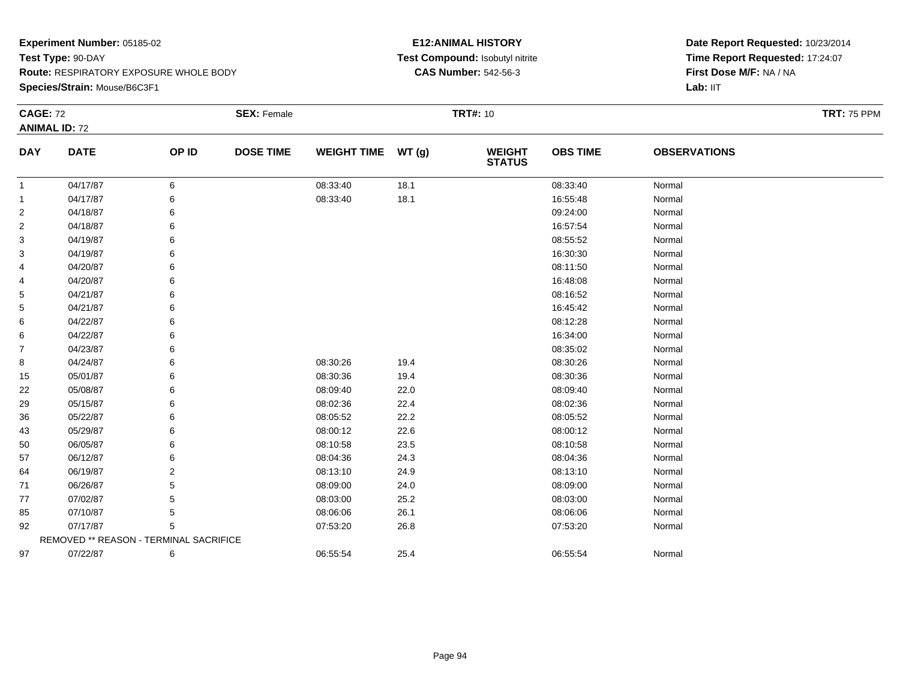**Species/Strain:** Mouse/B6C3F1

### **E12:ANIMAL HISTORY Test Compound:** Isobutyl nitrite**CAS Number:** 542-56-3

| <b>CAGE: 72</b> |                                        |       | <b>SEX: Female</b> |                    |       | <b>TRT#: 10</b>                |                 |                     | <b>TRT: 75 PPM</b> |
|-----------------|----------------------------------------|-------|--------------------|--------------------|-------|--------------------------------|-----------------|---------------------|--------------------|
|                 | <b>ANIMAL ID: 72</b>                   |       |                    |                    |       |                                |                 |                     |                    |
| <b>DAY</b>      | <b>DATE</b>                            | OP ID | <b>DOSE TIME</b>   | <b>WEIGHT TIME</b> | WT(g) | <b>WEIGHT</b><br><b>STATUS</b> | <b>OBS TIME</b> | <b>OBSERVATIONS</b> |                    |
| $\mathbf{1}$    | 04/17/87                               | 6     |                    | 08:33:40           | 18.1  |                                | 08:33:40        | Normal              |                    |
| $\mathbf{1}$    | 04/17/87                               | 6     |                    | 08:33:40           | 18.1  |                                | 16:55:48        | Normal              |                    |
| $\overline{c}$  | 04/18/87                               | 6     |                    |                    |       |                                | 09:24:00        | Normal              |                    |
| $\overline{c}$  | 04/18/87                               | 6     |                    |                    |       |                                | 16:57:54        | Normal              |                    |
| 3               | 04/19/87                               |       |                    |                    |       |                                | 08:55:52        | Normal              |                    |
| 3               | 04/19/87                               |       |                    |                    |       |                                | 16:30:30        | Normal              |                    |
| 4               | 04/20/87                               | 6     |                    |                    |       |                                | 08:11:50        | Normal              |                    |
| 4               | 04/20/87                               | 6     |                    |                    |       |                                | 16:48:08        | Normal              |                    |
| 5               | 04/21/87                               |       |                    |                    |       |                                | 08:16:52        | Normal              |                    |
| 5               | 04/21/87                               |       |                    |                    |       |                                | 16:45:42        | Normal              |                    |
| 6               | 04/22/87                               |       |                    |                    |       |                                | 08:12:28        | Normal              |                    |
| 6               | 04/22/87                               | 6     |                    |                    |       |                                | 16:34:00        | Normal              |                    |
| 7               | 04/23/87                               | 6     |                    |                    |       |                                | 08:35:02        | Normal              |                    |
| 8               | 04/24/87                               | 6     |                    | 08:30:26           | 19.4  |                                | 08:30:26        | Normal              |                    |
| 15              | 05/01/87                               | 6     |                    | 08:30:36           | 19.4  |                                | 08:30:36        | Normal              |                    |
| 22              | 05/08/87                               | 6     |                    | 08:09:40           | 22.0  |                                | 08:09:40        | Normal              |                    |
| 29              | 05/15/87                               | 6     |                    | 08:02:36           | 22.4  |                                | 08:02:36        | Normal              |                    |
| 36              | 05/22/87                               | 6     |                    | 08:05:52           | 22.2  |                                | 08:05:52        | Normal              |                    |
| 43              | 05/29/87                               | 6     |                    | 08:00:12           | 22.6  |                                | 08:00:12        | Normal              |                    |
| 50              | 06/05/87                               | 6     |                    | 08:10:58           | 23.5  |                                | 08:10:58        | Normal              |                    |
| 57              | 06/12/87                               | 6     |                    | 08:04:36           | 24.3  |                                | 08:04:36        | Normal              |                    |
| 64              | 06/19/87                               | 2     |                    | 08:13:10           | 24.9  |                                | 08:13:10        | Normal              |                    |
| 71              | 06/26/87                               | 5     |                    | 08:09:00           | 24.0  |                                | 08:09:00        | Normal              |                    |
| 77              | 07/02/87                               | 5     |                    | 08:03:00           | 25.2  |                                | 08:03:00        | Normal              |                    |
| 85              | 07/10/87                               | 5     |                    | 08:06:06           | 26.1  |                                | 08:06:06        | Normal              |                    |
| 92              | 07/17/87                               | 5     |                    | 07:53:20           | 26.8  |                                | 07:53:20        | Normal              |                    |
|                 | REMOVED ** REASON - TERMINAL SACRIFICE |       |                    |                    |       |                                |                 |                     |                    |
| 97              | 07/22/87                               | 6     |                    | 06:55:54           | 25.4  |                                | 06:55:54        | Normal              |                    |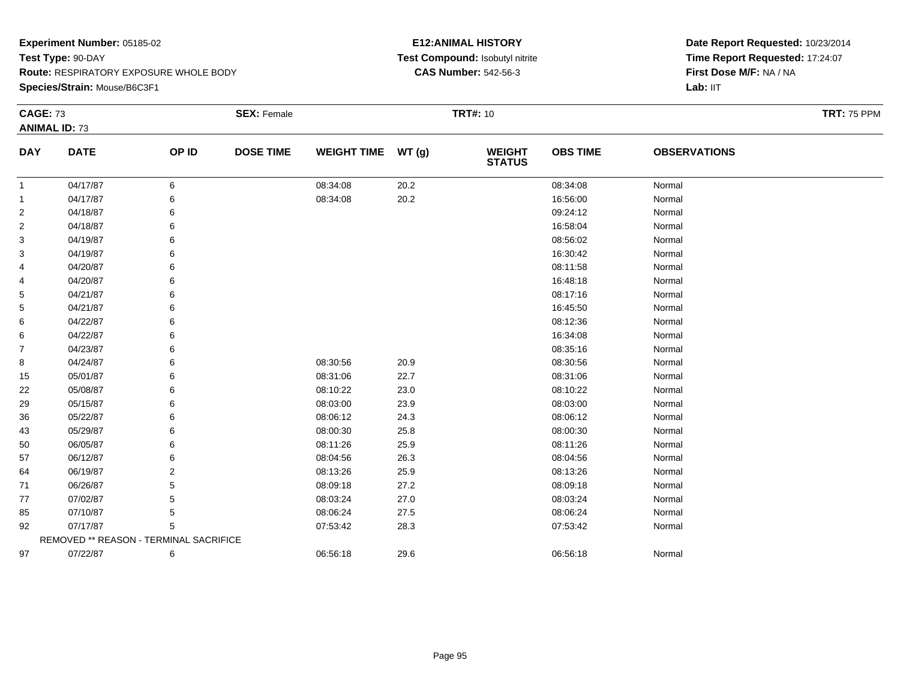**Species/Strain:** Mouse/B6C3F1

### **E12:ANIMAL HISTORY Test Compound:** Isobutyl nitrite**CAS Number:** 542-56-3

| <b>CAGE: 73</b> |                                        |       | <b>SEX: Female</b> |                    |       | <b>TRT#: 10</b>                |                 |                     | <b>TRT: 75 PPM</b> |
|-----------------|----------------------------------------|-------|--------------------|--------------------|-------|--------------------------------|-----------------|---------------------|--------------------|
|                 | <b>ANIMAL ID: 73</b>                   |       |                    |                    |       |                                |                 |                     |                    |
| <b>DAY</b>      | <b>DATE</b>                            | OP ID | <b>DOSE TIME</b>   | <b>WEIGHT TIME</b> | WT(g) | <b>WEIGHT</b><br><b>STATUS</b> | <b>OBS TIME</b> | <b>OBSERVATIONS</b> |                    |
| $\mathbf{1}$    | 04/17/87                               | 6     |                    | 08:34:08           | 20.2  |                                | 08:34:08        | Normal              |                    |
| $\mathbf{1}$    | 04/17/87                               | 6     |                    | 08:34:08           | 20.2  |                                | 16:56:00        | Normal              |                    |
| $\overline{c}$  | 04/18/87                               | 6     |                    |                    |       |                                | 09:24:12        | Normal              |                    |
| $\overline{c}$  | 04/18/87                               | 6     |                    |                    |       |                                | 16:58:04        | Normal              |                    |
| 3               | 04/19/87                               |       |                    |                    |       |                                | 08:56:02        | Normal              |                    |
| 3               | 04/19/87                               |       |                    |                    |       |                                | 16:30:42        | Normal              |                    |
| 4               | 04/20/87                               | 6     |                    |                    |       |                                | 08:11:58        | Normal              |                    |
| 4               | 04/20/87                               | 6     |                    |                    |       |                                | 16:48:18        | Normal              |                    |
| 5               | 04/21/87                               |       |                    |                    |       |                                | 08:17:16        | Normal              |                    |
| 5               | 04/21/87                               |       |                    |                    |       |                                | 16:45:50        | Normal              |                    |
| 6               | 04/22/87                               |       |                    |                    |       |                                | 08:12:36        | Normal              |                    |
| 6               | 04/22/87                               | 6     |                    |                    |       |                                | 16:34:08        | Normal              |                    |
| 7               | 04/23/87                               | 6     |                    |                    |       |                                | 08:35:16        | Normal              |                    |
| 8               | 04/24/87                               | 6     |                    | 08:30:56           | 20.9  |                                | 08:30:56        | Normal              |                    |
| 15              | 05/01/87                               | 6     |                    | 08:31:06           | 22.7  |                                | 08:31:06        | Normal              |                    |
| 22              | 05/08/87                               | 6     |                    | 08:10:22           | 23.0  |                                | 08:10:22        | Normal              |                    |
| 29              | 05/15/87                               | 6     |                    | 08:03:00           | 23.9  |                                | 08:03:00        | Normal              |                    |
| 36              | 05/22/87                               | 6     |                    | 08:06:12           | 24.3  |                                | 08:06:12        | Normal              |                    |
| 43              | 05/29/87                               | 6     |                    | 08:00:30           | 25.8  |                                | 08:00:30        | Normal              |                    |
| 50              | 06/05/87                               | 6     |                    | 08:11:26           | 25.9  |                                | 08:11:26        | Normal              |                    |
| 57              | 06/12/87                               | 6     |                    | 08:04:56           | 26.3  |                                | 08:04:56        | Normal              |                    |
| 64              | 06/19/87                               | 2     |                    | 08:13:26           | 25.9  |                                | 08:13:26        | Normal              |                    |
| 71              | 06/26/87                               | 5     |                    | 08:09:18           | 27.2  |                                | 08:09:18        | Normal              |                    |
| 77              | 07/02/87                               | 5     |                    | 08:03:24           | 27.0  |                                | 08:03:24        | Normal              |                    |
| 85              | 07/10/87                               | 5     |                    | 08:06:24           | 27.5  |                                | 08:06:24        | Normal              |                    |
| 92              | 07/17/87                               | 5     |                    | 07:53:42           | 28.3  |                                | 07:53:42        | Normal              |                    |
|                 | REMOVED ** REASON - TERMINAL SACRIFICE |       |                    |                    |       |                                |                 |                     |                    |
| 97              | 07/22/87                               | 6     |                    | 06:56:18           | 29.6  |                                | 06:56:18        | Normal              |                    |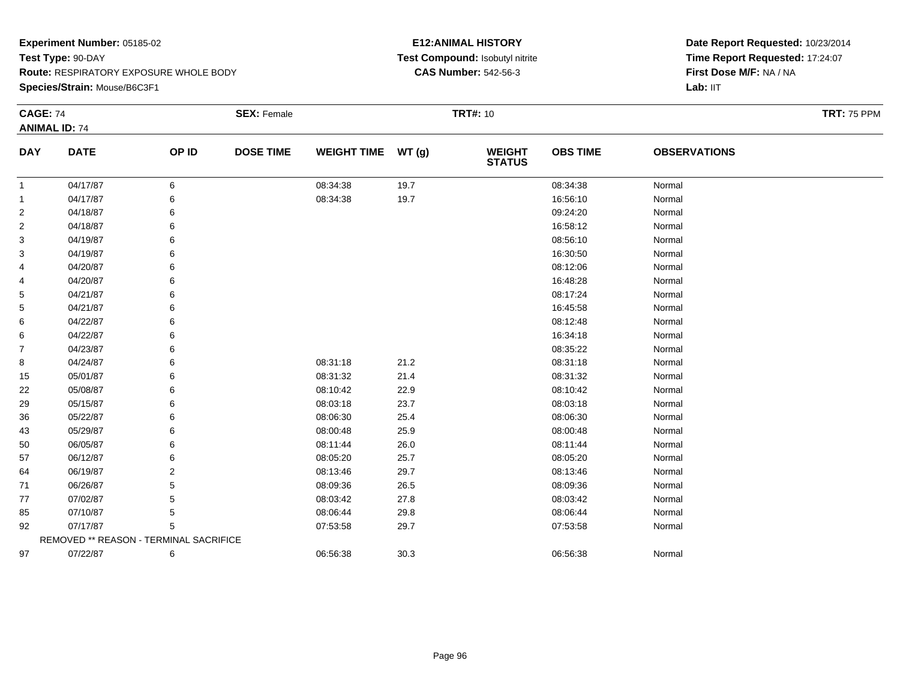**Species/Strain:** Mouse/B6C3F1

### **E12:ANIMAL HISTORY Test Compound:** Isobutyl nitrite**CAS Number:** 542-56-3

| <b>CAGE: 74</b> | <b>ANIMAL ID: 74</b>                   |       | <b>SEX: Female</b> |                    |       | <b>TRT#: 10</b>                |                 |                     | <b>TRT: 75 PPM</b> |
|-----------------|----------------------------------------|-------|--------------------|--------------------|-------|--------------------------------|-----------------|---------------------|--------------------|
| <b>DAY</b>      | <b>DATE</b>                            | OP ID | <b>DOSE TIME</b>   | <b>WEIGHT TIME</b> | WT(g) | <b>WEIGHT</b><br><b>STATUS</b> | <b>OBS TIME</b> | <b>OBSERVATIONS</b> |                    |
| $\mathbf{1}$    | 04/17/87                               | 6     |                    | 08:34:38           | 19.7  |                                | 08:34:38        | Normal              |                    |
| 1               | 04/17/87                               | 6     |                    | 08:34:38           | 19.7  |                                | 16:56:10        | Normal              |                    |
| $\overline{2}$  | 04/18/87                               | 6     |                    |                    |       |                                | 09:24:20        | Normal              |                    |
| $\overline{c}$  | 04/18/87                               | 6     |                    |                    |       |                                | 16:58:12        | Normal              |                    |
| 3               | 04/19/87                               | 6     |                    |                    |       |                                | 08:56:10        | Normal              |                    |
| 3               | 04/19/87                               | 6     |                    |                    |       |                                | 16:30:50        | Normal              |                    |
| 4               | 04/20/87                               | 6     |                    |                    |       |                                | 08:12:06        | Normal              |                    |
| 4               | 04/20/87                               | 6     |                    |                    |       |                                | 16:48:28        | Normal              |                    |
| 5               | 04/21/87                               | 6     |                    |                    |       |                                | 08:17:24        | Normal              |                    |
| 5               | 04/21/87                               | 6     |                    |                    |       |                                | 16:45:58        | Normal              |                    |
| 6               | 04/22/87                               | 6     |                    |                    |       |                                | 08:12:48        | Normal              |                    |
| 6               | 04/22/87                               | 6     |                    |                    |       |                                | 16:34:18        | Normal              |                    |
| 7               | 04/23/87                               | 6     |                    |                    |       |                                | 08:35:22        | Normal              |                    |
| 8               | 04/24/87                               | 6     |                    | 08:31:18           | 21.2  |                                | 08:31:18        | Normal              |                    |
| 15              | 05/01/87                               | 6     |                    | 08:31:32           | 21.4  |                                | 08:31:32        | Normal              |                    |
| 22              | 05/08/87                               | 6     |                    | 08:10:42           | 22.9  |                                | 08:10:42        | Normal              |                    |
| 29              | 05/15/87                               | 6     |                    | 08:03:18           | 23.7  |                                | 08:03:18        | Normal              |                    |
| 36              | 05/22/87                               | 6     |                    | 08:06:30           | 25.4  |                                | 08:06:30        | Normal              |                    |
| 43              | 05/29/87                               |       |                    | 08:00:48           | 25.9  |                                | 08:00:48        | Normal              |                    |
| 50              | 06/05/87                               | 6     |                    | 08:11:44           | 26.0  |                                | 08:11:44        | Normal              |                    |
| 57              | 06/12/87                               | 6     |                    | 08:05:20           | 25.7  |                                | 08:05:20        | Normal              |                    |
| 64              | 06/19/87                               | 2     |                    | 08:13:46           | 29.7  |                                | 08:13:46        | Normal              |                    |
| 71              | 06/26/87                               | 5     |                    | 08:09:36           | 26.5  |                                | 08:09:36        | Normal              |                    |
| 77              | 07/02/87                               | 5     |                    | 08:03:42           | 27.8  |                                | 08:03:42        | Normal              |                    |
| 85              | 07/10/87                               | 5     |                    | 08:06:44           | 29.8  |                                | 08:06:44        | Normal              |                    |
| 92              | 07/17/87                               | 5     |                    | 07:53:58           | 29.7  |                                | 07:53:58        | Normal              |                    |
|                 | REMOVED ** REASON - TERMINAL SACRIFICE |       |                    |                    |       |                                |                 |                     |                    |
| 97              | 07/22/87                               | 6     |                    | 06:56:38           | 30.3  |                                | 06:56:38        | Normal              |                    |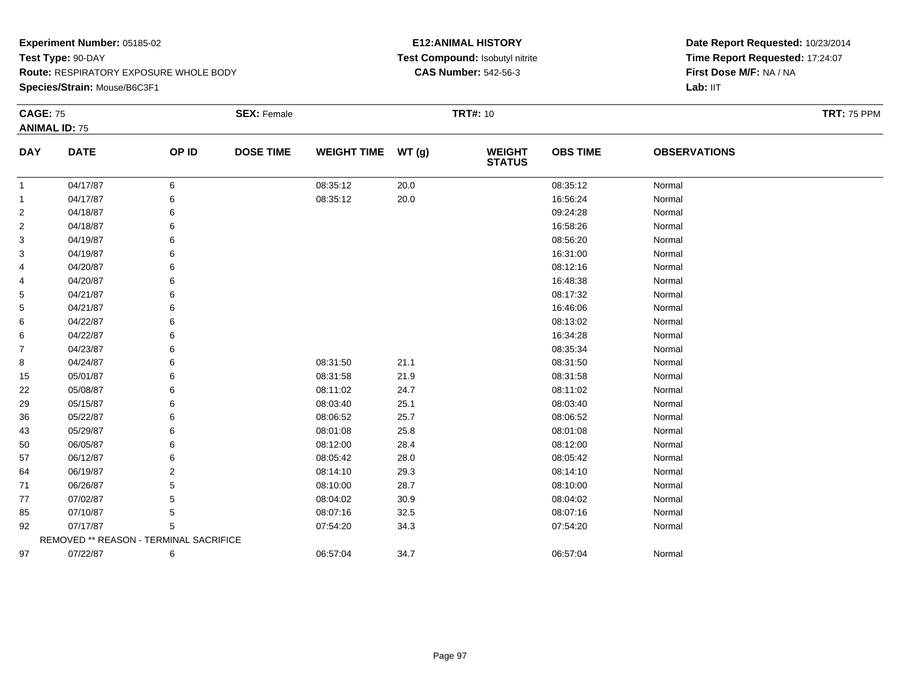**Species/Strain:** Mouse/B6C3F1

### **E12:ANIMAL HISTORY Test Compound:** Isobutyl nitrite**CAS Number:** 542-56-3

| <b>CAGE: 75</b> | <b>ANIMAL ID: 75</b>                   |       | <b>SEX: Female</b> |                    |       | <b>TRT#: 10</b>                |                 |                     | <b>TRT: 75 PPM</b> |
|-----------------|----------------------------------------|-------|--------------------|--------------------|-------|--------------------------------|-----------------|---------------------|--------------------|
| <b>DAY</b>      | <b>DATE</b>                            | OP ID | <b>DOSE TIME</b>   | <b>WEIGHT TIME</b> | WT(g) | <b>WEIGHT</b><br><b>STATUS</b> | <b>OBS TIME</b> | <b>OBSERVATIONS</b> |                    |
| $\mathbf{1}$    | 04/17/87                               | 6     |                    | 08:35:12           | 20.0  |                                | 08:35:12        | Normal              |                    |
| 1               | 04/17/87                               | 6     |                    | 08:35:12           | 20.0  |                                | 16:56:24        | Normal              |                    |
| $\overline{2}$  | 04/18/87                               | 6     |                    |                    |       |                                | 09:24:28        | Normal              |                    |
| $\overline{c}$  | 04/18/87                               | 6     |                    |                    |       |                                | 16:58:26        | Normal              |                    |
| 3               | 04/19/87                               | 6     |                    |                    |       |                                | 08:56:20        | Normal              |                    |
| 3               | 04/19/87                               | 6     |                    |                    |       |                                | 16:31:00        | Normal              |                    |
| 4               | 04/20/87                               | 6     |                    |                    |       |                                | 08:12:16        | Normal              |                    |
| 4               | 04/20/87                               | 6     |                    |                    |       |                                | 16:48:38        | Normal              |                    |
| 5               | 04/21/87                               | 6     |                    |                    |       |                                | 08:17:32        | Normal              |                    |
| 5               | 04/21/87                               | 6     |                    |                    |       |                                | 16:46:06        | Normal              |                    |
| 6               | 04/22/87                               | 6     |                    |                    |       |                                | 08:13:02        | Normal              |                    |
| 6               | 04/22/87                               | 6     |                    |                    |       |                                | 16:34:28        | Normal              |                    |
| 7               | 04/23/87                               | 6     |                    |                    |       |                                | 08:35:34        | Normal              |                    |
| 8               | 04/24/87                               | 6     |                    | 08:31:50           | 21.1  |                                | 08:31:50        | Normal              |                    |
| 15              | 05/01/87                               | 6     |                    | 08:31:58           | 21.9  |                                | 08:31:58        | Normal              |                    |
| 22              | 05/08/87                               | 6     |                    | 08:11:02           | 24.7  |                                | 08:11:02        | Normal              |                    |
| 29              | 05/15/87                               | 6     |                    | 08:03:40           | 25.1  |                                | 08:03:40        | Normal              |                    |
| 36              | 05/22/87                               | 6     |                    | 08:06:52           | 25.7  |                                | 08:06:52        | Normal              |                    |
| 43              | 05/29/87                               |       |                    | 08:01:08           | 25.8  |                                | 08:01:08        | Normal              |                    |
| 50              | 06/05/87                               | 6     |                    | 08:12:00           | 28.4  |                                | 08:12:00        | Normal              |                    |
| 57              | 06/12/87                               | 6     |                    | 08:05:42           | 28.0  |                                | 08:05:42        | Normal              |                    |
| 64              | 06/19/87                               | 2     |                    | 08:14:10           | 29.3  |                                | 08:14:10        | Normal              |                    |
| 71              | 06/26/87                               | 5     |                    | 08:10:00           | 28.7  |                                | 08:10:00        | Normal              |                    |
| 77              | 07/02/87                               | 5     |                    | 08:04:02           | 30.9  |                                | 08:04:02        | Normal              |                    |
| 85              | 07/10/87                               | 5     |                    | 08:07:16           | 32.5  |                                | 08:07:16        | Normal              |                    |
| 92              | 07/17/87                               | 5     |                    | 07:54:20           | 34.3  |                                | 07:54:20        | Normal              |                    |
|                 | REMOVED ** REASON - TERMINAL SACRIFICE |       |                    |                    |       |                                |                 |                     |                    |
| 97              | 07/22/87                               | 6     |                    | 06:57:04           | 34.7  |                                | 06:57:04        | Normal              |                    |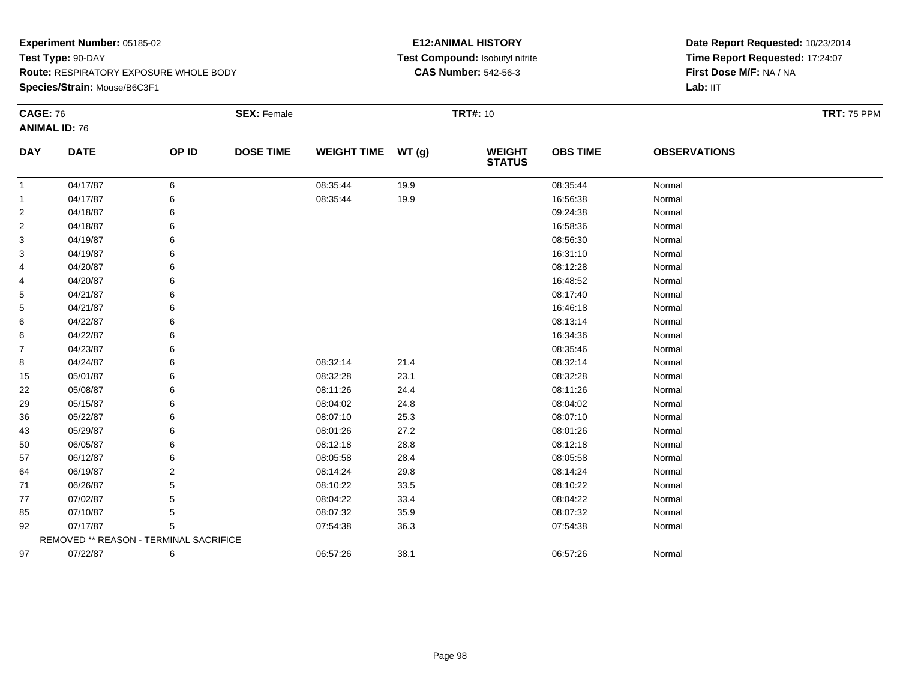**Species/Strain:** Mouse/B6C3F1

### **E12:ANIMAL HISTORY Test Compound:** Isobutyl nitrite**CAS Number:** 542-56-3

| <b>CAGE: 76</b> |                                        |                | <b>SEX: Female</b> |                    |       | <b>TRT#: 10</b>                |                 |                     | <b>TRT: 75 PPM</b> |
|-----------------|----------------------------------------|----------------|--------------------|--------------------|-------|--------------------------------|-----------------|---------------------|--------------------|
|                 | <b>ANIMAL ID: 76</b>                   |                |                    |                    |       |                                |                 |                     |                    |
| <b>DAY</b>      | <b>DATE</b>                            | OP ID          | <b>DOSE TIME</b>   | <b>WEIGHT TIME</b> | WT(g) | <b>WEIGHT</b><br><b>STATUS</b> | <b>OBS TIME</b> | <b>OBSERVATIONS</b> |                    |
| 1               | 04/17/87                               | 6              |                    | 08:35:44           | 19.9  |                                | 08:35:44        | Normal              |                    |
| 1               | 04/17/87                               | 6              |                    | 08:35:44           | 19.9  |                                | 16:56:38        | Normal              |                    |
| 2               | 04/18/87                               | 6              |                    |                    |       |                                | 09:24:38        | Normal              |                    |
| 2               | 04/18/87                               | 6              |                    |                    |       |                                | 16:58:36        | Normal              |                    |
| 3               | 04/19/87                               | 6              |                    |                    |       |                                | 08:56:30        | Normal              |                    |
| 3               | 04/19/87                               | 6              |                    |                    |       |                                | 16:31:10        | Normal              |                    |
| 4               | 04/20/87                               | 6              |                    |                    |       |                                | 08:12:28        | Normal              |                    |
| 4               | 04/20/87                               | 6              |                    |                    |       |                                | 16:48:52        | Normal              |                    |
| 5               | 04/21/87                               | 6              |                    |                    |       |                                | 08:17:40        | Normal              |                    |
| 5               | 04/21/87                               | 6              |                    |                    |       |                                | 16:46:18        | Normal              |                    |
| 6               | 04/22/87                               | 6              |                    |                    |       |                                | 08:13:14        | Normal              |                    |
| 6               | 04/22/87                               | 6              |                    |                    |       |                                | 16:34:36        | Normal              |                    |
| $\overline{7}$  | 04/23/87                               | 6              |                    |                    |       |                                | 08:35:46        | Normal              |                    |
| 8               | 04/24/87                               | 6              |                    | 08:32:14           | 21.4  |                                | 08:32:14        | Normal              |                    |
| 15              | 05/01/87                               | 6              |                    | 08:32:28           | 23.1  |                                | 08:32:28        | Normal              |                    |
| 22              | 05/08/87                               | 6              |                    | 08:11:26           | 24.4  |                                | 08:11:26        | Normal              |                    |
| 29              | 05/15/87                               | 6              |                    | 08:04:02           | 24.8  |                                | 08:04:02        | Normal              |                    |
| 36              | 05/22/87                               | 6              |                    | 08:07:10           | 25.3  |                                | 08:07:10        | Normal              |                    |
| 43              | 05/29/87                               | 6              |                    | 08:01:26           | 27.2  |                                | 08:01:26        | Normal              |                    |
| 50              | 06/05/87                               | 6              |                    | 08:12:18           | 28.8  |                                | 08:12:18        | Normal              |                    |
| 57              | 06/12/87                               | 6              |                    | 08:05:58           | 28.4  |                                | 08:05:58        | Normal              |                    |
| 64              | 06/19/87                               | $\overline{2}$ |                    | 08:14:24           | 29.8  |                                | 08:14:24        | Normal              |                    |
| 71              | 06/26/87                               | 5              |                    | 08:10:22           | 33.5  |                                | 08:10:22        | Normal              |                    |
| 77              | 07/02/87                               | 5              |                    | 08:04:22           | 33.4  |                                | 08:04:22        | Normal              |                    |
| 85              | 07/10/87                               | 5              |                    | 08:07:32           | 35.9  |                                | 08:07:32        | Normal              |                    |
| 92              | 07/17/87                               | 5              |                    | 07:54:38           | 36.3  |                                | 07:54:38        | Normal              |                    |
|                 | REMOVED ** REASON - TERMINAL SACRIFICE |                |                    |                    |       |                                |                 |                     |                    |
| 97              | 07/22/87                               | 6              |                    | 06:57:26           | 38.1  |                                | 06:57:26        | Normal              |                    |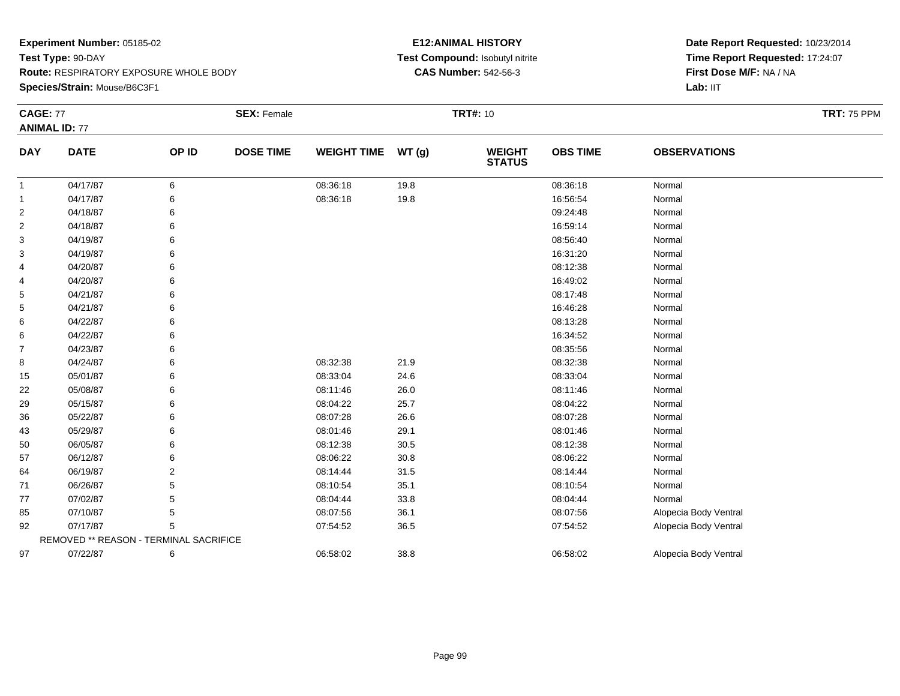**Species/Strain:** Mouse/B6C3F1

### **E12:ANIMAL HISTORY Test Compound:** Isobutyl nitrite**CAS Number:** 542-56-3

| <b>CAGE: 77</b> | <b>ANIMAL ID: 77</b>                   |                | <b>SEX: Female</b> |                    |       | <b>TRT#: 10</b>                |                 |                       | <b>TRT: 75 PPM</b> |
|-----------------|----------------------------------------|----------------|--------------------|--------------------|-------|--------------------------------|-----------------|-----------------------|--------------------|
| <b>DAY</b>      | <b>DATE</b>                            | OP ID          | <b>DOSE TIME</b>   | <b>WEIGHT TIME</b> | WT(g) | <b>WEIGHT</b><br><b>STATUS</b> | <b>OBS TIME</b> | <b>OBSERVATIONS</b>   |                    |
| $\mathbf{1}$    | 04/17/87                               | 6              |                    | 08:36:18           | 19.8  |                                | 08:36:18        | Normal                |                    |
| 1               | 04/17/87                               | 6              |                    | 08:36:18           | 19.8  |                                | 16:56:54        | Normal                |                    |
| $\overline{2}$  | 04/18/87                               | 6              |                    |                    |       |                                | 09:24:48        | Normal                |                    |
| $\overline{c}$  | 04/18/87                               | 6              |                    |                    |       |                                | 16:59:14        | Normal                |                    |
| 3               | 04/19/87                               | 6              |                    |                    |       |                                | 08:56:40        | Normal                |                    |
| 3               | 04/19/87                               | 6              |                    |                    |       |                                | 16:31:20        | Normal                |                    |
| 4               | 04/20/87                               | 6              |                    |                    |       |                                | 08:12:38        | Normal                |                    |
| 4               | 04/20/87                               | 6              |                    |                    |       |                                | 16:49:02        | Normal                |                    |
| 5               | 04/21/87                               | 6              |                    |                    |       |                                | 08:17:48        | Normal                |                    |
| 5               | 04/21/87                               | 6              |                    |                    |       |                                | 16:46:28        | Normal                |                    |
| 6               | 04/22/87                               |                |                    |                    |       |                                | 08:13:28        | Normal                |                    |
| 6               | 04/22/87                               | 6              |                    |                    |       |                                | 16:34:52        | Normal                |                    |
| 7               | 04/23/87                               | 6              |                    |                    |       |                                | 08:35:56        | Normal                |                    |
| 8               | 04/24/87                               | 6              |                    | 08:32:38           | 21.9  |                                | 08:32:38        | Normal                |                    |
| 15              | 05/01/87                               | 6              |                    | 08:33:04           | 24.6  |                                | 08:33:04        | Normal                |                    |
| 22              | 05/08/87                               | 6              |                    | 08:11:46           | 26.0  |                                | 08:11:46        | Normal                |                    |
| 29              | 05/15/87                               | 6              |                    | 08:04:22           | 25.7  |                                | 08:04:22        | Normal                |                    |
| 36              | 05/22/87                               | 6              |                    | 08:07:28           | 26.6  |                                | 08:07:28        | Normal                |                    |
| 43              | 05/29/87                               | 6              |                    | 08:01:46           | 29.1  |                                | 08:01:46        | Normal                |                    |
| 50              | 06/05/87                               | 6              |                    | 08:12:38           | 30.5  |                                | 08:12:38        | Normal                |                    |
| 57              | 06/12/87                               | 6              |                    | 08:06:22           | 30.8  |                                | 08:06:22        | Normal                |                    |
| 64              | 06/19/87                               | $\overline{2}$ |                    | 08:14:44           | 31.5  |                                | 08:14:44        | Normal                |                    |
| 71              | 06/26/87                               | 5              |                    | 08:10:54           | 35.1  |                                | 08:10:54        | Normal                |                    |
| 77              | 07/02/87                               | 5              |                    | 08:04:44           | 33.8  |                                | 08:04:44        | Normal                |                    |
| 85              | 07/10/87                               | 5              |                    | 08:07:56           | 36.1  |                                | 08:07:56        | Alopecia Body Ventral |                    |
| 92              | 07/17/87                               | 5              |                    | 07:54:52           | 36.5  |                                | 07:54:52        | Alopecia Body Ventral |                    |
|                 | REMOVED ** REASON - TERMINAL SACRIFICE |                |                    |                    |       |                                |                 |                       |                    |
| 97              | 07/22/87                               | 6              |                    | 06:58:02           | 38.8  |                                | 06:58:02        | Alopecia Body Ventral |                    |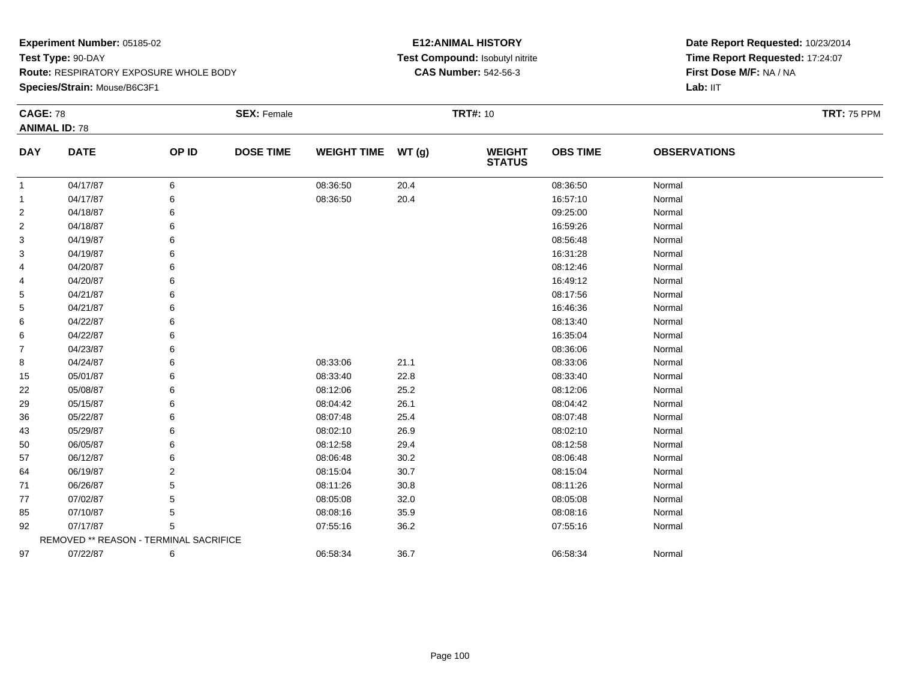**Species/Strain:** Mouse/B6C3F1

### **E12:ANIMAL HISTORY Test Compound:** Isobutyl nitrite**CAS Number:** 542-56-3

| <b>CAGE: 78</b> |                                        |       | <b>SEX: Female</b> |                    |       | <b>TRT#: 10</b>                |                 |                     | <b>TRT: 75 PPM</b> |
|-----------------|----------------------------------------|-------|--------------------|--------------------|-------|--------------------------------|-----------------|---------------------|--------------------|
|                 | <b>ANIMAL ID: 78</b>                   |       |                    |                    |       |                                |                 |                     |                    |
| <b>DAY</b>      | <b>DATE</b>                            | OP ID | <b>DOSE TIME</b>   | <b>WEIGHT TIME</b> | WT(g) | <b>WEIGHT</b><br><b>STATUS</b> | <b>OBS TIME</b> | <b>OBSERVATIONS</b> |                    |
| -1              | 04/17/87                               | 6     |                    | 08:36:50           | 20.4  |                                | 08:36:50        | Normal              |                    |
| -1              | 04/17/87                               | 6     |                    | 08:36:50           | 20.4  |                                | 16:57:10        | Normal              |                    |
| 2               | 04/18/87                               | 6     |                    |                    |       |                                | 09:25:00        | Normal              |                    |
| $\overline{2}$  | 04/18/87                               | 6     |                    |                    |       |                                | 16:59:26        | Normal              |                    |
| 3               | 04/19/87                               | 6     |                    |                    |       |                                | 08:56:48        | Normal              |                    |
| 3               | 04/19/87                               | 6     |                    |                    |       |                                | 16:31:28        | Normal              |                    |
| 4               | 04/20/87                               | 6     |                    |                    |       |                                | 08:12:46        | Normal              |                    |
| 4               | 04/20/87                               | 6     |                    |                    |       |                                | 16:49:12        | Normal              |                    |
| 5               | 04/21/87                               | 6     |                    |                    |       |                                | 08:17:56        | Normal              |                    |
| 5               | 04/21/87                               | 6     |                    |                    |       |                                | 16:46:36        | Normal              |                    |
| 6               | 04/22/87                               | 6     |                    |                    |       |                                | 08:13:40        | Normal              |                    |
| 6               | 04/22/87                               | 6     |                    |                    |       |                                | 16:35:04        | Normal              |                    |
| $\overline{7}$  | 04/23/87                               | 6     |                    |                    |       |                                | 08:36:06        | Normal              |                    |
| 8               | 04/24/87                               | 6     |                    | 08:33:06           | 21.1  |                                | 08:33:06        | Normal              |                    |
| 15              | 05/01/87                               | 6     |                    | 08:33:40           | 22.8  |                                | 08:33:40        | Normal              |                    |
| 22              | 05/08/87                               | 6     |                    | 08:12:06           | 25.2  |                                | 08:12:06        | Normal              |                    |
| 29              | 05/15/87                               | 6     |                    | 08:04:42           | 26.1  |                                | 08:04:42        | Normal              |                    |
| 36              | 05/22/87                               | 6     |                    | 08:07:48           | 25.4  |                                | 08:07:48        | Normal              |                    |
| 43              | 05/29/87                               | 6     |                    | 08:02:10           | 26.9  |                                | 08:02:10        | Normal              |                    |
| 50              | 06/05/87                               | 6     |                    | 08:12:58           | 29.4  |                                | 08:12:58        | Normal              |                    |
| 57              | 06/12/87                               | 6     |                    | 08:06:48           | 30.2  |                                | 08:06:48        | Normal              |                    |
| 64              | 06/19/87                               | 2     |                    | 08:15:04           | 30.7  |                                | 08:15:04        | Normal              |                    |
| 71              | 06/26/87                               |       |                    | 08:11:26           | 30.8  |                                | 08:11:26        | Normal              |                    |
| 77              | 07/02/87                               | 5     |                    | 08:05:08           | 32.0  |                                | 08:05:08        | Normal              |                    |
| 85              | 07/10/87                               | 5     |                    | 08:08:16           | 35.9  |                                | 08:08:16        | Normal              |                    |
| 92              | 07/17/87                               | 5     |                    | 07:55:16           | 36.2  |                                | 07:55:16        | Normal              |                    |
|                 | REMOVED ** REASON - TERMINAL SACRIFICE |       |                    |                    |       |                                |                 |                     |                    |
| 97              | 07/22/87                               | 6     |                    | 06:58:34           | 36.7  |                                | 06:58:34        | Normal              |                    |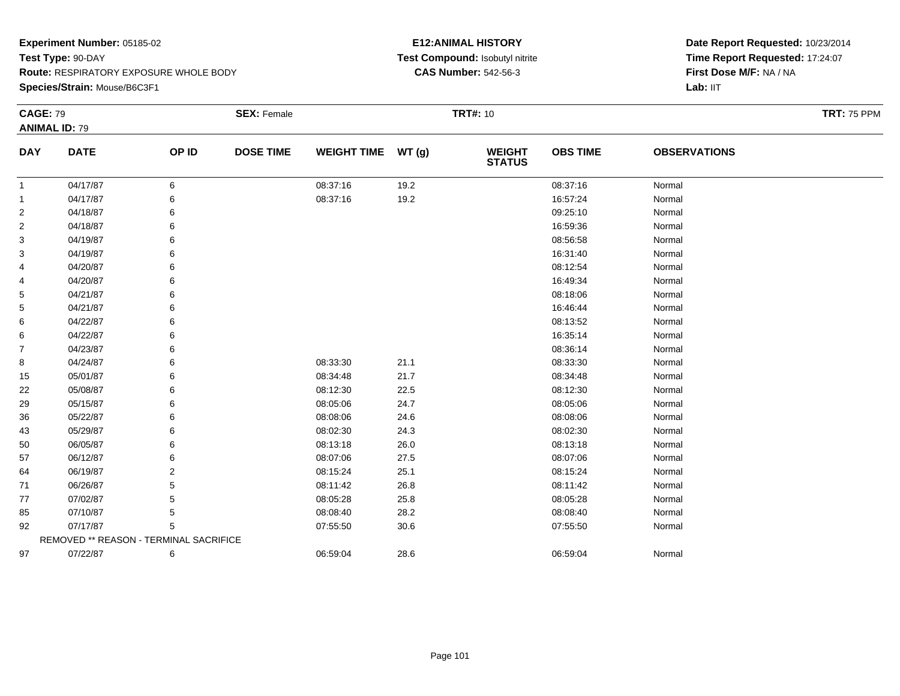**Species/Strain:** Mouse/B6C3F1

### **E12:ANIMAL HISTORY Test Compound:** Isobutyl nitrite**CAS Number:** 542-56-3

| <b>CAGE: 79</b> |                                        |       | <b>SEX: Female</b> |                    |      | <b>TRT#: 10</b>                |                 |                     | <b>TRT: 75 PPM</b> |
|-----------------|----------------------------------------|-------|--------------------|--------------------|------|--------------------------------|-----------------|---------------------|--------------------|
|                 | <b>ANIMAL ID: 79</b>                   |       |                    |                    |      |                                |                 |                     |                    |
| <b>DAY</b>      | <b>DATE</b>                            | OP ID | <b>DOSE TIME</b>   | WEIGHT TIME WT (g) |      | <b>WEIGHT</b><br><b>STATUS</b> | <b>OBS TIME</b> | <b>OBSERVATIONS</b> |                    |
| $\mathbf{1}$    | 04/17/87                               | 6     |                    | 08:37:16           | 19.2 |                                | 08:37:16        | Normal              |                    |
| 1               | 04/17/87                               | 6     |                    | 08:37:16           | 19.2 |                                | 16:57:24        | Normal              |                    |
| 2               | 04/18/87                               |       |                    |                    |      |                                | 09:25:10        | Normal              |                    |
| 2               | 04/18/87                               | 6     |                    |                    |      |                                | 16:59:36        | Normal              |                    |
| 3               | 04/19/87                               |       |                    |                    |      |                                | 08:56:58        | Normal              |                    |
| 3               | 04/19/87                               |       |                    |                    |      |                                | 16:31:40        | Normal              |                    |
| 4               | 04/20/87                               | 6     |                    |                    |      |                                | 08:12:54        | Normal              |                    |
| 4               | 04/20/87                               | 6     |                    |                    |      |                                | 16:49:34        | Normal              |                    |
| 5               | 04/21/87                               | 6     |                    |                    |      |                                | 08:18:06        | Normal              |                    |
| 5               | 04/21/87                               | 6     |                    |                    |      |                                | 16:46:44        | Normal              |                    |
| 6               | 04/22/87                               | 6     |                    |                    |      |                                | 08:13:52        | Normal              |                    |
| 6               | 04/22/87                               | 6     |                    |                    |      |                                | 16:35:14        | Normal              |                    |
| 7               | 04/23/87                               | 6     |                    |                    |      |                                | 08:36:14        | Normal              |                    |
| 8               | 04/24/87                               | 6     |                    | 08:33:30           | 21.1 |                                | 08:33:30        | Normal              |                    |
| 15              | 05/01/87                               | 6     |                    | 08:34:48           | 21.7 |                                | 08:34:48        | Normal              |                    |
| 22              | 05/08/87                               | 6     |                    | 08:12:30           | 22.5 |                                | 08:12:30        | Normal              |                    |
| 29              | 05/15/87                               | 6     |                    | 08:05:06           | 24.7 |                                | 08:05:06        | Normal              |                    |
| 36              | 05/22/87                               |       |                    | 08:08:06           | 24.6 |                                | 08:08:06        | Normal              |                    |
| 43              | 05/29/87                               | 6     |                    | 08:02:30           | 24.3 |                                | 08:02:30        | Normal              |                    |
| 50              | 06/05/87                               | 6     |                    | 08:13:18           | 26.0 |                                | 08:13:18        | Normal              |                    |
| 57              | 06/12/87                               | 6     |                    | 08:07:06           | 27.5 |                                | 08:07:06        | Normal              |                    |
| 64              | 06/19/87                               | 2     |                    | 08:15:24           | 25.1 |                                | 08:15:24        | Normal              |                    |
| 71              | 06/26/87                               | 5     |                    | 08:11:42           | 26.8 |                                | 08:11:42        | Normal              |                    |
| 77              | 07/02/87                               | 5     |                    | 08:05:28           | 25.8 |                                | 08:05:28        | Normal              |                    |
| 85              | 07/10/87                               | 5     |                    | 08:08:40           | 28.2 |                                | 08:08:40        | Normal              |                    |
| 92              | 07/17/87                               | 5     |                    | 07:55:50           | 30.6 |                                | 07:55:50        | Normal              |                    |
|                 | REMOVED ** REASON - TERMINAL SACRIFICE |       |                    |                    |      |                                |                 |                     |                    |
| 97              | 07/22/87                               | 6     |                    | 06:59:04           | 28.6 |                                | 06:59:04        | Normal              |                    |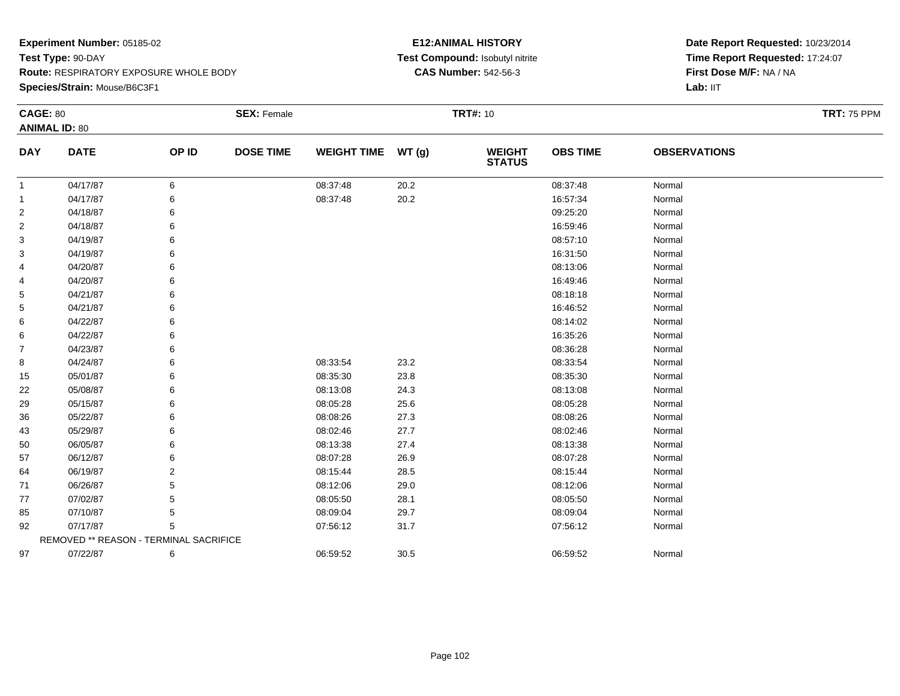### **Species/Strain:** Mouse/B6C3F1

### **E12:ANIMAL HISTORY Test Compound:** Isobutyl nitrite**CAS Number:** 542-56-3

| <b>CAGE: 80</b> |                                        |       | <b>SEX: Female</b> |                    |       | <b>TRT#: 10</b>                |                 |                     | <b>TRT: 75 PPM</b> |
|-----------------|----------------------------------------|-------|--------------------|--------------------|-------|--------------------------------|-----------------|---------------------|--------------------|
|                 | <b>ANIMAL ID: 80</b>                   |       |                    |                    |       |                                |                 |                     |                    |
| <b>DAY</b>      | <b>DATE</b>                            | OP ID | <b>DOSE TIME</b>   | <b>WEIGHT TIME</b> | WT(g) | <b>WEIGHT</b><br><b>STATUS</b> | <b>OBS TIME</b> | <b>OBSERVATIONS</b> |                    |
| 1               | 04/17/87                               | 6     |                    | 08:37:48           | 20.2  |                                | 08:37:48        | Normal              |                    |
| 1               | 04/17/87                               | 6     |                    | 08:37:48           | 20.2  |                                | 16:57:34        | Normal              |                    |
| 2               | 04/18/87                               |       |                    |                    |       |                                | 09:25:20        | Normal              |                    |
| 2               | 04/18/87                               | 6     |                    |                    |       |                                | 16:59:46        | Normal              |                    |
| 3               | 04/19/87                               | 6     |                    |                    |       |                                | 08:57:10        | Normal              |                    |
| 3               | 04/19/87                               | 6     |                    |                    |       |                                | 16:31:50        | Normal              |                    |
| 4               | 04/20/87                               | 6     |                    |                    |       |                                | 08:13:06        | Normal              |                    |
| 4               | 04/20/87                               | 6     |                    |                    |       |                                | 16:49:46        | Normal              |                    |
| 5               | 04/21/87                               | 6     |                    |                    |       |                                | 08:18:18        | Normal              |                    |
| 5               | 04/21/87                               | 6     |                    |                    |       |                                | 16:46:52        | Normal              |                    |
| 6               | 04/22/87                               |       |                    |                    |       |                                | 08:14:02        | Normal              |                    |
| 6               | 04/22/87                               | 6     |                    |                    |       |                                | 16:35:26        | Normal              |                    |
| $\overline{7}$  | 04/23/87                               | 6     |                    |                    |       |                                | 08:36:28        | Normal              |                    |
| 8               | 04/24/87                               | 6     |                    | 08:33:54           | 23.2  |                                | 08:33:54        | Normal              |                    |
| 15              | 05/01/87                               | 6     |                    | 08:35:30           | 23.8  |                                | 08:35:30        | Normal              |                    |
| 22              | 05/08/87                               | 6     |                    | 08:13:08           | 24.3  |                                | 08:13:08        | Normal              |                    |
| 29              | 05/15/87                               | 6     |                    | 08:05:28           | 25.6  |                                | 08:05:28        | Normal              |                    |
| 36              | 05/22/87                               | 6     |                    | 08:08:26           | 27.3  |                                | 08:08:26        | Normal              |                    |
| 43              | 05/29/87                               |       |                    | 08:02:46           | 27.7  |                                | 08:02:46        | Normal              |                    |
| 50              | 06/05/87                               | 6     |                    | 08:13:38           | 27.4  |                                | 08:13:38        | Normal              |                    |
| 57              | 06/12/87                               | 6     |                    | 08:07:28           | 26.9  |                                | 08:07:28        | Normal              |                    |
| 64              | 06/19/87                               | 2     |                    | 08:15:44           | 28.5  |                                | 08:15:44        | Normal              |                    |
| 71              | 06/26/87                               | 5     |                    | 08:12:06           | 29.0  |                                | 08:12:06        | Normal              |                    |
| 77              | 07/02/87                               | 5     |                    | 08:05:50           | 28.1  |                                | 08:05:50        | Normal              |                    |
| 85              | 07/10/87                               | 5     |                    | 08:09:04           | 29.7  |                                | 08:09:04        | Normal              |                    |
| 92              | 07/17/87                               | 5     |                    | 07:56:12           | 31.7  |                                | 07:56:12        | Normal              |                    |
|                 | REMOVED ** REASON - TERMINAL SACRIFICE |       |                    |                    |       |                                |                 |                     |                    |
| 97              | 07/22/87                               | 6     |                    | 06:59:52           | 30.5  |                                | 06:59:52        | Normal              |                    |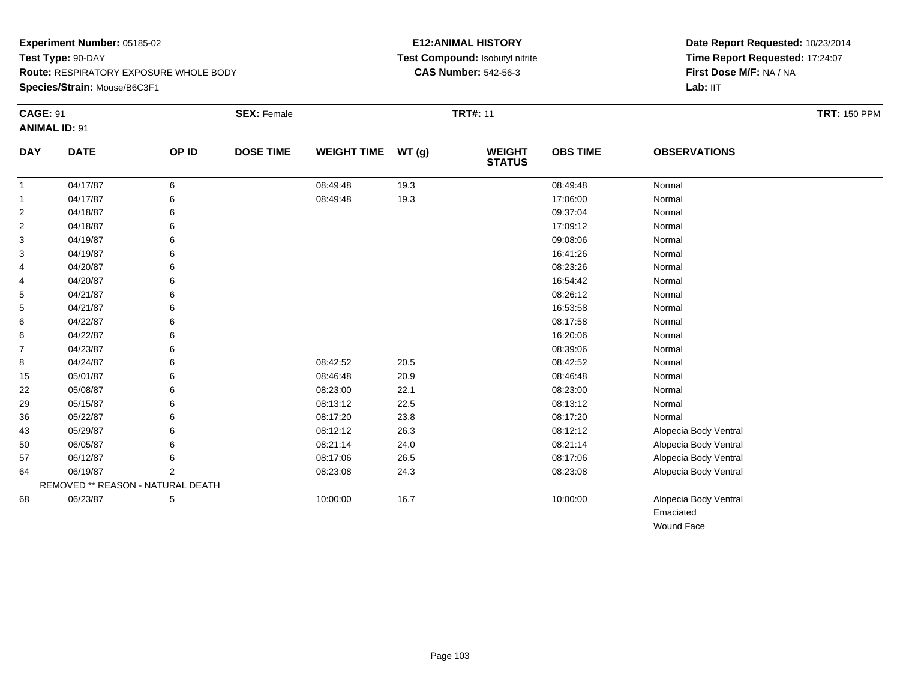**Species/Strain:** Mouse/B6C3F1

### **E12:ANIMAL HISTORY Test Compound:** Isobutyl nitrite**CAS Number:** 542-56-3

**Date Report Requested:** 10/23/2014 **Time Report Requested:** 17:24:07**First Dose M/F:** NA / NA**Lab:** IIT

Wound Face

| <b>CAGE: 91</b> | <b>ANIMAL ID: 91</b>              |       | <b>SEX: Female</b> |                    |       | <b>TRT#: 11</b>                |                 |                       | <b>TRT: 150 PPM</b> |
|-----------------|-----------------------------------|-------|--------------------|--------------------|-------|--------------------------------|-----------------|-----------------------|---------------------|
| <b>DAY</b>      | <b>DATE</b>                       | OP ID | <b>DOSE TIME</b>   | <b>WEIGHT TIME</b> | WT(g) | <b>WEIGHT</b><br><b>STATUS</b> | <b>OBS TIME</b> | <b>OBSERVATIONS</b>   |                     |
| $\overline{1}$  | 04/17/87                          | 6     |                    | 08:49:48           | 19.3  |                                | 08:49:48        | Normal                |                     |
| $\mathbf{1}$    | 04/17/87                          | 6     |                    | 08:49:48           | 19.3  |                                | 17:06:00        | Normal                |                     |
| $\overline{2}$  | 04/18/87                          | 6     |                    |                    |       |                                | 09:37:04        | Normal                |                     |
| $\overline{2}$  | 04/18/87                          | 6     |                    |                    |       |                                | 17:09:12        | Normal                |                     |
| 3               | 04/19/87                          |       |                    |                    |       |                                | 09:08:06        | Normal                |                     |
| 3               | 04/19/87                          | 6     |                    |                    |       |                                | 16:41:26        | Normal                |                     |
| 4               | 04/20/87                          |       |                    |                    |       |                                | 08:23:26        | Normal                |                     |
| 4               | 04/20/87                          |       |                    |                    |       |                                | 16:54:42        | Normal                |                     |
| 5               | 04/21/87                          |       |                    |                    |       |                                | 08:26:12        | Normal                |                     |
| 5               | 04/21/87                          |       |                    |                    |       |                                | 16:53:58        | Normal                |                     |
| 6               | 04/22/87                          |       |                    |                    |       |                                | 08:17:58        | Normal                |                     |
| 6               | 04/22/87                          |       |                    |                    |       |                                | 16:20:06        | Normal                |                     |
| 7               | 04/23/87                          |       |                    |                    |       |                                | 08:39:06        | Normal                |                     |
| 8               | 04/24/87                          |       |                    | 08:42:52           | 20.5  |                                | 08:42:52        | Normal                |                     |
| 15              | 05/01/87                          |       |                    | 08:46:48           | 20.9  |                                | 08:46:48        | Normal                |                     |
| 22              | 05/08/87                          |       |                    | 08:23:00           | 22.1  |                                | 08:23:00        | Normal                |                     |
| 29              | 05/15/87                          |       |                    | 08:13:12           | 22.5  |                                | 08:13:12        | Normal                |                     |
| 36              | 05/22/87                          |       |                    | 08:17:20           | 23.8  |                                | 08:17:20        | Normal                |                     |
| 43              | 05/29/87                          |       |                    | 08:12:12           | 26.3  |                                | 08:12:12        | Alopecia Body Ventral |                     |
| 50              | 06/05/87                          |       |                    | 08:21:14           | 24.0  |                                | 08:21:14        | Alopecia Body Ventral |                     |
| 57              | 06/12/87                          |       |                    | 08:17:06           | 26.5  |                                | 08:17:06        | Alopecia Body Ventral |                     |
| 64              | 06/19/87                          | 2     |                    | 08:23:08           | 24.3  |                                | 08:23:08        | Alopecia Body Ventral |                     |
|                 | REMOVED ** REASON - NATURAL DEATH |       |                    |                    |       |                                |                 |                       |                     |
| 68              | 06/23/87                          | 5     |                    | 10:00:00           | 16.7  |                                | 10:00:00        | Alopecia Body Ventral |                     |
|                 |                                   |       |                    |                    |       |                                |                 | Emaciated             |                     |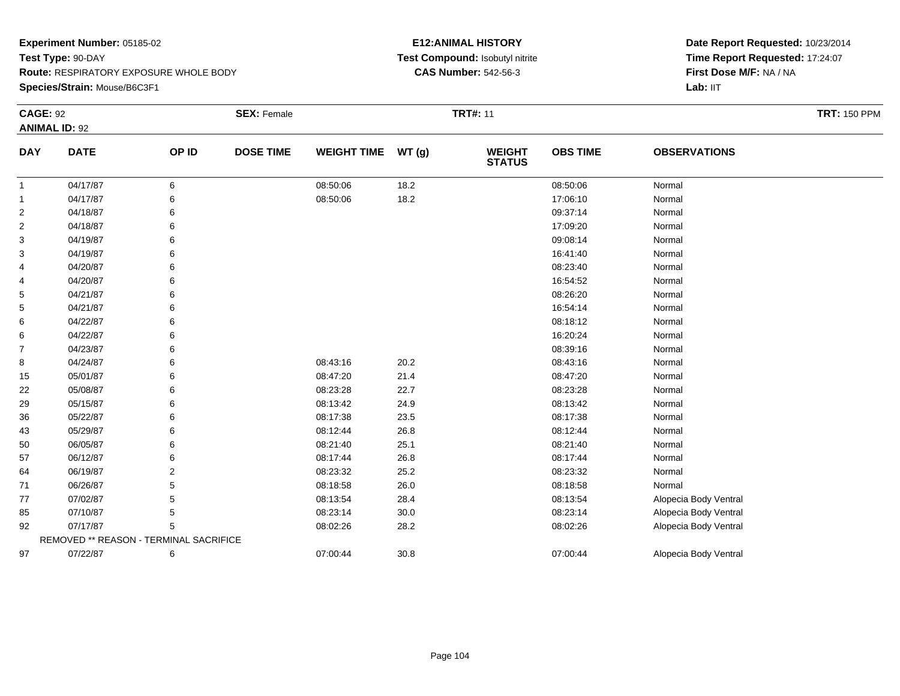**Species/Strain:** Mouse/B6C3F1

### **E12:ANIMAL HISTORY Test Compound:** Isobutyl nitrite**CAS Number:** 542-56-3

| <b>CAGE: 92</b> | <b>ANIMAL ID: 92</b>                   |                | <b>SEX: Female</b> |                    |       | <b>TRT#: 11</b>                |                 |                       | <b>TRT: 150 PPM</b> |
|-----------------|----------------------------------------|----------------|--------------------|--------------------|-------|--------------------------------|-----------------|-----------------------|---------------------|
| <b>DAY</b>      | <b>DATE</b>                            | OP ID          | <b>DOSE TIME</b>   | <b>WEIGHT TIME</b> | WT(g) | <b>WEIGHT</b><br><b>STATUS</b> | <b>OBS TIME</b> | <b>OBSERVATIONS</b>   |                     |
| $\mathbf{1}$    | 04/17/87                               | 6              |                    | 08:50:06           | 18.2  |                                | 08:50:06        | Normal                |                     |
| $\mathbf{1}$    | 04/17/87                               | 6              |                    | 08:50:06           | 18.2  |                                | 17:06:10        | Normal                |                     |
| $\overline{2}$  | 04/18/87                               | 6              |                    |                    |       |                                | 09:37:14        | Normal                |                     |
| $\overline{2}$  | 04/18/87                               | 6              |                    |                    |       |                                | 17:09:20        | Normal                |                     |
| 3               | 04/19/87                               | 6              |                    |                    |       |                                | 09:08:14        | Normal                |                     |
| 3               | 04/19/87                               | 6              |                    |                    |       |                                | 16:41:40        | Normal                |                     |
| 4               | 04/20/87                               | 6              |                    |                    |       |                                | 08:23:40        | Normal                |                     |
| 4               | 04/20/87                               | 6              |                    |                    |       |                                | 16:54:52        | Normal                |                     |
| 5               | 04/21/87                               | 6              |                    |                    |       |                                | 08:26:20        | Normal                |                     |
| 5               | 04/21/87                               | 6              |                    |                    |       |                                | 16:54:14        | Normal                |                     |
| 6               | 04/22/87                               | 6              |                    |                    |       |                                | 08:18:12        | Normal                |                     |
| 6               | 04/22/87                               | 6              |                    |                    |       |                                | 16:20:24        | Normal                |                     |
| $\overline{7}$  | 04/23/87                               | 6              |                    |                    |       |                                | 08:39:16        | Normal                |                     |
| 8               | 04/24/87                               | 6              |                    | 08:43:16           | 20.2  |                                | 08:43:16        | Normal                |                     |
| 15              | 05/01/87                               | 6              |                    | 08:47:20           | 21.4  |                                | 08:47:20        | Normal                |                     |
| 22              | 05/08/87                               | 6              |                    | 08:23:28           | 22.7  |                                | 08:23:28        | Normal                |                     |
| 29              | 05/15/87                               | 6              |                    | 08:13:42           | 24.9  |                                | 08:13:42        | Normal                |                     |
| 36              | 05/22/87                               | 6              |                    | 08:17:38           | 23.5  |                                | 08:17:38        | Normal                |                     |
| 43              | 05/29/87                               | 6              |                    | 08:12:44           | 26.8  |                                | 08:12:44        | Normal                |                     |
| 50              | 06/05/87                               | 6              |                    | 08:21:40           | 25.1  |                                | 08:21:40        | Normal                |                     |
| 57              | 06/12/87                               | 6              |                    | 08:17:44           | 26.8  |                                | 08:17:44        | Normal                |                     |
| 64              | 06/19/87                               | $\overline{2}$ |                    | 08:23:32           | 25.2  |                                | 08:23:32        | Normal                |                     |
| 71              | 06/26/87                               | 5              |                    | 08:18:58           | 26.0  |                                | 08:18:58        | Normal                |                     |
| 77              | 07/02/87                               | 5              |                    | 08:13:54           | 28.4  |                                | 08:13:54        | Alopecia Body Ventral |                     |
| 85              | 07/10/87                               | 5              |                    | 08:23:14           | 30.0  |                                | 08:23:14        | Alopecia Body Ventral |                     |
| 92              | 07/17/87                               | 5              |                    | 08:02:26           | 28.2  |                                | 08:02:26        | Alopecia Body Ventral |                     |
|                 | REMOVED ** REASON - TERMINAL SACRIFICE |                |                    |                    |       |                                |                 |                       |                     |
| 97              | 07/22/87                               | 6              |                    | 07:00:44           | 30.8  |                                | 07:00:44        | Alopecia Body Ventral |                     |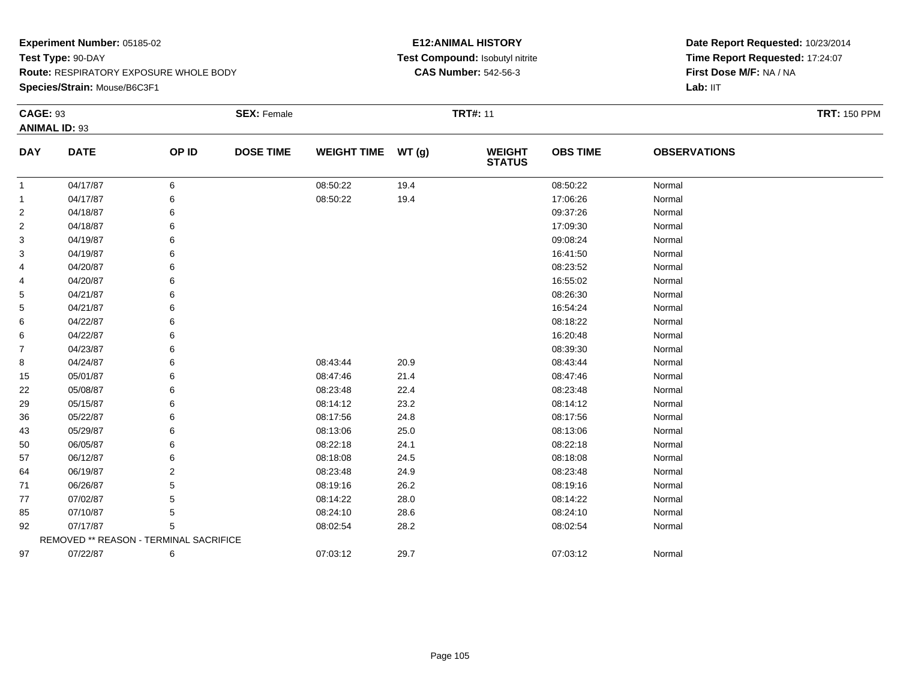**Species/Strain:** Mouse/B6C3F1

### **E12:ANIMAL HISTORY Test Compound:** Isobutyl nitrite**CAS Number:** 542-56-3

| <b>CAGE: 93</b> | <b>ANIMAL ID: 93</b>                   |                | <b>SEX: Female</b> |                    |       | <b>TRT#: 11</b>                |                 |                     | <b>TRT: 150 PPM</b> |
|-----------------|----------------------------------------|----------------|--------------------|--------------------|-------|--------------------------------|-----------------|---------------------|---------------------|
| <b>DAY</b>      | <b>DATE</b>                            | OP ID          | <b>DOSE TIME</b>   | <b>WEIGHT TIME</b> | WT(g) | <b>WEIGHT</b><br><b>STATUS</b> | <b>OBS TIME</b> | <b>OBSERVATIONS</b> |                     |
| $\mathbf{1}$    | 04/17/87                               | 6              |                    | 08:50:22           | 19.4  |                                | 08:50:22        | Normal              |                     |
| $\mathbf 1$     | 04/17/87                               | 6              |                    | 08:50:22           | 19.4  |                                | 17:06:26        | Normal              |                     |
| $\overline{2}$  | 04/18/87                               | 6              |                    |                    |       |                                | 09:37:26        | Normal              |                     |
| $\overline{2}$  | 04/18/87                               | 6              |                    |                    |       |                                | 17:09:30        | Normal              |                     |
| 3               | 04/19/87                               | 6              |                    |                    |       |                                | 09:08:24        | Normal              |                     |
| 3               | 04/19/87                               | 6              |                    |                    |       |                                | 16:41:50        | Normal              |                     |
| 4               | 04/20/87                               | 6              |                    |                    |       |                                | 08:23:52        | Normal              |                     |
| 4               | 04/20/87                               | 6              |                    |                    |       |                                | 16:55:02        | Normal              |                     |
| 5               | 04/21/87                               | 6              |                    |                    |       |                                | 08:26:30        | Normal              |                     |
| 5               | 04/21/87                               | 6              |                    |                    |       |                                | 16:54:24        | Normal              |                     |
| 6               | 04/22/87                               | 6              |                    |                    |       |                                | 08:18:22        | Normal              |                     |
| 6               | 04/22/87                               | 6              |                    |                    |       |                                | 16:20:48        | Normal              |                     |
| 7               | 04/23/87                               | 6              |                    |                    |       |                                | 08:39:30        | Normal              |                     |
| 8               | 04/24/87                               | 6              |                    | 08:43:44           | 20.9  |                                | 08:43:44        | Normal              |                     |
| 15              | 05/01/87                               | 6              |                    | 08:47:46           | 21.4  |                                | 08:47:46        | Normal              |                     |
| 22              | 05/08/87                               | 6              |                    | 08:23:48           | 22.4  |                                | 08:23:48        | Normal              |                     |
| 29              | 05/15/87                               | 6              |                    | 08:14:12           | 23.2  |                                | 08:14:12        | Normal              |                     |
| 36              | 05/22/87                               | 6              |                    | 08:17:56           | 24.8  |                                | 08:17:56        | Normal              |                     |
| 43              | 05/29/87                               | 6              |                    | 08:13:06           | 25.0  |                                | 08:13:06        | Normal              |                     |
| 50              | 06/05/87                               | 6              |                    | 08:22:18           | 24.1  |                                | 08:22:18        | Normal              |                     |
| 57              | 06/12/87                               | 6              |                    | 08:18:08           | 24.5  |                                | 08:18:08        | Normal              |                     |
| 64              | 06/19/87                               | $\overline{2}$ |                    | 08:23:48           | 24.9  |                                | 08:23:48        | Normal              |                     |
| 71              | 06/26/87                               | 5              |                    | 08:19:16           | 26.2  |                                | 08:19:16        | Normal              |                     |
| 77              | 07/02/87                               | 5              |                    | 08:14:22           | 28.0  |                                | 08:14:22        | Normal              |                     |
| 85              | 07/10/87                               | 5              |                    | 08:24:10           | 28.6  |                                | 08:24:10        | Normal              |                     |
| 92              | 07/17/87                               | 5              |                    | 08:02:54           | 28.2  |                                | 08:02:54        | Normal              |                     |
|                 | REMOVED ** REASON - TERMINAL SACRIFICE |                |                    |                    |       |                                |                 |                     |                     |
| 97              | 07/22/87                               | 6              |                    | 07:03:12           | 29.7  |                                | 07:03:12        | Normal              |                     |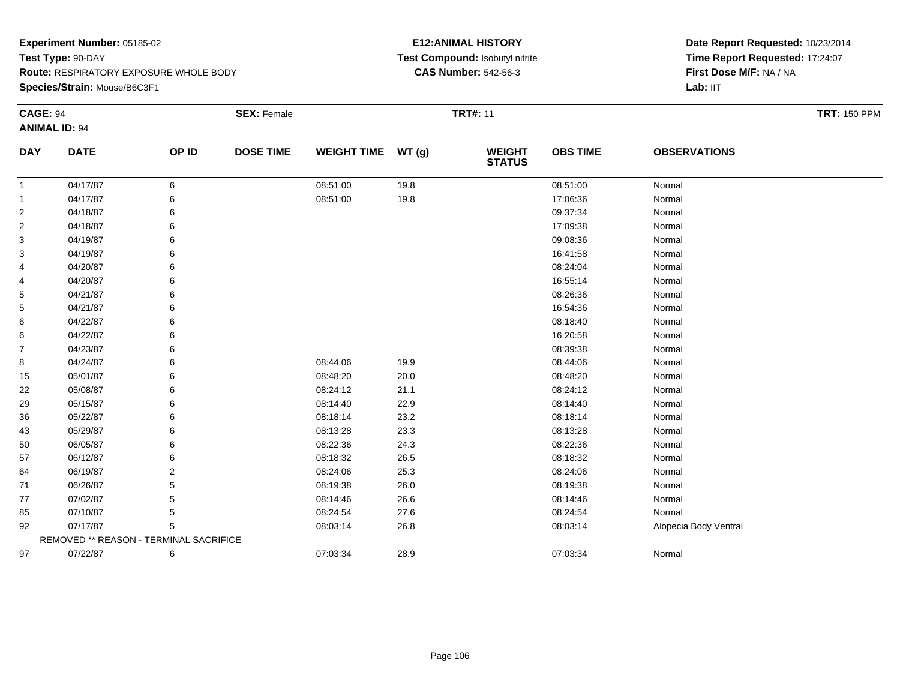**Species/Strain:** Mouse/B6C3F1

### **E12:ANIMAL HISTORY Test Compound:** Isobutyl nitrite**CAS Number:** 542-56-3

| <b>CAGE: 94</b> | <b>ANIMAL ID: 94</b>                   |       | <b>SEX: Female</b> |                    |       | <b>TRT#: 11</b>                |                 |                       | <b>TRT: 150 PPM</b> |
|-----------------|----------------------------------------|-------|--------------------|--------------------|-------|--------------------------------|-----------------|-----------------------|---------------------|
| <b>DAY</b>      | <b>DATE</b>                            | OP ID | <b>DOSE TIME</b>   | <b>WEIGHT TIME</b> | WT(g) | <b>WEIGHT</b><br><b>STATUS</b> | <b>OBS TIME</b> | <b>OBSERVATIONS</b>   |                     |
| $\mathbf{1}$    | 04/17/87                               | 6     |                    | 08:51:00           | 19.8  |                                | 08:51:00        | Normal                |                     |
| -1              | 04/17/87                               | 6     |                    | 08:51:00           | 19.8  |                                | 17:06:36        | Normal                |                     |
| $\overline{2}$  | 04/18/87                               | 6     |                    |                    |       |                                | 09:37:34        | Normal                |                     |
| $\overline{2}$  | 04/18/87                               | 6     |                    |                    |       |                                | 17:09:38        | Normal                |                     |
| 3               | 04/19/87                               |       |                    |                    |       |                                | 09:08:36        | Normal                |                     |
| 3               | 04/19/87                               |       |                    |                    |       |                                | 16:41:58        | Normal                |                     |
| 4               | 04/20/87                               |       |                    |                    |       |                                | 08:24:04        | Normal                |                     |
| 4               | 04/20/87                               | 6     |                    |                    |       |                                | 16:55:14        | Normal                |                     |
| 5               | 04/21/87                               |       |                    |                    |       |                                | 08:26:36        | Normal                |                     |
| 5               | 04/21/87                               |       |                    |                    |       |                                | 16:54:36        | Normal                |                     |
| 6               | 04/22/87                               |       |                    |                    |       |                                | 08:18:40        | Normal                |                     |
| 6               | 04/22/87                               |       |                    |                    |       |                                | 16:20:58        | Normal                |                     |
| $\overline{7}$  | 04/23/87                               |       |                    |                    |       |                                | 08:39:38        | Normal                |                     |
| 8               | 04/24/87                               | 6     |                    | 08:44:06           | 19.9  |                                | 08:44:06        | Normal                |                     |
| 15              | 05/01/87                               | 6     |                    | 08:48:20           | 20.0  |                                | 08:48:20        | Normal                |                     |
| 22              | 05/08/87                               | 6     |                    | 08:24:12           | 21.1  |                                | 08:24:12        | Normal                |                     |
| 29              | 05/15/87                               |       |                    | 08:14:40           | 22.9  |                                | 08:14:40        | Normal                |                     |
| 36              | 05/22/87                               |       |                    | 08:18:14           | 23.2  |                                | 08:18:14        | Normal                |                     |
| 43              | 05/29/87                               | 6     |                    | 08:13:28           | 23.3  |                                | 08:13:28        | Normal                |                     |
| 50              | 06/05/87                               | 6     |                    | 08:22:36           | 24.3  |                                | 08:22:36        | Normal                |                     |
| 57              | 06/12/87                               |       |                    | 08:18:32           | 26.5  |                                | 08:18:32        | Normal                |                     |
| 64              | 06/19/87                               | 2     |                    | 08:24:06           | 25.3  |                                | 08:24:06        | Normal                |                     |
| 71              | 06/26/87                               | 5     |                    | 08:19:38           | 26.0  |                                | 08:19:38        | Normal                |                     |
| 77              | 07/02/87                               | 5     |                    | 08:14:46           | 26.6  |                                | 08:14:46        | Normal                |                     |
| 85              | 07/10/87                               | 5     |                    | 08:24:54           | 27.6  |                                | 08:24:54        | Normal                |                     |
| 92              | 07/17/87                               | 5     |                    | 08:03:14           | 26.8  |                                | 08:03:14        | Alopecia Body Ventral |                     |
|                 | REMOVED ** REASON - TERMINAL SACRIFICE |       |                    |                    |       |                                |                 |                       |                     |
| 97              | 07/22/87                               | 6     |                    | 07:03:34           | 28.9  |                                | 07:03:34        | Normal                |                     |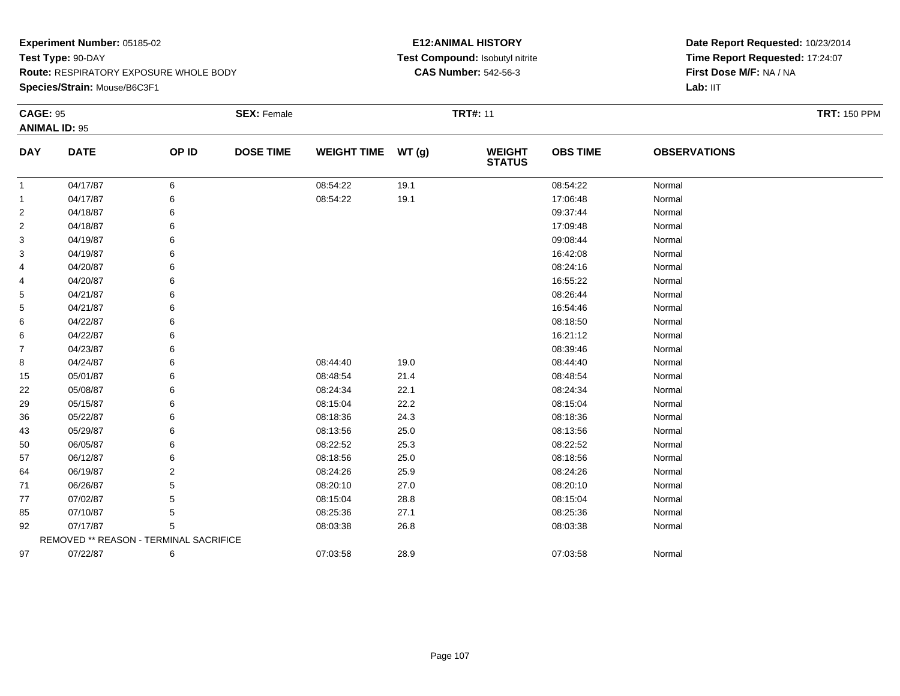**Species/Strain:** Mouse/B6C3F1

### **E12:ANIMAL HISTORY Test Compound:** Isobutyl nitrite**CAS Number:** 542-56-3

| <b>CAGE: 95</b> | <b>ANIMAL ID: 95</b>                   |       | <b>SEX: Female</b> |                    |       | <b>TRT#: 11</b>                |                 |                     | <b>TRT: 150 PPM</b> |
|-----------------|----------------------------------------|-------|--------------------|--------------------|-------|--------------------------------|-----------------|---------------------|---------------------|
| <b>DAY</b>      | <b>DATE</b>                            | OP ID | <b>DOSE TIME</b>   | <b>WEIGHT TIME</b> | WT(g) | <b>WEIGHT</b><br><b>STATUS</b> | <b>OBS TIME</b> | <b>OBSERVATIONS</b> |                     |
| $\mathbf{1}$    | 04/17/87                               | 6     |                    | 08:54:22           | 19.1  |                                | 08:54:22        | Normal              |                     |
| $\mathbf 1$     | 04/17/87                               | 6     |                    | 08:54:22           | 19.1  |                                | 17:06:48        | Normal              |                     |
| $\overline{2}$  | 04/18/87                               | 6     |                    |                    |       |                                | 09:37:44        | Normal              |                     |
| $\overline{2}$  | 04/18/87                               | 6     |                    |                    |       |                                | 17:09:48        | Normal              |                     |
| 3               | 04/19/87                               | 6     |                    |                    |       |                                | 09:08:44        | Normal              |                     |
| 3               | 04/19/87                               | 6     |                    |                    |       |                                | 16:42:08        | Normal              |                     |
| 4               | 04/20/87                               | 6     |                    |                    |       |                                | 08:24:16        | Normal              |                     |
| 4               | 04/20/87                               | 6     |                    |                    |       |                                | 16:55:22        | Normal              |                     |
| 5               | 04/21/87                               | 6     |                    |                    |       |                                | 08:26:44        | Normal              |                     |
| 5               | 04/21/87                               | 6     |                    |                    |       |                                | 16:54:46        | Normal              |                     |
| 6               | 04/22/87                               | 6     |                    |                    |       |                                | 08:18:50        | Normal              |                     |
| 6               | 04/22/87                               | 6     |                    |                    |       |                                | 16:21:12        | Normal              |                     |
| $\overline{7}$  | 04/23/87                               | 6     |                    |                    |       |                                | 08:39:46        | Normal              |                     |
| 8               | 04/24/87                               | 6     |                    | 08:44:40           | 19.0  |                                | 08:44:40        | Normal              |                     |
| 15              | 05/01/87                               | 6     |                    | 08:48:54           | 21.4  |                                | 08:48:54        | Normal              |                     |
| 22              | 05/08/87                               | 6     |                    | 08:24:34           | 22.1  |                                | 08:24:34        | Normal              |                     |
| 29              | 05/15/87                               | 6     |                    | 08:15:04           | 22.2  |                                | 08:15:04        | Normal              |                     |
| 36              | 05/22/87                               | 6     |                    | 08:18:36           | 24.3  |                                | 08:18:36        | Normal              |                     |
| 43              | 05/29/87                               | 6     |                    | 08:13:56           | 25.0  |                                | 08:13:56        | Normal              |                     |
| 50              | 06/05/87                               | 6     |                    | 08:22:52           | 25.3  |                                | 08:22:52        | Normal              |                     |
| 57              | 06/12/87                               | 6     |                    | 08:18:56           | 25.0  |                                | 08:18:56        | Normal              |                     |
| 64              | 06/19/87                               | 2     |                    | 08:24:26           | 25.9  |                                | 08:24:26        | Normal              |                     |
| 71              | 06/26/87                               | 5     |                    | 08:20:10           | 27.0  |                                | 08:20:10        | Normal              |                     |
| 77              | 07/02/87                               | 5     |                    | 08:15:04           | 28.8  |                                | 08:15:04        | Normal              |                     |
| 85              | 07/10/87                               | 5     |                    | 08:25:36           | 27.1  |                                | 08:25:36        | Normal              |                     |
| 92              | 07/17/87                               | 5     |                    | 08:03:38           | 26.8  |                                | 08:03:38        | Normal              |                     |
|                 | REMOVED ** REASON - TERMINAL SACRIFICE |       |                    |                    |       |                                |                 |                     |                     |
| 97              | 07/22/87                               | 6     |                    | 07:03:58           | 28.9  |                                | 07:03:58        | Normal              |                     |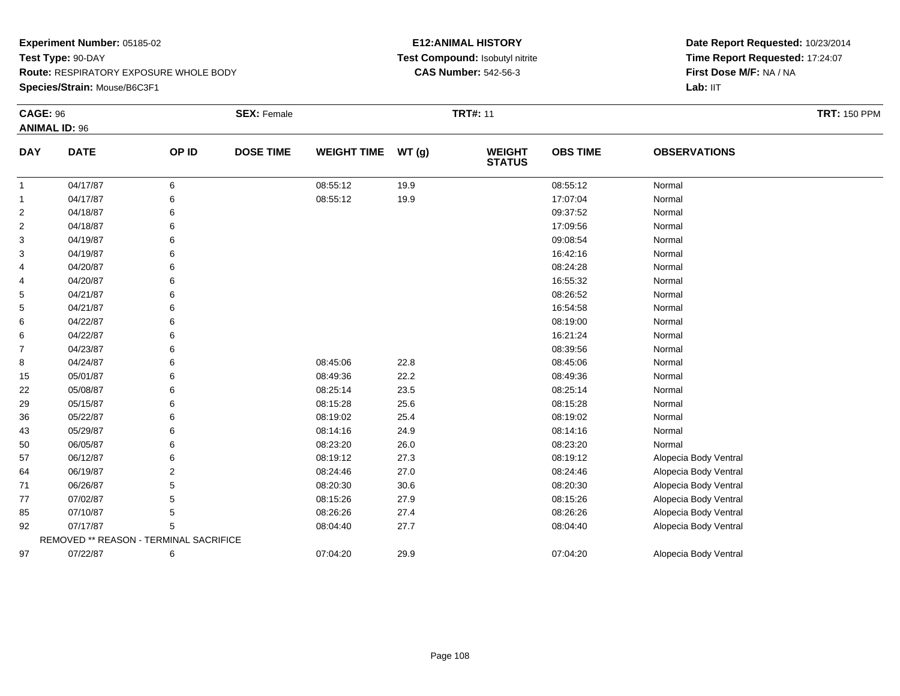### **Species/Strain:** Mouse/B6C3F1

### **E12:ANIMAL HISTORY Test Compound:** Isobutyl nitrite**CAS Number:** 542-56-3

| <b>CAGE: 96</b> |                                        |       | <b>SEX: Female</b> |                    |       | <b>TRT#: 11</b>                |                 |                       | <b>TRT: 150 PPM</b> |
|-----------------|----------------------------------------|-------|--------------------|--------------------|-------|--------------------------------|-----------------|-----------------------|---------------------|
|                 | <b>ANIMAL ID: 96</b>                   |       |                    |                    |       |                                |                 |                       |                     |
| <b>DAY</b>      | <b>DATE</b>                            | OP ID | <b>DOSE TIME</b>   | <b>WEIGHT TIME</b> | WT(g) | <b>WEIGHT</b><br><b>STATUS</b> | <b>OBS TIME</b> | <b>OBSERVATIONS</b>   |                     |
| $\mathbf{1}$    | 04/17/87                               | 6     |                    | 08:55:12           | 19.9  |                                | 08:55:12        | Normal                |                     |
| 1               | 04/17/87                               | 6     |                    | 08:55:12           | 19.9  |                                | 17:07:04        | Normal                |                     |
| 2               | 04/18/87                               | 6     |                    |                    |       |                                | 09:37:52        | Normal                |                     |
| $\overline{2}$  | 04/18/87                               | 6     |                    |                    |       |                                | 17:09:56        | Normal                |                     |
| 3               | 04/19/87                               | 6     |                    |                    |       |                                | 09:08:54        | Normal                |                     |
| 3               | 04/19/87                               |       |                    |                    |       |                                | 16:42:16        | Normal                |                     |
| 4               | 04/20/87                               |       |                    |                    |       |                                | 08:24:28        | Normal                |                     |
| 4               | 04/20/87                               |       |                    |                    |       |                                | 16:55:32        | Normal                |                     |
| 5               | 04/21/87                               | 6     |                    |                    |       |                                | 08:26:52        | Normal                |                     |
| 5               | 04/21/87                               | 6     |                    |                    |       |                                | 16:54:58        | Normal                |                     |
| 6               | 04/22/87                               |       |                    |                    |       |                                | 08:19:00        | Normal                |                     |
| 6               | 04/22/87                               |       |                    |                    |       |                                | 16:21:24        | Normal                |                     |
| $\overline{7}$  | 04/23/87                               |       |                    |                    |       |                                | 08:39:56        | Normal                |                     |
| 8               | 04/24/87                               | 6     |                    | 08:45:06           | 22.8  |                                | 08:45:06        | Normal                |                     |
| 15              | 05/01/87                               | 6     |                    | 08:49:36           | 22.2  |                                | 08:49:36        | Normal                |                     |
| 22              | 05/08/87                               |       |                    | 08:25:14           | 23.5  |                                | 08:25:14        | Normal                |                     |
| 29              | 05/15/87                               |       |                    | 08:15:28           | 25.6  |                                | 08:15:28        | Normal                |                     |
| 36              | 05/22/87                               |       |                    | 08:19:02           | 25.4  |                                | 08:19:02        | Normal                |                     |
| 43              | 05/29/87                               | 6     |                    | 08:14:16           | 24.9  |                                | 08:14:16        | Normal                |                     |
| 50              | 06/05/87                               |       |                    | 08:23:20           | 26.0  |                                | 08:23:20        | Normal                |                     |
| 57              | 06/12/87                               | 6     |                    | 08:19:12           | 27.3  |                                | 08:19:12        | Alopecia Body Ventral |                     |
| 64              | 06/19/87                               |       |                    | 08:24:46           | 27.0  |                                | 08:24:46        | Alopecia Body Ventral |                     |
| 71              | 06/26/87                               | 5     |                    | 08:20:30           | 30.6  |                                | 08:20:30        | Alopecia Body Ventral |                     |
| 77              | 07/02/87                               | 5     |                    | 08:15:26           | 27.9  |                                | 08:15:26        | Alopecia Body Ventral |                     |
| 85              | 07/10/87                               | 5     |                    | 08:26:26           | 27.4  |                                | 08:26:26        | Alopecia Body Ventral |                     |
| 92              | 07/17/87                               | 5     |                    | 08:04:40           | 27.7  |                                | 08:04:40        | Alopecia Body Ventral |                     |
|                 | REMOVED ** REASON - TERMINAL SACRIFICE |       |                    |                    |       |                                |                 |                       |                     |
| 97              | 07/22/87                               | 6     |                    | 07:04:20           | 29.9  |                                | 07:04:20        | Alopecia Body Ventral |                     |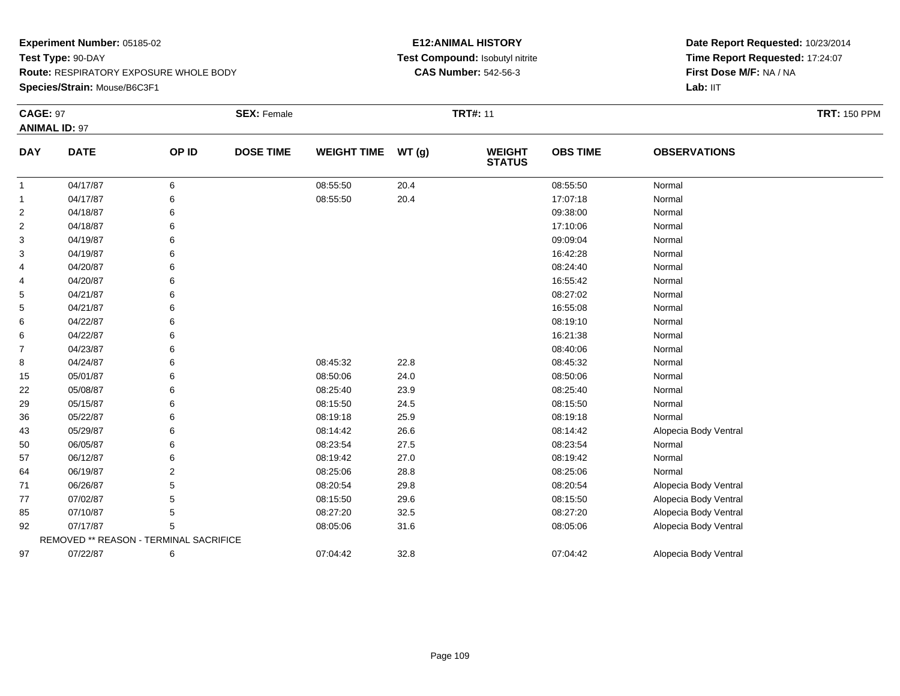**Species/Strain:** Mouse/B6C3F1

#### **E12:ANIMAL HISTORY Test Compound:** Isobutyl nitrite**CAS Number:** 542-56-3

| <b>CAGE: 97</b> | <b>ANIMAL ID: 97</b>                   |       | <b>SEX: Female</b> |                    |       | <b>TRT#: 11</b>                |                 |                       |  |
|-----------------|----------------------------------------|-------|--------------------|--------------------|-------|--------------------------------|-----------------|-----------------------|--|
| <b>DAY</b>      | <b>DATE</b>                            | OP ID | <b>DOSE TIME</b>   | <b>WEIGHT TIME</b> | WT(g) | <b>WEIGHT</b><br><b>STATUS</b> | <b>OBS TIME</b> | <b>OBSERVATIONS</b>   |  |
| $\mathbf{1}$    | 04/17/87                               | 6     |                    | 08:55:50           | 20.4  |                                | 08:55:50        | Normal                |  |
| 1               | 04/17/87                               | 6     |                    | 08:55:50           | 20.4  |                                | 17:07:18        | Normal                |  |
| $\overline{c}$  | 04/18/87                               | 6     |                    |                    |       |                                | 09:38:00        | Normal                |  |
| 2               | 04/18/87                               | 6     |                    |                    |       |                                | 17:10:06        | Normal                |  |
| 3               | 04/19/87                               | 6     |                    |                    |       |                                | 09:09:04        | Normal                |  |
| 3               | 04/19/87                               | 6     |                    |                    |       |                                | 16:42:28        | Normal                |  |
| 4               | 04/20/87                               | 6     |                    |                    |       |                                | 08:24:40        | Normal                |  |
| 4               | 04/20/87                               | 6     |                    |                    |       |                                | 16:55:42        | Normal                |  |
| 5               | 04/21/87                               | 6     |                    |                    |       |                                | 08:27:02        | Normal                |  |
| 5               | 04/21/87                               | 6     |                    |                    |       |                                | 16:55:08        | Normal                |  |
| 6               | 04/22/87                               | 6     |                    |                    |       |                                | 08:19:10        | Normal                |  |
| 6               | 04/22/87                               | 6     |                    |                    |       |                                | 16:21:38        | Normal                |  |
| 7               | 04/23/87                               | 6     |                    |                    |       |                                | 08:40:06        | Normal                |  |
| 8               | 04/24/87                               | 6     |                    | 08:45:32           | 22.8  |                                | 08:45:32        | Normal                |  |
| 15              | 05/01/87                               | 6     |                    | 08:50:06           | 24.0  |                                | 08:50:06        | Normal                |  |
| 22              | 05/08/87                               | 6     |                    | 08:25:40           | 23.9  |                                | 08:25:40        | Normal                |  |
| 29              | 05/15/87                               | 6     |                    | 08:15:50           | 24.5  |                                | 08:15:50        | Normal                |  |
| 36              | 05/22/87                               | 6     |                    | 08:19:18           | 25.9  |                                | 08:19:18        | Normal                |  |
| 43              | 05/29/87                               | 6     |                    | 08:14:42           | 26.6  |                                | 08:14:42        | Alopecia Body Ventral |  |
| 50              | 06/05/87                               | 6     |                    | 08:23:54           | 27.5  |                                | 08:23:54        | Normal                |  |
| 57              | 06/12/87                               | 6     |                    | 08:19:42           | 27.0  |                                | 08:19:42        | Normal                |  |
| 64              | 06/19/87                               | 2     |                    | 08:25:06           | 28.8  |                                | 08:25:06        | Normal                |  |
| 71              | 06/26/87                               | 5     |                    | 08:20:54           | 29.8  |                                | 08:20:54        | Alopecia Body Ventral |  |
| 77              | 07/02/87                               | 5     |                    | 08:15:50           | 29.6  |                                | 08:15:50        | Alopecia Body Ventral |  |
| 85              | 07/10/87                               | 5     |                    | 08:27:20           | 32.5  |                                | 08:27:20        | Alopecia Body Ventral |  |
| 92              | 07/17/87                               | 5     |                    | 08:05:06           | 31.6  |                                | 08:05:06        | Alopecia Body Ventral |  |
|                 | REMOVED ** REASON - TERMINAL SACRIFICE |       |                    |                    |       |                                |                 |                       |  |
| 97              | 07/22/87                               | 6     |                    | 07:04:42           | 32.8  |                                | 07:04:42        | Alopecia Body Ventral |  |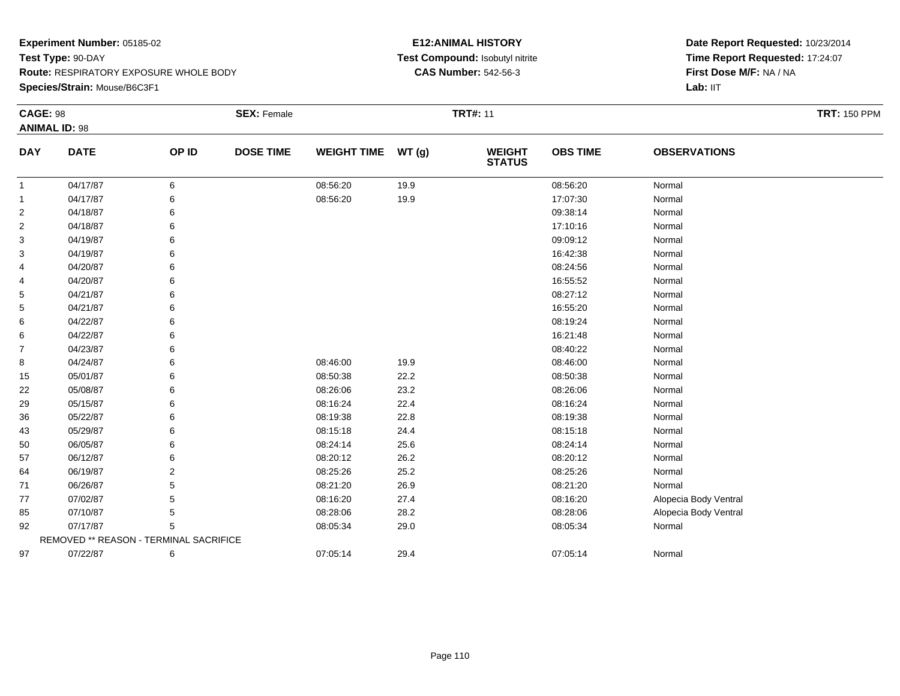#### **Experiment Number:** 05185-02**Test Type:** 90-DAY **Route:** RESPIRATORY EXPOSURE WHOLE BODY**Species/Strain:** Mouse/B6C3F1

#### **E12:ANIMAL HISTORY Test Compound:** Isobutyl nitrite**CAS Number:** 542-56-3

| <b>CAGE: 98</b> | <b>ANIMAL ID: 98</b>                   |       | <b>SEX: Female</b> |                    |       | <b>TRT#: 11</b>                |                 |                       | <b>TRT: 150 PPM</b> |
|-----------------|----------------------------------------|-------|--------------------|--------------------|-------|--------------------------------|-----------------|-----------------------|---------------------|
| <b>DAY</b>      | <b>DATE</b>                            | OP ID | <b>DOSE TIME</b>   | <b>WEIGHT TIME</b> | WT(g) | <b>WEIGHT</b><br><b>STATUS</b> | <b>OBS TIME</b> | <b>OBSERVATIONS</b>   |                     |
| $\mathbf{1}$    | 04/17/87                               | 6     |                    | 08:56:20           | 19.9  |                                | 08:56:20        | Normal                |                     |
| 1               | 04/17/87                               | 6     |                    | 08:56:20           | 19.9  |                                | 17:07:30        | Normal                |                     |
| 2               | 04/18/87                               | 6     |                    |                    |       |                                | 09:38:14        | Normal                |                     |
| 2               | 04/18/87                               | 6     |                    |                    |       |                                | 17:10:16        | Normal                |                     |
| 3               | 04/19/87                               | 6     |                    |                    |       |                                | 09:09:12        | Normal                |                     |
| 3               | 04/19/87                               | 6     |                    |                    |       |                                | 16:42:38        | Normal                |                     |
| 4               | 04/20/87                               | 6     |                    |                    |       |                                | 08:24:56        | Normal                |                     |
| 4               | 04/20/87                               | 6     |                    |                    |       |                                | 16:55:52        | Normal                |                     |
| 5               | 04/21/87                               | 6     |                    |                    |       |                                | 08:27:12        | Normal                |                     |
| 5               | 04/21/87                               | 6     |                    |                    |       |                                | 16:55:20        | Normal                |                     |
| 6               | 04/22/87                               |       |                    |                    |       |                                | 08:19:24        | Normal                |                     |
| 6               | 04/22/87                               | 6     |                    |                    |       |                                | 16:21:48        | Normal                |                     |
| $\overline{7}$  | 04/23/87                               | 6     |                    |                    |       |                                | 08:40:22        | Normal                |                     |
| 8               | 04/24/87                               | 6     |                    | 08:46:00           | 19.9  |                                | 08:46:00        | Normal                |                     |
| 15              | 05/01/87                               |       |                    | 08:50:38           | 22.2  |                                | 08:50:38        | Normal                |                     |
| 22              | 05/08/87                               | 6     |                    | 08:26:06           | 23.2  |                                | 08:26:06        | Normal                |                     |
| 29              | 05/15/87                               | 6     |                    | 08:16:24           | 22.4  |                                | 08:16:24        | Normal                |                     |
| 36              | 05/22/87                               | 6     |                    | 08:19:38           | 22.8  |                                | 08:19:38        | Normal                |                     |
| 43              | 05/29/87                               |       |                    | 08:15:18           | 24.4  |                                | 08:15:18        | Normal                |                     |
| 50              | 06/05/87                               | 6     |                    | 08:24:14           | 25.6  |                                | 08:24:14        | Normal                |                     |
| 57              | 06/12/87                               | 6     |                    | 08:20:12           | 26.2  |                                | 08:20:12        | Normal                |                     |
| 64              | 06/19/87                               | 2     |                    | 08:25:26           | 25.2  |                                | 08:25:26        | Normal                |                     |
| 71              | 06/26/87                               | 5     |                    | 08:21:20           | 26.9  |                                | 08:21:20        | Normal                |                     |
| 77              | 07/02/87                               | 5     |                    | 08:16:20           | 27.4  |                                | 08:16:20        | Alopecia Body Ventral |                     |
| 85              | 07/10/87                               | 5     |                    | 08:28:06           | 28.2  |                                | 08:28:06        | Alopecia Body Ventral |                     |
| 92              | 07/17/87                               | 5     |                    | 08:05:34           | 29.0  |                                | 08:05:34        | Normal                |                     |
|                 | REMOVED ** REASON - TERMINAL SACRIFICE |       |                    |                    |       |                                |                 |                       |                     |
| 97              | 07/22/87                               | 6     |                    | 07:05:14           | 29.4  |                                | 07:05:14        | Normal                |                     |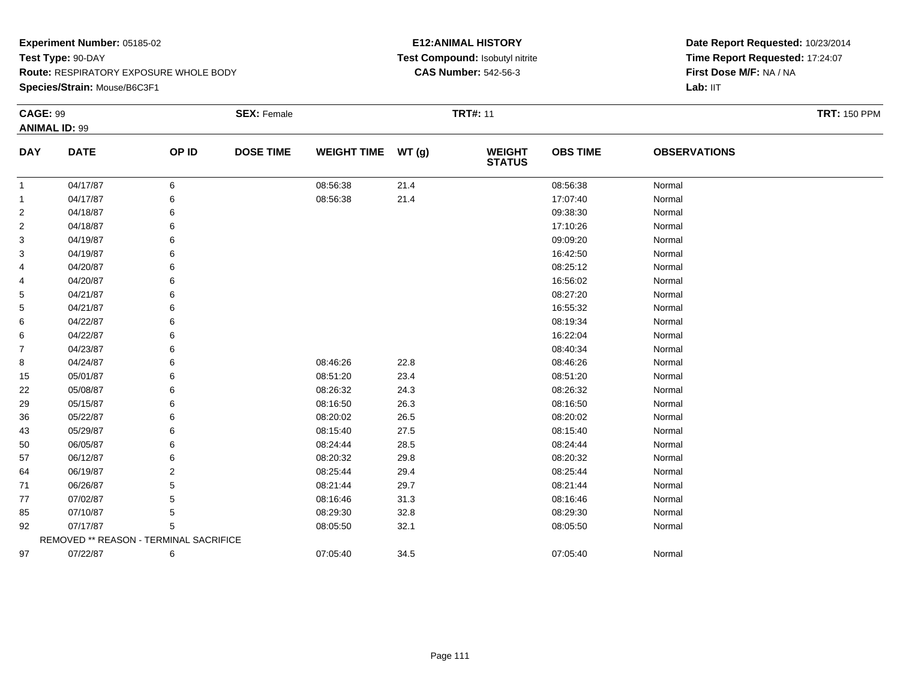**Species/Strain:** Mouse/B6C3F1

#### **E12:ANIMAL HISTORY Test Compound:** Isobutyl nitrite**CAS Number:** 542-56-3

| <b>CAGE: 99</b> | <b>ANIMAL ID: 99</b>                   |       | <b>SEX: Female</b> |                    |       | <b>TRT#: 11</b>                |                 |                     | <b>TRT: 150 PPM</b> |
|-----------------|----------------------------------------|-------|--------------------|--------------------|-------|--------------------------------|-----------------|---------------------|---------------------|
|                 |                                        |       |                    |                    |       |                                |                 |                     |                     |
| <b>DAY</b>      | <b>DATE</b>                            | OP ID | <b>DOSE TIME</b>   | <b>WEIGHT TIME</b> | WT(g) | <b>WEIGHT</b><br><b>STATUS</b> | <b>OBS TIME</b> | <b>OBSERVATIONS</b> |                     |
| $\mathbf{1}$    | 04/17/87                               | 6     |                    | 08:56:38           | 21.4  |                                | 08:56:38        | Normal              |                     |
| $\mathbf{1}$    | 04/17/87                               |       |                    | 08:56:38           | 21.4  |                                | 17:07:40        | Normal              |                     |
| $\overline{2}$  | 04/18/87                               | 6     |                    |                    |       |                                | 09:38:30        | Normal              |                     |
| $\overline{2}$  | 04/18/87                               | 6     |                    |                    |       |                                | 17:10:26        | Normal              |                     |
| 3               | 04/19/87                               | 6     |                    |                    |       |                                | 09:09:20        | Normal              |                     |
| 3               | 04/19/87                               |       |                    |                    |       |                                | 16:42:50        | Normal              |                     |
| 4               | 04/20/87                               | 6     |                    |                    |       |                                | 08:25:12        | Normal              |                     |
| 4               | 04/20/87                               | 6     |                    |                    |       |                                | 16:56:02        | Normal              |                     |
| 5               | 04/21/87                               | 6     |                    |                    |       |                                | 08:27:20        | Normal              |                     |
| 5               | 04/21/87                               |       |                    |                    |       |                                | 16:55:32        | Normal              |                     |
| 6               | 04/22/87                               |       |                    |                    |       |                                | 08:19:34        | Normal              |                     |
| 6               | 04/22/87                               | 6     |                    |                    |       |                                | 16:22:04        | Normal              |                     |
| 7               | 04/23/87                               | 6     |                    |                    |       |                                | 08:40:34        | Normal              |                     |
| 8               | 04/24/87                               |       |                    | 08:46:26           | 22.8  |                                | 08:46:26        | Normal              |                     |
| 15              | 05/01/87                               |       |                    | 08:51:20           | 23.4  |                                | 08:51:20        | Normal              |                     |
| 22              | 05/08/87                               | 6     |                    | 08:26:32           | 24.3  |                                | 08:26:32        | Normal              |                     |
| 29              | 05/15/87                               | 6     |                    | 08:16:50           | 26.3  |                                | 08:16:50        | Normal              |                     |
| 36              | 05/22/87                               |       |                    | 08:20:02           | 26.5  |                                | 08:20:02        | Normal              |                     |
| 43              | 05/29/87                               |       |                    | 08:15:40           | 27.5  |                                | 08:15:40        | Normal              |                     |
| 50              | 06/05/87                               | 6     |                    | 08:24:44           | 28.5  |                                | 08:24:44        | Normal              |                     |
| 57              | 06/12/87                               | 6     |                    | 08:20:32           | 29.8  |                                | 08:20:32        | Normal              |                     |
| 64              | 06/19/87                               | 2     |                    | 08:25:44           | 29.4  |                                | 08:25:44        | Normal              |                     |
| 71              | 06/26/87                               |       |                    | 08:21:44           | 29.7  |                                | 08:21:44        | Normal              |                     |
| 77              | 07/02/87                               | 5     |                    | 08:16:46           | 31.3  |                                | 08:16:46        | Normal              |                     |
| 85              | 07/10/87                               | 5     |                    | 08:29:30           | 32.8  |                                | 08:29:30        | Normal              |                     |
| 92              | 07/17/87                               | 5     |                    | 08:05:50           | 32.1  |                                | 08:05:50        | Normal              |                     |
|                 | REMOVED ** REASON - TERMINAL SACRIFICE |       |                    |                    |       |                                |                 |                     |                     |
| 97              | 07/22/87                               | 6     |                    | 07:05:40           | 34.5  |                                | 07:05:40        | Normal              |                     |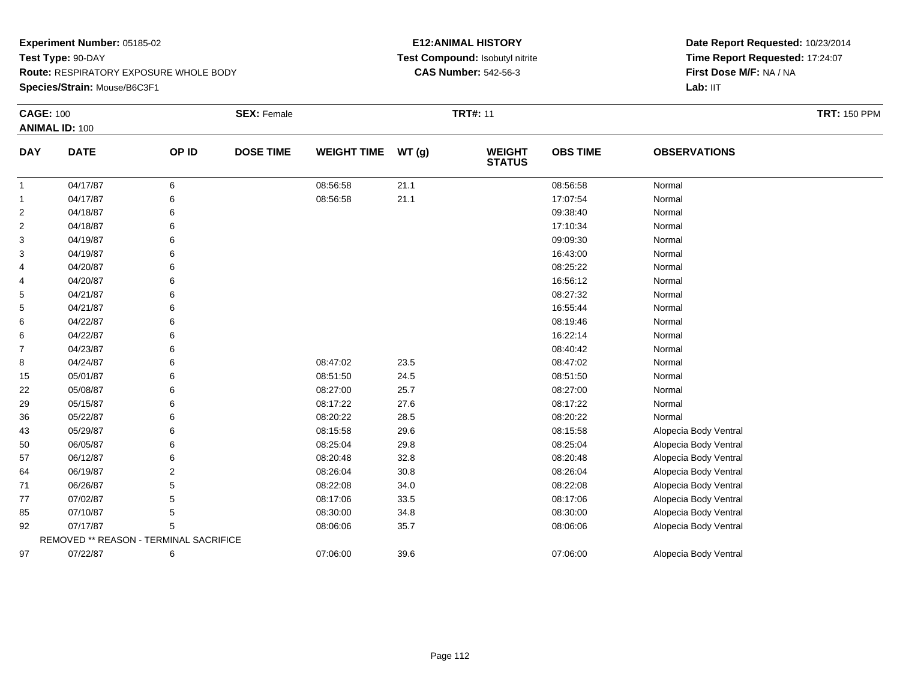**Species/Strain:** Mouse/B6C3F1

#### **E12:ANIMAL HISTORY Test Compound:** Isobutyl nitrite**CAS Number:** 542-56-3

| <b>CAGE: 100</b> |                                        |       | <b>SEX: Female</b> |                    |       | <b>TRT#: 11</b>                |                 |                       | <b>TRT: 150 PPM</b> |
|------------------|----------------------------------------|-------|--------------------|--------------------|-------|--------------------------------|-----------------|-----------------------|---------------------|
|                  | <b>ANIMAL ID: 100</b>                  |       |                    |                    |       |                                |                 |                       |                     |
| <b>DAY</b>       | <b>DATE</b>                            | OP ID | <b>DOSE TIME</b>   | <b>WEIGHT TIME</b> | WT(g) | <b>WEIGHT</b><br><b>STATUS</b> | <b>OBS TIME</b> | <b>OBSERVATIONS</b>   |                     |
| $\mathbf{1}$     | 04/17/87                               | 6     |                    | 08:56:58           | 21.1  |                                | 08:56:58        | Normal                |                     |
| 1                | 04/17/87                               | 6     |                    | 08:56:58           | 21.1  |                                | 17:07:54        | Normal                |                     |
| 2                | 04/18/87                               | 6     |                    |                    |       |                                | 09:38:40        | Normal                |                     |
| $\overline{2}$   | 04/18/87                               | 6     |                    |                    |       |                                | 17:10:34        | Normal                |                     |
| 3                | 04/19/87                               | 6     |                    |                    |       |                                | 09:09:30        | Normal                |                     |
| 3                | 04/19/87                               |       |                    |                    |       |                                | 16:43:00        | Normal                |                     |
| 4                | 04/20/87                               |       |                    |                    |       |                                | 08:25:22        | Normal                |                     |
| 4                | 04/20/87                               |       |                    |                    |       |                                | 16:56:12        | Normal                |                     |
| 5                | 04/21/87                               | 6     |                    |                    |       |                                | 08:27:32        | Normal                |                     |
| 5                | 04/21/87                               | 6     |                    |                    |       |                                | 16:55:44        | Normal                |                     |
| 6                | 04/22/87                               |       |                    |                    |       |                                | 08:19:46        | Normal                |                     |
| 6                | 04/22/87                               |       |                    |                    |       |                                | 16:22:14        | Normal                |                     |
| $\overline{7}$   | 04/23/87                               |       |                    |                    |       |                                | 08:40:42        | Normal                |                     |
| 8                | 04/24/87                               | 6     |                    | 08:47:02           | 23.5  |                                | 08:47:02        | Normal                |                     |
| 15               | 05/01/87                               | 6     |                    | 08:51:50           | 24.5  |                                | 08:51:50        | Normal                |                     |
| 22               | 05/08/87                               |       |                    | 08:27:00           | 25.7  |                                | 08:27:00        | Normal                |                     |
| 29               | 05/15/87                               |       |                    | 08:17:22           | 27.6  |                                | 08:17:22        | Normal                |                     |
| 36               | 05/22/87                               |       |                    | 08:20:22           | 28.5  |                                | 08:20:22        | Normal                |                     |
| 43               | 05/29/87                               | 6     |                    | 08:15:58           | 29.6  |                                | 08:15:58        | Alopecia Body Ventral |                     |
| 50               | 06/05/87                               |       |                    | 08:25:04           | 29.8  |                                | 08:25:04        | Alopecia Body Ventral |                     |
| 57               | 06/12/87                               | 6     |                    | 08:20:48           | 32.8  |                                | 08:20:48        | Alopecia Body Ventral |                     |
| 64               | 06/19/87                               |       |                    | 08:26:04           | 30.8  |                                | 08:26:04        | Alopecia Body Ventral |                     |
| 71               | 06/26/87                               | 5     |                    | 08:22:08           | 34.0  |                                | 08:22:08        | Alopecia Body Ventral |                     |
| 77               | 07/02/87                               | 5     |                    | 08:17:06           | 33.5  |                                | 08:17:06        | Alopecia Body Ventral |                     |
| 85               | 07/10/87                               | 5     |                    | 08:30:00           | 34.8  |                                | 08:30:00        | Alopecia Body Ventral |                     |
| 92               | 07/17/87                               | 5     |                    | 08:06:06           | 35.7  |                                | 08:06:06        | Alopecia Body Ventral |                     |
|                  | REMOVED ** REASON - TERMINAL SACRIFICE |       |                    |                    |       |                                |                 |                       |                     |
| 97               | 07/22/87                               | 6     |                    | 07:06:00           | 39.6  |                                | 07:06:00        | Alopecia Body Ventral |                     |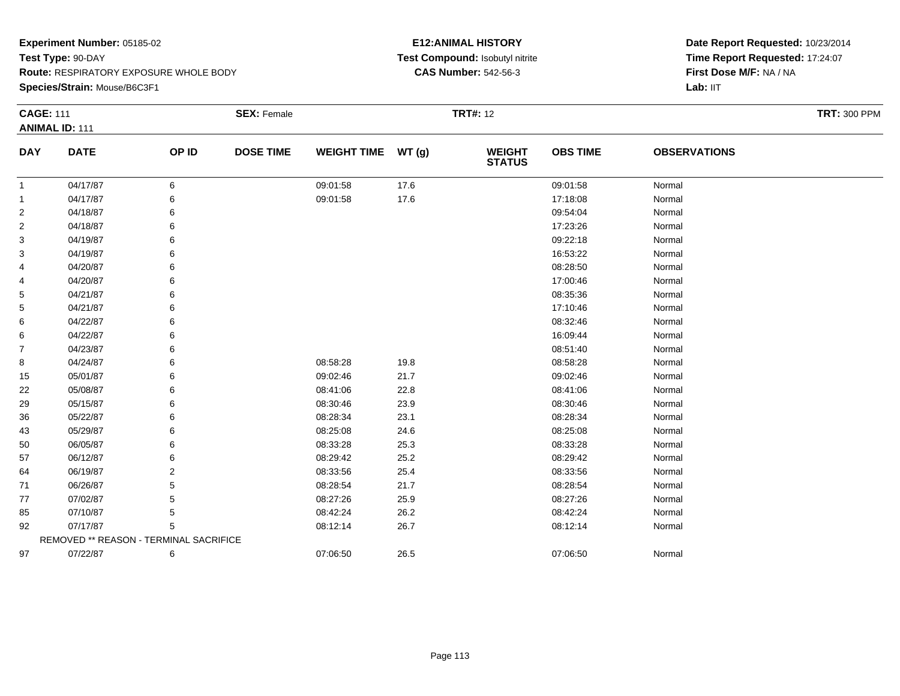**Species/Strain:** Mouse/B6C3F1

#### **E12:ANIMAL HISTORY Test Compound:** Isobutyl nitrite**CAS Number:** 542-56-3

| <b>CAGE: 111</b> |                                        |       | <b>SEX: Female</b> |                    |       | <b>TRT#: 12</b>                |                 |                     | <b>TRT: 300 PPM</b> |
|------------------|----------------------------------------|-------|--------------------|--------------------|-------|--------------------------------|-----------------|---------------------|---------------------|
|                  | <b>ANIMAL ID: 111</b>                  |       |                    |                    |       |                                |                 |                     |                     |
| <b>DAY</b>       | <b>DATE</b>                            | OP ID | <b>DOSE TIME</b>   | <b>WEIGHT TIME</b> | WT(g) | <b>WEIGHT</b><br><b>STATUS</b> | <b>OBS TIME</b> | <b>OBSERVATIONS</b> |                     |
| $\mathbf{1}$     | 04/17/87                               | 6     |                    | 09:01:58           | 17.6  |                                | 09:01:58        | Normal              |                     |
| $\mathbf{1}$     | 04/17/87                               | 6     |                    | 09:01:58           | 17.6  |                                | 17:18:08        | Normal              |                     |
| 2                | 04/18/87                               | 6     |                    |                    |       |                                | 09:54:04        | Normal              |                     |
| 2                | 04/18/87                               |       |                    |                    |       |                                | 17:23:26        | Normal              |                     |
| 3                | 04/19/87                               |       |                    |                    |       |                                | 09:22:18        | Normal              |                     |
| 3                | 04/19/87                               |       |                    |                    |       |                                | 16:53:22        | Normal              |                     |
| 4                | 04/20/87                               |       |                    |                    |       |                                | 08:28:50        | Normal              |                     |
| 4                | 04/20/87                               |       |                    |                    |       |                                | 17:00:46        | Normal              |                     |
| 5                | 04/21/87                               |       |                    |                    |       |                                | 08:35:36        | Normal              |                     |
| 5                | 04/21/87                               |       |                    |                    |       |                                | 17:10:46        | Normal              |                     |
| 6                | 04/22/87                               |       |                    |                    |       |                                | 08:32:46        | Normal              |                     |
| 6                | 04/22/87                               |       |                    |                    |       |                                | 16:09:44        | Normal              |                     |
| 7                | 04/23/87                               |       |                    |                    |       |                                | 08:51:40        | Normal              |                     |
| 8                | 04/24/87                               |       |                    | 08:58:28           | 19.8  |                                | 08:58:28        | Normal              |                     |
| 15               | 05/01/87                               | 6     |                    | 09:02:46           | 21.7  |                                | 09:02:46        | Normal              |                     |
| 22               | 05/08/87                               | 6     |                    | 08:41:06           | 22.8  |                                | 08:41:06        | Normal              |                     |
| 29               | 05/15/87                               |       |                    | 08:30:46           | 23.9  |                                | 08:30:46        | Normal              |                     |
| 36               | 05/22/87                               |       |                    | 08:28:34           | 23.1  |                                | 08:28:34        | Normal              |                     |
| 43               | 05/29/87                               |       |                    | 08:25:08           | 24.6  |                                | 08:25:08        | Normal              |                     |
| 50               | 06/05/87                               | 6     |                    | 08:33:28           | 25.3  |                                | 08:33:28        | Normal              |                     |
| 57               | 06/12/87                               |       |                    | 08:29:42           | 25.2  |                                | 08:29:42        | Normal              |                     |
| 64               | 06/19/87                               | 2     |                    | 08:33:56           | 25.4  |                                | 08:33:56        | Normal              |                     |
| 71               | 06/26/87                               |       |                    | 08:28:54           | 21.7  |                                | 08:28:54        | Normal              |                     |
| 77               | 07/02/87                               |       |                    | 08:27:26           | 25.9  |                                | 08:27:26        | Normal              |                     |
| 85               | 07/10/87                               |       |                    | 08:42:24           | 26.2  |                                | 08:42:24        | Normal              |                     |
| 92               | 07/17/87                               | 5     |                    | 08:12:14           | 26.7  |                                | 08:12:14        | Normal              |                     |
|                  | REMOVED ** REASON - TERMINAL SACRIFICE |       |                    |                    |       |                                |                 |                     |                     |
| 97               | 07/22/87                               | 6     |                    | 07:06:50           | 26.5  |                                | 07:06:50        | Normal              |                     |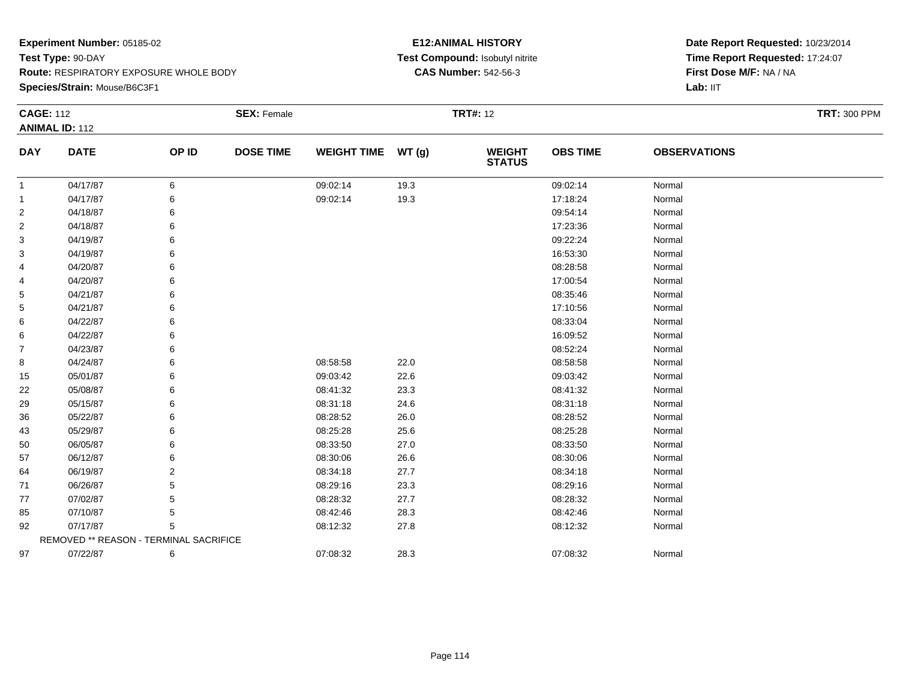**Species/Strain:** Mouse/B6C3F1

#### **E12:ANIMAL HISTORY Test Compound:** Isobutyl nitrite**CAS Number:** 542-56-3

| <b>CAGE: 112</b> | <b>ANIMAL ID: 112</b>                  |       | <b>SEX: Female</b> |                    |       | <b>TRT#: 12</b> |                 |                     | <b>TRT: 300 PPM</b> |
|------------------|----------------------------------------|-------|--------------------|--------------------|-------|-----------------|-----------------|---------------------|---------------------|
| <b>DAY</b>       | <b>DATE</b>                            | OP ID | <b>DOSE TIME</b>   | <b>WEIGHT TIME</b> | WT(g) | <b>WEIGHT</b>   | <b>OBS TIME</b> | <b>OBSERVATIONS</b> |                     |
|                  |                                        |       |                    |                    |       | <b>STATUS</b>   |                 |                     |                     |
| $\mathbf{1}$     | 04/17/87                               | 6     |                    | 09:02:14           | 19.3  |                 | 09:02:14        | Normal              |                     |
| -1               | 04/17/87                               | 6     |                    | 09:02:14           | 19.3  |                 | 17:18:24        | Normal              |                     |
| 2                | 04/18/87                               | 6     |                    |                    |       |                 | 09:54:14        | Normal              |                     |
| $\overline{c}$   | 04/18/87                               | 6     |                    |                    |       |                 | 17:23:36        | Normal              |                     |
| 3                | 04/19/87                               | 6     |                    |                    |       |                 | 09:22:24        | Normal              |                     |
| 3                | 04/19/87                               | 6     |                    |                    |       |                 | 16:53:30        | Normal              |                     |
| 4                | 04/20/87                               | 6     |                    |                    |       |                 | 08:28:58        | Normal              |                     |
| 4                | 04/20/87                               | 6     |                    |                    |       |                 | 17:00:54        | Normal              |                     |
| 5                | 04/21/87                               | 6     |                    |                    |       |                 | 08:35:46        | Normal              |                     |
| 5                | 04/21/87                               | 6     |                    |                    |       |                 | 17:10:56        | Normal              |                     |
| 6                | 04/22/87                               | 6     |                    |                    |       |                 | 08:33:04        | Normal              |                     |
| 6                | 04/22/87                               | 6     |                    |                    |       |                 | 16:09:52        | Normal              |                     |
| $\overline{7}$   | 04/23/87                               | 6     |                    |                    |       |                 | 08:52:24        | Normal              |                     |
| 8                | 04/24/87                               | 6     |                    | 08:58:58           | 22.0  |                 | 08:58:58        | Normal              |                     |
| 15               | 05/01/87                               | 6     |                    | 09:03:42           | 22.6  |                 | 09:03:42        | Normal              |                     |
| 22               | 05/08/87                               | 6     |                    | 08:41:32           | 23.3  |                 | 08:41:32        | Normal              |                     |
| 29               | 05/15/87                               | 6     |                    | 08:31:18           | 24.6  |                 | 08:31:18        | Normal              |                     |
| 36               | 05/22/87                               | 6     |                    | 08:28:52           | 26.0  |                 | 08:28:52        | Normal              |                     |
| 43               | 05/29/87                               | 6     |                    | 08:25:28           | 25.6  |                 | 08:25:28        | Normal              |                     |
| 50               | 06/05/87                               | 6     |                    | 08:33:50           | 27.0  |                 | 08:33:50        | Normal              |                     |
| 57               | 06/12/87                               | 6     |                    | 08:30:06           | 26.6  |                 | 08:30:06        | Normal              |                     |
| 64               | 06/19/87                               | 2     |                    | 08:34:18           | 27.7  |                 | 08:34:18        | Normal              |                     |
| 71               | 06/26/87                               | 5     |                    | 08:29:16           | 23.3  |                 | 08:29:16        | Normal              |                     |
| 77               | 07/02/87                               | 5     |                    | 08:28:32           | 27.7  |                 | 08:28:32        | Normal              |                     |
| 85               | 07/10/87                               | 5     |                    | 08:42:46           | 28.3  |                 | 08:42:46        | Normal              |                     |
| 92               | 07/17/87                               | 5     |                    | 08:12:32           | 27.8  |                 | 08:12:32        | Normal              |                     |
|                  | REMOVED ** REASON - TERMINAL SACRIFICE |       |                    |                    |       |                 |                 |                     |                     |
| 97               | 07/22/87                               | 6     |                    | 07:08:32           | 28.3  |                 | 07:08:32        | Normal              |                     |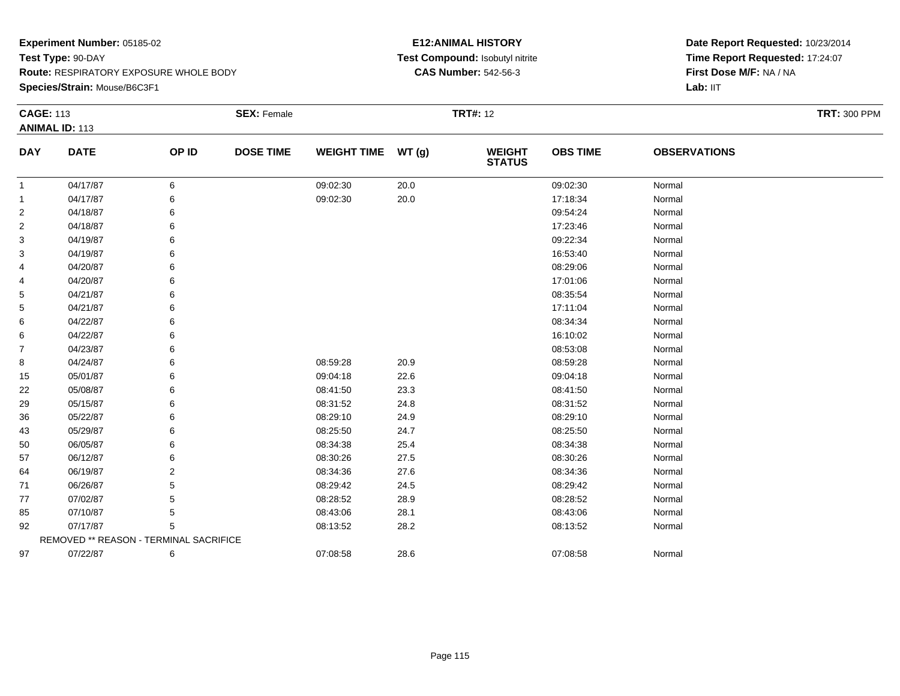**Species/Strain:** Mouse/B6C3F1

#### **E12:ANIMAL HISTORY Test Compound:** Isobutyl nitrite**CAS Number:** 542-56-3

| <b>CAGE: 113</b> |                                        |       | <b>SEX: Female</b> |                    |       | <b>TRT#: 12</b>                |                 |                     | <b>TRT: 300 PPM</b> |
|------------------|----------------------------------------|-------|--------------------|--------------------|-------|--------------------------------|-----------------|---------------------|---------------------|
|                  | <b>ANIMAL ID: 113</b>                  |       |                    |                    |       |                                |                 |                     |                     |
| <b>DAY</b>       | <b>DATE</b>                            | OP ID | <b>DOSE TIME</b>   | <b>WEIGHT TIME</b> | WT(g) | <b>WEIGHT</b><br><b>STATUS</b> | <b>OBS TIME</b> | <b>OBSERVATIONS</b> |                     |
| $\mathbf{1}$     | 04/17/87                               | 6     |                    | 09:02:30           | 20.0  |                                | 09:02:30        | Normal              |                     |
| $\mathbf{1}$     | 04/17/87                               | 6     |                    | 09:02:30           | 20.0  |                                | 17:18:34        | Normal              |                     |
| $\overline{2}$   | 04/18/87                               | 6     |                    |                    |       |                                | 09:54:24        | Normal              |                     |
| $\overline{2}$   | 04/18/87                               | 6     |                    |                    |       |                                | 17:23:46        | Normal              |                     |
| 3                | 04/19/87                               |       |                    |                    |       |                                | 09:22:34        | Normal              |                     |
| 3                | 04/19/87                               |       |                    |                    |       |                                | 16:53:40        | Normal              |                     |
| 4                | 04/20/87                               |       |                    |                    |       |                                | 08:29:06        | Normal              |                     |
| 4                | 04/20/87                               |       |                    |                    |       |                                | 17:01:06        | Normal              |                     |
| 5                | 04/21/87                               |       |                    |                    |       |                                | 08:35:54        | Normal              |                     |
| 5                | 04/21/87                               |       |                    |                    |       |                                | 17:11:04        | Normal              |                     |
| 6                | 04/22/87                               |       |                    |                    |       |                                | 08:34:34        | Normal              |                     |
| 6                | 04/22/87                               |       |                    |                    |       |                                | 16:10:02        | Normal              |                     |
| 7                | 04/23/87                               |       |                    |                    |       |                                | 08:53:08        | Normal              |                     |
| 8                | 04/24/87                               |       |                    | 08:59:28           | 20.9  |                                | 08:59:28        | Normal              |                     |
| 15               | 05/01/87                               |       |                    | 09:04:18           | 22.6  |                                | 09:04:18        | Normal              |                     |
| 22               | 05/08/87                               |       |                    | 08:41:50           | 23.3  |                                | 08:41:50        | Normal              |                     |
| 29               | 05/15/87                               |       |                    | 08:31:52           | 24.8  |                                | 08:31:52        | Normal              |                     |
| 36               | 05/22/87                               |       |                    | 08:29:10           | 24.9  |                                | 08:29:10        | Normal              |                     |
| 43               | 05/29/87                               |       |                    | 08:25:50           | 24.7  |                                | 08:25:50        | Normal              |                     |
| 50               | 06/05/87                               |       |                    | 08:34:38           | 25.4  |                                | 08:34:38        | Normal              |                     |
| 57               | 06/12/87                               |       |                    | 08:30:26           | 27.5  |                                | 08:30:26        | Normal              |                     |
| 64               | 06/19/87                               | 2     |                    | 08:34:36           | 27.6  |                                | 08:34:36        | Normal              |                     |
| 71               | 06/26/87                               |       |                    | 08:29:42           | 24.5  |                                | 08:29:42        | Normal              |                     |
| 77               | 07/02/87                               |       |                    | 08:28:52           | 28.9  |                                | 08:28:52        | Normal              |                     |
| 85               | 07/10/87                               | 5     |                    | 08:43:06           | 28.1  |                                | 08:43:06        | Normal              |                     |
| 92               | 07/17/87                               | 5     |                    | 08:13:52           | 28.2  |                                | 08:13:52        | Normal              |                     |
|                  | REMOVED ** REASON - TERMINAL SACRIFICE |       |                    |                    |       |                                |                 |                     |                     |
| 97               | 07/22/87                               | 6     |                    | 07:08:58           | 28.6  |                                | 07:08:58        | Normal              |                     |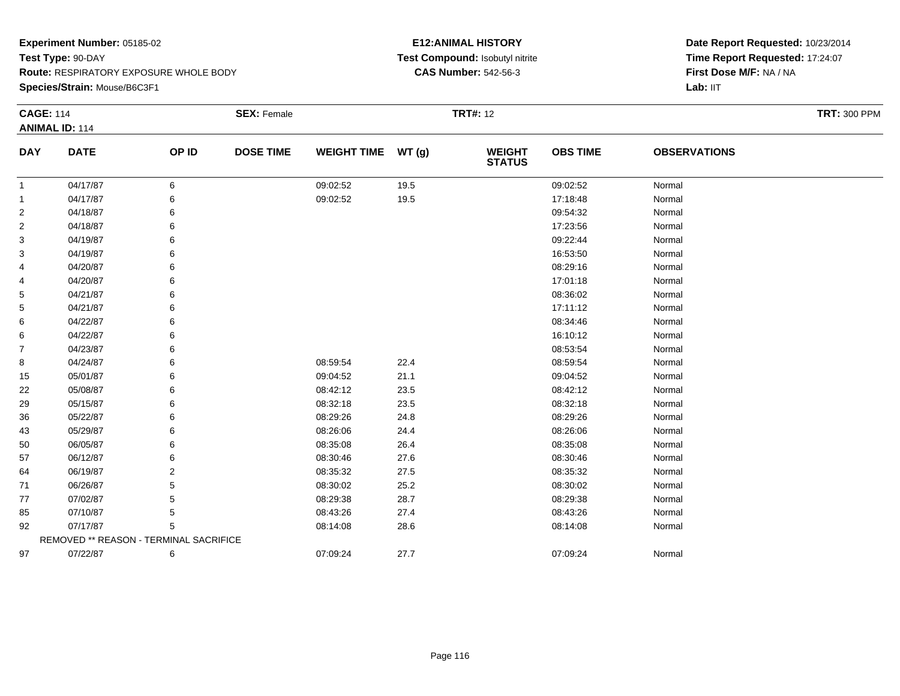**Species/Strain:** Mouse/B6C3F1

#### **E12:ANIMAL HISTORY Test Compound:** Isobutyl nitrite**CAS Number:** 542-56-3

| <b>CAGE: 114</b> |                                        |       | <b>SEX: Female</b> |                    |       | <b>TRT#: 12</b>                |                 |                     | <b>TRT: 300 PPM</b> |
|------------------|----------------------------------------|-------|--------------------|--------------------|-------|--------------------------------|-----------------|---------------------|---------------------|
|                  | <b>ANIMAL ID: 114</b>                  |       |                    |                    |       |                                |                 |                     |                     |
| <b>DAY</b>       | <b>DATE</b>                            | OP ID | <b>DOSE TIME</b>   | <b>WEIGHT TIME</b> | WT(g) | <b>WEIGHT</b><br><b>STATUS</b> | <b>OBS TIME</b> | <b>OBSERVATIONS</b> |                     |
| $\mathbf{1}$     | 04/17/87                               | 6     |                    | 09:02:52           | 19.5  |                                | 09:02:52        | Normal              |                     |
| $\mathbf{1}$     | 04/17/87                               | 6     |                    | 09:02:52           | 19.5  |                                | 17:18:48        | Normal              |                     |
| 2                | 04/18/87                               | 6     |                    |                    |       |                                | 09:54:32        | Normal              |                     |
| 2                | 04/18/87                               |       |                    |                    |       |                                | 17:23:56        | Normal              |                     |
| 3                | 04/19/87                               |       |                    |                    |       |                                | 09:22:44        | Normal              |                     |
| 3                | 04/19/87                               |       |                    |                    |       |                                | 16:53:50        | Normal              |                     |
| 4                | 04/20/87                               |       |                    |                    |       |                                | 08:29:16        | Normal              |                     |
| 4                | 04/20/87                               |       |                    |                    |       |                                | 17:01:18        | Normal              |                     |
| 5                | 04/21/87                               |       |                    |                    |       |                                | 08:36:02        | Normal              |                     |
| 5                | 04/21/87                               |       |                    |                    |       |                                | 17:11:12        | Normal              |                     |
| 6                | 04/22/87                               |       |                    |                    |       |                                | 08:34:46        | Normal              |                     |
| 6                | 04/22/87                               |       |                    |                    |       |                                | 16:10:12        | Normal              |                     |
| 7                | 04/23/87                               |       |                    |                    |       |                                | 08:53:54        | Normal              |                     |
| 8                | 04/24/87                               |       |                    | 08:59:54           | 22.4  |                                | 08:59:54        | Normal              |                     |
| 15               | 05/01/87                               |       |                    | 09:04:52           | 21.1  |                                | 09:04:52        | Normal              |                     |
| 22               | 05/08/87                               |       |                    | 08:42:12           | 23.5  |                                | 08:42:12        | Normal              |                     |
| 29               | 05/15/87                               |       |                    | 08:32:18           | 23.5  |                                | 08:32:18        | Normal              |                     |
| 36               | 05/22/87                               |       |                    | 08:29:26           | 24.8  |                                | 08:29:26        | Normal              |                     |
| 43               | 05/29/87                               |       |                    | 08:26:06           | 24.4  |                                | 08:26:06        | Normal              |                     |
| 50               | 06/05/87                               |       |                    | 08:35:08           | 26.4  |                                | 08:35:08        | Normal              |                     |
| 57               | 06/12/87                               |       |                    | 08:30:46           | 27.6  |                                | 08:30:46        | Normal              |                     |
| 64               | 06/19/87                               | 2     |                    | 08:35:32           | 27.5  |                                | 08:35:32        | Normal              |                     |
| 71               | 06/26/87                               |       |                    | 08:30:02           | 25.2  |                                | 08:30:02        | Normal              |                     |
| 77               | 07/02/87                               |       |                    | 08:29:38           | 28.7  |                                | 08:29:38        | Normal              |                     |
| 85               | 07/10/87                               |       |                    | 08:43:26           | 27.4  |                                | 08:43:26        | Normal              |                     |
| 92               | 07/17/87                               | 5     |                    | 08:14:08           | 28.6  |                                | 08:14:08        | Normal              |                     |
|                  | REMOVED ** REASON - TERMINAL SACRIFICE |       |                    |                    |       |                                |                 |                     |                     |
| 97               | 07/22/87                               | 6     |                    | 07:09:24           | 27.7  |                                | 07:09:24        | Normal              |                     |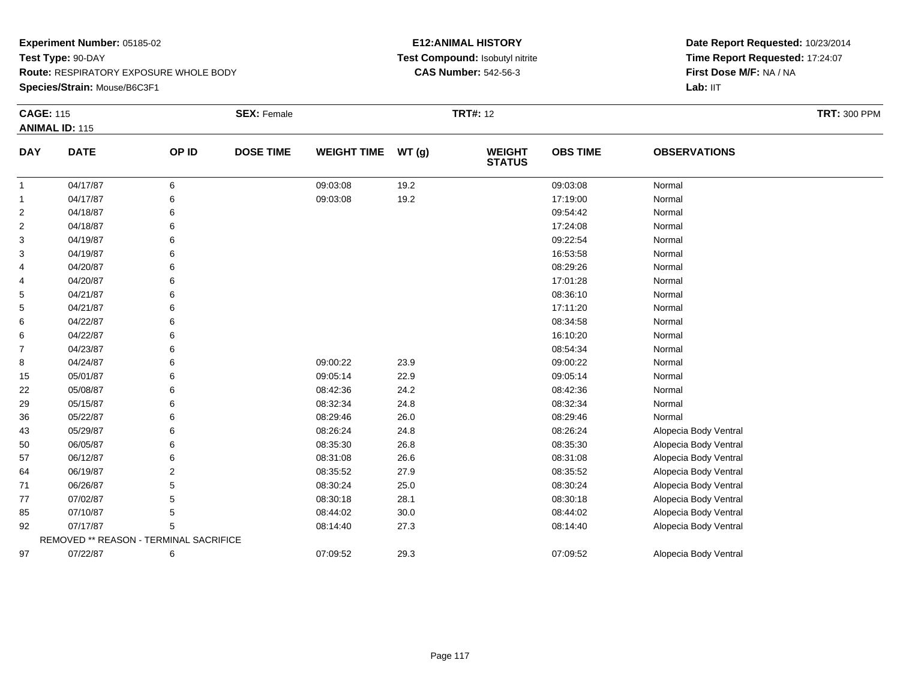**Species/Strain:** Mouse/B6C3F1

#### **E12:ANIMAL HISTORY Test Compound:** Isobutyl nitrite**CAS Number:** 542-56-3

| <b>CAGE: 115</b> |                                        |       | <b>SEX: Female</b> |                    |          | <b>TRT#: 12</b>                |                 |                       | <b>TRT: 300 PPM</b> |
|------------------|----------------------------------------|-------|--------------------|--------------------|----------|--------------------------------|-----------------|-----------------------|---------------------|
|                  | <b>ANIMAL ID: 115</b>                  |       |                    |                    |          |                                |                 |                       |                     |
| <b>DAY</b>       | <b>DATE</b>                            | OP ID | <b>DOSE TIME</b>   | <b>WEIGHT TIME</b> | WT(g)    | <b>WEIGHT</b><br><b>STATUS</b> | <b>OBS TIME</b> | <b>OBSERVATIONS</b>   |                     |
| -1               | 04/17/87                               | 6     |                    | 09:03:08           | 19.2     |                                | 09:03:08        | Normal                |                     |
| $\mathbf{1}$     | 04/17/87                               | 6     |                    | 09:03:08           | 19.2     |                                | 17:19:00        | Normal                |                     |
| $\overline{2}$   | 04/18/87                               | 6     |                    |                    |          |                                | 09:54:42        | Normal                |                     |
| 2                | 04/18/87                               | 6     |                    |                    |          |                                | 17:24:08        | Normal                |                     |
| 3                | 04/19/87                               |       |                    |                    |          |                                | 09:22:54        | Normal                |                     |
| 3                | 04/19/87                               |       |                    |                    |          |                                | 16:53:58        | Normal                |                     |
| 4                | 04/20/87                               |       |                    |                    |          |                                | 08:29:26        | Normal                |                     |
| 4                | 04/20/87                               | 6     |                    |                    |          |                                | 17:01:28        | Normal                |                     |
| 5                | 04/21/87                               |       |                    |                    |          |                                | 08:36:10        | Normal                |                     |
| 5                | 04/21/87                               |       |                    |                    |          |                                | 17:11:20        | Normal                |                     |
| 6                | 04/22/87                               |       |                    |                    |          |                                | 08:34:58        | Normal                |                     |
| 6                | 04/22/87                               | 6     |                    |                    |          |                                | 16:10:20        | Normal                |                     |
| 7                | 04/23/87                               |       |                    |                    |          |                                | 08:54:34        | Normal                |                     |
| 8                | 04/24/87                               | 6     |                    | 09:00:22           | 23.9     |                                | 09:00:22        | Normal                |                     |
| 15               | 05/01/87                               | 6     |                    | 09:05:14           | 22.9     |                                | 09:05:14        | Normal                |                     |
| 22               | 05/08/87                               | 6     |                    | 08:42:36           | 24.2     |                                | 08:42:36        | Normal                |                     |
| 29               | 05/15/87                               |       |                    | 08:32:34           | 24.8     |                                | 08:32:34        | Normal                |                     |
| 36               | 05/22/87                               |       |                    | 08:29:46           | 26.0     |                                | 08:29:46        | Normal                |                     |
| 43               | 05/29/87                               |       |                    | 08:26:24           | 24.8     |                                | 08:26:24        | Alopecia Body Ventral |                     |
| 50               | 06/05/87                               | 6     |                    | 08:35:30           | 26.8     |                                | 08:35:30        | Alopecia Body Ventral |                     |
| 57               | 06/12/87                               |       |                    | 08:31:08           | 26.6     |                                | 08:31:08        | Alopecia Body Ventral |                     |
| 64               | 06/19/87                               | 2     |                    | 08:35:52           | 27.9     |                                | 08:35:52        | Alopecia Body Ventral |                     |
| 71               | 06/26/87                               | 5     |                    | 08:30:24           | 25.0     |                                | 08:30:24        | Alopecia Body Ventral |                     |
| 77               | 07/02/87                               | 5     |                    | 08:30:18           | 28.1     |                                | 08:30:18        | Alopecia Body Ventral |                     |
| 85               | 07/10/87                               | 5     |                    | 08:44:02           | $30.0\,$ |                                | 08:44:02        | Alopecia Body Ventral |                     |
| 92               | 07/17/87                               | 5     |                    | 08:14:40           | 27.3     |                                | 08:14:40        | Alopecia Body Ventral |                     |
|                  | REMOVED ** REASON - TERMINAL SACRIFICE |       |                    |                    |          |                                |                 |                       |                     |
| 97               | 07/22/87                               | 6     |                    | 07:09:52           | 29.3     |                                | 07:09:52        | Alopecia Body Ventral |                     |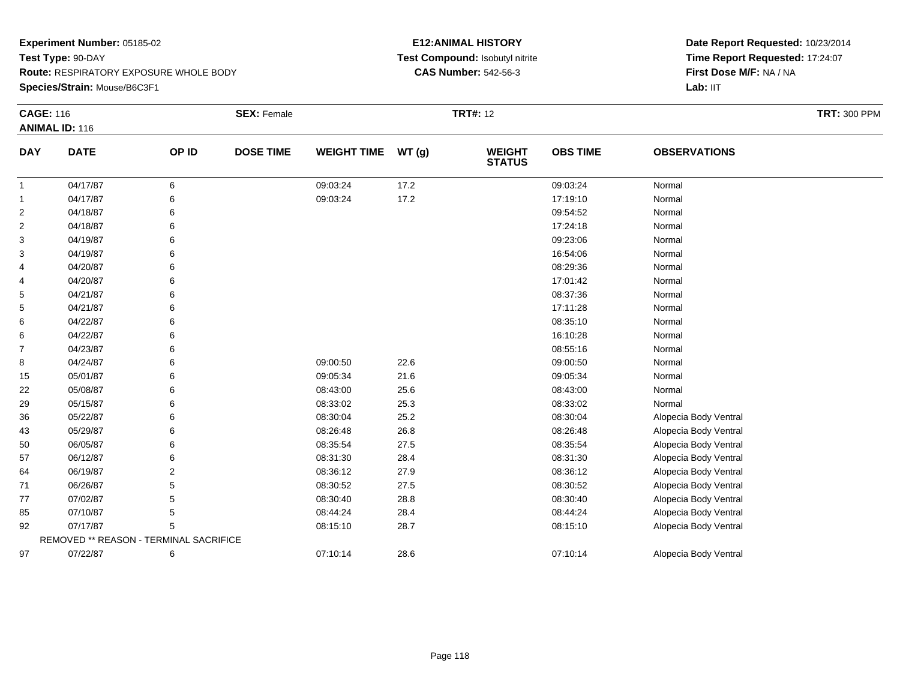**Species/Strain:** Mouse/B6C3F1

#### **E12:ANIMAL HISTORY Test Compound:** Isobutyl nitrite**CAS Number:** 542-56-3

| <b>CAGE: 116</b> |                                        |                | <b>SEX: Female</b> |                    |       | <b>TRT#: 12</b>                |                 |                       | <b>TRT: 300 PPM</b> |
|------------------|----------------------------------------|----------------|--------------------|--------------------|-------|--------------------------------|-----------------|-----------------------|---------------------|
|                  | <b>ANIMAL ID: 116</b>                  |                |                    |                    |       |                                |                 |                       |                     |
| <b>DAY</b>       | <b>DATE</b>                            | OP ID          | <b>DOSE TIME</b>   | <b>WEIGHT TIME</b> | WT(g) | <b>WEIGHT</b><br><b>STATUS</b> | <b>OBS TIME</b> | <b>OBSERVATIONS</b>   |                     |
| $\mathbf{1}$     | 04/17/87                               | 6              |                    | 09:03:24           | 17.2  |                                | 09:03:24        | Normal                |                     |
| $\mathbf{1}$     | 04/17/87                               |                |                    | 09:03:24           | 17.2  |                                | 17:19:10        | Normal                |                     |
| $\overline{2}$   | 04/18/87                               |                |                    |                    |       |                                | 09:54:52        | Normal                |                     |
| 2                | 04/18/87                               |                |                    |                    |       |                                | 17:24:18        | Normal                |                     |
| 3                | 04/19/87                               |                |                    |                    |       |                                | 09:23:06        | Normal                |                     |
| 3                | 04/19/87                               |                |                    |                    |       |                                | 16:54:06        | Normal                |                     |
| 4                | 04/20/87                               |                |                    |                    |       |                                | 08:29:36        | Normal                |                     |
| 4                | 04/20/87                               |                |                    |                    |       |                                | 17:01:42        | Normal                |                     |
| 5                | 04/21/87                               |                |                    |                    |       |                                | 08:37:36        | Normal                |                     |
| 5                | 04/21/87                               |                |                    |                    |       |                                | 17:11:28        | Normal                |                     |
| 6                | 04/22/87                               |                |                    |                    |       |                                | 08:35:10        | Normal                |                     |
| 6                | 04/22/87                               |                |                    |                    |       |                                | 16:10:28        | Normal                |                     |
| $\overline{7}$   | 04/23/87                               |                |                    |                    |       |                                | 08:55:16        | Normal                |                     |
| 8                | 04/24/87                               |                |                    | 09:00:50           | 22.6  |                                | 09:00:50        | Normal                |                     |
| 15               | 05/01/87                               |                |                    | 09:05:34           | 21.6  |                                | 09:05:34        | Normal                |                     |
| 22               | 05/08/87                               |                |                    | 08:43:00           | 25.6  |                                | 08:43:00        | Normal                |                     |
| 29               | 05/15/87                               |                |                    | 08:33:02           | 25.3  |                                | 08:33:02        | Normal                |                     |
| 36               | 05/22/87                               |                |                    | 08:30:04           | 25.2  |                                | 08:30:04        | Alopecia Body Ventral |                     |
| 43               | 05/29/87                               |                |                    | 08:26:48           | 26.8  |                                | 08:26:48        | Alopecia Body Ventral |                     |
| 50               | 06/05/87                               |                |                    | 08:35:54           | 27.5  |                                | 08:35:54        | Alopecia Body Ventral |                     |
| 57               | 06/12/87                               |                |                    | 08:31:30           | 28.4  |                                | 08:31:30        | Alopecia Body Ventral |                     |
| 64               | 06/19/87                               | $\overline{2}$ |                    | 08:36:12           | 27.9  |                                | 08:36:12        | Alopecia Body Ventral |                     |
| 71               | 06/26/87                               |                |                    | 08:30:52           | 27.5  |                                | 08:30:52        | Alopecia Body Ventral |                     |
| 77               | 07/02/87                               |                |                    | 08:30:40           | 28.8  |                                | 08:30:40        | Alopecia Body Ventral |                     |
| 85               | 07/10/87                               | 5              |                    | 08:44:24           | 28.4  |                                | 08:44:24        | Alopecia Body Ventral |                     |
| 92               | 07/17/87                               |                |                    | 08:15:10           | 28.7  |                                | 08:15:10        | Alopecia Body Ventral |                     |
|                  | REMOVED ** REASON - TERMINAL SACRIFICE |                |                    |                    |       |                                |                 |                       |                     |
| 97               | 07/22/87                               | 6              |                    | 07:10:14           | 28.6  |                                | 07:10:14        | Alopecia Body Ventral |                     |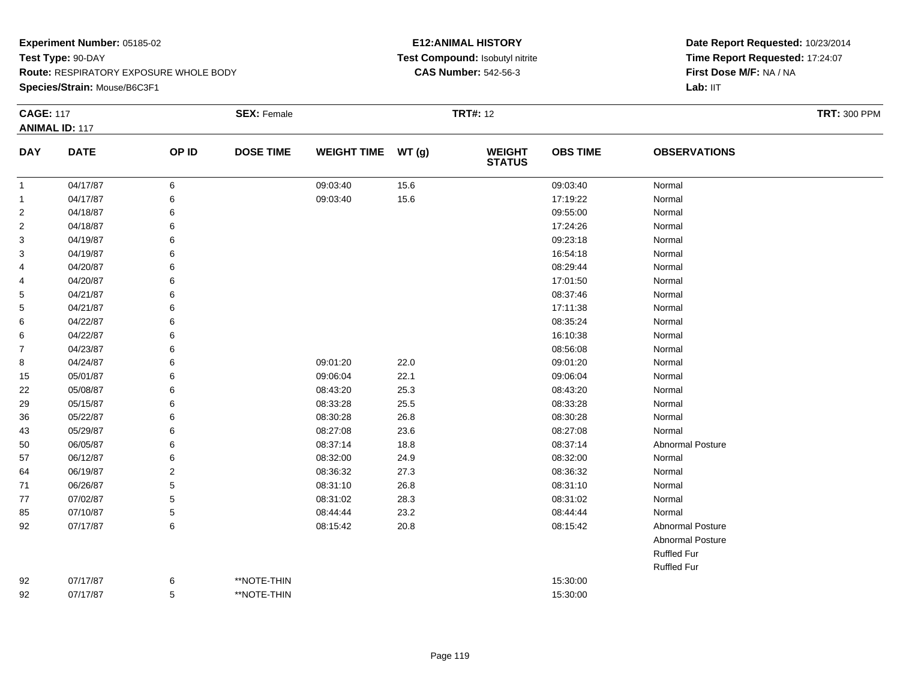**Species/Strain:** Mouse/B6C3F1

#### **E12:ANIMAL HISTORY Test Compound:** Isobutyl nitrite**CAS Number:** 542-56-3

| <b>CAGE: 117</b>        | <b>ANIMAL ID: 117</b> |                | <b>SEX: Female</b> |                    |       | <b>TRT#: 12</b>                |                 |                         | <b>TRT: 300 PPM</b> |
|-------------------------|-----------------------|----------------|--------------------|--------------------|-------|--------------------------------|-----------------|-------------------------|---------------------|
| <b>DAY</b>              | <b>DATE</b>           | OP ID          | <b>DOSE TIME</b>   | <b>WEIGHT TIME</b> | WT(g) | <b>WEIGHT</b><br><b>STATUS</b> | <b>OBS TIME</b> | <b>OBSERVATIONS</b>     |                     |
| $\overline{1}$          | 04/17/87              | $\,6\,$        |                    | 09:03:40           | 15.6  |                                | 09:03:40        | Normal                  |                     |
| $\mathbf{1}$            | 04/17/87              | 6              |                    | 09:03:40           | 15.6  |                                | 17:19:22        | Normal                  |                     |
| $\overline{\mathbf{c}}$ | 04/18/87              | 6              |                    |                    |       |                                | 09:55:00        | Normal                  |                     |
| 2                       | 04/18/87              | 6              |                    |                    |       |                                | 17:24:26        | Normal                  |                     |
| 3                       | 04/19/87              | 6              |                    |                    |       |                                | 09:23:18        | Normal                  |                     |
| 3                       | 04/19/87              | 6              |                    |                    |       |                                | 16:54:18        | Normal                  |                     |
| 4                       | 04/20/87              | 6              |                    |                    |       |                                | 08:29:44        | Normal                  |                     |
| 4                       | 04/20/87              | 6              |                    |                    |       |                                | 17:01:50        | Normal                  |                     |
| 5                       | 04/21/87              | 6              |                    |                    |       |                                | 08:37:46        | Normal                  |                     |
| 5                       | 04/21/87              | 6              |                    |                    |       |                                | 17:11:38        | Normal                  |                     |
| 6                       | 04/22/87              | 6              |                    |                    |       |                                | 08:35:24        | Normal                  |                     |
| 6                       | 04/22/87              | 6              |                    |                    |       |                                | 16:10:38        | Normal                  |                     |
| 7                       | 04/23/87              | 6              |                    |                    |       |                                | 08:56:08        | Normal                  |                     |
| 8                       | 04/24/87              | 6              |                    | 09:01:20           | 22.0  |                                | 09:01:20        | Normal                  |                     |
| 15                      | 05/01/87              | 6              |                    | 09:06:04           | 22.1  |                                | 09:06:04        | Normal                  |                     |
| 22                      | 05/08/87              | 6              |                    | 08:43:20           | 25.3  |                                | 08:43:20        | Normal                  |                     |
| 29                      | 05/15/87              | 6              |                    | 08:33:28           | 25.5  |                                | 08:33:28        | Normal                  |                     |
| 36                      | 05/22/87              | 6              |                    | 08:30:28           | 26.8  |                                | 08:30:28        | Normal                  |                     |
| 43                      | 05/29/87              | 6              |                    | 08:27:08           | 23.6  |                                | 08:27:08        | Normal                  |                     |
| 50                      | 06/05/87              | 6              |                    | 08:37:14           | 18.8  |                                | 08:37:14        | <b>Abnormal Posture</b> |                     |
| 57                      | 06/12/87              | 6              |                    | 08:32:00           | 24.9  |                                | 08:32:00        | Normal                  |                     |
| 64                      | 06/19/87              | $\overline{2}$ |                    | 08:36:32           | 27.3  |                                | 08:36:32        | Normal                  |                     |
| 71                      | 06/26/87              | 5              |                    | 08:31:10           | 26.8  |                                | 08:31:10        | Normal                  |                     |
| 77                      | 07/02/87              | 5              |                    | 08:31:02           | 28.3  |                                | 08:31:02        | Normal                  |                     |
| 85                      | 07/10/87              | 5              |                    | 08:44:44           | 23.2  |                                | 08:44:44        | Normal                  |                     |
| 92                      | 07/17/87              | 6              |                    | 08:15:42           | 20.8  |                                | 08:15:42        | <b>Abnormal Posture</b> |                     |
|                         |                       |                |                    |                    |       |                                |                 | <b>Abnormal Posture</b> |                     |
|                         |                       |                |                    |                    |       |                                |                 | <b>Ruffled Fur</b>      |                     |
|                         |                       |                |                    |                    |       |                                |                 | <b>Ruffled Fur</b>      |                     |
| 92                      | 07/17/87              | 6              | **NOTE-THIN        |                    |       |                                | 15:30:00        |                         |                     |
| 92                      | 07/17/87              | 5              | **NOTE-THIN        |                    |       |                                | 15:30:00        |                         |                     |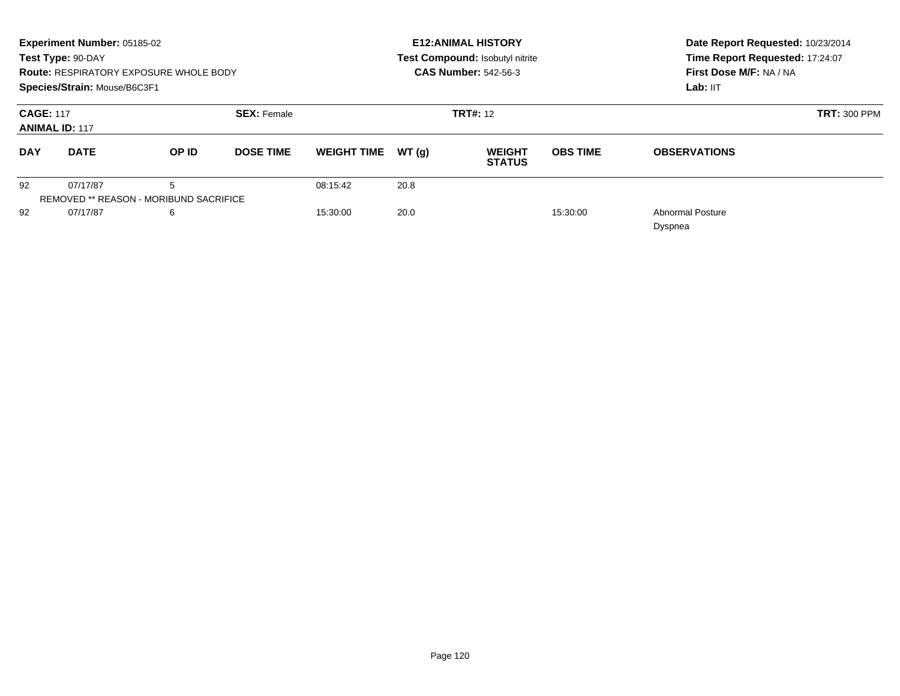|                                           | Experiment Number: 05185-02<br>Test Type: 90-DAY<br>Species/Strain: Mouse/B6C3F1 | <b>Route: RESPIRATORY EXPOSURE WHOLE BODY</b> |                    |                    |        | <b>E12: ANIMAL HISTORY</b><br>Test Compound: Isobutyl nitrite<br><b>CAS Number: 542-56-3</b> | Date Report Requested: 10/23/2014<br>Time Report Requested: 17:24:07<br>First Dose M/F: NA / NA<br>Lab: IIT |                                    |
|-------------------------------------------|----------------------------------------------------------------------------------|-----------------------------------------------|--------------------|--------------------|--------|----------------------------------------------------------------------------------------------|-------------------------------------------------------------------------------------------------------------|------------------------------------|
| <b>CAGE: 117</b><br><b>ANIMAL ID: 117</b> |                                                                                  |                                               | <b>SEX: Female</b> |                    |        | <b>TRT#: 12</b>                                                                              |                                                                                                             | <b>TRT: 300 PPM</b>                |
| <b>DATE</b><br><b>DAY</b>                 |                                                                                  | OP ID<br><b>DOSE TIME</b>                     |                    | <b>WEIGHT TIME</b> | WT (a) | <b>WEIGHT</b><br><b>STATUS</b>                                                               |                                                                                                             | <b>OBSERVATIONS</b>                |
| 92                                        | 07/17/87                                                                         | 5                                             |                    | 08:15:42           | 20.8   |                                                                                              |                                                                                                             |                                    |
|                                           | <b>REMOVED ** REASON - MORIBUND SACRIFICE</b>                                    |                                               |                    |                    |        |                                                                                              |                                                                                                             |                                    |
| 92                                        | 07/17/87                                                                         | 6                                             |                    | 15:30:00           | 20.0   |                                                                                              | 15:30:00                                                                                                    | <b>Abnormal Posture</b><br>Dyspnea |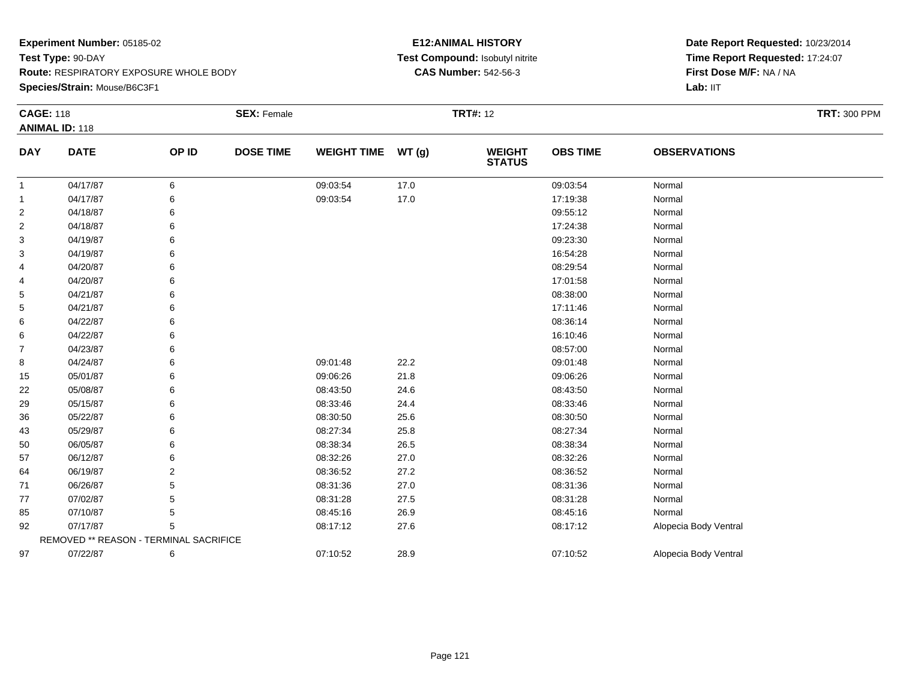**Species/Strain:** Mouse/B6C3F1

#### **E12:ANIMAL HISTORY Test Compound:** Isobutyl nitrite**CAS Number:** 542-56-3

| <b>CAGE: 118</b>      |                                        |       | <b>SEX: Female</b> |                    |       | <b>TRT#: 12</b>                | <b>TRT: 300 PPM</b> |                       |  |
|-----------------------|----------------------------------------|-------|--------------------|--------------------|-------|--------------------------------|---------------------|-----------------------|--|
| <b>ANIMAL ID: 118</b> |                                        |       |                    |                    |       |                                |                     |                       |  |
| <b>DAY</b>            | <b>DATE</b>                            | OP ID | <b>DOSE TIME</b>   | <b>WEIGHT TIME</b> | WT(g) | <b>WEIGHT</b><br><b>STATUS</b> | <b>OBS TIME</b>     | <b>OBSERVATIONS</b>   |  |
| $\mathbf{1}$          | 04/17/87                               | 6     |                    | 09:03:54           | 17.0  |                                | 09:03:54            | Normal                |  |
| $\mathbf{1}$          | 04/17/87                               |       |                    | 09:03:54           | 17.0  |                                | 17:19:38            | Normal                |  |
| $\overline{2}$        | 04/18/87                               |       |                    |                    |       |                                | 09:55:12            | Normal                |  |
| 2                     | 04/18/87                               |       |                    |                    |       |                                | 17:24:38            | Normal                |  |
| 3                     | 04/19/87                               |       |                    |                    |       |                                | 09:23:30            | Normal                |  |
| 3                     | 04/19/87                               |       |                    |                    |       |                                | 16:54:28            | Normal                |  |
| 4                     | 04/20/87                               |       |                    |                    |       |                                | 08:29:54            | Normal                |  |
| 4                     | 04/20/87                               |       |                    |                    |       |                                | 17:01:58            | Normal                |  |
| 5                     | 04/21/87                               |       |                    |                    |       |                                | 08:38:00            | Normal                |  |
| 5                     | 04/21/87                               |       |                    |                    |       |                                | 17:11:46            | Normal                |  |
| 6                     | 04/22/87                               |       |                    |                    |       |                                | 08:36:14            | Normal                |  |
| 6                     | 04/22/87                               |       |                    |                    |       |                                | 16:10:46            | Normal                |  |
| $\overline{7}$        | 04/23/87                               |       |                    |                    |       |                                | 08:57:00            | Normal                |  |
| 8                     | 04/24/87                               |       |                    | 09:01:48           | 22.2  |                                | 09:01:48            | Normal                |  |
| 15                    | 05/01/87                               |       |                    | 09:06:26           | 21.8  |                                | 09:06:26            | Normal                |  |
| 22                    | 05/08/87                               |       |                    | 08:43:50           | 24.6  |                                | 08:43:50            | Normal                |  |
| 29                    | 05/15/87                               |       |                    | 08:33:46           | 24.4  |                                | 08:33:46            | Normal                |  |
| 36                    | 05/22/87                               |       |                    | 08:30:50           | 25.6  |                                | 08:30:50            | Normal                |  |
| 43                    | 05/29/87                               |       |                    | 08:27:34           | 25.8  |                                | 08:27:34            | Normal                |  |
| 50                    | 06/05/87                               |       |                    | 08:38:34           | 26.5  |                                | 08:38:34            | Normal                |  |
| 57                    | 06/12/87                               |       |                    | 08:32:26           | 27.0  |                                | 08:32:26            | Normal                |  |
| 64                    | 06/19/87                               | 2     |                    | 08:36:52           | 27.2  |                                | 08:36:52            | Normal                |  |
| 71                    | 06/26/87                               |       |                    | 08:31:36           | 27.0  |                                | 08:31:36            | Normal                |  |
| 77                    | 07/02/87                               |       |                    | 08:31:28           | 27.5  |                                | 08:31:28            | Normal                |  |
| 85                    | 07/10/87                               | 5     |                    | 08:45:16           | 26.9  |                                | 08:45:16            | Normal                |  |
| 92                    | 07/17/87                               |       |                    | 08:17:12           | 27.6  |                                | 08:17:12            | Alopecia Body Ventral |  |
|                       | REMOVED ** REASON - TERMINAL SACRIFICE |       |                    |                    |       |                                |                     |                       |  |
| 97                    | 07/22/87                               | 6     |                    | 07:10:52           | 28.9  |                                | 07:10:52            | Alopecia Body Ventral |  |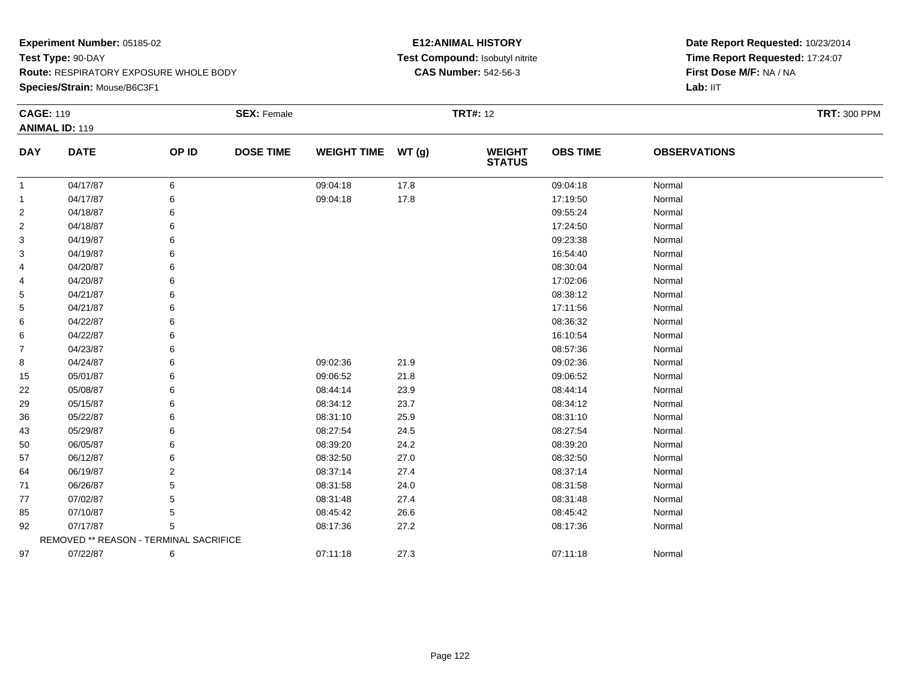**Species/Strain:** Mouse/B6C3F1

#### **E12:ANIMAL HISTORY Test Compound:** Isobutyl nitrite**CAS Number:** 542-56-3

| <b>CAGE: 119</b><br><b>ANIMAL ID: 119</b> |                                        | <b>SEX: Female</b> |                  |                    | <b>TRT#: 12</b> | <b>TRT: 300 PPM</b>            |                 |                     |  |
|-------------------------------------------|----------------------------------------|--------------------|------------------|--------------------|-----------------|--------------------------------|-----------------|---------------------|--|
| <b>DAY</b>                                | <b>DATE</b>                            | OP ID              | <b>DOSE TIME</b> | <b>WEIGHT TIME</b> | WT(g)           | <b>WEIGHT</b><br><b>STATUS</b> | <b>OBS TIME</b> | <b>OBSERVATIONS</b> |  |
| $\mathbf{1}$                              | 04/17/87                               | 6                  |                  | 09:04:18           | 17.8            |                                | 09:04:18        | Normal              |  |
| -1                                        | 04/17/87                               | 6                  |                  | 09:04:18           | 17.8            |                                | 17:19:50        | Normal              |  |
| $\overline{2}$                            | 04/18/87                               | 6                  |                  |                    |                 |                                | 09:55:24        | Normal              |  |
| $\overline{2}$                            | 04/18/87                               | 6                  |                  |                    |                 |                                | 17:24:50        | Normal              |  |
| 3                                         | 04/19/87                               | 6                  |                  |                    |                 |                                | 09:23:38        | Normal              |  |
| 3                                         | 04/19/87                               |                    |                  |                    |                 |                                | 16:54:40        | Normal              |  |
| 4                                         | 04/20/87                               | 6                  |                  |                    |                 |                                | 08:30:04        | Normal              |  |
| 4                                         | 04/20/87                               | 6                  |                  |                    |                 |                                | 17:02:06        | Normal              |  |
| 5                                         | 04/21/87                               | 6                  |                  |                    |                 |                                | 08:38:12        | Normal              |  |
| 5                                         | 04/21/87                               |                    |                  |                    |                 |                                | 17:11:56        | Normal              |  |
| 6                                         | 04/22/87                               |                    |                  |                    |                 |                                | 08:36:32        | Normal              |  |
| 6                                         | 04/22/87                               | 6                  |                  |                    |                 |                                | 16:10:54        | Normal              |  |
| $\overline{7}$                            | 04/23/87                               | 6                  |                  |                    |                 |                                | 08:57:36        | Normal              |  |
| 8                                         | 04/24/87                               |                    |                  | 09:02:36           | 21.9            |                                | 09:02:36        | Normal              |  |
| 15                                        | 05/01/87                               | 6                  |                  | 09:06:52           | 21.8            |                                | 09:06:52        | Normal              |  |
| 22                                        | 05/08/87                               | 6                  |                  | 08:44:14           | 23.9            |                                | 08:44:14        | Normal              |  |
| 29                                        | 05/15/87                               | 6                  |                  | 08:34:12           | 23.7            |                                | 08:34:12        | Normal              |  |
| 36                                        | 05/22/87                               |                    |                  | 08:31:10           | 25.9            |                                | 08:31:10        | Normal              |  |
| 43                                        | 05/29/87                               |                    |                  | 08:27:54           | 24.5            |                                | 08:27:54        | Normal              |  |
| 50                                        | 06/05/87                               | 6                  |                  | 08:39:20           | 24.2            |                                | 08:39:20        | Normal              |  |
| 57                                        | 06/12/87                               | 6                  |                  | 08:32:50           | 27.0            |                                | 08:32:50        | Normal              |  |
| 64                                        | 06/19/87                               | 2                  |                  | 08:37:14           | 27.4            |                                | 08:37:14        | Normal              |  |
| 71                                        | 06/26/87                               |                    |                  | 08:31:58           | 24.0            |                                | 08:31:58        | Normal              |  |
| 77                                        | 07/02/87                               | 5                  |                  | 08:31:48           | 27.4            |                                | 08:31:48        | Normal              |  |
| 85                                        | 07/10/87                               | 5                  |                  | 08:45:42           | 26.6            |                                | 08:45:42        | Normal              |  |
| 92                                        | 07/17/87                               | 5                  |                  | 08:17:36           | 27.2            |                                | 08:17:36        | Normal              |  |
|                                           | REMOVED ** REASON - TERMINAL SACRIFICE |                    |                  |                    |                 |                                |                 |                     |  |
| 97                                        | 07/22/87                               | 6                  |                  | 07:11:18           | 27.3            |                                | 07:11:18        | Normal              |  |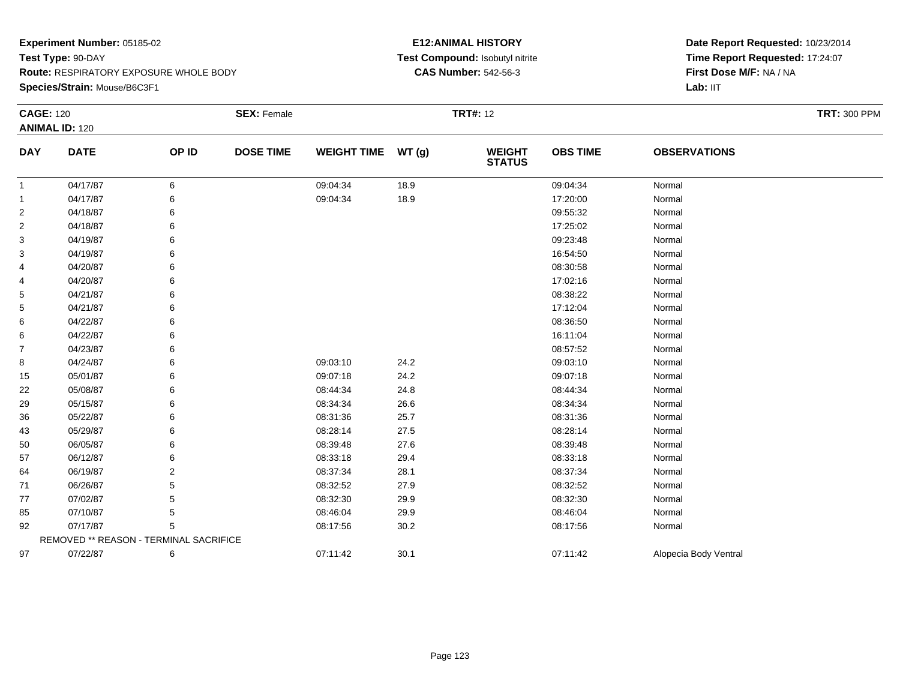**Species/Strain:** Mouse/B6C3F1

#### **E12:ANIMAL HISTORY Test Compound:** Isobutyl nitrite**CAS Number:** 542-56-3

| <b>CAGE: 120</b>      |                                        | <b>SEX: Female</b> |                  |                    | <b>TRT#: 12</b> | <b>TRT: 300 PPM</b>            |                 |                       |  |
|-----------------------|----------------------------------------|--------------------|------------------|--------------------|-----------------|--------------------------------|-----------------|-----------------------|--|
| <b>ANIMAL ID: 120</b> |                                        |                    |                  |                    |                 |                                |                 |                       |  |
| <b>DAY</b>            | <b>DATE</b>                            | OP ID              | <b>DOSE TIME</b> | <b>WEIGHT TIME</b> | WT(g)           | <b>WEIGHT</b><br><b>STATUS</b> | <b>OBS TIME</b> | <b>OBSERVATIONS</b>   |  |
| $\mathbf{1}$          | 04/17/87                               | 6                  |                  | 09:04:34           | 18.9            |                                | 09:04:34        | Normal                |  |
| -1                    | 04/17/87                               | 6                  |                  | 09:04:34           | 18.9            |                                | 17:20:00        | Normal                |  |
| $\overline{2}$        | 04/18/87                               |                    |                  |                    |                 |                                | 09:55:32        | Normal                |  |
| 2                     | 04/18/87                               | 6                  |                  |                    |                 |                                | 17:25:02        | Normal                |  |
| 3                     | 04/19/87                               |                    |                  |                    |                 |                                | 09:23:48        | Normal                |  |
| 3                     | 04/19/87                               |                    |                  |                    |                 |                                | 16:54:50        | Normal                |  |
| 4                     | 04/20/87                               |                    |                  |                    |                 |                                | 08:30:58        | Normal                |  |
| 4                     | 04/20/87                               |                    |                  |                    |                 |                                | 17:02:16        | Normal                |  |
| 5                     | 04/21/87                               | 6                  |                  |                    |                 |                                | 08:38:22        | Normal                |  |
| 5                     | 04/21/87                               |                    |                  |                    |                 |                                | 17:12:04        | Normal                |  |
| 6                     | 04/22/87                               |                    |                  |                    |                 |                                | 08:36:50        | Normal                |  |
| 6                     | 04/22/87                               |                    |                  |                    |                 |                                | 16:11:04        | Normal                |  |
| $\overline{7}$        | 04/23/87                               |                    |                  |                    |                 |                                | 08:57:52        | Normal                |  |
| 8                     | 04/24/87                               | 6                  |                  | 09:03:10           | 24.2            |                                | 09:03:10        | Normal                |  |
| 15                    | 05/01/87                               |                    |                  | 09:07:18           | 24.2            |                                | 09:07:18        | Normal                |  |
| 22                    | 05/08/87                               | 6                  |                  | 08:44:34           | 24.8            |                                | 08:44:34        | Normal                |  |
| 29                    | 05/15/87                               |                    |                  | 08:34:34           | 26.6            |                                | 08:34:34        | Normal                |  |
| 36                    | 05/22/87                               |                    |                  | 08:31:36           | 25.7            |                                | 08:31:36        | Normal                |  |
| 43                    | 05/29/87                               |                    |                  | 08:28:14           | 27.5            |                                | 08:28:14        | Normal                |  |
| 50                    | 06/05/87                               | 6                  |                  | 08:39:48           | 27.6            |                                | 08:39:48        | Normal                |  |
| 57                    | 06/12/87                               |                    |                  | 08:33:18           | 29.4            |                                | 08:33:18        | Normal                |  |
| 64                    | 06/19/87                               | 2                  |                  | 08:37:34           | 28.1            |                                | 08:37:34        | Normal                |  |
| 71                    | 06/26/87                               |                    |                  | 08:32:52           | 27.9            |                                | 08:32:52        | Normal                |  |
| 77                    | 07/02/87                               | 5                  |                  | 08:32:30           | 29.9            |                                | 08:32:30        | Normal                |  |
| 85                    | 07/10/87                               | 5                  |                  | 08:46:04           | 29.9            |                                | 08:46:04        | Normal                |  |
| 92                    | 07/17/87                               | 5                  |                  | 08:17:56           | 30.2            |                                | 08:17:56        | Normal                |  |
|                       | REMOVED ** REASON - TERMINAL SACRIFICE |                    |                  |                    |                 |                                |                 |                       |  |
| 97                    | 07/22/87                               | 6                  |                  | 07:11:42           | 30.1            |                                | 07:11:42        | Alopecia Body Ventral |  |